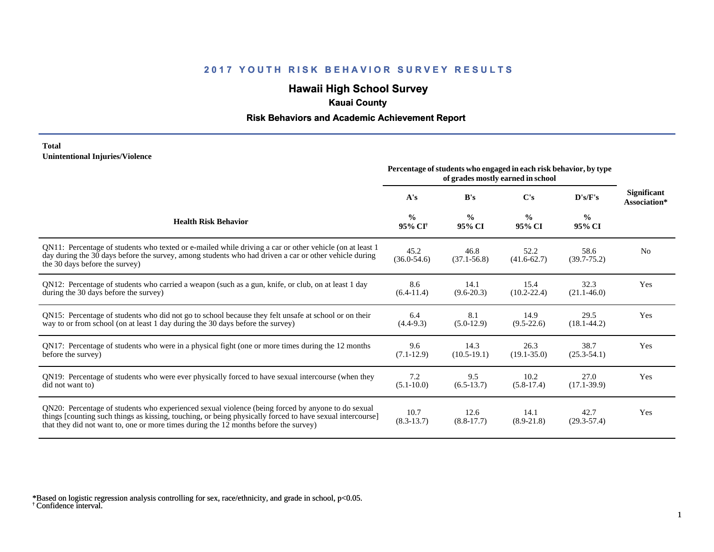## **Hawaii High School Survey**

## **Kauai County**

### **Risk Behaviors and Academic Achievement Report**

#### **Total Unintentional Injuries/Violence**

|                                                                                                                                                                                                                                                                                                        | Percentage of students who engaged in each risk behavior, by type |                         |                         |                         |                                    |
|--------------------------------------------------------------------------------------------------------------------------------------------------------------------------------------------------------------------------------------------------------------------------------------------------------|-------------------------------------------------------------------|-------------------------|-------------------------|-------------------------|------------------------------------|
|                                                                                                                                                                                                                                                                                                        | A's                                                               | B's                     | C's                     | D's/F's                 | <b>Significant</b><br>Association* |
| <b>Health Risk Behavior</b>                                                                                                                                                                                                                                                                            | $\frac{0}{0}$<br>95% CI <sup>+</sup>                              | $\frac{0}{0}$<br>95% CI | $\frac{0}{0}$<br>95% CI | $\frac{0}{0}$<br>95% CI |                                    |
| QN11: Percentage of students who texted or e-mailed while driving a car or other vehicle (on at least 1<br>day during the 30 days before the survey, among students who had driven a car or other vehicle during<br>the 30 days before the survey)                                                     | 45.2<br>$(36.0 - 54.6)$                                           | 46.8<br>$(37.1 - 56.8)$ | 52.2<br>$(41.6 - 62.7)$ | 58.6<br>$(39.7 - 75.2)$ | N <sub>0</sub>                     |
| QN12: Percentage of students who carried a weapon (such as a gun, knife, or club, on at least 1 day<br>during the 30 days before the survey)                                                                                                                                                           | 8.6<br>$(6.4-11.4)$                                               | 14.1<br>$(9.6 - 20.3)$  | 15.4<br>$(10.2 - 22.4)$ | 32.3<br>$(21.1 - 46.0)$ | Yes                                |
| QN15: Percentage of students who did not go to school because they felt unsafe at school or on their<br>way to or from school (on at least 1 day during the 30 days before the survey)                                                                                                                 | 6.4<br>$(4.4-9.3)$                                                | 8.1<br>$(5.0-12.9)$     | 14.9<br>$(9.5-22.6)$    | 29.5<br>$(18.1 - 44.2)$ | Yes                                |
| QN17: Percentage of students who were in a physical fight (one or more times during the 12 months<br>before the survey)                                                                                                                                                                                | 9.6<br>$(7.1-12.9)$                                               | 14.3<br>$(10.5-19.1)$   | 26.3<br>$(19.1 - 35.0)$ | 38.7<br>$(25.3 - 54.1)$ | Yes                                |
| QN19: Percentage of students who were ever physically forced to have sexual intercourse (when they<br>did not want to)                                                                                                                                                                                 | 7.2<br>$(5.1 - 10.0)$                                             | 9.5<br>$(6.5-13.7)$     | 10.2<br>$(5.8-17.4)$    | 27.0<br>$(17.1 - 39.9)$ | Yes                                |
| QN20: Percentage of students who experienced sexual violence (being forced by anyone to do sexual<br>things [counting such things as kissing, touching, or being physically forced to have sexual intercourse]<br>that they did not want to, one or more times during the 12 months before the survey) | 10.7<br>$(8.3-13.7)$                                              | 12.6<br>$(8.8-17.7)$    | 14.1<br>$(8.9-21.8)$    | 42.7<br>$(29.3 - 57.4)$ | Yes                                |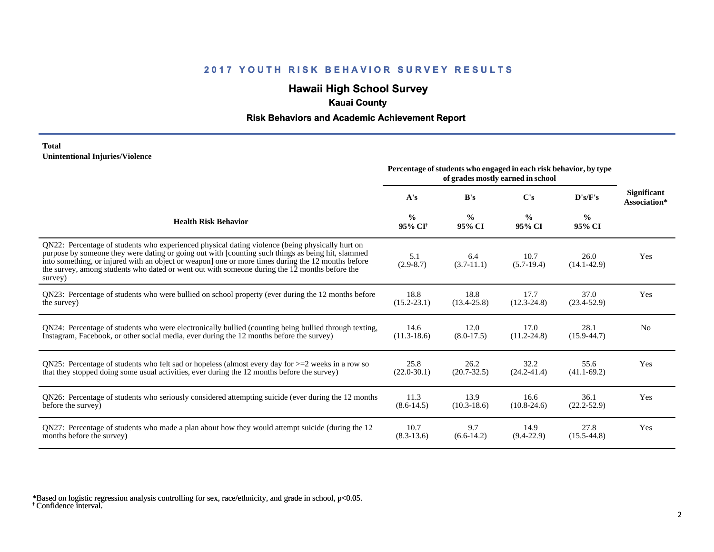## **Hawaii High School Survey**

## **Kauai County**

### **Risk Behaviors and Academic Achievement Report**

#### **Total Unintentional Injuries/Violence**

|                                                                                                                                                                                                                                                                                                                                                                                                                        | Percentage of students who engaged in each risk behavior, by type<br>of grades mostly earned in school |                         |                         |                         |                                    |
|------------------------------------------------------------------------------------------------------------------------------------------------------------------------------------------------------------------------------------------------------------------------------------------------------------------------------------------------------------------------------------------------------------------------|--------------------------------------------------------------------------------------------------------|-------------------------|-------------------------|-------------------------|------------------------------------|
|                                                                                                                                                                                                                                                                                                                                                                                                                        | A's                                                                                                    | B's                     | C's                     | D's/F's                 | <b>Significant</b><br>Association* |
| <b>Health Risk Behavior</b>                                                                                                                                                                                                                                                                                                                                                                                            | $\frac{0}{0}$<br>95% CI <sup>+</sup>                                                                   | $\frac{0}{0}$<br>95% CI | $\frac{0}{0}$<br>95% CI | $\frac{0}{0}$<br>95% CI |                                    |
| QN22: Percentage of students who experienced physical dating violence (being physically hurt on<br>purpose by someone they were dating or going out with [counting such things as being hit, slammed<br>into something, or injured with an object or weapon] one or more times during the 12 months before<br>the survey, among students who dated or went out with someone during the 12 months before the<br>survey) | 5.1<br>$(2.9 - 8.7)$                                                                                   | 6.4<br>$(3.7-11.1)$     | 10.7<br>$(5.7-19.4)$    | 26.0<br>$(14.1 - 42.9)$ | Yes                                |
| QN23: Percentage of students who were bullied on school property (ever during the 12 months before                                                                                                                                                                                                                                                                                                                     | 18.8                                                                                                   | 18.8                    | 17.7                    | 37.0                    | Yes                                |
| the survey)                                                                                                                                                                                                                                                                                                                                                                                                            | $(15.2 - 23.1)$                                                                                        | $(13.4 - 25.8)$         | $(12.3 - 24.8)$         | $(23.4 - 52.9)$         |                                    |
| QN24: Percentage of students who were electronically bullied (counting being bullied through texting,                                                                                                                                                                                                                                                                                                                  | 14.6                                                                                                   | 12.0                    | 17.0                    | 28.1                    | No                                 |
| Instagram, Facebook, or other social media, ever during the 12 months before the survey)                                                                                                                                                                                                                                                                                                                               | $(11.3-18.6)$                                                                                          | $(8.0-17.5)$            | $(11.2 - 24.8)$         | $(15.9 - 44.7)$         |                                    |
| ON25: Percentage of students who felt sad or hopeless (almost every day for $>=$ 2 weeks in a row so                                                                                                                                                                                                                                                                                                                   | 25.8                                                                                                   | 26.2                    | 32.2                    | 55.6                    | Yes                                |
| that they stopped doing some usual activities, ever during the 12 months before the survey)                                                                                                                                                                                                                                                                                                                            | $(22.0 - 30.1)$                                                                                        | $(20.7 - 32.5)$         | $(24.2 - 41.4)$         | $(41.1 - 69.2)$         |                                    |
| QN26: Percentage of students who seriously considered attempting suicide (ever during the 12 months                                                                                                                                                                                                                                                                                                                    | 11.3                                                                                                   | 13.9                    | 16.6                    | 36.1                    | Yes                                |
| before the survey)                                                                                                                                                                                                                                                                                                                                                                                                     | $(8.6-14.5)$                                                                                           | $(10.3 - 18.6)$         | $(10.8 - 24.6)$         | $(22.2 - 52.9)$         |                                    |
| QN27: Percentage of students who made a plan about how they would attempt suicide (during the 12                                                                                                                                                                                                                                                                                                                       | 10.7                                                                                                   | 9.7                     | 14.9                    | 27.8                    | Yes                                |
| months before the survey)                                                                                                                                                                                                                                                                                                                                                                                              | $(8.3-13.6)$                                                                                           | $(6.6-14.2)$            | $(9.4-22.9)$            | $(15.5-44.8)$           |                                    |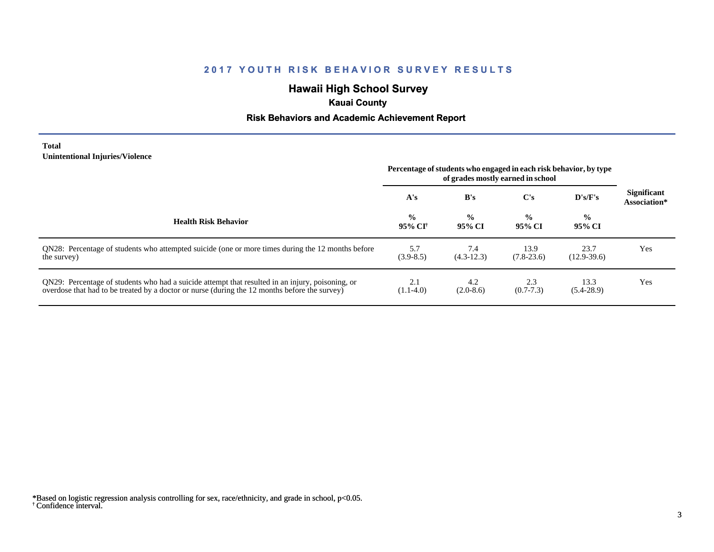## **Hawaii High School Survey**

## **Kauai County**

### **Risk Behaviors and Academic Achievement Report**

#### **Total Unintentional Injuries/Violence**

|                                                                                                                                                                                                   | Percentage of students who engaged in each risk behavior, by type<br>of grades mostly earned in school |                         |                         |                         |                                    |
|---------------------------------------------------------------------------------------------------------------------------------------------------------------------------------------------------|--------------------------------------------------------------------------------------------------------|-------------------------|-------------------------|-------------------------|------------------------------------|
|                                                                                                                                                                                                   | A's                                                                                                    | B's                     | $\bf C's$               | D's/F's                 | <b>Significant</b><br>Association* |
| <b>Health Risk Behavior</b>                                                                                                                                                                       | $\frac{0}{0}$<br>95% CI†                                                                               | $\frac{0}{0}$<br>95% CI | $\frac{0}{0}$<br>95% CI | $\frac{0}{0}$<br>95% CI |                                    |
| QN28: Percentage of students who attempted suicide (one or more times during the 12 months before<br>the survey)                                                                                  | 5.7<br>$(3.9 - 8.5)$                                                                                   | 7.4<br>$(4.3-12.3)$     | 13.9<br>$(7.8-23.6)$    | 23.7<br>$(12.9-39.6)$   | Yes                                |
| QN29: Percentage of students who had a suicide attempt that resulted in an injury, poisoning, or<br>overdose that had to be treated by a doctor or nurse (during the 12 months before the survey) | 2.1<br>$(1.1-4.0)$                                                                                     | 4.2<br>$(2.0-8.6)$      | 2.3<br>$(0.7 - 7.3)$    | 13.3<br>$(5.4-28.9)$    | Yes                                |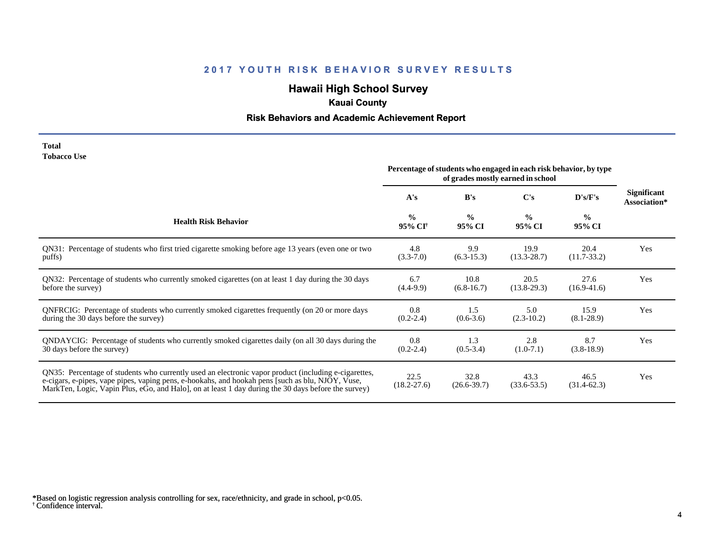# **Hawaii High School Survey**

# **Kauai County**

# **Risk Behaviors and Academic Achievement Report**

| <b>Total</b>       |  |
|--------------------|--|
| <b>Tobacco Use</b> |  |

|                                                                                                                                                                                                                                                                                                                | Percentage of students who engaged in each risk behavior, by type<br>of grades mostly earned in school |                         |                         |                         |                                    |
|----------------------------------------------------------------------------------------------------------------------------------------------------------------------------------------------------------------------------------------------------------------------------------------------------------------|--------------------------------------------------------------------------------------------------------|-------------------------|-------------------------|-------------------------|------------------------------------|
|                                                                                                                                                                                                                                                                                                                | A's                                                                                                    | B's                     | C's                     | D's/F's                 | <b>Significant</b><br>Association* |
| <b>Health Risk Behavior</b>                                                                                                                                                                                                                                                                                    | $\frac{0}{0}$<br>95% CI <sup>+</sup>                                                                   | $\frac{6}{6}$<br>95% CI | $\frac{0}{0}$<br>95% CI | $\frac{0}{0}$<br>95% CI |                                    |
| QN31: Percentage of students who first tried cigarette smoking before age 13 years (even one or two                                                                                                                                                                                                            | 4.8                                                                                                    | 9.9                     | 19.9                    | 20.4                    | Yes                                |
| puffs)                                                                                                                                                                                                                                                                                                         | $(3.3 - 7.0)$                                                                                          | $(6.3-15.3)$            | $(13.3 - 28.7)$         | $(11.7-33.2)$           |                                    |
| QN32: Percentage of students who currently smoked cigarettes (on at least 1 day during the 30 days                                                                                                                                                                                                             | 6.7                                                                                                    | 10.8                    | 20.5                    | 27.6                    | Yes                                |
| before the survey)                                                                                                                                                                                                                                                                                             | $(4.4-9.9)$                                                                                            | $(6.8-16.7)$            | $(13.8-29.3)$           | $(16.9-41.6)$           |                                    |
| QNFRCIG: Percentage of students who currently smoked cigarettes frequently (on 20 or more days                                                                                                                                                                                                                 | 0.8                                                                                                    | 1.5                     | 5.0                     | 15.9                    | Yes                                |
| during the 30 days before the survey)                                                                                                                                                                                                                                                                          | $(0.2 - 2.4)$                                                                                          | $(0.6-3.6)$             | $(2.3-10.2)$            | $(8.1 - 28.9)$          |                                    |
| QNDAYCIG: Percentage of students who currently smoked cigarettes daily (on all 30 days during the                                                                                                                                                                                                              | 0.8                                                                                                    | 1.3                     | 2.8                     | 8.7                     | Yes                                |
| 30 days before the survey)                                                                                                                                                                                                                                                                                     | $(0.2 - 2.4)$                                                                                          | $(0.5-3.4)$             | $(1.0-7.1)$             | $(3.8-18.9)$            |                                    |
| QN35: Percentage of students who currently used an electronic vapor product (including e-cigarettes,<br>e-cigars, e-pipes, vape pipes, vaping pens, e-hookahs, and hookah pens [such as blu, NJOY, Vuse,<br>MarkTen, Logic, Vapin Plus, eGo, and Halo, on at least 1 day during the 30 days before the survey) | 22.5<br>$(18.2 - 27.6)$                                                                                | 32.8<br>$(26.6 - 39.7)$ | 43.3<br>$(33.6 - 53.5)$ | 46.5<br>$(31.4-62.3)$   | Yes                                |

<sup>†</sup> Confidence interval. \*Based on logistic regression analysis controlling for sex, race/ethnicity, and grade in school, p<0.05.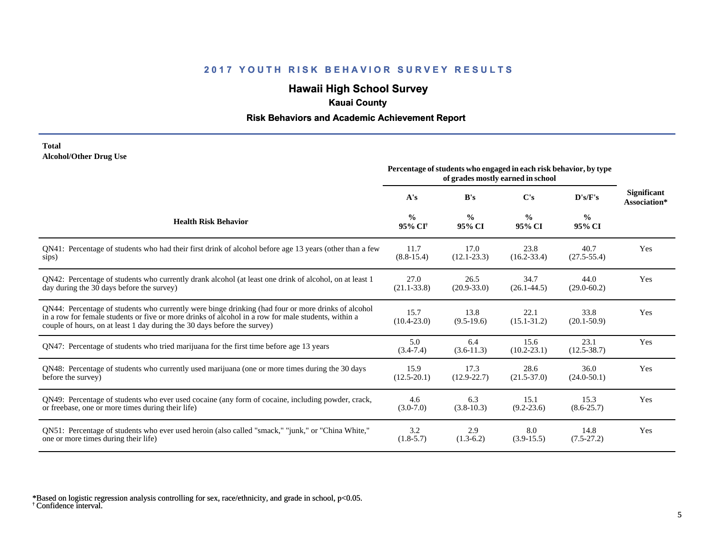## **Hawaii High School Survey**

## **Kauai County**

### **Risk Behaviors and Academic Achievement Report**

#### **Total Alcohol/Other Drug Use**

|                                                                                                                                                                                                                                                                                       | Percentage of students who engaged in each risk behavior, by type<br>of grades mostly earned in school |                         |                         |                         |                             |
|---------------------------------------------------------------------------------------------------------------------------------------------------------------------------------------------------------------------------------------------------------------------------------------|--------------------------------------------------------------------------------------------------------|-------------------------|-------------------------|-------------------------|-----------------------------|
|                                                                                                                                                                                                                                                                                       | A's                                                                                                    | B's                     | C's                     | D's/F's                 | Significant<br>Association* |
| <b>Health Risk Behavior</b>                                                                                                                                                                                                                                                           | $\frac{0}{0}$<br>95% CI <sup>+</sup>                                                                   | $\frac{0}{0}$<br>95% CI | $\frac{6}{9}$<br>95% CI | $\frac{6}{6}$<br>95% CI |                             |
| QN41: Percentage of students who had their first drink of alcohol before age 13 years (other than a few                                                                                                                                                                               | 11.7                                                                                                   | 17.0                    | 23.8                    | 40.7                    | Yes                         |
| sips)                                                                                                                                                                                                                                                                                 | $(8.8-15.4)$                                                                                           | $(12.1 - 23.3)$         | $(16.2 - 33.4)$         | $(27.5 - 55.4)$         |                             |
| QN42: Percentage of students who currently drank alcohol (at least one drink of alcohol, on at least 1                                                                                                                                                                                | 27.0                                                                                                   | 26.5                    | 34.7                    | 44.0                    | Yes                         |
| day during the 30 days before the survey)                                                                                                                                                                                                                                             | $(21.1 - 33.8)$                                                                                        | $(20.9 - 33.0)$         | $(26.1 - 44.5)$         | $(29.0 - 60.2)$         |                             |
| QN44: Percentage of students who currently were binge drinking (had four or more drinks of alcohol<br>in a row for female students or five or more drinks of alcohol in a row for male students, within a<br>couple of hours, on at least 1 day during the 30 days before the survey) | 15.7<br>$(10.4 - 23.0)$                                                                                | 13.8<br>$(9.5-19.6)$    | 22.1<br>$(15.1 - 31.2)$ | 33.8<br>$(20.1 - 50.9)$ | Yes                         |
| QN47: Percentage of students who tried marijuana for the first time before age 13 years                                                                                                                                                                                               | 5.0<br>$(3.4 - 7.4)$                                                                                   | 6.4<br>$(3.6-11.3)$     | 15.6<br>$(10.2 - 23.1)$ | 23.1<br>$(12.5 - 38.7)$ | Yes                         |
| QN48: Percentage of students who currently used marijuana (one or more times during the 30 days                                                                                                                                                                                       | 15.9                                                                                                   | 17.3                    | 28.6                    | 36.0                    | Yes                         |
| before the survey)                                                                                                                                                                                                                                                                    | $(12.5 - 20.1)$                                                                                        | $(12.9 - 22.7)$         | $(21.5 - 37.0)$         | $(24.0 - 50.1)$         |                             |
| QN49: Percentage of students who ever used cocaine (any form of cocaine, including powder, crack,                                                                                                                                                                                     | 4.6                                                                                                    | 6.3                     | 15.1                    | 15.3                    | Yes                         |
| or freebase, one or more times during their life)                                                                                                                                                                                                                                     | $(3.0 - 7.0)$                                                                                          | $(3.8-10.3)$            | $(9.2 - 23.6)$          | $(8.6 - 25.7)$          |                             |
| ON51: Percentage of students who ever used heroin (also called "smack," "junk," or "China White,"                                                                                                                                                                                     | 3.2                                                                                                    | 2.9                     | 8.0                     | 14.8                    | Yes                         |
| one or more times during their life)                                                                                                                                                                                                                                                  | $(1.8-5.7)$                                                                                            | $(1.3-6.2)$             | $(3.9-15.5)$            | $(7.5-27.2)$            |                             |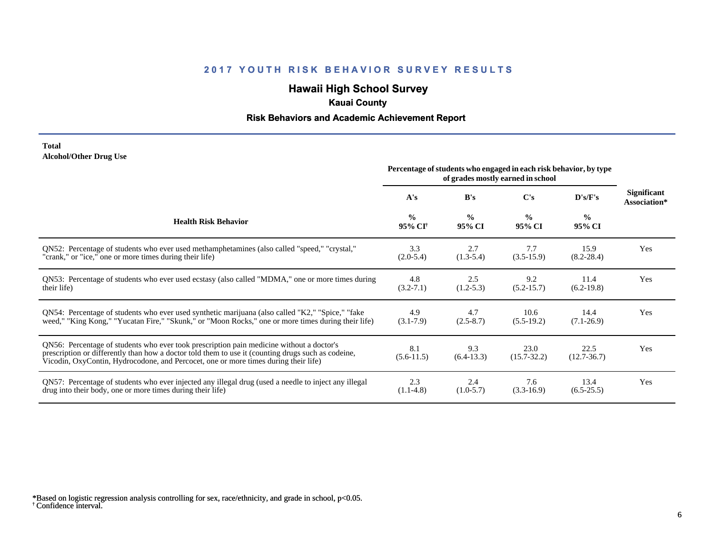## **Hawaii High School Survey**

## **Kauai County**

### **Risk Behaviors and Academic Achievement Report**

#### **Total Alcohol/Other Drug Use**

|                                                                                                                                                                                                                                                                                       | Percentage of students who engaged in each risk behavior, by type<br>of grades mostly earned in school |                         |                         |                         |                             |
|---------------------------------------------------------------------------------------------------------------------------------------------------------------------------------------------------------------------------------------------------------------------------------------|--------------------------------------------------------------------------------------------------------|-------------------------|-------------------------|-------------------------|-----------------------------|
|                                                                                                                                                                                                                                                                                       | A's                                                                                                    | B's                     | C's                     | D's/F's                 | Significant<br>Association* |
| <b>Health Risk Behavior</b>                                                                                                                                                                                                                                                           | $\frac{0}{0}$<br>95% CI <sup>†</sup>                                                                   | $\frac{0}{0}$<br>95% CI | $\frac{6}{6}$<br>95% CI | $\frac{0}{0}$<br>95% CI |                             |
| QN52: Percentage of students who ever used methamphetamines (also called "speed," "crystal,"                                                                                                                                                                                          | 3.3                                                                                                    | 2.7                     | 7.7                     | 15.9                    | Yes                         |
| "crank," or "ice," one or more times during their life)                                                                                                                                                                                                                               | $(2.0-5.4)$                                                                                            | $(1.3-5.4)$             | $(3.5-15.9)$            | $(8.2 - 28.4)$          |                             |
| QN53: Percentage of students who ever used ecstasy (also called "MDMA," one or more times during                                                                                                                                                                                      | 4.8                                                                                                    | 2.5                     | 9.2                     | 11.4                    | Yes                         |
| their life)                                                                                                                                                                                                                                                                           | $(3.2 - 7.1)$                                                                                          | $(1.2-5.3)$             | $(5.2 - 15.7)$          | $(6.2-19.8)$            |                             |
| QN54: Percentage of students who ever used synthetic marijuana (also called "K2," "Spice," "fake                                                                                                                                                                                      | 4.9                                                                                                    | 4.7                     | 10.6                    | 14.4                    | Yes                         |
| weed," "King Kong," "Yucatan Fire," "Skunk," or "Moon Rocks," one or more times during their life)                                                                                                                                                                                    | $(3.1 - 7.9)$                                                                                          | $(2.5-8.7)$             | $(5.5-19.2)$            | $(7.1-26.9)$            |                             |
| QN56: Percentage of students who ever took prescription pain medicine without a doctor's<br>prescription or differently than how a doctor told them to use it (counting drugs such as codeine,<br>Vicodin, OxyContin, Hydrocodone, and Percocet, one or more times during their life) | 8.1<br>$(5.6-11.5)$                                                                                    | 9.3<br>$(6.4-13.3)$     | 23.0<br>$(15.7 - 32.2)$ | 22.5<br>$(12.7 - 36.7)$ | Yes                         |
| QN57: Percentage of students who ever injected any illegal drug (used a needle to inject any illegal                                                                                                                                                                                  | 2.3                                                                                                    | 2.4                     | 7.6                     | 13.4                    | Yes                         |
| drug into their body, one or more times during their life)                                                                                                                                                                                                                            | $(1.1-4.8)$                                                                                            | $(1.0-5.7)$             | $(3.3-16.9)$            | $(6.5-25.5)$            |                             |

<sup>†</sup> Confidence interval. \*Based on logistic regression analysis controlling for sex, race/ethnicity, and grade in school, p<0.05.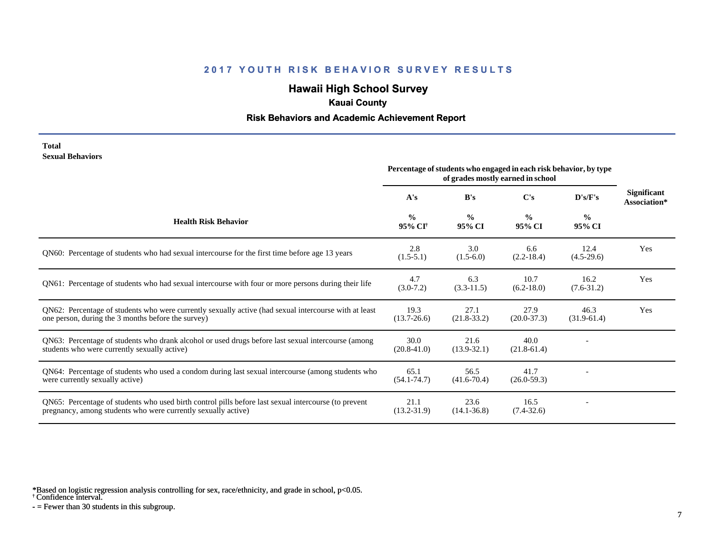# **Hawaii High School Survey**

## **Kauai County**

#### **Risk Behaviors and Academic Achievement Report**

#### **Total Sexual Behaviors**

|                                                                                                                                                                       | Percentage of students who engaged in each risk behavior, by type<br>of grades mostly earned in school |                         |                         |                         |                                    |
|-----------------------------------------------------------------------------------------------------------------------------------------------------------------------|--------------------------------------------------------------------------------------------------------|-------------------------|-------------------------|-------------------------|------------------------------------|
|                                                                                                                                                                       | A's                                                                                                    | B's                     | C's                     | D's/F's                 | <b>Significant</b><br>Association* |
| <b>Health Risk Behavior</b>                                                                                                                                           | $\frac{0}{0}$<br>95% CI <sup>+</sup>                                                                   | $\frac{6}{6}$<br>95% CI | $\frac{0}{0}$<br>95% CI | $\frac{6}{6}$<br>95% CI |                                    |
| QN60: Percentage of students who had sexual intercourse for the first time before age 13 years                                                                        | 2.8<br>$(1.5-5.1)$                                                                                     | 3.0<br>$(1.5-6.0)$      | 6.6<br>$(2.2-18.4)$     | 12.4<br>$(4.5-29.6)$    | Yes                                |
| QN61: Percentage of students who had sexual intercourse with four or more persons during their life                                                                   | 4.7<br>$(3.0-7.2)$                                                                                     | 6.3<br>$(3.3-11.5)$     | 10.7<br>$(6.2 - 18.0)$  | 16.2<br>$(7.6 - 31.2)$  | Yes                                |
| QN62: Percentage of students who were currently sexually active (had sexual intercourse with at least<br>one person, during the 3 months before the survey)           | 19.3<br>$(13.7 - 26.6)$                                                                                | 27.1<br>$(21.8-33.2)$   | 27.9<br>$(20.0-37.3)$   | 46.3<br>$(31.9-61.4)$   | Yes                                |
| QN63: Percentage of students who drank alcohol or used drugs before last sexual intercourse (among<br>students who were currently sexually active)                    | 30.0<br>$(20.8 - 41.0)$                                                                                | 21.6<br>$(13.9 - 32.1)$ | 40.0<br>$(21.8-61.4)$   |                         |                                    |
| QN64: Percentage of students who used a condom during last sexual intercourse (among students who<br>were currently sexually active)                                  | 65.1<br>$(54.1 - 74.7)$                                                                                | 56.5<br>$(41.6 - 70.4)$ | 41.7<br>$(26.0 - 59.3)$ |                         |                                    |
| QN65: Percentage of students who used birth control pills before last sexual intercourse (to prevent<br>pregnancy, among students who were currently sexually active) | 21.1<br>$(13.2 - 31.9)$                                                                                | 23.6<br>$(14.1 - 36.8)$ | 16.5<br>$(7.4 - 32.6)$  |                         |                                    |

\*Based on logistic regression analysis controlling for sex, race/ethnicity, and grade in school, p<0.05.

† Confidence interval.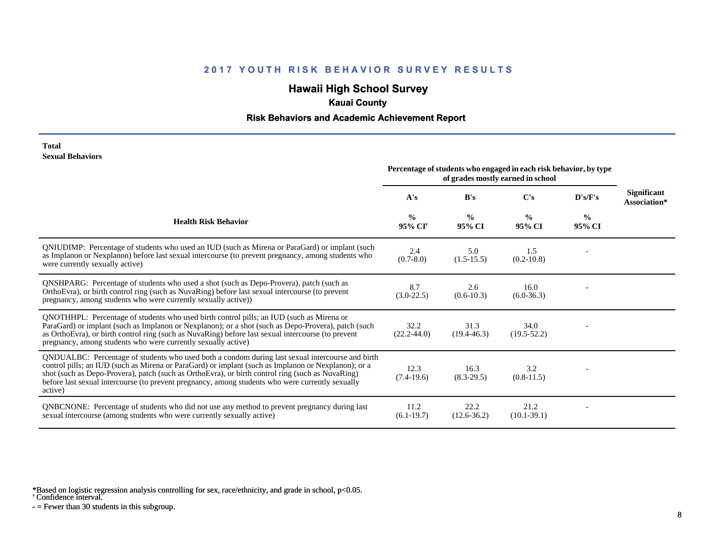# **Hawaii High School Survey**

## **Kauai County**

#### **Risk Behaviors and Academic Achievement Report**

#### **Total Sexual Behaviors**

|                                                                                                                                                                                                                                                                                                                                                                                                                            | Percentage of students who engaged in each risk behavior, by type<br>of grades mostly earned in school |                         |                         |                         |                                    |
|----------------------------------------------------------------------------------------------------------------------------------------------------------------------------------------------------------------------------------------------------------------------------------------------------------------------------------------------------------------------------------------------------------------------------|--------------------------------------------------------------------------------------------------------|-------------------------|-------------------------|-------------------------|------------------------------------|
|                                                                                                                                                                                                                                                                                                                                                                                                                            | A's                                                                                                    | B's                     | C's                     | D's/F's                 | <b>Significant</b><br>Association* |
| <b>Health Risk Behavior</b>                                                                                                                                                                                                                                                                                                                                                                                                | $\frac{0}{0}$<br>95% CI <sup>+</sup>                                                                   | $\frac{0}{0}$<br>95% CI | $\frac{0}{0}$<br>95% CI | $\frac{0}{0}$<br>95% CI |                                    |
| QNIUDIMP: Percentage of students who used an IUD (such as Mirena or ParaGard) or implant (such<br>as Implanon or Nexplanon) before last sexual intercourse (to prevent pregnancy, among students who<br>were currently sexually active)                                                                                                                                                                                    | 2.4<br>$(0.7 - 8.0)$                                                                                   | 5.0<br>$(1.5-15.5)$     | 1.5<br>$(0.2 - 10.8)$   |                         |                                    |
| QNSHPARG: Percentage of students who used a shot (such as Depo-Provera), patch (such as<br>OrthoEvra), or birth control ring (such as NuvaRing) before last sexual intercourse (to prevent<br>pregnancy, among students who were currently sexually active))                                                                                                                                                               | 8.7<br>$(3.0-22.5)$                                                                                    | 2.6<br>$(0.6-10.3)$     | 16.0<br>$(6.0-36.3)$    |                         |                                    |
| QNOTHHPL: Percentage of students who used birth control pills; an IUD (such as Mirena or<br>ParaGard) or implant (such as Implanon or Nexplanon); or a shot (such as Depo-Provera), patch (such<br>as OrthoEvra), or birth control ring (such as NuvaRing) before last sexual intercourse (to prevent<br>pregnancy, among students who were currently sexually active)                                                     | 32.2<br>$(22.2 - 44.0)$                                                                                | 31.3<br>$(19.4 - 46.3)$ | 34.0<br>$(19.5 - 52.2)$ |                         |                                    |
| QNDUALBC: Percentage of students who used both a condom during last sexual intercourse and birth<br>control pills; an IUD (such as Mirena or ParaGard) or implant (such as Implanon or Nexplanon); or a<br>shot (such as Depo-Provera), patch (such as OrthoEvra), or birth control ring (such as NuvaRing)<br>before last sexual intercourse (to prevent pregnancy, among students who were currently sexually<br>active) | 12.3<br>$(7.4-19.6)$                                                                                   | 16.3<br>$(8.3-29.5)$    | 3.2<br>$(0.8-11.5)$     |                         |                                    |
| QNBCNONE: Percentage of students who did not use any method to prevent pregnancy during last<br>sexual intercourse (among students who were currently sexually active)                                                                                                                                                                                                                                                     | 11.2<br>$(6.1-19.7)$                                                                                   | 22.2<br>$(12.6 - 36.2)$ | 21.2<br>$(10.1 - 39.1)$ |                         |                                    |

\*Based on logistic regression analysis controlling for sex, race/ethnicity, and grade in school, p<0.05.

† Confidence interval.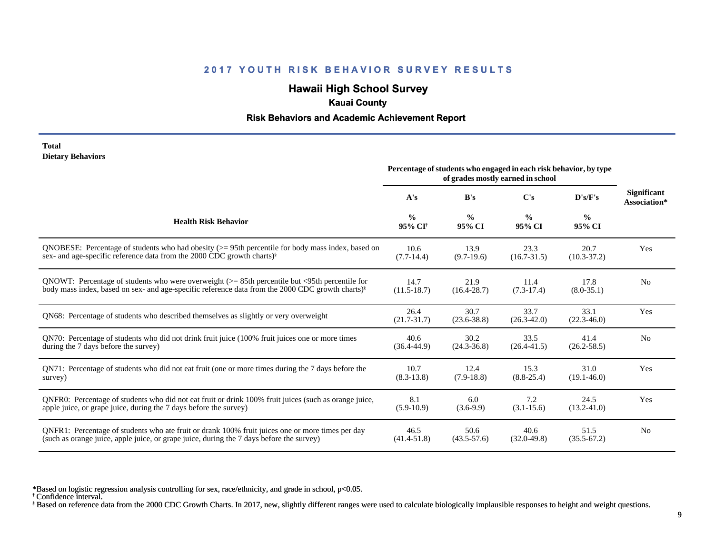## **Hawaii High School Survey**

### **Kauai County**

#### **Risk Behaviors and Academic Achievement Report**

#### **Total Dietary Behaviors**

|                                                                                                              | Percentage of students who engaged in each risk behavior, by type<br>of grades mostly earned in school |                         |                         |                         |                                    |
|--------------------------------------------------------------------------------------------------------------|--------------------------------------------------------------------------------------------------------|-------------------------|-------------------------|-------------------------|------------------------------------|
|                                                                                                              | A's                                                                                                    | B's                     | C's                     | $\bf{D's/F's}$          | <b>Significant</b><br>Association* |
| <b>Health Risk Behavior</b>                                                                                  | $\frac{0}{0}$<br>95% CI <sup>+</sup>                                                                   | $\frac{0}{0}$<br>95% CI | $\frac{0}{0}$<br>95% CI | $\frac{6}{6}$<br>95% CI |                                    |
| ONOBESE: Percentage of students who had obesity $(>= 95$ th percentile for body mass index, based on         | 10.6                                                                                                   | 13.9                    | 23.3                    | 20.7                    | Yes                                |
| sex- and age-specific reference data from the 2000 CDC growth charts) <sup>§</sup>                           | $(7.7-14.4)$                                                                                           | $(9.7-19.6)$            | $(16.7 - 31.5)$         | $(10.3 - 37.2)$         |                                    |
| QNOWT: Percentage of students who were overweight $(>= 85$ th percentile but <95th percentile for            | 14.7                                                                                                   | 21.9                    | 11.4                    | 17.8                    | N <sub>0</sub>                     |
| body mass index, based on sex- and age-specific reference data from the 2000 CDC growth charts) <sup>§</sup> | $(11.5-18.7)$                                                                                          | $(16.4 - 28.7)$         | $(7.3-17.4)$            | $(8.0 - 35.1)$          |                                    |
| QN68: Percentage of students who described themselves as slightly or very overweight                         | 26.4<br>$(21.7 - 31.7)$                                                                                | 30.7<br>$(23.6 - 38.8)$ | 33.7<br>$(26.3 - 42.0)$ | 33.1<br>$(22.3 - 46.0)$ | Yes                                |
| QN70: Percentage of students who did not drink fruit juice (100% fruit juices one or more times              | 40.6                                                                                                   | 30.2                    | 33.5                    | 41.4                    | N <sub>0</sub>                     |
| during the 7 days before the survey)                                                                         | $(36.4 - 44.9)$                                                                                        | $(24.3 - 36.8)$         | $(26.4 - 41.5)$         | $(26.2 - 58.5)$         |                                    |
| QN71: Percentage of students who did not eat fruit (one or more times during the 7 days before the           | 10.7                                                                                                   | 12.4                    | 15.3                    | 31.0                    | Yes                                |
| survey)                                                                                                      | $(8.3 - 13.8)$                                                                                         | $(7.9-18.8)$            | $(8.8 - 25.4)$          | $(19.1 - 46.0)$         |                                    |
| ONFR0: Percentage of students who did not eat fruit or drink 100% fruit juices (such as orange juice,        | 8.1                                                                                                    | 6.0                     | 7.2                     | 24.5                    | Yes                                |
| apple juice, or grape juice, during the 7 days before the survey)                                            | $(5.9-10.9)$                                                                                           | $(3.6-9.9)$             | $(3.1 - 15.6)$          | $(13.2 - 41.0)$         |                                    |
| QNFR1: Percentage of students who ate fruit or drank 100% fruit juices one or more times per day             | 46.5                                                                                                   | 50.6                    | 40.6                    | 51.5                    | N <sub>0</sub>                     |
| (such as orange juice, apple juice, or grape juice, during the 7 days before the survey)                     | $(41.4 - 51.8)$                                                                                        | $(43.5 - 57.6)$         | $(32.0 - 49.8)$         | $(35.5 - 67.2)$         |                                    |

\*Based on logistic regression analysis controlling for sex, race/ethnicity, and grade in school, p<0.05.

† Confidence interval.

§ Based on reference data from the 2000 CDC Growth Charts. In 2017, new, slightly different ranges were used to calculate biologically implausible responses to height and weight questions.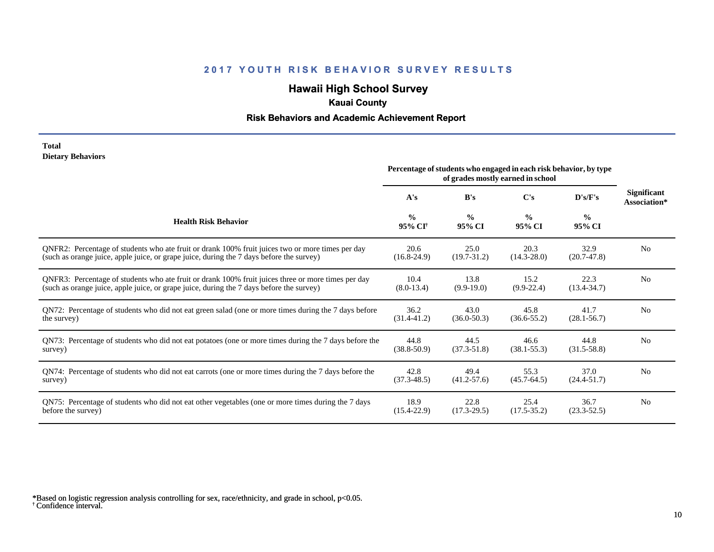## **Hawaii High School Survey**

## **Kauai County**

### **Risk Behaviors and Academic Achievement Report**

#### **Total Dietary Behaviors**

|                                                                                                       | Percentage of students who engaged in each risk behavior, by type<br>of grades mostly earned in school |                         |                         |                         |                             |
|-------------------------------------------------------------------------------------------------------|--------------------------------------------------------------------------------------------------------|-------------------------|-------------------------|-------------------------|-----------------------------|
|                                                                                                       | A's                                                                                                    | B's                     | C's                     | D's/F's                 | Significant<br>Association* |
| <b>Health Risk Behavior</b>                                                                           | $\frac{0}{0}$<br>95% CI <sup>+</sup>                                                                   | $\frac{0}{0}$<br>95% CI | $\frac{0}{0}$<br>95% CI | $\frac{0}{0}$<br>95% CI |                             |
| ONFR2: Percentage of students who ate fruit or drank 100% fruit juices two or more times per day      | 20.6                                                                                                   | 25.0                    | 20.3                    | 32.9                    | N <sub>0</sub>              |
| (such as orange juice, apple juice, or grape juice, during the 7 days before the survey)              | $(16.8-24.9)$                                                                                          | $(19.7 - 31.2)$         | $(14.3 - 28.0)$         | $(20.7-47.8)$           |                             |
| QNFR3: Percentage of students who ate fruit or drank 100% fruit juices three or more times per day    | 10.4                                                                                                   | 13.8                    | 15.2                    | 22.3                    | N <sub>0</sub>              |
| (such as orange juice, apple juice, or grape juice, during the 7 days before the survey)              | $(8.0-13.4)$                                                                                           | $(9.9-19.0)$            | $(9.9-22.4)$            | $(13.4 - 34.7)$         |                             |
| QN72: Percentage of students who did not eat green salad (one or more times during the 7 days before  | 36.2                                                                                                   | 43.0                    | 45.8                    | 41.7                    | N <sub>0</sub>              |
| the survey)                                                                                           | $(31.4 - 41.2)$                                                                                        | $(36.0 - 50.3)$         | $(36.6 - 55.2)$         | $(28.1 - 56.7)$         |                             |
| QN73: Percentage of students who did not eat potatoes (one or more times during the 7 days before the | 44.8                                                                                                   | 44.5                    | 46.6                    | 44.8                    | N <sub>0</sub>              |
| survey)                                                                                               | $(38.8 - 50.9)$                                                                                        | $(37.3 - 51.8)$         | $(38.1 - 55.3)$         | $(31.5-58.8)$           |                             |
| QN74: Percentage of students who did not eat carrots (one or more times during the 7 days before the  | 42.8                                                                                                   | 49.4                    | 55.3                    | 37.0                    | N <sub>0</sub>              |
| survey)                                                                                               | $(37.3 - 48.5)$                                                                                        | $(41.2 - 57.6)$         | $(45.7 - 64.5)$         | $(24.4 - 51.7)$         |                             |
| QN75: Percentage of students who did not eat other vegetables (one or more times during the 7 days    | 18.9                                                                                                   | 22.8                    | 25.4                    | 36.7                    | N <sub>0</sub>              |
| before the survey)                                                                                    | $(15.4 - 22.9)$                                                                                        | $(17.3-29.5)$           | $(17.5 - 35.2)$         | $(23.3 - 52.5)$         |                             |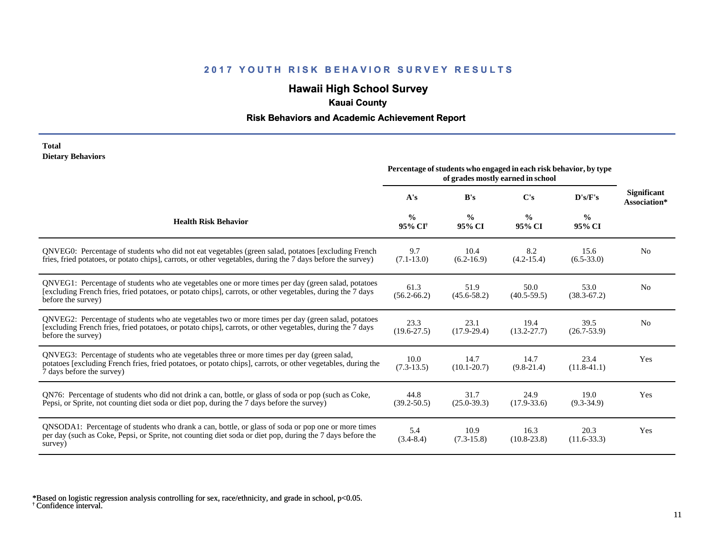## **Hawaii High School Survey**

## **Kauai County**

### **Risk Behaviors and Academic Achievement Report**

#### **Total Dietary Behaviors**

|                                                                                                                                                                                                                                          | Percentage of students who engaged in each risk behavior, by type<br>of grades mostly earned in school |                         |                         |                         |                                    |
|------------------------------------------------------------------------------------------------------------------------------------------------------------------------------------------------------------------------------------------|--------------------------------------------------------------------------------------------------------|-------------------------|-------------------------|-------------------------|------------------------------------|
|                                                                                                                                                                                                                                          | A's                                                                                                    | B's                     | C's                     | D's/F's                 | <b>Significant</b><br>Association* |
| <b>Health Risk Behavior</b>                                                                                                                                                                                                              | $\frac{0}{0}$<br>95% CI <sup>†</sup>                                                                   | $\frac{0}{0}$<br>95% CI | $\frac{0}{0}$<br>95% CI | $\frac{0}{0}$<br>95% CI |                                    |
| QNVEG0: Percentage of students who did not eat vegetables (green salad, potatoes [excluding French<br>fries, fried potatoes, or potato chips], carrots, or other vegetables, during the 7 days before the survey)                        | 9.7<br>$(7.1 - 13.0)$                                                                                  | 10.4<br>$(6.2 - 16.9)$  | 8.2<br>$(4.2 - 15.4)$   | 15.6<br>$(6.5 - 33.0)$  | N <sub>0</sub>                     |
| QNVEG1: Percentage of students who ate vegetables one or more times per day (green salad, potatoes<br>[excluding French fries, fried potatoes, or potato chips], carrots, or other vegetables, during the 7 days<br>before the survey)   | 61.3<br>$(56.2 - 66.2)$                                                                                | 51.9<br>$(45.6 - 58.2)$ | 50.0<br>$(40.5 - 59.5)$ | 53.0<br>$(38.3 - 67.2)$ | N <sub>0</sub>                     |
| QNVEG2: Percentage of students who ate vegetables two or more times per day (green salad, potatoes<br>[excluding French fries, fried potatoes, or potato chips], carrots, or other vegetables, during the 7 days<br>before the survey)   | 23.3<br>$(19.6 - 27.5)$                                                                                | 23.1<br>$(17.9 - 29.4)$ | 19.4<br>$(13.2 - 27.7)$ | 39.5<br>$(26.7 - 53.9)$ | N <sub>0</sub>                     |
| QNVEG3: Percentage of students who ate vegetables three or more times per day (green salad,<br>potatoes [excluding French fries, fried potatoes, or potato chips], carrots, or other vegetables, during the<br>7 days before the survey) | 10.0<br>$(7.3-13.5)$                                                                                   | 14.7<br>$(10.1 - 20.7)$ | 14.7<br>$(9.8-21.4)$    | 23.4<br>$(11.8-41.1)$   | Yes                                |
| QN76: Percentage of students who did not drink a can, bottle, or glass of soda or pop (such as Coke,<br>Pepsi, or Sprite, not counting diet soda or diet pop, during the 7 days before the survey)                                       | 44.8<br>$(39.2 - 50.5)$                                                                                | 31.7<br>$(25.0 - 39.3)$ | 24.9<br>$(17.9 - 33.6)$ | 19.0<br>$(9.3-34.9)$    | Yes                                |
| QNSODA1: Percentage of students who drank a can, bottle, or glass of soda or pop one or more times<br>per day (such as Coke, Pepsi, or Sprite, not counting diet soda or diet pop, during the 7 days before the<br>survey)               | 5.4<br>$(3.4 - 8.4)$                                                                                   | 10.9<br>$(7.3-15.8)$    | 16.3<br>$(10.8 - 23.8)$ | 20.3<br>$(11.6 - 33.3)$ | Yes                                |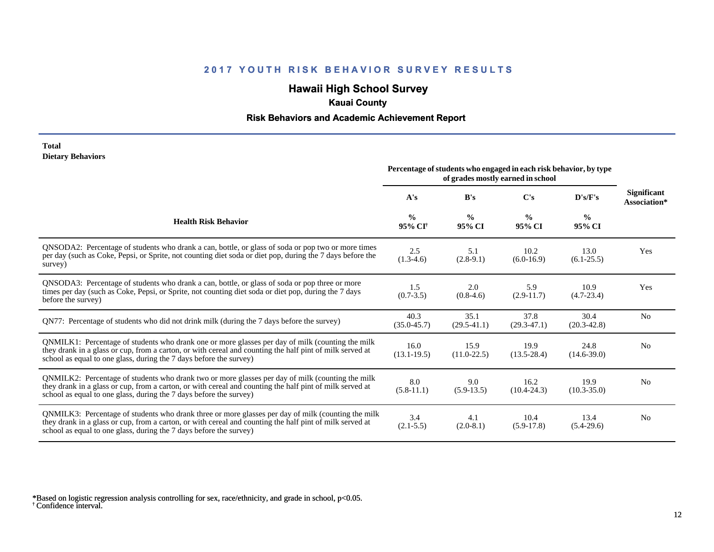## **Hawaii High School Survey**

## **Kauai County**

### **Risk Behaviors and Academic Achievement Report**

#### **Total Dietary Behaviors**

|                                                                                                                                                                                                                                                                                      | Percentage of students who engaged in each risk behavior, by type<br>of grades mostly earned in school |                         |                         |                         |                                    |
|--------------------------------------------------------------------------------------------------------------------------------------------------------------------------------------------------------------------------------------------------------------------------------------|--------------------------------------------------------------------------------------------------------|-------------------------|-------------------------|-------------------------|------------------------------------|
|                                                                                                                                                                                                                                                                                      | A's                                                                                                    | B's                     | C's                     | D's/F's                 | <b>Significant</b><br>Association* |
| <b>Health Risk Behavior</b>                                                                                                                                                                                                                                                          | $\frac{0}{0}$<br>95% CI <sup>†</sup>                                                                   | $\frac{0}{0}$<br>95% CI | $\frac{0}{0}$<br>95% CI | $\frac{0}{0}$<br>95% CI |                                    |
| QNSODA2: Percentage of students who drank a can, bottle, or glass of soda or pop two or more times<br>per day (such as Coke, Pepsi, or Sprite, not counting diet soda or diet pop, during the 7 days before the<br>survey)                                                           | 2.5<br>$(1.3-4.6)$                                                                                     | 5.1<br>$(2.8-9.1)$      | 10.2<br>$(6.0-16.9)$    | 13.0<br>$(6.1-25.5)$    | Yes                                |
| QNSODA3: Percentage of students who drank a can, bottle, or glass of soda or pop three or more<br>times per day (such as Coke, Pepsi, or Sprite, not counting diet soda or diet pop, during the 7 days<br>before the survey)                                                         | 1.5<br>$(0.7-3.5)$                                                                                     | 2.0<br>$(0.8-4.6)$      | 5.9<br>$(2.9-11.7)$     | 10.9<br>$(4.7-23.4)$    | Yes                                |
| QN77: Percentage of students who did not drink milk (during the 7 days before the survey)                                                                                                                                                                                            | 40.3<br>$(35.0 - 45.7)$                                                                                | 35.1<br>$(29.5 - 41.1)$ | 37.8<br>$(29.3-47.1)$   | 30.4<br>$(20.3 - 42.8)$ | N <sub>0</sub>                     |
| QNMILK1: Percentage of students who drank one or more glasses per day of milk (counting the milk<br>they drank in a glass or cup, from a carton, or with cereal and counting the half pint of milk served at<br>school as equal to one glass, during the 7 days before the survey)   | 16.0<br>$(13.1 - 19.5)$                                                                                | 15.9<br>$(11.0-22.5)$   | 19.9<br>$(13.5 - 28.4)$ | 24.8<br>$(14.6 - 39.0)$ | N <sub>0</sub>                     |
| QNMILK2: Percentage of students who drank two or more glasses per day of milk (counting the milk<br>they drank in a glass or cup, from a carton, or with cereal and counting the half pint of milk served at<br>school as equal to one glass, during the 7 days before the survey)   | 8.0<br>$(5.8-11.1)$                                                                                    | 9.0<br>$(5.9-13.5)$     | 16.2<br>$(10.4 - 24.3)$ | 19.9<br>$(10.3 - 35.0)$ | N <sub>0</sub>                     |
| QNMILK3: Percentage of students who drank three or more glasses per day of milk (counting the milk<br>they drank in a glass or cup, from a carton, or with cereal and counting the half pint of milk served at<br>school as equal to one glass, during the 7 days before the survey) | 3.4<br>$(2.1 - 5.5)$                                                                                   | 4.1<br>$(2.0-8.1)$      | 10.4<br>$(5.9-17.8)$    | 13.4<br>$(5.4-29.6)$    | N <sub>0</sub>                     |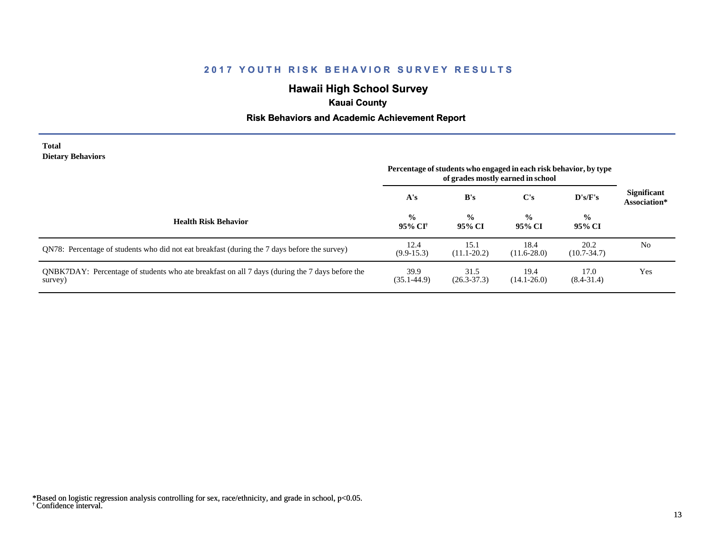## **Hawaii High School Survey**

## **Kauai County**

### **Risk Behaviors and Academic Achievement Report**

#### **Total Dietary Behaviors**

|                                                                                                           | Percentage of students who engaged in each risk behavior, by type<br>of grades mostly earned in school |                         |                         |                         |                                    |
|-----------------------------------------------------------------------------------------------------------|--------------------------------------------------------------------------------------------------------|-------------------------|-------------------------|-------------------------|------------------------------------|
|                                                                                                           | A's                                                                                                    | B's                     | $\bf C's$               | D's/F's                 | <b>Significant</b><br>Association* |
| <b>Health Risk Behavior</b>                                                                               | $\frac{0}{0}$<br>95% CI <sup>+</sup>                                                                   | $\frac{0}{0}$<br>95% CI | $\frac{0}{0}$<br>95% CI | $\frac{0}{0}$<br>95% CI |                                    |
| QN78: Percentage of students who did not eat breakfast (during the 7 days before the survey)              | 12.4<br>$(9.9-15.3)$                                                                                   | 15.1<br>$(11.1 - 20.2)$ | 18.4<br>$(11.6 - 28.0)$ | 20.2<br>$(10.7 - 34.7)$ | N <sub>0</sub>                     |
| QNBK7DAY: Percentage of students who ate breakfast on all 7 days (during the 7 days before the<br>survey) | 39.9<br>$(35.1 - 44.9)$                                                                                | 31.5<br>$(26.3 - 37.3)$ | 19.4<br>$(14.1 - 26.0)$ | 17.0<br>$(8.4 - 31.4)$  | Yes                                |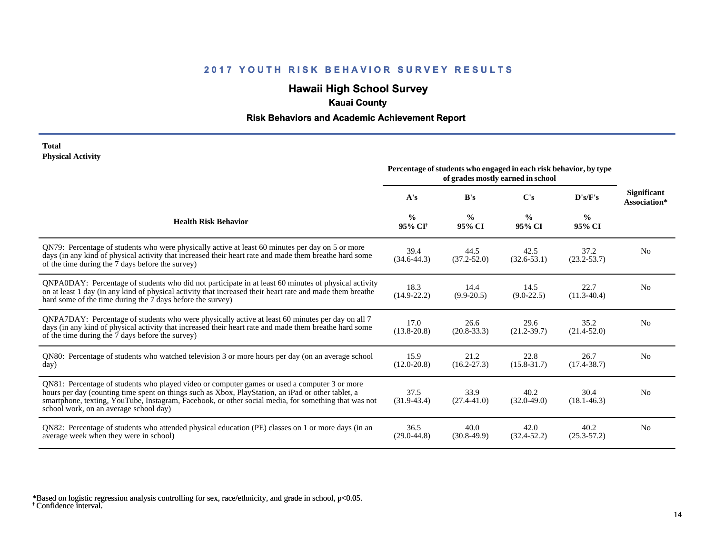## **Hawaii High School Survey**

## **Kauai County**

### **Risk Behaviors and Academic Achievement Report**

#### **Total Physical Activity**

|                                                                                                                                                                                                                                                                                                                                                      | Percentage of students who engaged in each risk behavior, by type<br>of grades mostly earned in school |                         |                         |                         |                                    |
|------------------------------------------------------------------------------------------------------------------------------------------------------------------------------------------------------------------------------------------------------------------------------------------------------------------------------------------------------|--------------------------------------------------------------------------------------------------------|-------------------------|-------------------------|-------------------------|------------------------------------|
|                                                                                                                                                                                                                                                                                                                                                      | A's                                                                                                    | B's                     | C's                     | D's/F's                 | <b>Significant</b><br>Association* |
| <b>Health Risk Behavior</b>                                                                                                                                                                                                                                                                                                                          | $\frac{0}{0}$<br>95% CI <sup>+</sup>                                                                   | $\frac{0}{0}$<br>95% CI | $\frac{6}{9}$<br>95% CI | $\frac{0}{0}$<br>95% CI |                                    |
| QN79: Percentage of students who were physically active at least 60 minutes per day on 5 or more<br>days (in any kind of physical activity that increased their heart rate and made them breathe hard some<br>of the time during the 7 days before the survey)                                                                                       | 39.4<br>$(34.6 - 44.3)$                                                                                | 44.5<br>$(37.2 - 52.0)$ | 42.5<br>$(32.6 - 53.1)$ | 37.2<br>$(23.2 - 53.7)$ | No                                 |
| QNPA0DAY: Percentage of students who did not participate in at least 60 minutes of physical activity<br>on at least 1 day (in any kind of physical activity that increased their heart rate and made them breathe<br>hard some of the time during the 7 days before the survey)                                                                      | 18.3<br>$(14.9 - 22.2)$                                                                                | 14.4<br>$(9.9-20.5)$    | 14.5<br>$(9.0-22.5)$    | 22.7<br>$(11.3-40.4)$   | No                                 |
| QNPA7DAY: Percentage of students who were physically active at least 60 minutes per day on all 7<br>days (in any kind of physical activity that increased their heart rate and made them breathe hard some<br>of the time during the 7 days before the survey)                                                                                       | 17.0<br>$(13.8 - 20.8)$                                                                                | 26.6<br>$(20.8 - 33.3)$ | 29.6<br>$(21.2 - 39.7)$ | 35.2<br>$(21.4 - 52.0)$ | N <sub>0</sub>                     |
| QN80: Percentage of students who watched television 3 or more hours per day (on an average school<br>day)                                                                                                                                                                                                                                            | 15.9<br>$(12.0 - 20.8)$                                                                                | 21.2<br>$(16.2 - 27.3)$ | 22.8<br>$(15.8 - 31.7)$ | 26.7<br>$(17.4 - 38.7)$ | N <sub>0</sub>                     |
| QN81: Percentage of students who played video or computer games or used a computer 3 or more<br>hours per day (counting time spent on things such as Xbox, PlayStation, an iPad or other tablet, a<br>smartphone, texting, YouTube, Instagram, Facebook, or other social media, for something that was not<br>school work, on an average school day) | 37.5<br>$(31.9-43.4)$                                                                                  | 33.9<br>$(27.4 - 41.0)$ | 40.2<br>$(32.0 - 49.0)$ | 30.4<br>$(18.1 - 46.3)$ | N <sub>0</sub>                     |
| QN82: Percentage of students who attended physical education (PE) classes on 1 or more days (in an<br>average week when they were in school)                                                                                                                                                                                                         | 36.5<br>$(29.0 - 44.8)$                                                                                | 40.0<br>$(30.8-49.9)$   | 42.0<br>$(32.4 - 52.2)$ | 40.2<br>$(25.3 - 57.2)$ | N <sub>0</sub>                     |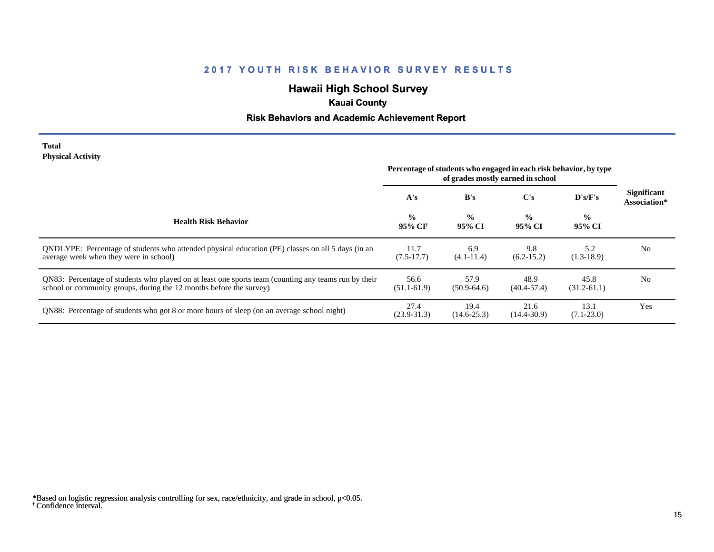## **Hawaii High School Survey**

## **Kauai County**

### **Risk Behaviors and Academic Achievement Report**

#### **Total Physical Activity**

|                                                                                                                                                                             | Percentage of students who engaged in each risk behavior, by type<br>of grades mostly earned in school |                         |                         |                         |                                    |
|-----------------------------------------------------------------------------------------------------------------------------------------------------------------------------|--------------------------------------------------------------------------------------------------------|-------------------------|-------------------------|-------------------------|------------------------------------|
|                                                                                                                                                                             | A's                                                                                                    | B's                     | $\bf C's$               | $\bf{D's/F's}$          | <b>Significant</b><br>Association* |
| <b>Health Risk Behavior</b>                                                                                                                                                 | $\frac{0}{0}$<br>95% CI†                                                                               | $\frac{0}{0}$<br>95% CI | $\frac{0}{0}$<br>95% CI | $\frac{0}{0}$<br>95% CI |                                    |
| ONDLYPE: Percentage of students who attended physical education (PE) classes on all 5 days (in an<br>average week when they were in school)                                 | 11.7<br>$(7.5-17.7)$                                                                                   | 6.9<br>$(4.1 - 11.4)$   | 9.8<br>$(6.2 - 15.2)$   | 5.2<br>$(1.3-18.9)$     | N <sub>0</sub>                     |
| QN83: Percentage of students who played on at least one sports team (counting any teams run by their<br>school or community groups, during the 12 months before the survey) | 56.6<br>$(51.1 - 61.9)$                                                                                | 57.9<br>$(50.9-64.6)$   | 48.9<br>$(40.4 - 57.4)$ | 45.8<br>$(31.2 - 61.1)$ | N <sub>0</sub>                     |
| QN88: Percentage of students who got 8 or more hours of sleep (on an average school night)                                                                                  | 27.4<br>$(23.9 - 31.3)$                                                                                | 19.4<br>$(14.6 - 25.3)$ | 21.6<br>$(14.4 - 30.9)$ | 13.1<br>$(7.1 - 23.0)$  | Yes                                |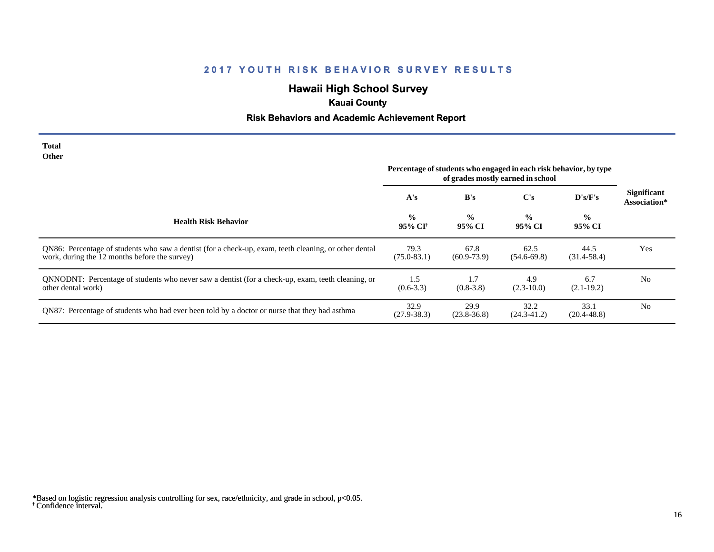# **Hawaii High School Survey**

## **Kauai County**

# **Risk Behaviors and Academic Achievement Report**

| Total<br>Other                                                                                                                                         | Percentage of students who engaged in each risk behavior, by type |                         |                         |                         |                                    |
|--------------------------------------------------------------------------------------------------------------------------------------------------------|-------------------------------------------------------------------|-------------------------|-------------------------|-------------------------|------------------------------------|
|                                                                                                                                                        | A's                                                               | B's                     | C's                     | D's/F's                 | <b>Significant</b><br>Association* |
| <b>Health Risk Behavior</b>                                                                                                                            | $\frac{0}{0}$<br>95% CI†                                          | $\frac{0}{0}$<br>95% CI | $\frac{0}{0}$<br>95% CI | $\frac{0}{0}$<br>95% CI |                                    |
| QN86: Percentage of students who saw a dentist (for a check-up, exam, teeth cleaning, or other dental<br>work, during the 12 months before the survey) | 79.3<br>$(75.0 - 83.1)$                                           | 67.8<br>$(60.9 - 73.9)$ | 62.5<br>$(54.6-69.8)$   | 44.5<br>$(31.4 - 58.4)$ | Yes                                |
| QNNODNT: Percentage of students who never saw a dentist (for a check-up, exam, teeth cleaning, or<br>other dental work)                                | 1.5<br>$(0.6-3.3)$                                                | 1.7<br>$(0.8-3.8)$      | 4.9<br>$(2.3-10.0)$     | 6.7<br>$(2.1-19.2)$     | N <sub>0</sub>                     |
| QN87: Percentage of students who had ever been told by a doctor or nurse that they had asthma                                                          | 32.9<br>$(27.9 - 38.3)$                                           | 29.9<br>$(23.8 - 36.8)$ | 32.2<br>$(24.3 - 41.2)$ | 33.1<br>$(20.4 - 48.8)$ | N <sub>0</sub>                     |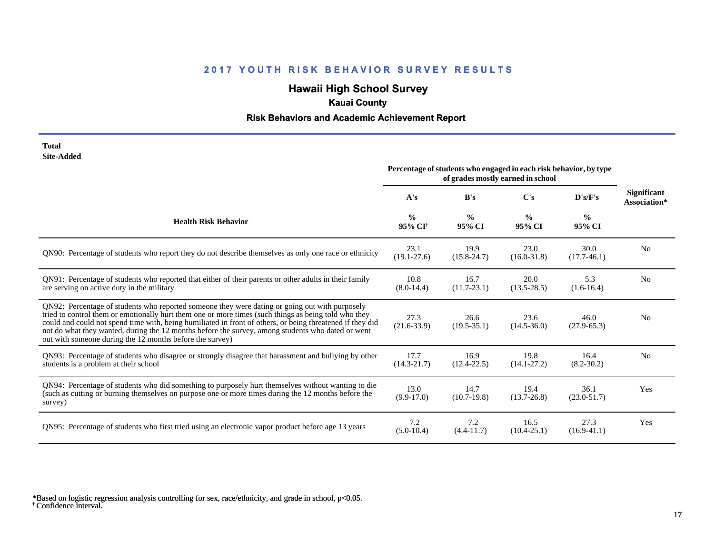# **Hawaii High School Survey**

## **Kauai County**

## **Risk Behaviors and Academic Achievement Report**

| Total      |
|------------|
| Site-Added |

|                                                                                                                                                                                                                                                                                                                                                                                                                                                                                      | Percentage of students who engaged in each risk behavior, by type<br>of grades mostly earned in school |                         |                         |                         |                                    |
|--------------------------------------------------------------------------------------------------------------------------------------------------------------------------------------------------------------------------------------------------------------------------------------------------------------------------------------------------------------------------------------------------------------------------------------------------------------------------------------|--------------------------------------------------------------------------------------------------------|-------------------------|-------------------------|-------------------------|------------------------------------|
|                                                                                                                                                                                                                                                                                                                                                                                                                                                                                      | A's                                                                                                    | B's                     | C's                     | D's/F's                 | <b>Significant</b><br>Association* |
| <b>Health Risk Behavior</b>                                                                                                                                                                                                                                                                                                                                                                                                                                                          | $\frac{0}{0}$<br>95% CI <sup>+</sup>                                                                   | $\frac{0}{0}$<br>95% CI | $\frac{0}{0}$<br>95% CI | $\frac{6}{9}$<br>95% CI |                                    |
| QN90: Percentage of students who report they do not describe themselves as only one race or ethnicity                                                                                                                                                                                                                                                                                                                                                                                | 23.1<br>$(19.1 - 27.6)$                                                                                | 19.9<br>$(15.8 - 24.7)$ | 23.0<br>$(16.0 - 31.8)$ | 30.0<br>$(17.7-46.1)$   | N <sub>0</sub>                     |
| QN91: Percentage of students who reported that either of their parents or other adults in their family<br>are serving on active duty in the military                                                                                                                                                                                                                                                                                                                                 | 10.8<br>$(8.0-14.4)$                                                                                   | 16.7<br>$(11.7 - 23.1)$ | 20.0<br>$(13.5 - 28.5)$ | 5.3<br>$(1.6-16.4)$     | N <sub>0</sub>                     |
| QN92: Percentage of students who reported someone they were dating or going out with purposely<br>tried to control them or emotionally hurt them one or more times (such things as being told who they<br>could and could not spend time with, being humiliated in front of others, or being threatened if they did<br>not do what they wanted, during the 12 months before the survey, among students who dated or went<br>out with someone during the 12 months before the survey) | 27.3<br>$(21.6 - 33.9)$                                                                                | 26.6<br>$(19.5 - 35.1)$ | 23.6<br>$(14.5 - 36.0)$ | 46.0<br>$(27.9 - 65.3)$ | N <sub>0</sub>                     |
| QN93: Percentage of students who disagree or strongly disagree that harassment and bullying by other<br>students is a problem at their school                                                                                                                                                                                                                                                                                                                                        | 17.7<br>$(14.3 - 21.7)$                                                                                | 16.9<br>$(12.4 - 22.5)$ | 19.8<br>$(14.1 - 27.2)$ | 16.4<br>$(8.2 - 30.2)$  | N <sub>0</sub>                     |
| QN94: Percentage of students who did something to purposely hurt themselves without wanting to die<br>(such as cutting or burning themselves on purpose one or more times during the 12 months before the<br>survey)                                                                                                                                                                                                                                                                 | 13.0<br>$(9.9-17.0)$                                                                                   | 14.7<br>$(10.7-19.8)$   | 19.4<br>$(13.7 - 26.8)$ | 36.1<br>$(23.0 - 51.7)$ | Yes                                |
| QN95: Percentage of students who first tried using an electronic vapor product before age 13 years                                                                                                                                                                                                                                                                                                                                                                                   | 7.2<br>$(5.0-10.4)$                                                                                    | 7.2<br>$(4.4 - 11.7)$   | 16.5<br>$(10.4 - 25.1)$ | 27.3<br>$(16.9-41.1)$   | Yes                                |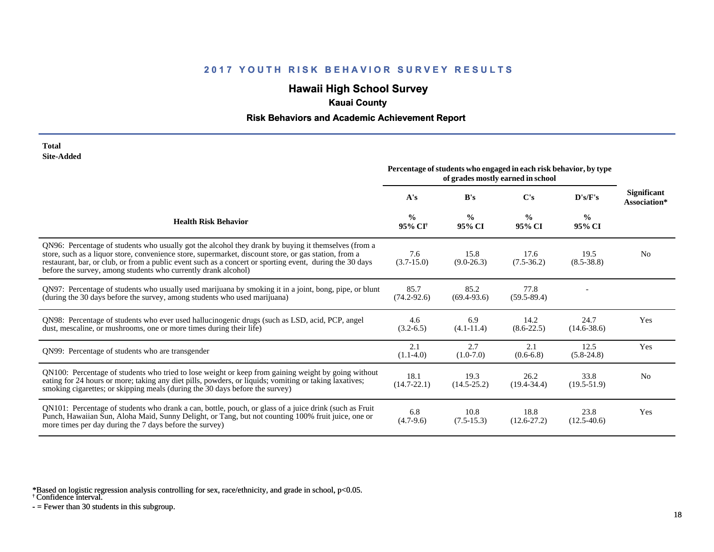## **Hawaii High School Survey**

## **Kauai County**

#### **Risk Behaviors and Academic Achievement Report**

#### **Total Site-Added**

|                                                                                                                                                                                                                                                                                                                                                                                            | Percentage of students who engaged in each risk behavior, by type<br>of grades mostly earned in school |                         |                         |                         |                                    |
|--------------------------------------------------------------------------------------------------------------------------------------------------------------------------------------------------------------------------------------------------------------------------------------------------------------------------------------------------------------------------------------------|--------------------------------------------------------------------------------------------------------|-------------------------|-------------------------|-------------------------|------------------------------------|
|                                                                                                                                                                                                                                                                                                                                                                                            | A's                                                                                                    | B's                     | C's                     | D's/F's                 | <b>Significant</b><br>Association* |
| <b>Health Risk Behavior</b>                                                                                                                                                                                                                                                                                                                                                                | $\frac{0}{0}$<br>95% CI†                                                                               | $\frac{0}{0}$<br>95% CI | $\frac{0}{0}$<br>95% CI | $\frac{0}{0}$<br>95% CI |                                    |
| QN96: Percentage of students who usually got the alcohol they drank by buying it themselves (from a<br>store, such as a liquor store, convenience store, supermarket, discount store, or gas station, from a<br>restaurant, bar, or club, or from a public event such as a concert or sporting event, during the 30 days<br>before the survey, among students who currently drank alcohol) | 7.6<br>$(3.7-15.0)$                                                                                    | 15.8<br>$(9.0-26.3)$    | 17.6<br>$(7.5-36.2)$    | 19.5<br>$(8.5 - 38.8)$  | N <sub>0</sub>                     |
| QN97: Percentage of students who usually used marijuana by smoking it in a joint, bong, pipe, or blunt<br>(during the 30 days before the survey, among students who used marijuana)                                                                                                                                                                                                        | 85.7<br>$(74.2 - 92.6)$                                                                                | 85.2<br>$(69.4 - 93.6)$ | 77.8<br>$(59.5 - 89.4)$ |                         |                                    |
| QN98: Percentage of students who ever used hallucinogenic drugs (such as LSD, acid, PCP, angel<br>dust, mescaline, or mushrooms, one or more times during their life)                                                                                                                                                                                                                      | 4.6<br>$(3.2 - 6.5)$                                                                                   | 6.9<br>$(4.1 - 11.4)$   | 14.2<br>$(8.6 - 22.5)$  | 24.7<br>$(14.6 - 38.6)$ | Yes                                |
| QN99: Percentage of students who are transgender                                                                                                                                                                                                                                                                                                                                           | 2.1<br>$(1.1-4.0)$                                                                                     | 2.7<br>$(1.0-7.0)$      | 2.1<br>$(0.6-6.8)$      | 12.5<br>$(5.8-24.8)$    | Yes                                |
| QN100: Percentage of students who tried to lose weight or keep from gaining weight by going without<br>eating for 24 hours or more; taking any diet pills, powders, or liquids; vomiting or taking laxatives;<br>smoking cigarettes; or skipping meals (during the 30 days before the survey)                                                                                              | 18.1<br>$(14.7 - 22.1)$                                                                                | 19.3<br>$(14.5 - 25.2)$ | 26.2<br>$(19.4 - 34.4)$ | 33.8<br>$(19.5 - 51.9)$ | N <sub>0</sub>                     |
| QN101: Percentage of students who drank a can, bottle, pouch, or glass of a juice drink (such as Fruit<br>Punch, Hawaiian Sun, Aloha Maid, Sunny Delight, or Tang, but not counting 100% fruit juice, one or<br>more times per day during the 7 days before the survey)                                                                                                                    | 6.8<br>$(4.7-9.6)$                                                                                     | 10.8<br>$(7.5-15.3)$    | 18.8<br>$(12.6 - 27.2)$ | 23.8<br>$(12.5-40.6)$   | Yes                                |

\*Based on logistic regression analysis controlling for sex, race/ethnicity, and grade in school, p<0.05.

† Confidence interval.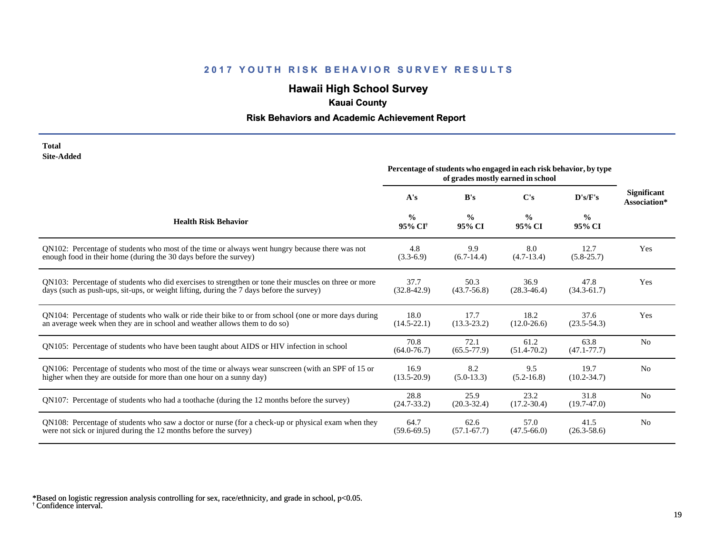# **Hawaii High School Survey**

## **Kauai County**

### **Risk Behaviors and Academic Achievement Report**

#### **Total Site-Added**

|                                                                                                      | Percentage of students who engaged in each risk behavior, by type<br>of grades mostly earned in school |                         |                         |                         |                                    |
|------------------------------------------------------------------------------------------------------|--------------------------------------------------------------------------------------------------------|-------------------------|-------------------------|-------------------------|------------------------------------|
|                                                                                                      | A's                                                                                                    | B's                     | $\bf C's$               | D's/F's                 | <b>Significant</b><br>Association* |
| <b>Health Risk Behavior</b>                                                                          | $\frac{0}{0}$<br>95% CI <sup>+</sup>                                                                   | $\frac{0}{0}$<br>95% CI | $\frac{0}{0}$<br>95% CI | $\frac{0}{0}$<br>95% CI |                                    |
| QN102: Percentage of students who most of the time or always went hungry because there was not       | 4.8                                                                                                    | 9.9                     | 8.0                     | 12.7                    | Yes                                |
| enough food in their home (during the 30 days before the survey)                                     | $(3.3-6.9)$                                                                                            | $(6.7-14.4)$            | $(4.7-13.4)$            | $(5.8 - 25.7)$          |                                    |
| QN103: Percentage of students who did exercises to strengthen or tone their muscles on three or more | 37.7                                                                                                   | 50.3                    | 36.9                    | 47.8                    | Yes                                |
| days (such as push-ups, sit-ups, or weight lifting, during the 7 days before the survey)             | $(32.8 - 42.9)$                                                                                        | $(43.7 - 56.8)$         | $(28.3 - 46.4)$         | $(34.3 - 61.7)$         |                                    |
| QN104: Percentage of students who walk or ride their bike to or from school (one or more days during | 18.0                                                                                                   | 17.7                    | 18.2                    | 37.6                    | Yes                                |
| an average week when they are in school and weather allows them to do so)                            | $(14.5 - 22.1)$                                                                                        | $(13.3 - 23.2)$         | $(12.0 - 26.6)$         | $(23.5 - 54.3)$         |                                    |
| QN105: Percentage of students who have been taught about AIDS or HIV infection in school             | 70.8<br>$(64.0 - 76.7)$                                                                                | 72.1<br>$(65.5 - 77.9)$ | 61.2<br>$(51.4 - 70.2)$ | 63.8<br>$(47.1 - 77.7)$ | N <sub>o</sub>                     |
| QN106: Percentage of students who most of the time or always wear sunscreen (with an SPF of 15 or    | 16.9                                                                                                   | 8.2                     | 9.5                     | 19.7                    | N <sub>0</sub>                     |
| higher when they are outside for more than one hour on a sunny day)                                  | $(13.5 - 20.9)$                                                                                        | $(5.0-13.3)$            | $(5.2 - 16.8)$          | $(10.2 - 34.7)$         |                                    |
| QN107: Percentage of students who had a toothache (during the 12 months before the survey)           | 28.8<br>$(24.7 - 33.2)$                                                                                | 25.9<br>$(20.3 - 32.4)$ | 23.2<br>$(17.2 - 30.4)$ | 31.8<br>$(19.7-47.0)$   | N <sub>o</sub>                     |
| QN108: Percentage of students who saw a doctor or nurse (for a check-up or physical exam when they   | 64.7                                                                                                   | 62.6                    | 57.0                    | 41.5                    | N <sub>0</sub>                     |
| were not sick or injured during the 12 months before the survey)                                     | $(59.6 - 69.5)$                                                                                        | $(57.1 - 67.7)$         | $(47.5 - 66.0)$         | $(26.3 - 58.6)$         |                                    |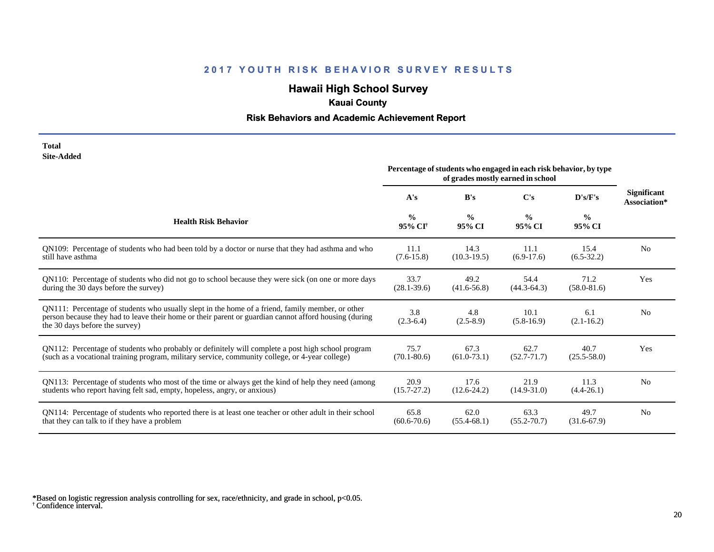# **Hawaii High School Survey**

## **Kauai County**

### **Risk Behaviors and Academic Achievement Report**

| Total      |
|------------|
| Site-Added |

|                                                                                                                                                                                                                                             | Percentage of students who engaged in each risk behavior, by type<br>of grades mostly earned in school |                         |                         |                         |                                    |
|---------------------------------------------------------------------------------------------------------------------------------------------------------------------------------------------------------------------------------------------|--------------------------------------------------------------------------------------------------------|-------------------------|-------------------------|-------------------------|------------------------------------|
|                                                                                                                                                                                                                                             | A's                                                                                                    | B's                     | $\bf C's$               | D's/F's                 | <b>Significant</b><br>Association* |
| <b>Health Risk Behavior</b>                                                                                                                                                                                                                 | $\frac{0}{0}$<br>95% CI <sup>+</sup>                                                                   | $\frac{0}{0}$<br>95% CI | $\frac{0}{0}$<br>95% CI | $\frac{6}{6}$<br>95% CI |                                    |
| QN109: Percentage of students who had been told by a doctor or nurse that they had asthma and who                                                                                                                                           | 11.1                                                                                                   | 14.3                    | 11.1                    | 15.4                    | N <sub>0</sub>                     |
| still have asthma                                                                                                                                                                                                                           | $(7.6 - 15.8)$                                                                                         | $(10.3-19.5)$           | $(6.9-17.6)$            | $(6.5-32.2)$            |                                    |
| QN110: Percentage of students who did not go to school because they were sick (on one or more days                                                                                                                                          | 33.7                                                                                                   | 49.2                    | 54.4                    | 71.2                    | Yes                                |
| during the 30 days before the survey)                                                                                                                                                                                                       | $(28.1 - 39.6)$                                                                                        | $(41.6 - 56.8)$         | $(44.3 - 64.3)$         | $(58.0 - 81.6)$         |                                    |
| QN111: Percentage of students who usually slept in the home of a friend, family member, or other<br>person because they had to leave their home or their parent or guardian cannot afford housing (during<br>the 30 days before the survey) | 3.8<br>$(2.3-6.4)$                                                                                     | 4.8<br>$(2.5-8.9)$      | 10.1<br>$(5.8-16.9)$    | 6.1<br>$(2.1 - 16.2)$   | N <sub>0</sub>                     |
| QN112: Percentage of students who probably or definitely will complete a post high school program                                                                                                                                           | 75.7                                                                                                   | 67.3                    | 62.7                    | 40.7                    | Yes                                |
| (such as a vocational training program, military service, community college, or 4-year college)                                                                                                                                             | $(70.1 - 80.6)$                                                                                        | $(61.0-73.1)$           | $(52.7 - 71.7)$         | $(25.5 - 58.0)$         |                                    |
| QN113: Percentage of students who most of the time or always get the kind of help they need (among                                                                                                                                          | 20.9                                                                                                   | 17.6                    | 21.9                    | 11.3                    | N <sub>0</sub>                     |
| students who report having felt sad, empty, hopeless, angry, or anxious)                                                                                                                                                                    | $(15.7 - 27.2)$                                                                                        | $(12.6 - 24.2)$         | $(14.9 - 31.0)$         | $(4.4-26.1)$            |                                    |
| QN114: Percentage of students who reported there is at least one teacher or other adult in their school                                                                                                                                     | 65.8                                                                                                   | 62.0                    | 63.3                    | 49.7                    | N <sub>0</sub>                     |
| that they can talk to if they have a problem                                                                                                                                                                                                | $(60.6 - 70.6)$                                                                                        | $(55.4 - 68.1)$         | $(55.2 - 70.7)$         | $(31.6-67.9)$           |                                    |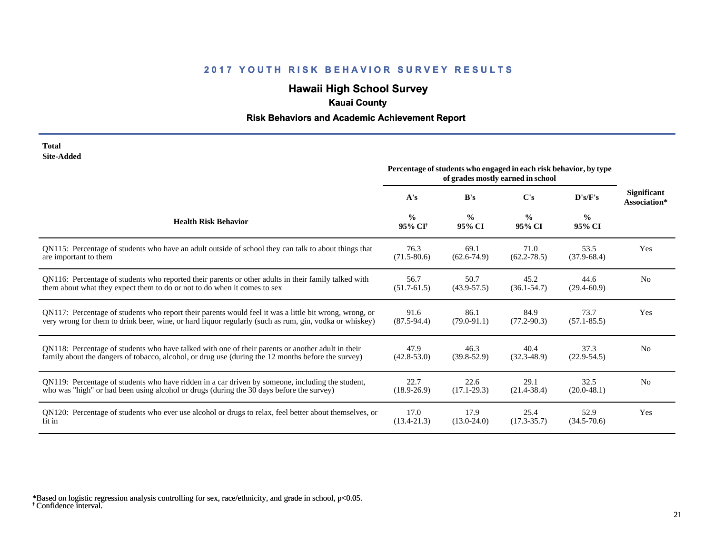## **Hawaii High School Survey**

## **Kauai County**

### **Risk Behaviors and Academic Achievement Report**

#### **Total Site-Added**

|                                                                                                        | Percentage of students who engaged in each risk behavior, by type<br>of grades mostly earned in school |                         |                         |                         |                                    |
|--------------------------------------------------------------------------------------------------------|--------------------------------------------------------------------------------------------------------|-------------------------|-------------------------|-------------------------|------------------------------------|
|                                                                                                        | A's                                                                                                    | B's                     | $\bf C's$               | $\bf{D's/F's}$          | <b>Significant</b><br>Association* |
| <b>Health Risk Behavior</b>                                                                            | $\frac{0}{0}$<br>95% CI <sup>†</sup>                                                                   | $\frac{0}{0}$<br>95% CI | $\frac{0}{0}$<br>95% CI | $\frac{0}{0}$<br>95% CI |                                    |
| QN115: Percentage of students who have an adult outside of school they can talk to about things that   | 76.3                                                                                                   | 69.1                    | 71.0                    | 53.5                    | Yes                                |
| are important to them                                                                                  | $(71.5 - 80.6)$                                                                                        | $(62.6 - 74.9)$         | $(62.2 - 78.5)$         | $(37.9-68.4)$           |                                    |
| QN116: Percentage of students who reported their parents or other adults in their family talked with   | 56.7                                                                                                   | 50.7                    | 45.2                    | 44.6                    | N <sub>0</sub>                     |
| them about what they expect them to do or not to do when it comes to sex                               | $(51.7 - 61.5)$                                                                                        | $(43.9 - 57.5)$         | $(36.1 - 54.7)$         | $(29.4 - 60.9)$         |                                    |
| QN117: Percentage of students who report their parents would feel it was a little bit wrong, wrong, or | 91.6                                                                                                   | 86.1                    | 84.9                    | 73.7                    | Yes                                |
| very wrong for them to drink beer, wine, or hard liquor regularly (such as rum, gin, vodka or whiskey) | $(87.5-94.4)$                                                                                          | $(79.0 - 91.1)$         | $(77.2 - 90.3)$         | $(57.1 - 85.5)$         |                                    |
| QN118: Percentage of students who have talked with one of their parents or another adult in their      | 47.9                                                                                                   | 46.3                    | 40.4                    | 37.3                    | N <sub>0</sub>                     |
| family about the dangers of tobacco, alcohol, or drug use (during the 12 months before the survey)     | $(42.8 - 53.0)$                                                                                        | $(39.8 - 52.9)$         | $(32.3 - 48.9)$         | $(22.9 - 54.5)$         |                                    |
| QN119: Percentage of students who have ridden in a car driven by someone, including the student,       | 22.7                                                                                                   | 22.6                    | 29.1                    | 32.5                    | N <sub>0</sub>                     |
| who was "high" or had been using alcohol or drugs (during the 30 days before the survey)               | $(18.9 - 26.9)$                                                                                        | $(17.1 - 29.3)$         | $(21.4 - 38.4)$         | $(20.0-48.1)$           |                                    |
| QN120: Percentage of students who ever use alcohol or drugs to relax, feel better about themselves, or | 17.0                                                                                                   | 17.9                    | 25.4                    | 52.9                    | Yes                                |
| fit in                                                                                                 | $(13.4 - 21.3)$                                                                                        | $(13.0 - 24.0)$         | $(17.3 - 35.7)$         | $(34.5 - 70.6)$         |                                    |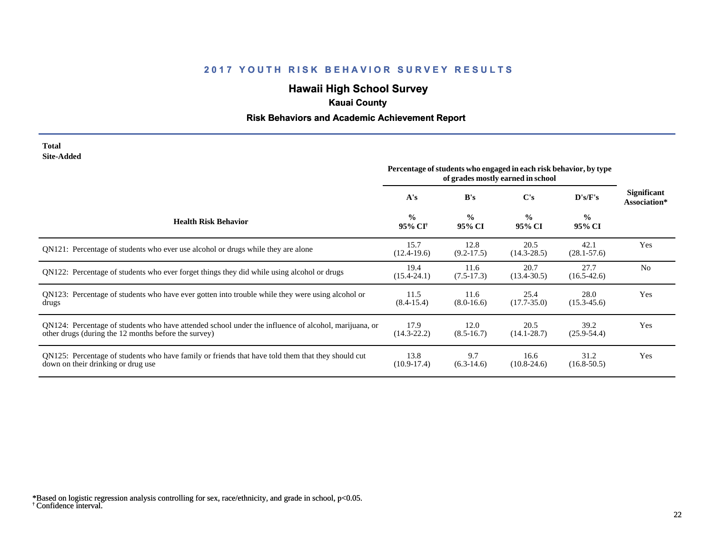# **Hawaii High School Survey**

## **Kauai County**

### **Risk Behaviors and Academic Achievement Report**

#### **Total Site-Added**

|                                                                                                                                                              | Percentage of students who engaged in each risk behavior, by type<br>of grades mostly earned in school |                         |                         |                         |                                    |
|--------------------------------------------------------------------------------------------------------------------------------------------------------------|--------------------------------------------------------------------------------------------------------|-------------------------|-------------------------|-------------------------|------------------------------------|
|                                                                                                                                                              | A's                                                                                                    | B's                     | C's                     | D's/F's                 | <b>Significant</b><br>Association* |
| <b>Health Risk Behavior</b>                                                                                                                                  | $\frac{0}{0}$<br>95% CI†                                                                               | $\frac{0}{0}$<br>95% CI | $\frac{0}{0}$<br>95% CI | $\frac{0}{0}$<br>95% CI |                                    |
| QN121: Percentage of students who ever use alcohol or drugs while they are alone                                                                             | 15.7<br>$(12.4-19.6)$                                                                                  | 12.8<br>$(9.2 - 17.5)$  | 20.5<br>$(14.3 - 28.5)$ | 42.1<br>$(28.1 - 57.6)$ | Yes                                |
| QN122: Percentage of students who ever forget things they did while using alcohol or drugs                                                                   | 19.4<br>$(15.4 - 24.1)$                                                                                | 11.6<br>$(7.5-17.3)$    | 20.7<br>$(13.4 - 30.5)$ | 27.7<br>$(16.5 - 42.6)$ | N <sub>0</sub>                     |
| QN123: Percentage of students who have ever gotten into trouble while they were using alcohol or<br>drugs                                                    | 11.5<br>$(8.4 - 15.4)$                                                                                 | 11.6<br>$(8.0-16.6)$    | 25.4<br>$(17.7 - 35.0)$ | 28.0<br>$(15.3 - 45.6)$ | Yes                                |
| QN124: Percentage of students who have attended school under the influence of alcohol, marijuana, or<br>other drugs (during the 12 months before the survey) | 17.9<br>$(14.3 - 22.2)$                                                                                | 12.0<br>$(8.5 - 16.7)$  | 20.5<br>$(14.1 - 28.7)$ | 39.2<br>$(25.9 - 54.4)$ | Yes                                |
| QN125: Percentage of students who have family or friends that have told them that they should cut<br>down on their drinking or drug use                      | 13.8<br>$(10.9 - 17.4)$                                                                                | 9.7<br>$(6.3-14.6)$     | 16.6<br>$(10.8 - 24.6)$ | 31.2<br>$(16.8 - 50.5)$ | Yes                                |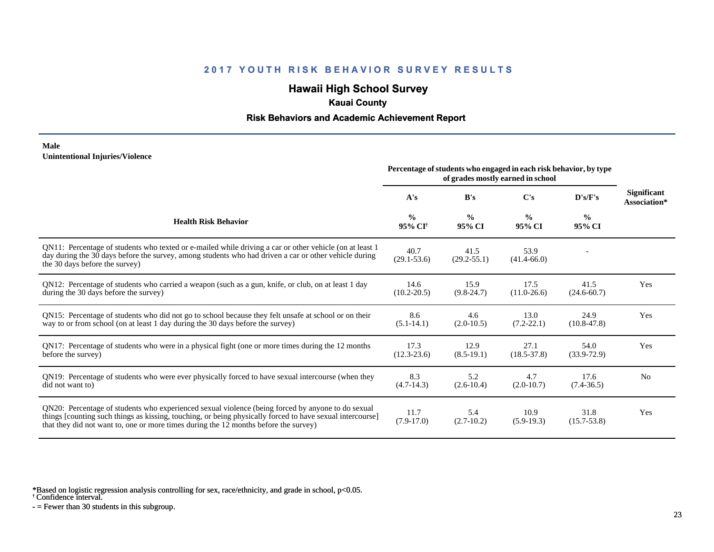## **Hawaii High School Survey**

## **Kauai County**

#### **Risk Behaviors and Academic Achievement Report**

#### **Male Unintentional Injuries/Violence**

|                                                                                                                                                                                                                                                                                                        | Percentage of students who engaged in each risk behavior, by type<br>of grades mostly earned in school |                         |                         |                         |                                    |
|--------------------------------------------------------------------------------------------------------------------------------------------------------------------------------------------------------------------------------------------------------------------------------------------------------|--------------------------------------------------------------------------------------------------------|-------------------------|-------------------------|-------------------------|------------------------------------|
|                                                                                                                                                                                                                                                                                                        | A's                                                                                                    | B's                     | C's                     | D's/F's                 | <b>Significant</b><br>Association* |
| <b>Health Risk Behavior</b>                                                                                                                                                                                                                                                                            | $\frac{0}{0}$<br>95% CI <sup>+</sup>                                                                   | $\frac{0}{0}$<br>95% CI | $\frac{0}{0}$<br>95% CI | $\frac{0}{0}$<br>95% CI |                                    |
| QN11: Percentage of students who texted or e-mailed while driving a car or other vehicle (on at least 1<br>day during the 30 days before the survey, among students who had driven a car or other vehicle during<br>the 30 days before the survey)                                                     | 40.7<br>$(29.1 - 53.6)$                                                                                | 41.5<br>$(29.2 - 55.1)$ | 53.9<br>$(41.4 - 66.0)$ |                         |                                    |
| QN12: Percentage of students who carried a weapon (such as a gun, knife, or club, on at least 1 day<br>during the 30 days before the survey)                                                                                                                                                           | 14.6<br>$(10.2 - 20.5)$                                                                                | 15.9<br>$(9.8-24.7)$    | 17.5<br>$(11.0 - 26.6)$ | 41.5<br>$(24.6 - 60.7)$ | Yes                                |
| QN15: Percentage of students who did not go to school because they felt unsafe at school or on their<br>way to or from school (on at least 1 day during the 30 days before the survey)                                                                                                                 | 8.6<br>$(5.1 - 14.1)$                                                                                  | 4.6<br>$(2.0-10.5)$     | 13.0<br>$(7.2 - 22.1)$  | 24.9<br>$(10.8 - 47.8)$ | Yes                                |
| QN17: Percentage of students who were in a physical fight (one or more times during the 12 months<br>before the survey)                                                                                                                                                                                | 17.3<br>$(12.3 - 23.6)$                                                                                | 12.9<br>$(8.5-19.1)$    | 27.1<br>$(18.5 - 37.8)$ | 54.0<br>$(33.9 - 72.9)$ | Yes                                |
| QN19: Percentage of students who were ever physically forced to have sexual intercourse (when they<br>did not want to)                                                                                                                                                                                 | 8.3<br>$(4.7-14.3)$                                                                                    | 5.2<br>$(2.6 - 10.4)$   | 4.7<br>$(2.0-10.7)$     | 17.6<br>$(7.4 - 36.5)$  | N <sub>0</sub>                     |
| QN20: Percentage of students who experienced sexual violence (being forced by anyone to do sexual<br>things [counting such things as kissing, touching, or being physically forced to have sexual intercourse]<br>that they did not want to, one or more times during the 12 months before the survey) | 11.7<br>$(7.9-17.0)$                                                                                   | 5.4<br>$(2.7-10.2)$     | 10.9<br>$(5.9-19.3)$    | 31.8<br>$(15.7 - 53.8)$ | Yes                                |

\*Based on logistic regression analysis controlling for sex, race/ethnicity, and grade in school, p<0.05.

† Confidence interval.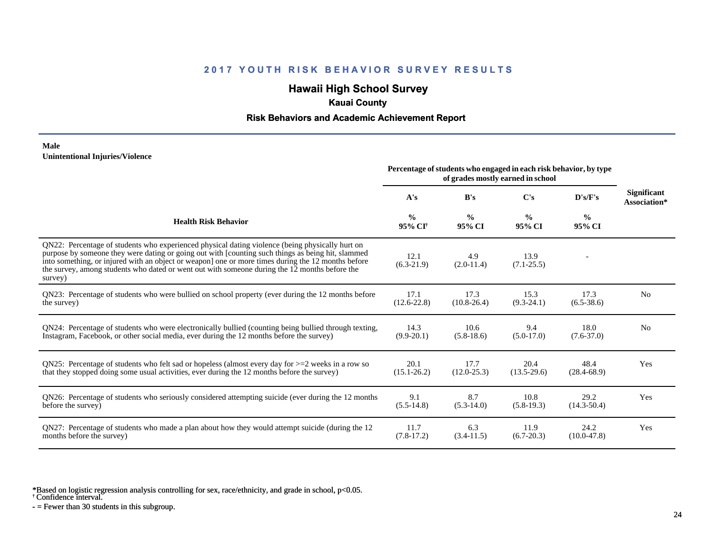## **Hawaii High School Survey**

## **Kauai County**

#### **Risk Behaviors and Academic Achievement Report**

#### **Male Unintentional Injuries/Violence**

|                                                                                                                                                                                                                                                                                                                                                                                                                        |                                      | Percentage of students who engaged in each risk behavior, by type<br>of grades mostly earned in school |                         |                         |                                    |
|------------------------------------------------------------------------------------------------------------------------------------------------------------------------------------------------------------------------------------------------------------------------------------------------------------------------------------------------------------------------------------------------------------------------|--------------------------------------|--------------------------------------------------------------------------------------------------------|-------------------------|-------------------------|------------------------------------|
|                                                                                                                                                                                                                                                                                                                                                                                                                        | A's                                  | B's                                                                                                    | C's                     | D's/F's                 | <b>Significant</b><br>Association* |
| <b>Health Risk Behavior</b>                                                                                                                                                                                                                                                                                                                                                                                            | $\frac{0}{0}$<br>95% CI <sup>+</sup> | $\frac{6}{9}$<br>95% CI                                                                                | $\frac{0}{0}$<br>95% CI | $\frac{0}{0}$<br>95% CI |                                    |
| QN22: Percentage of students who experienced physical dating violence (being physically hurt on<br>purpose by someone they were dating or going out with [counting such things as being hit, slammed<br>into something, or injured with an object or weapon] one or more times during the 12 months before<br>the survey, among students who dated or went out with someone during the 12 months before the<br>survey) | 12.1<br>$(6.3-21.9)$                 | 4.9<br>$(2.0-11.4)$                                                                                    | 13.9<br>$(7.1 - 25.5)$  |                         |                                    |
| QN23: Percentage of students who were bullied on school property (ever during the 12 months before                                                                                                                                                                                                                                                                                                                     | 17.1                                 | 17.3                                                                                                   | 15.3                    | 17.3                    | N <sub>0</sub>                     |
| the survey)                                                                                                                                                                                                                                                                                                                                                                                                            | $(12.6 - 22.8)$                      | $(10.8 - 26.4)$                                                                                        | $(9.3-24.1)$            | $(6.5 - 38.6)$          |                                    |
| QN24: Percentage of students who were electronically bullied (counting being bullied through texting,                                                                                                                                                                                                                                                                                                                  | 14.3                                 | 10.6                                                                                                   | 9.4                     | 18.0                    | N <sub>0</sub>                     |
| Instagram, Facebook, or other social media, ever during the 12 months before the survey)                                                                                                                                                                                                                                                                                                                               | $(9.9-20.1)$                         | $(5.8-18.6)$                                                                                           | $(5.0-17.0)$            | $(7.6 - 37.0)$          |                                    |
| QN25: Percentage of students who felt sad or hopeless (almost every day for $>=$ 2 weeks in a row so                                                                                                                                                                                                                                                                                                                   | 20.1                                 | 17.7                                                                                                   | 20.4                    | 48.4                    | Yes                                |
| that they stopped doing some usual activities, ever during the 12 months before the survey)                                                                                                                                                                                                                                                                                                                            | $(15.1 - 26.2)$                      | $(12.0 - 25.3)$                                                                                        | $(13.5-29.6)$           | $(28.4 - 68.9)$         |                                    |
| QN26: Percentage of students who seriously considered attempting suicide (ever during the 12 months                                                                                                                                                                                                                                                                                                                    | 9.1                                  | 8.7                                                                                                    | 10.8                    | 29.2                    | Yes                                |
| before the survey)                                                                                                                                                                                                                                                                                                                                                                                                     | $(5.5-14.8)$                         | $(5.3-14.0)$                                                                                           | $(5.8-19.3)$            | $(14.3 - 50.4)$         |                                    |
| QN27: Percentage of students who made a plan about how they would attempt suicide (during the 12                                                                                                                                                                                                                                                                                                                       | 11.7                                 | 6.3                                                                                                    | 11.9                    | 24.2                    | Yes                                |
| months before the survey)                                                                                                                                                                                                                                                                                                                                                                                              | $(7.8-17.2)$                         | $(3.4-11.5)$                                                                                           | $(6.7 - 20.3)$          | $(10.0-47.8)$           |                                    |

\*Based on logistic regression analysis controlling for sex, race/ethnicity, and grade in school, p<0.05.

† Confidence interval.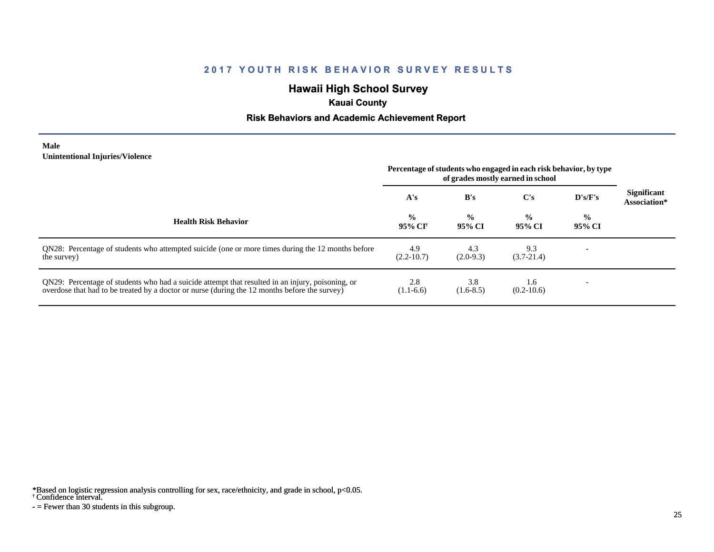# **Hawaii High School Survey**

## **Kauai County**

#### **Risk Behaviors and Academic Achievement Report**

#### **Male Unintentional Injuries/Violence**

|                                                                                                                                                                                                   | Percentage of students who engaged in each risk behavior, by type<br>of grades mostly earned in school |                         |                         |                         |                                    |
|---------------------------------------------------------------------------------------------------------------------------------------------------------------------------------------------------|--------------------------------------------------------------------------------------------------------|-------------------------|-------------------------|-------------------------|------------------------------------|
|                                                                                                                                                                                                   | A's                                                                                                    | B's                     | $\bf C's$               | $\bf{D's/F's}$          | <b>Significant</b><br>Association* |
| <b>Health Risk Behavior</b>                                                                                                                                                                       | $\frac{0}{0}$<br>95% CI†                                                                               | $\frac{0}{0}$<br>95% CI | $\frac{0}{0}$<br>95% CI | $\frac{0}{0}$<br>95% CI |                                    |
| QN28: Percentage of students who attempted suicide (one or more times during the 12 months before<br>the survey)                                                                                  | 4.9<br>$(2.2 - 10.7)$                                                                                  | 4.3<br>$(2.0-9.3)$      | 9.3<br>$(3.7-21.4)$     |                         |                                    |
| QN29: Percentage of students who had a suicide attempt that resulted in an injury, poisoning, or<br>overdose that had to be treated by a doctor or nurse (during the 12 months before the survey) | 2.8<br>$(1.1-6.6)$                                                                                     | 3.8<br>$(1.6-8.5)$      | 1.6<br>$(0.2-10.6)$     |                         |                                    |

\*Based on logistic regression analysis controlling for sex, race/ethnicity, and grade in school, p<0.05.

#### † Confidence interval.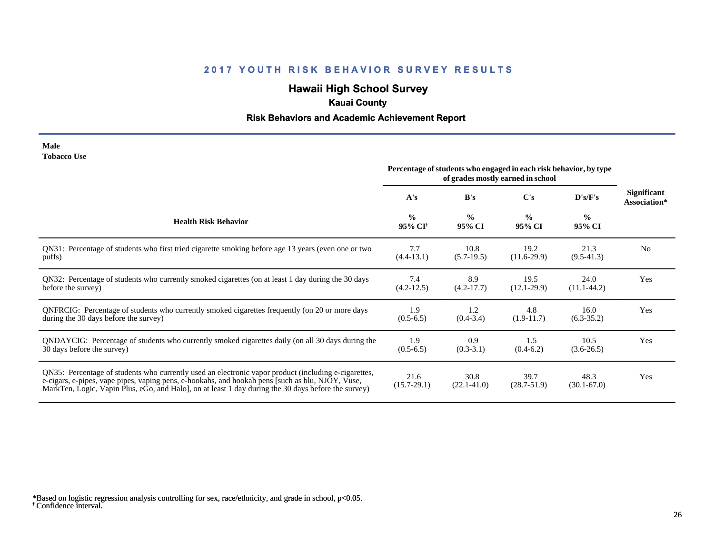# **Hawaii High School Survey**

## **Kauai County**

## **Risk Behaviors and Academic Achievement Report**

| Male               |  |
|--------------------|--|
| <b>Tobacco Use</b> |  |

|                                                                                                                                                                                                                                                                                                                | Percentage of students who engaged in each risk behavior, by type<br>of grades mostly earned in school |                         |                         |                         |                                    |
|----------------------------------------------------------------------------------------------------------------------------------------------------------------------------------------------------------------------------------------------------------------------------------------------------------------|--------------------------------------------------------------------------------------------------------|-------------------------|-------------------------|-------------------------|------------------------------------|
|                                                                                                                                                                                                                                                                                                                | A's                                                                                                    | B's                     | $\bf C's$               | D's/F's                 | <b>Significant</b><br>Association* |
| <b>Health Risk Behavior</b>                                                                                                                                                                                                                                                                                    | $\frac{0}{0}$<br>95% CI <sup>+</sup>                                                                   | $\frac{0}{0}$<br>95% CI | $\frac{0}{0}$<br>95% CI | $\frac{0}{0}$<br>95% CI |                                    |
| QN31: Percentage of students who first tried cigarette smoking before age 13 years (even one or two                                                                                                                                                                                                            | 7.7                                                                                                    | 10.8                    | 19.2                    | 21.3                    | N <sub>0</sub>                     |
| puffs)                                                                                                                                                                                                                                                                                                         | $(4.4-13.1)$                                                                                           | $(5.7-19.5)$            | $(11.6-29.9)$           | $(9.5-41.3)$            |                                    |
| QN32: Percentage of students who currently smoked cigarettes (on at least 1 day during the 30 days                                                                                                                                                                                                             | 7.4                                                                                                    | 8.9                     | 19.5                    | 24.0                    | Yes                                |
| before the survey)                                                                                                                                                                                                                                                                                             | $(4.2 - 12.5)$                                                                                         | $(4.2 - 17.7)$          | $(12.1 - 29.9)$         | $(11.1-44.2)$           |                                    |
| ONFRCIG: Percentage of students who currently smoked cigarettes frequently (on 20 or more days                                                                                                                                                                                                                 | 1.9                                                                                                    | 1.2                     | 4.8                     | 16.0                    | Yes                                |
| during the 30 days before the survey)                                                                                                                                                                                                                                                                          | $(0.5-6.5)$                                                                                            | $(0.4 - 3.4)$           | $(1.9-11.7)$            | $(6.3 - 35.2)$          |                                    |
| QNDAYCIG: Percentage of students who currently smoked cigarettes daily (on all 30 days during the                                                                                                                                                                                                              | 1.9                                                                                                    | 0.9                     | 1.5                     | 10.5                    | Yes                                |
| 30 days before the survey)                                                                                                                                                                                                                                                                                     | $(0.5-6.5)$                                                                                            | $(0.3-3.1)$             | $(0.4-6.2)$             | $(3.6-26.5)$            |                                    |
| QN35: Percentage of students who currently used an electronic vapor product (including e-cigarettes,<br>e-cigars, e-pipes, vape pipes, vaping pens, e-hookahs, and hookah pens [such as blu, NJOY, Vuse,<br>MarkTen, Logic, Vapin Plus, eGo, and Halo, on at least 1 day during the 30 days before the survey) | 21.6<br>$(15.7 - 29.1)$                                                                                | 30.8<br>$(22.1 - 41.0)$ | 39.7<br>$(28.7 - 51.9)$ | 48.3<br>$(30.1 - 67.0)$ | Yes                                |

<sup>†</sup> Confidence interval. \*Based on logistic regression analysis controlling for sex, race/ethnicity, and grade in school, p<0.05.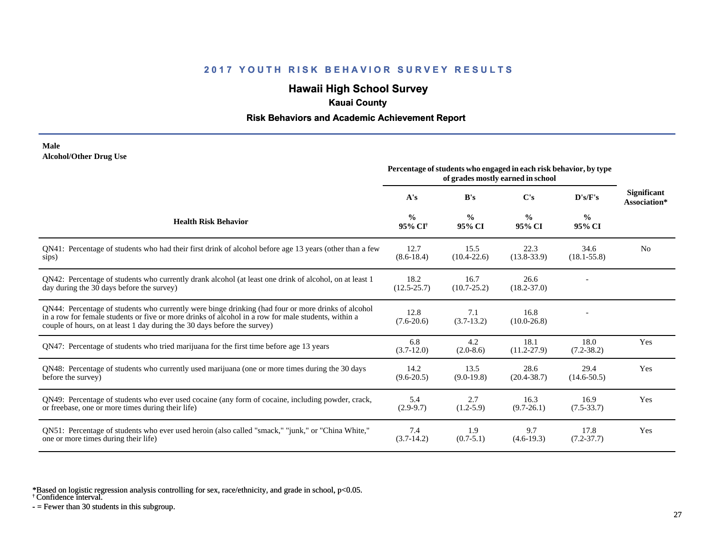# **Hawaii High School Survey**

## **Kauai County**

#### **Risk Behaviors and Academic Achievement Report**

#### **Male Alcohol/Other Drug Use**

|                                                                                                                                                                                                                                                                                       | Percentage of students who engaged in each risk behavior, by type<br>of grades mostly earned in school |                         |                         |                         |                                    |
|---------------------------------------------------------------------------------------------------------------------------------------------------------------------------------------------------------------------------------------------------------------------------------------|--------------------------------------------------------------------------------------------------------|-------------------------|-------------------------|-------------------------|------------------------------------|
|                                                                                                                                                                                                                                                                                       | A's                                                                                                    | B's                     | C's                     | D's/F's                 | <b>Significant</b><br>Association* |
| <b>Health Risk Behavior</b>                                                                                                                                                                                                                                                           | $\frac{0}{0}$<br>95% CI <sup>†</sup>                                                                   | $\frac{0}{0}$<br>95% CI | $\frac{0}{0}$<br>95% CI | $\frac{6}{6}$<br>95% CI |                                    |
| QN41: Percentage of students who had their first drink of alcohol before age 13 years (other than a few<br>sips)                                                                                                                                                                      | 12.7<br>$(8.6 - 18.4)$                                                                                 | 15.5<br>$(10.4 - 22.6)$ | 22.3<br>$(13.8 - 33.9)$ | 34.6<br>$(18.1 - 55.8)$ | N <sub>0</sub>                     |
| QN42: Percentage of students who currently drank alcohol (at least one drink of alcohol, on at least 1<br>day during the 30 days before the survey)                                                                                                                                   | 18.2<br>$(12.5 - 25.7)$                                                                                | 16.7<br>$(10.7 - 25.2)$ | 26.6<br>$(18.2 - 37.0)$ |                         |                                    |
| QN44: Percentage of students who currently were binge drinking (had four or more drinks of alcohol<br>in a row for female students or five or more drinks of alcohol in a row for male students, within a<br>couple of hours, on at least 1 day during the 30 days before the survey) | 12.8<br>$(7.6 - 20.6)$                                                                                 | 7.1<br>$(3.7-13.2)$     | 16.8<br>$(10.0 - 26.8)$ |                         |                                    |
| QN47: Percentage of students who tried marijuana for the first time before age 13 years                                                                                                                                                                                               | 6.8<br>$(3.7-12.0)$                                                                                    | 4.2<br>$(2.0-8.6)$      | 18.1<br>$(11.2 - 27.9)$ | 18.0<br>$(7.2 - 38.2)$  | Yes                                |
| QN48: Percentage of students who currently used marijuana (one or more times during the 30 days<br>before the survey)                                                                                                                                                                 | 14.2<br>$(9.6 - 20.5)$                                                                                 | 13.5<br>$(9.0-19.8)$    | 28.6<br>$(20.4 - 38.7)$ | 29.4<br>$(14.6 - 50.5)$ | Yes                                |
| QN49: Percentage of students who ever used cocaine (any form of cocaine, including powder, crack,<br>or freebase, one or more times during their life)                                                                                                                                | 5.4<br>$(2.9-9.7)$                                                                                     | 2.7<br>$(1.2-5.9)$      | 16.3<br>$(9.7-26.1)$    | 16.9<br>$(7.5 - 33.7)$  | Yes                                |
| ON51: Percentage of students who ever used heroin (also called "smack," "junk," or "China White,"<br>one or more times during their life)                                                                                                                                             | 7.4<br>$(3.7-14.2)$                                                                                    | 1.9<br>$(0.7-5.1)$      | 9.7<br>$(4.6-19.3)$     | 17.8<br>$(7.2 - 37.7)$  | Yes                                |

\*Based on logistic regression analysis controlling for sex, race/ethnicity, and grade in school, p<0.05.

† Confidence interval.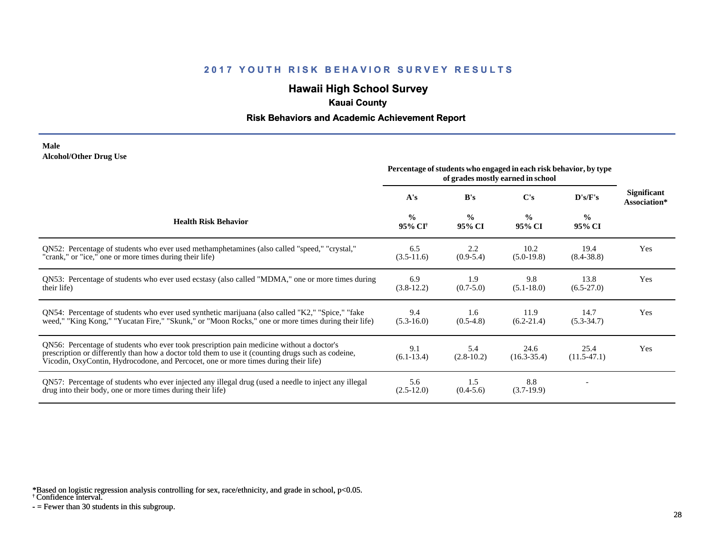# **Hawaii High School Survey**

## **Kauai County**

#### **Risk Behaviors and Academic Achievement Report**

#### **Male Alcohol/Other Drug Use**

|                                                                                                                                                                                                                                                                                       | Percentage of students who engaged in each risk behavior, by type<br>of grades mostly earned in school |                         |                         |                         |                                    |
|---------------------------------------------------------------------------------------------------------------------------------------------------------------------------------------------------------------------------------------------------------------------------------------|--------------------------------------------------------------------------------------------------------|-------------------------|-------------------------|-------------------------|------------------------------------|
|                                                                                                                                                                                                                                                                                       | A's                                                                                                    | B's                     | C's                     | D's/F's                 | <b>Significant</b><br>Association* |
| <b>Health Risk Behavior</b>                                                                                                                                                                                                                                                           | $\frac{0}{0}$<br>95% CI <sup>+</sup>                                                                   | $\frac{0}{0}$<br>95% CI | $\frac{0}{0}$<br>95% CI | $\frac{0}{0}$<br>95% CI |                                    |
| ON52: Percentage of students who ever used methamphetamines (also called "speed," "crystal,"<br>"crank," or "ice," one or more times during their life)                                                                                                                               | 6.5<br>$(3.5-11.6)$                                                                                    | 2.2<br>$(0.9-5.4)$      | 10.2<br>$(5.0-19.8)$    | 19.4<br>$(8.4 - 38.8)$  | Yes                                |
| QN53: Percentage of students who ever used ecstasy (also called "MDMA," one or more times during<br>their life)                                                                                                                                                                       | 6.9<br>$(3.8-12.2)$                                                                                    | 1.9<br>$(0.7 - 5.0)$    | 9.8<br>$(5.1 - 18.0)$   | 13.8<br>$(6.5-27.0)$    | Yes                                |
| QN54: Percentage of students who ever used synthetic marijuana (also called "K2," "Spice," "fake<br>weed," "King Kong," "Yucatan Fire," "Skunk," or "Moon Rocks," one or more times during their life)                                                                                | 9.4<br>$(5.3-16.0)$                                                                                    | 1.6<br>$(0.5-4.8)$      | 11.9<br>$(6.2 - 21.4)$  | 14.7<br>$(5.3 - 34.7)$  | Yes                                |
| QN56: Percentage of students who ever took prescription pain medicine without a doctor's<br>prescription or differently than how a doctor told them to use it (counting drugs such as codeine,<br>Vicodin, OxyContin, Hydrocodone, and Percocet, one or more times during their life) | 9.1<br>$(6.1-13.4)$                                                                                    | 5.4<br>$(2.8-10.2)$     | 24.6<br>$(16.3 - 35.4)$ | 25.4<br>$(11.5-47.1)$   | Yes                                |
| QN57: Percentage of students who ever injected any illegal drug (used a needle to inject any illegal<br>drug into their body, one or more times during their life)                                                                                                                    | 5.6<br>$(2.5-12.0)$                                                                                    | 1.5<br>$(0.4-5.6)$      | 8.8<br>$(3.7-19.9)$     |                         |                                    |

\*Based on logistic regression analysis controlling for sex, race/ethnicity, and grade in school, p<0.05.

† Confidence interval.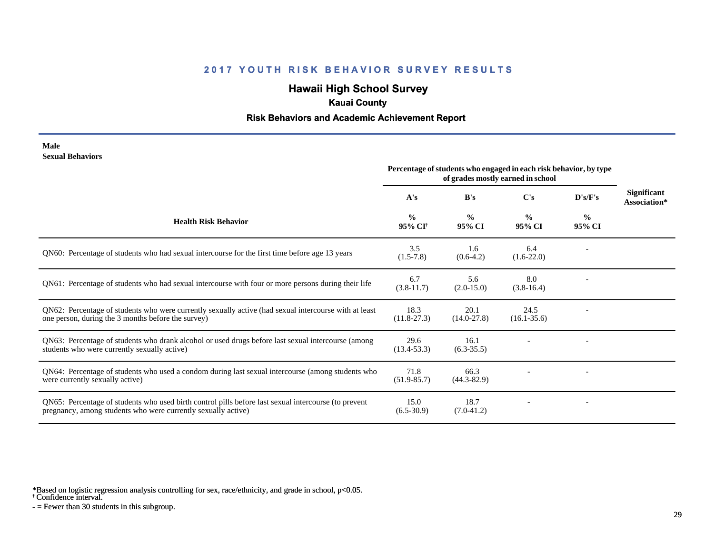# **Hawaii High School Survey**

## **Kauai County**

#### **Risk Behaviors and Academic Achievement Report**

#### **Male Sexual Behaviors**

|                                                                                                                                                                       | Percentage of students who engaged in each risk behavior, by type<br>of grades mostly earned in school |                         |                         |                         |                                    |
|-----------------------------------------------------------------------------------------------------------------------------------------------------------------------|--------------------------------------------------------------------------------------------------------|-------------------------|-------------------------|-------------------------|------------------------------------|
|                                                                                                                                                                       | A's                                                                                                    | B's                     | $\bf C's$               | D's/F's                 | <b>Significant</b><br>Association* |
| <b>Health Risk Behavior</b>                                                                                                                                           | $\frac{0}{0}$<br>95% CI <sup>+</sup>                                                                   | $\frac{0}{0}$<br>95% CI | $\frac{0}{0}$<br>95% CI | $\frac{6}{9}$<br>95% CI |                                    |
| QN60: Percentage of students who had sexual intercourse for the first time before age 13 years                                                                        | 3.5<br>$(1.5-7.8)$                                                                                     | 1.6<br>$(0.6-4.2)$      | 6.4<br>$(1.6-22.0)$     |                         |                                    |
| QN61: Percentage of students who had sexual intercourse with four or more persons during their life                                                                   | 6.7<br>$(3.8-11.7)$                                                                                    | 5.6<br>$(2.0-15.0)$     | 8.0<br>$(3.8-16.4)$     |                         |                                    |
| QN62: Percentage of students who were currently sexually active (had sexual intercourse with at least<br>one person, during the 3 months before the survey)           | 18.3<br>$(11.8-27.3)$                                                                                  | 20.1<br>$(14.0 - 27.8)$ | 24.5<br>$(16.1 - 35.6)$ |                         |                                    |
| QN63: Percentage of students who drank alcohol or used drugs before last sexual intercourse (among<br>students who were currently sexually active)                    | 29.6<br>$(13.4 - 53.3)$                                                                                | 16.1<br>$(6.3-35.5)$    |                         |                         |                                    |
| QN64: Percentage of students who used a condom during last sexual intercourse (among students who<br>were currently sexually active)                                  | 71.8<br>$(51.9 - 85.7)$                                                                                | 66.3<br>$(44.3 - 82.9)$ |                         |                         |                                    |
| QN65: Percentage of students who used birth control pills before last sexual intercourse (to prevent<br>pregnancy, among students who were currently sexually active) | 15.0<br>$(6.5-30.9)$                                                                                   | 18.7<br>$(7.0-41.2)$    |                         |                         |                                    |

\*Based on logistic regression analysis controlling for sex, race/ethnicity, and grade in school, p<0.05.

† Confidence interval.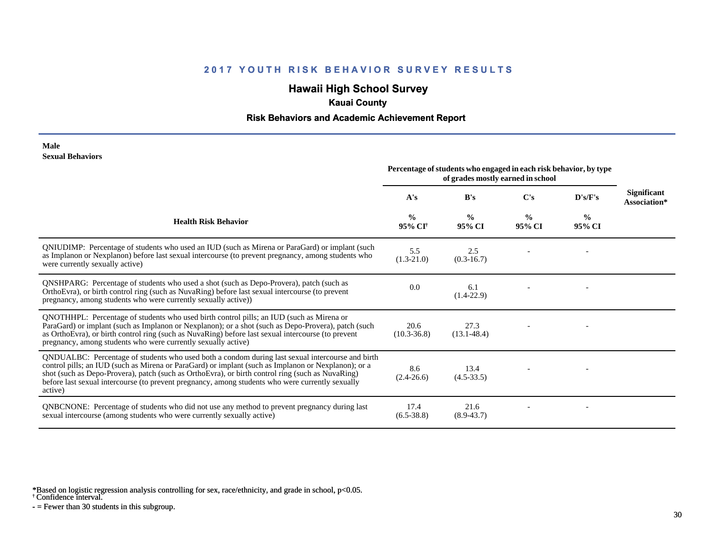# **Hawaii High School Survey**

## **Kauai County**

#### **Risk Behaviors and Academic Achievement Report**

#### **Male Sexual Behaviors**

|                                                                                                                                                                                                                                                                                                                                                                                                                            | Percentage of students who engaged in each risk behavior, by type<br>of grades mostly earned in school |                         |                         |                |                             |
|----------------------------------------------------------------------------------------------------------------------------------------------------------------------------------------------------------------------------------------------------------------------------------------------------------------------------------------------------------------------------------------------------------------------------|--------------------------------------------------------------------------------------------------------|-------------------------|-------------------------|----------------|-----------------------------|
|                                                                                                                                                                                                                                                                                                                                                                                                                            | A's                                                                                                    | B's                     | C's                     | $\bf{D's/F's}$ | Significant<br>Association* |
| <b>Health Risk Behavior</b>                                                                                                                                                                                                                                                                                                                                                                                                | $\frac{0}{0}$<br>95% CI <sup>+</sup>                                                                   | $\frac{0}{0}$<br>95% CI | $\frac{0}{0}$<br>95% CI | $\%$<br>95% CI |                             |
| QNIUDIMP: Percentage of students who used an IUD (such as Mirena or ParaGard) or implant (such<br>as Implanon or Nexplanon) before last sexual intercourse (to prevent pregnancy, among students who<br>were currently sexually active)                                                                                                                                                                                    | 5.5<br>$(1.3-21.0)$                                                                                    | 2.5<br>$(0.3-16.7)$     |                         |                |                             |
| <b>QNSHPARG:</b> Percentage of students who used a shot (such as Depo-Provera), patch (such as<br>OrthoEvra), or birth control ring (such as NuvaRing) before last sexual intercourse (to prevent<br>pregnancy, among students who were currently sexually active))                                                                                                                                                        | 0.0                                                                                                    | 6.1<br>$(1.4-22.9)$     |                         |                |                             |
| QNOTHHPL: Percentage of students who used birth control pills; an IUD (such as Mirena or<br>ParaGard) or implant (such as Implanon or Nexplanon); or a shot (such as Depo-Provera), patch (such<br>as OrthoEvra), or birth control ring (such as NuvaRing) before last sexual intercourse (to prevent<br>pregnancy, among students who were currently sexually active)                                                     | 20.6<br>$(10.3 - 36.8)$                                                                                | 27.3<br>$(13.1 - 48.4)$ |                         |                |                             |
| QNDUALBC: Percentage of students who used both a condom during last sexual intercourse and birth<br>control pills; an IUD (such as Mirena or ParaGard) or implant (such as Implanon or Nexplanon); or a<br>shot (such as Depo-Provera), patch (such as OrthoEvra), or birth control ring (such as NuvaRing)<br>before last sexual intercourse (to prevent pregnancy, among students who were currently sexually<br>active) | 8.6<br>$(2.4 - 26.6)$                                                                                  | 13.4<br>$(4.5-33.5)$    |                         |                |                             |
| <b>QNBCNONE:</b> Percentage of students who did not use any method to prevent pregnancy during last<br>sexual intercourse (among students who were currently sexually active)                                                                                                                                                                                                                                              | 17.4<br>$(6.5 - 38.8)$                                                                                 | 21.6<br>$(8.9 - 43.7)$  |                         |                |                             |

\*Based on logistic regression analysis controlling for sex, race/ethnicity, and grade in school, p<0.05.

† Confidence interval.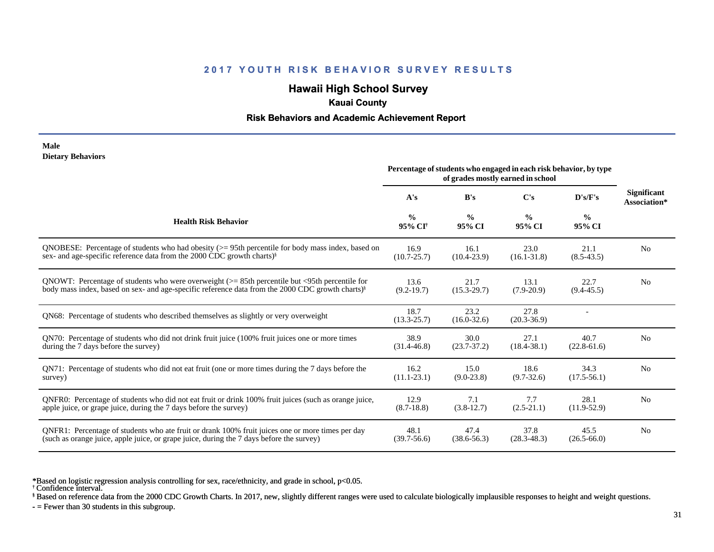## **Hawaii High School Survey**

### **Kauai County**

#### **Risk Behaviors and Academic Achievement Report**

#### **Male Dietary Behaviors**

|                                                                                                              | Percentage of students who engaged in each risk behavior, by type<br>of grades mostly earned in school |                         |                         |                         |                                    |
|--------------------------------------------------------------------------------------------------------------|--------------------------------------------------------------------------------------------------------|-------------------------|-------------------------|-------------------------|------------------------------------|
|                                                                                                              | A's                                                                                                    | B's                     | C's                     | $\bf{D's/F's}$          | <b>Significant</b><br>Association* |
| <b>Health Risk Behavior</b>                                                                                  | $\frac{0}{0}$<br>95% CI <sup>†</sup>                                                                   | $\frac{0}{0}$<br>95% CI | $\frac{0}{0}$<br>95% CI | $\frac{6}{9}$<br>95% CI |                                    |
| ONOBESE: Percentage of students who had obesity $(>= 95$ th percentile for body mass index, based on         | 16.9                                                                                                   | 16.1                    | 23.0                    | 21.1                    | N <sub>0</sub>                     |
| sex- and age-specific reference data from the 2000 CDC growth charts) <sup>§</sup>                           | $(10.7 - 25.7)$                                                                                        | $(10.4 - 23.9)$         | $(16.1 - 31.8)$         | $(8.5-43.5)$            |                                    |
| QNOWT: Percentage of students who were overweight $(>= 85$ th percentile but <95th percentile for            | 13.6                                                                                                   | 21.7                    | 13.1                    | 22.7                    | N <sub>0</sub>                     |
| body mass index, based on sex- and age-specific reference data from the 2000 CDC growth charts) <sup>§</sup> | $(9.2 - 19.7)$                                                                                         | $(15.3 - 29.7)$         | $(7.9 - 20.9)$          | $(9.4 - 45.5)$          |                                    |
| QN68: Percentage of students who described themselves as slightly or very overweight                         | 18.7<br>$(13.3 - 25.7)$                                                                                | 23.2<br>$(16.0 - 32.6)$ | 27.8<br>$(20.3 - 36.9)$ |                         |                                    |
| QN70: Percentage of students who did not drink fruit juice (100% fruit juices one or more times              | 38.9                                                                                                   | 30.0                    | 27.1                    | 40.7                    | N <sub>0</sub>                     |
| during the 7 days before the survey)                                                                         | $(31.4 - 46.8)$                                                                                        | $(23.7 - 37.2)$         | $(18.4 - 38.1)$         | $(22.8-61.6)$           |                                    |
| QN71: Percentage of students who did not eat fruit (one or more times during the 7 days before the           | 16.2                                                                                                   | 15.0                    | 18.6                    | 34.3                    | N <sub>0</sub>                     |
| survey)                                                                                                      | $(11.1-23.1)$                                                                                          | $(9.0-23.8)$            | $(9.7 - 32.6)$          | $(17.5 - 56.1)$         |                                    |
| ONFR0: Percentage of students who did not eat fruit or drink 100% fruit juices (such as orange juice,        | 12.9                                                                                                   | 7.1                     | 7.7                     | 28.1                    | N <sub>0</sub>                     |
| apple juice, or grape juice, during the 7 days before the survey)                                            | $(8.7-18.8)$                                                                                           | $(3.8-12.7)$            | $(2.5 - 21.1)$          | $(11.9-52.9)$           |                                    |
| QNFR1: Percentage of students who ate fruit or drank 100% fruit juices one or more times per day             | 48.1                                                                                                   | 47.4                    | 37.8                    | 45.5                    | N <sub>0</sub>                     |
| (such as orange juice, apple juice, or grape juice, during the 7 days before the survey)                     | $(39.7 - 56.6)$                                                                                        | $(38.6 - 56.3)$         | $(28.3 - 48.3)$         | $(26.5 - 66.0)$         |                                    |

\*Based on logistic regression analysis controlling for sex, race/ethnicity, and grade in school, p<0.05.

† Confidence interval.

§ Based on reference data from the 2000 CDC Growth Charts. In 2017, new, slightly different ranges were used to calculate biologically implausible responses to height and weight questions.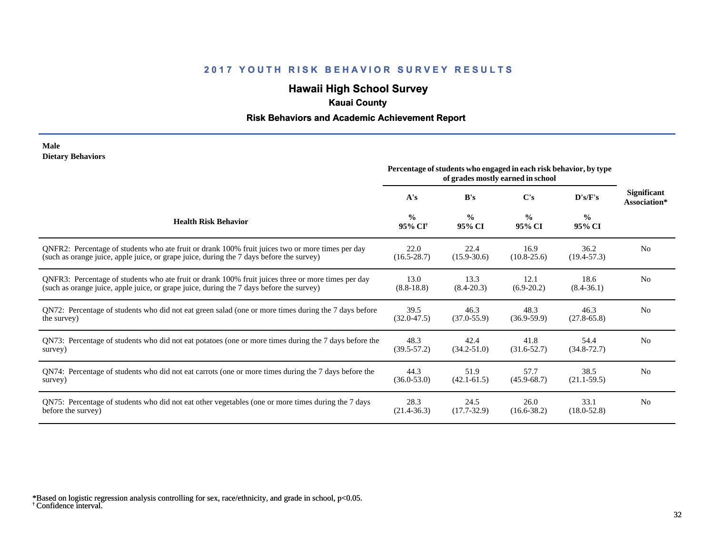## **Hawaii High School Survey**

## **Kauai County**

### **Risk Behaviors and Academic Achievement Report**

#### **Male Dietary Behaviors**

|                                                                                                       | Percentage of students who engaged in each risk behavior, by type<br>of grades mostly earned in school |                         |                         |                         |                                    |
|-------------------------------------------------------------------------------------------------------|--------------------------------------------------------------------------------------------------------|-------------------------|-------------------------|-------------------------|------------------------------------|
|                                                                                                       | A's                                                                                                    | B's                     | C's                     | D's/F's                 | <b>Significant</b><br>Association* |
| <b>Health Risk Behavior</b>                                                                           | $\frac{0}{0}$<br>95% CI <sup>+</sup>                                                                   | $\frac{0}{0}$<br>95% CI | $\frac{0}{0}$<br>95% CI | $\frac{0}{0}$<br>95% CI |                                    |
| ONFR2: Percentage of students who ate fruit or drank 100% fruit juices two or more times per day      | 22.0                                                                                                   | 22.4                    | 16.9                    | 36.2                    | N <sub>0</sub>                     |
| (such as orange juice, apple juice, or grape juice, during the 7 days before the survey)              | $(16.5 - 28.7)$                                                                                        | $(15.9 - 30.6)$         | $(10.8 - 25.6)$         | $(19.4 - 57.3)$         |                                    |
| QNFR3: Percentage of students who ate fruit or drank 100% fruit juices three or more times per day    | 13.0                                                                                                   | 13.3                    | 12.1                    | 18.6                    | N <sub>o</sub>                     |
| (such as orange juice, apple juice, or grape juice, during the 7 days before the survey)              | $(8.8-18.8)$                                                                                           | $(8.4 - 20.3)$          | $(6.9-20.2)$            | $(8.4 - 36.1)$          |                                    |
| QN72: Percentage of students who did not eat green salad (one or more times during the 7 days before  | 39.5                                                                                                   | 46.3                    | 48.3                    | 46.3                    | N <sub>0</sub>                     |
| the survey)                                                                                           | $(32.0 - 47.5)$                                                                                        | $(37.0 - 55.9)$         | $(36.9 - 59.9)$         | $(27.8 - 65.8)$         |                                    |
| QN73: Percentage of students who did not eat potatoes (one or more times during the 7 days before the | 48.3                                                                                                   | 42.4                    | 41.8                    | 54.4                    | N <sub>0</sub>                     |
| survey)                                                                                               | $(39.5 - 57.2)$                                                                                        | $(34.2 - 51.0)$         | $(31.6 - 52.7)$         | $(34.8 - 72.7)$         |                                    |
| QN74: Percentage of students who did not eat carrots (one or more times during the 7 days before the  | 44.3                                                                                                   | 51.9                    | 57.7                    | 38.5                    | N <sub>0</sub>                     |
| survey)                                                                                               | $(36.0 - 53.0)$                                                                                        | $(42.1 - 61.5)$         | $(45.9 - 68.7)$         | $(21.1-59.5)$           |                                    |
| QN75: Percentage of students who did not eat other vegetables (one or more times during the 7 days    | 28.3                                                                                                   | 24.5                    | 26.0                    | 33.1                    | N <sub>0</sub>                     |
| before the survey)                                                                                    | $(21.4 - 36.3)$                                                                                        | $(17.7 - 32.9)$         | $(16.6 - 38.2)$         | $(18.0 - 52.8)$         |                                    |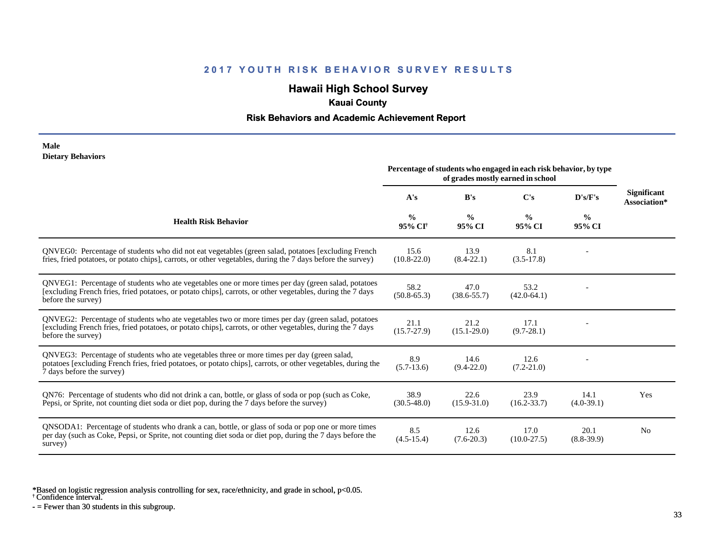## **Hawaii High School Survey**

## **Kauai County**

#### **Risk Behaviors and Academic Achievement Report**

#### **Male Dietary Behaviors**

|                                                                                                                                                                                                                                          | Percentage of students who engaged in each risk behavior, by type<br>of grades mostly earned in school |                         |                         |                         |                                    |
|------------------------------------------------------------------------------------------------------------------------------------------------------------------------------------------------------------------------------------------|--------------------------------------------------------------------------------------------------------|-------------------------|-------------------------|-------------------------|------------------------------------|
|                                                                                                                                                                                                                                          | A's                                                                                                    | B's                     | C's                     | D's/F's                 | <b>Significant</b><br>Association* |
| <b>Health Risk Behavior</b>                                                                                                                                                                                                              | $\frac{6}{9}$<br>95% CI <sup>†</sup>                                                                   | $\frac{0}{0}$<br>95% CI | $\frac{0}{0}$<br>95% CI | $\frac{6}{9}$<br>95% CI |                                    |
| QNVEG0: Percentage of students who did not eat vegetables (green salad, potatoes [excluding French<br>fries, fried potatoes, or potato chips], carrots, or other vegetables, during the 7 days before the survey)                        | 15.6<br>$(10.8 - 22.0)$                                                                                | 13.9<br>$(8.4 - 22.1)$  | 8.1<br>$(3.5-17.8)$     |                         |                                    |
| QNVEG1: Percentage of students who ate vegetables one or more times per day (green salad, potatoes<br>[excluding French fries, fried potatoes, or potato chips], carrots, or other vegetables, during the 7 days<br>before the survey)   | 58.2<br>$(50.8 - 65.3)$                                                                                | 47.0<br>$(38.6 - 55.7)$ | 53.2<br>$(42.0-64.1)$   |                         |                                    |
| QNVEG2: Percentage of students who ate vegetables two or more times per day (green salad, potatoes<br>[excluding French fries, fried potatoes, or potato chips], carrots, or other vegetables, during the 7 days<br>before the survey)   | 21.1<br>$(15.7 - 27.9)$                                                                                | 21.2<br>$(15.1 - 29.0)$ | 17.1<br>$(9.7 - 28.1)$  |                         |                                    |
| QNVEG3: Percentage of students who ate vegetables three or more times per day (green salad,<br>potatoes [excluding French fries, fried potatoes, or potato chips], carrots, or other vegetables, during the<br>7 days before the survey) | 8.9<br>$(5.7-13.6)$                                                                                    | 14.6<br>$(9.4 - 22.0)$  | 12.6<br>$(7.2 - 21.0)$  |                         |                                    |
| QN76: Percentage of students who did not drink a can, bottle, or glass of soda or pop (such as Coke,<br>Pepsi, or Sprite, not counting diet soda or diet pop, during the 7 days before the survey)                                       | 38.9<br>$(30.5 - 48.0)$                                                                                | 22.6<br>$(15.9 - 31.0)$ | 23.9<br>$(16.2 - 33.7)$ | 14.1<br>$(4.0-39.1)$    | Yes                                |
| QNSODA1: Percentage of students who drank a can, bottle, or glass of soda or pop one or more times<br>per day (such as Coke, Pepsi, or Sprite, not counting diet soda or diet pop, during the 7 days before the<br>survey)               | 8.5<br>$(4.5 - 15.4)$                                                                                  | 12.6<br>$(7.6 - 20.3)$  | 17.0<br>$(10.0 - 27.5)$ | 20.1<br>$(8.8-39.9)$    | N <sub>0</sub>                     |

\*Based on logistic regression analysis controlling for sex, race/ethnicity, and grade in school, p<0.05.

† Confidence interval.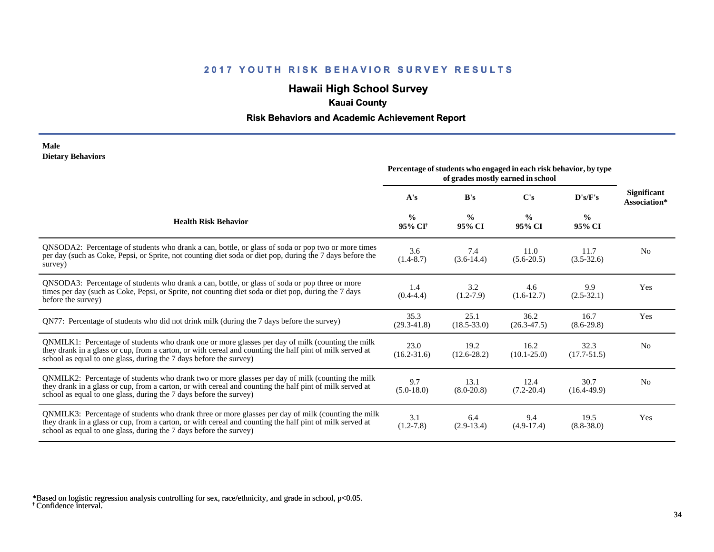## **Hawaii High School Survey**

## **Kauai County**

### **Risk Behaviors and Academic Achievement Report**

#### **Male Dietary Behaviors**

|                                                                                                                                                                                                                                                                                      | Percentage of students who engaged in each risk behavior, by type<br>of grades mostly earned in school |                         |                         |                         |                                    |
|--------------------------------------------------------------------------------------------------------------------------------------------------------------------------------------------------------------------------------------------------------------------------------------|--------------------------------------------------------------------------------------------------------|-------------------------|-------------------------|-------------------------|------------------------------------|
|                                                                                                                                                                                                                                                                                      | A's                                                                                                    | B's                     | $\bf C's$               | D's/F's                 | <b>Significant</b><br>Association* |
| <b>Health Risk Behavior</b>                                                                                                                                                                                                                                                          | $\frac{0}{0}$<br>95% CI <sup>+</sup>                                                                   | $\frac{0}{0}$<br>95% CI | $\frac{0}{0}$<br>95% CI | $\frac{0}{0}$<br>95% CI |                                    |
| QNSODA2: Percentage of students who drank a can, bottle, or glass of soda or pop two or more times<br>per day (such as Coke, Pepsi, or Sprite, not counting diet soda or diet pop, during the 7 days before the<br>survey)                                                           | 3.6<br>$(1.4 - 8.7)$                                                                                   | 7.4<br>$(3.6-14.4)$     | 11.0<br>$(5.6-20.5)$    | 11.7<br>$(3.5 - 32.6)$  | N <sub>0</sub>                     |
| QNSODA3: Percentage of students who drank a can, bottle, or glass of soda or pop three or more<br>times per day (such as Coke, Pepsi, or Sprite, not counting diet soda or diet pop, during the 7 days<br>before the survey)                                                         | 1.4<br>$(0.4 - 4.4)$                                                                                   | 3.2<br>$(1.2-7.9)$      | 4.6<br>$(1.6-12.7)$     | 9.9<br>$(2.5-32.1)$     | Yes                                |
| QN77: Percentage of students who did not drink milk (during the 7 days before the survey)                                                                                                                                                                                            | 35.3<br>$(29.3 - 41.8)$                                                                                | 25.1<br>$(18.5 - 33.0)$ | 36.2<br>$(26.3-47.5)$   | 16.7<br>$(8.6-29.8)$    | Yes                                |
| QNMILK1: Percentage of students who drank one or more glasses per day of milk (counting the milk<br>they drank in a glass or cup, from a carton, or with cereal and counting the half pint of milk served at<br>school as equal to one glass, during the 7 days before the survey)   | 23.0<br>$(16.2 - 31.6)$                                                                                | 19.2<br>$(12.6 - 28.2)$ | 16.2<br>$(10.1 - 25.0)$ | 32.3<br>$(17.7 - 51.5)$ | N <sub>0</sub>                     |
| QNMILK2: Percentage of students who drank two or more glasses per day of milk (counting the milk<br>they drank in a glass or cup, from a carton, or with cereal and counting the half pint of milk served at<br>school as equal to one glass, during the 7 days before the survey)   | 9.7<br>$(5.0-18.0)$                                                                                    | 13.1<br>$(8.0 - 20.8)$  | 12.4<br>$(7.2 - 20.4)$  | 30.7<br>$(16.4 - 49.9)$ | N <sub>0</sub>                     |
| QNMILK3: Percentage of students who drank three or more glasses per day of milk (counting the milk<br>they drank in a glass or cup, from a carton, or with cereal and counting the half pint of milk served at<br>school as equal to one glass, during the 7 days before the survey) | 3.1<br>$(1.2 - 7.8)$                                                                                   | 6.4<br>$(2.9-13.4)$     | 9.4<br>$(4.9-17.4)$     | 19.5<br>$(8.8 - 38.0)$  | Yes                                |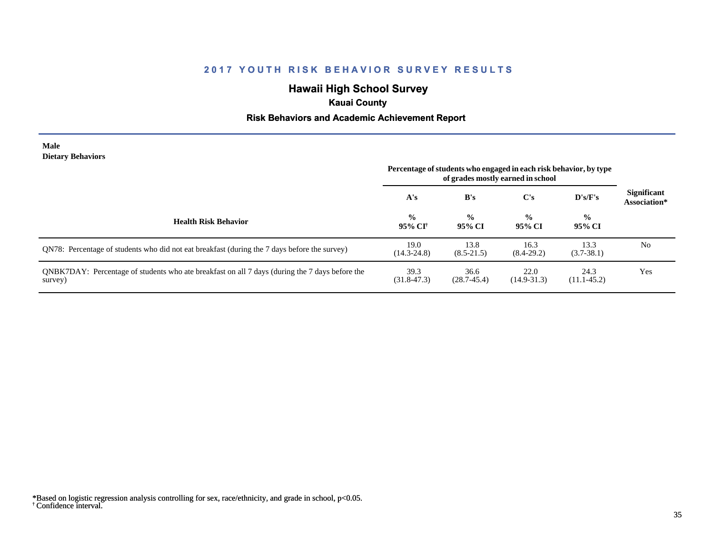## **Hawaii High School Survey**

## **Kauai County**

### **Risk Behaviors and Academic Achievement Report**

#### **Male Dietary Behaviors**

|                                                                                                           | Percentage of students who engaged in each risk behavior, by type<br>of grades mostly earned in school |                         |                         |                         |                                    |
|-----------------------------------------------------------------------------------------------------------|--------------------------------------------------------------------------------------------------------|-------------------------|-------------------------|-------------------------|------------------------------------|
|                                                                                                           | A's                                                                                                    | B's                     | C's                     | $\bf{D's/F's}$          | <b>Significant</b><br>Association* |
| <b>Health Risk Behavior</b>                                                                               | $\frac{0}{0}$<br>95% CI†                                                                               | $\frac{0}{0}$<br>95% CI | $\frac{0}{0}$<br>95% CI | $\frac{0}{0}$<br>95% CI |                                    |
| QN78: Percentage of students who did not eat breakfast (during the 7 days before the survey)              | 19.0<br>$(14.3 - 24.8)$                                                                                | 13.8<br>$(8.5 - 21.5)$  | 16.3<br>$(8.4-29.2)$    | 13.3<br>$(3.7 - 38.1)$  | No                                 |
| QNBK7DAY: Percentage of students who ate breakfast on all 7 days (during the 7 days before the<br>survey) | 39.3<br>$(31.8 - 47.3)$                                                                                | 36.6<br>$(28.7 - 45.4)$ | 22.0<br>$(14.9 - 31.3)$ | 24.3<br>$(11.1-45.2)$   | Yes                                |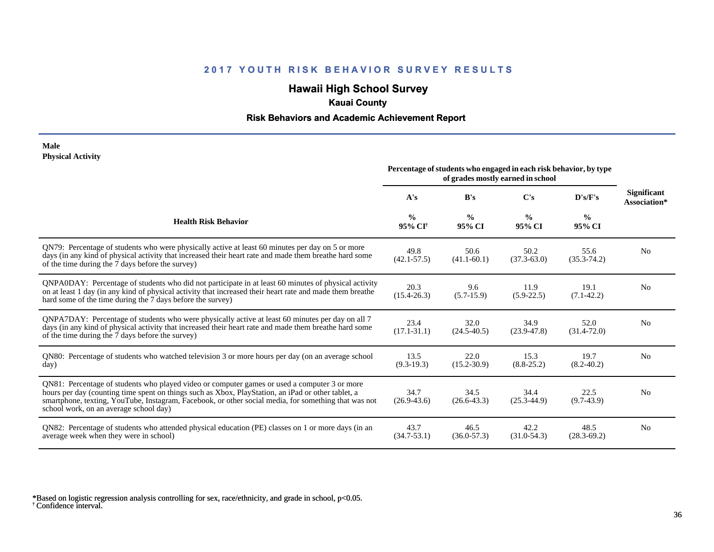## **Hawaii High School Survey**

## **Kauai County**

### **Risk Behaviors and Academic Achievement Report**

#### **Male Physical Activity**

|                                                                                                                                                                                                                                                                                                                                                      | Percentage of students who engaged in each risk behavior, by type<br>of grades mostly earned in school |                         |                         |                         |                                    |
|------------------------------------------------------------------------------------------------------------------------------------------------------------------------------------------------------------------------------------------------------------------------------------------------------------------------------------------------------|--------------------------------------------------------------------------------------------------------|-------------------------|-------------------------|-------------------------|------------------------------------|
|                                                                                                                                                                                                                                                                                                                                                      | A's                                                                                                    | B's                     | C's                     | D's/F's                 | <b>Significant</b><br>Association* |
| <b>Health Risk Behavior</b>                                                                                                                                                                                                                                                                                                                          | $\frac{0}{0}$<br>95% CI <sup>+</sup>                                                                   | $\frac{0}{0}$<br>95% CI | $\frac{0}{0}$<br>95% CI | $\frac{0}{0}$<br>95% CI |                                    |
| QN79: Percentage of students who were physically active at least 60 minutes per day on 5 or more<br>days (in any kind of physical activity that increased their heart rate and made them breathe hard some<br>of the time during the 7 days before the survey)                                                                                       | 49.8<br>$(42.1 - 57.5)$                                                                                | 50.6<br>$(41.1 - 60.1)$ | 50.2<br>$(37.3 - 63.0)$ | 55.6<br>$(35.3 - 74.2)$ | N <sub>0</sub>                     |
| QNPA0DAY: Percentage of students who did not participate in at least 60 minutes of physical activity<br>on at least 1 day (in any kind of physical activity that increased their heart rate and made them breathe<br>hard some of the time during the 7 days before the survey)                                                                      | 20.3<br>$(15.4 - 26.3)$                                                                                | 9.6<br>$(5.7-15.9)$     | 11.9<br>$(5.9-22.5)$    | 19.1<br>$(7.1-42.2)$    | N <sub>0</sub>                     |
| ONPA7DAY: Percentage of students who were physically active at least 60 minutes per day on all 7<br>days (in any kind of physical activity that increased their heart rate and made them breathe hard some<br>of the time during the 7 days before the survey)                                                                                       | 23.4<br>$(17.1 - 31.1)$                                                                                | 32.0<br>$(24.5 - 40.5)$ | 34.9<br>$(23.9 - 47.8)$ | 52.0<br>$(31.4 - 72.0)$ | N <sub>0</sub>                     |
| QN80: Percentage of students who watched television 3 or more hours per day (on an average school<br>day)                                                                                                                                                                                                                                            | 13.5<br>$(9.3-19.3)$                                                                                   | 22.0<br>$(15.2 - 30.9)$ | 15.3<br>$(8.8-25.2)$    | 19.7<br>$(8.2 - 40.2)$  | N <sub>0</sub>                     |
| QN81: Percentage of students who played video or computer games or used a computer 3 or more<br>hours per day (counting time spent on things such as Xbox, PlayStation, an iPad or other tablet, a<br>smartphone, texting, YouTube, Instagram, Facebook, or other social media, for something that was not<br>school work, on an average school day) | 34.7<br>$(26.9 - 43.6)$                                                                                | 34.5<br>$(26.6 - 43.3)$ | 34.4<br>$(25.3 - 44.9)$ | 22.5<br>$(9.7-43.9)$    | N <sub>0</sub>                     |
| QN82: Percentage of students who attended physical education (PE) classes on 1 or more days (in an<br>average week when they were in school)                                                                                                                                                                                                         | 43.7<br>$(34.7 - 53.1)$                                                                                | 46.5<br>$(36.0 - 57.3)$ | 42.2<br>$(31.0 - 54.3)$ | 48.5<br>$(28.3 - 69.2)$ | N <sub>0</sub>                     |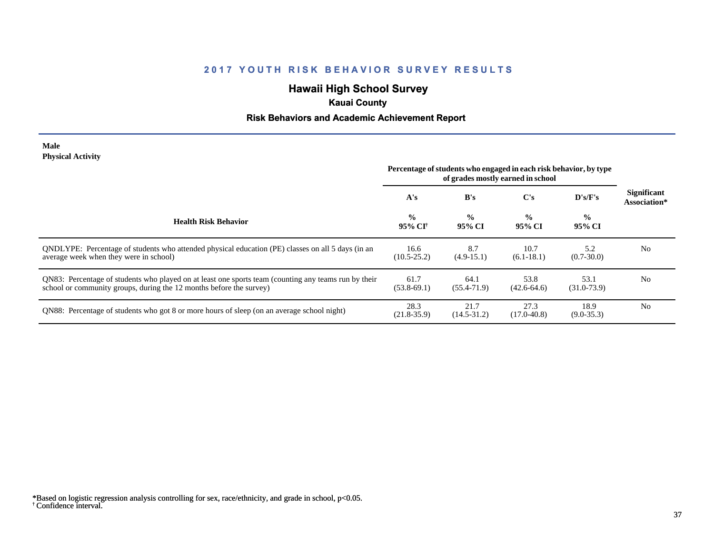## **Hawaii High School Survey**

## **Kauai County**

### **Risk Behaviors and Academic Achievement Report**

#### **Male Physical Activity**

|                                                                                                                                                                             | Percentage of students who engaged in each risk behavior, by type<br>of grades mostly earned in school |                         |                         |                         |                                    |
|-----------------------------------------------------------------------------------------------------------------------------------------------------------------------------|--------------------------------------------------------------------------------------------------------|-------------------------|-------------------------|-------------------------|------------------------------------|
|                                                                                                                                                                             | A's                                                                                                    | B's                     | $\bf C's$               | $\bf{D's/F's}$          | <b>Significant</b><br>Association* |
| <b>Health Risk Behavior</b>                                                                                                                                                 | $\frac{0}{0}$<br>95% CI†                                                                               | $\frac{6}{6}$<br>95% CI | $\frac{0}{0}$<br>95% CI | $\frac{0}{0}$<br>95% CI |                                    |
| ONDLYPE: Percentage of students who attended physical education (PE) classes on all 5 days (in an<br>average week when they were in school)                                 | 16.6<br>$(10.5 - 25.2)$                                                                                | 8.7<br>$(4.9-15.1)$     | 10.7<br>$(6.1-18.1)$    | 5.2<br>$(0.7 - 30.0)$   | N <sub>0</sub>                     |
| QN83: Percentage of students who played on at least one sports team (counting any teams run by their<br>school or community groups, during the 12 months before the survey) | 61.7<br>$(53.8-69.1)$                                                                                  | 64.1<br>$(55.4 - 71.9)$ | 53.8<br>$(42.6 - 64.6)$ | 53.1<br>$(31.0 - 73.9)$ | N <sub>0</sub>                     |
| QN88: Percentage of students who got 8 or more hours of sleep (on an average school night)                                                                                  | 28.3<br>$(21.8 - 35.9)$                                                                                | 21.7<br>$(14.5 - 31.2)$ | 27.3<br>$(17.0 - 40.8)$ | 18.9<br>$(9.0 - 35.3)$  | N <sub>0</sub>                     |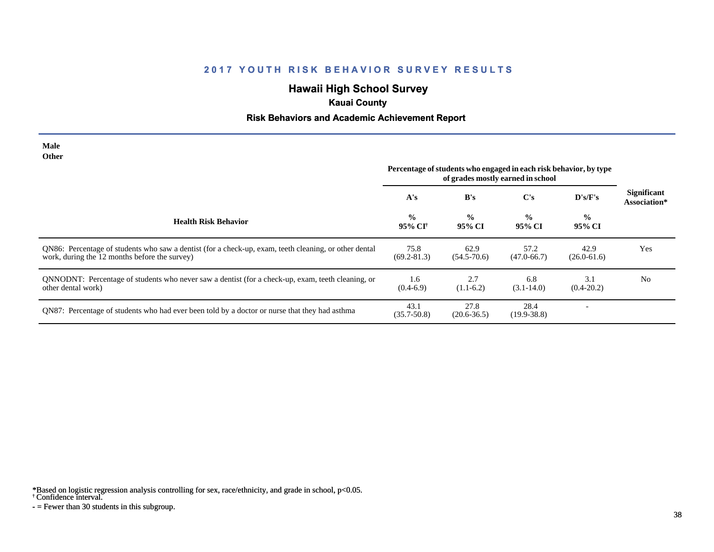# **Hawaii High School Survey**

## **Kauai County**

### **Risk Behaviors and Academic Achievement Report**

| <b>Male</b><br>Other                                                                                                                                   |                                                                                                        |                         |                         |                         |                                    |
|--------------------------------------------------------------------------------------------------------------------------------------------------------|--------------------------------------------------------------------------------------------------------|-------------------------|-------------------------|-------------------------|------------------------------------|
|                                                                                                                                                        | Percentage of students who engaged in each risk behavior, by type<br>of grades mostly earned in school |                         |                         |                         |                                    |
|                                                                                                                                                        | A's                                                                                                    | B's                     | $\bf C's$               | D's/F's                 | <b>Significant</b><br>Association* |
| <b>Health Risk Behavior</b>                                                                                                                            | $\frac{0}{0}$<br>95% CI <sup>†</sup>                                                                   | $\frac{0}{0}$<br>95% CI | $\frac{0}{0}$<br>95% CI | $\frac{0}{0}$<br>95% CI |                                    |
| QN86: Percentage of students who saw a dentist (for a check-up, exam, teeth cleaning, or other dental<br>work, during the 12 months before the survey) | 75.8<br>$(69.2 - 81.3)$                                                                                | 62.9<br>$(54.5 - 70.6)$ | 57.2<br>$(47.0 - 66.7)$ | 42.9<br>$(26.0 - 61.6)$ | Yes                                |
| QNNODNT: Percentage of students who never saw a dentist (for a check-up, exam, teeth cleaning, or<br>other dental work)                                | 1.6<br>$(0.4-6.9)$                                                                                     | 2.7<br>$(1.1-6.2)$      | 6.8<br>$(3.1 - 14.0)$   | 3.1<br>$(0.4 - 20.2)$   | N <sub>0</sub>                     |
| QN87: Percentage of students who had ever been told by a doctor or nurse that they had asthma                                                          | 43.1<br>$(35.7 - 50.8)$                                                                                | 27.8<br>$(20.6 - 36.5)$ | 28.4<br>$(19.9 - 38.8)$ |                         |                                    |

\*Based on logistic regression analysis controlling for sex, race/ethnicity, and grade in school, p<0.05.

† Confidence interval.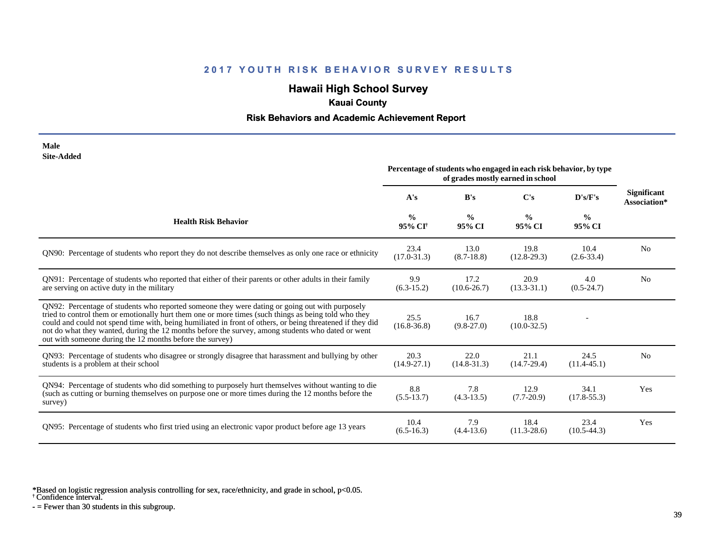# **Hawaii High School Survey**

## **Kauai County**

### **Risk Behaviors and Academic Achievement Report**

| Male       |
|------------|
| Site-Added |

| one maara                                                                                                                                                                                                                                                                                                                                                                                                                                                                            | Percentage of students who engaged in each risk behavior, by type<br>of grades mostly earned in school |                         |                         |                         |                                    |
|--------------------------------------------------------------------------------------------------------------------------------------------------------------------------------------------------------------------------------------------------------------------------------------------------------------------------------------------------------------------------------------------------------------------------------------------------------------------------------------|--------------------------------------------------------------------------------------------------------|-------------------------|-------------------------|-------------------------|------------------------------------|
|                                                                                                                                                                                                                                                                                                                                                                                                                                                                                      | A's                                                                                                    | B's                     | C's                     | D's/F's                 | <b>Significant</b><br>Association* |
| <b>Health Risk Behavior</b>                                                                                                                                                                                                                                                                                                                                                                                                                                                          | $\frac{0}{0}$<br>95% CI <sup>+</sup>                                                                   | $\frac{0}{0}$<br>95% CI | $\frac{0}{0}$<br>95% CI | $\frac{6}{9}$<br>95% CI |                                    |
| QN90: Percentage of students who report they do not describe themselves as only one race or ethnicity                                                                                                                                                                                                                                                                                                                                                                                | 23.4<br>$(17.0 - 31.3)$                                                                                | 13.0<br>$(8.7-18.8)$    | 19.8<br>$(12.8-29.3)$   | 10.4<br>$(2.6 - 33.4)$  | N <sub>0</sub>                     |
| QN91: Percentage of students who reported that either of their parents or other adults in their family<br>are serving on active duty in the military                                                                                                                                                                                                                                                                                                                                 | 9.9<br>$(6.3-15.2)$                                                                                    | 17.2<br>$(10.6 - 26.7)$ | 20.9<br>$(13.3 - 31.1)$ | 4.0<br>$(0.5-24.7)$     | N <sub>0</sub>                     |
| QN92: Percentage of students who reported someone they were dating or going out with purposely<br>tried to control them or emotionally hurt them one or more times (such things as being told who they<br>could and could not spend time with, being humiliated in front of others, or being threatened if they did<br>not do what they wanted, during the 12 months before the survey, among students who dated or went<br>out with someone during the 12 months before the survey) | 25.5<br>$(16.8 - 36.8)$                                                                                | 16.7<br>$(9.8-27.0)$    | 18.8<br>$(10.0 - 32.5)$ |                         |                                    |
| QN93: Percentage of students who disagree or strongly disagree that harassment and bullying by other<br>students is a problem at their school                                                                                                                                                                                                                                                                                                                                        | 20.3<br>$(14.9 - 27.1)$                                                                                | 22.0<br>$(14.8 - 31.3)$ | 21.1<br>$(14.7-29.4)$   | 24.5<br>$(11.4 - 45.1)$ | N <sub>o</sub>                     |
| QN94: Percentage of students who did something to purposely hurt themselves without wanting to die<br>(such as cutting or burning themselves on purpose one or more times during the 12 months before the<br>survey)                                                                                                                                                                                                                                                                 | 8.8<br>$(5.5-13.7)$                                                                                    | 7.8<br>$(4.3-13.5)$     | 12.9<br>$(7.7-20.9)$    | 34.1<br>$(17.8 - 55.3)$ | Yes                                |
| QN95: Percentage of students who first tried using an electronic vapor product before age 13 years                                                                                                                                                                                                                                                                                                                                                                                   | 10.4<br>$(6.5-16.3)$                                                                                   | 7.9<br>$(4.4-13.6)$     | 18.4<br>$(11.3 - 28.6)$ | 23.4<br>$(10.5-44.3)$   | Yes                                |

\*Based on logistic regression analysis controlling for sex, race/ethnicity, and grade in school, p<0.05.

† Confidence interval.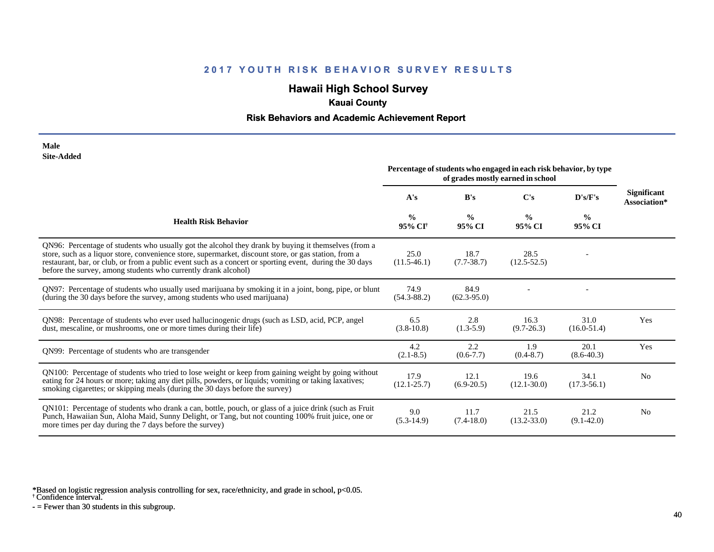## **Hawaii High School Survey**

## **Kauai County**

### **Risk Behaviors and Academic Achievement Report**

#### **Male Site-Added**

|                                                                                                                                                                                                                                                                                                                                                                                            | Percentage of students who engaged in each risk behavior, by type<br>of grades mostly earned in school |                         |                         |                         |                                    |
|--------------------------------------------------------------------------------------------------------------------------------------------------------------------------------------------------------------------------------------------------------------------------------------------------------------------------------------------------------------------------------------------|--------------------------------------------------------------------------------------------------------|-------------------------|-------------------------|-------------------------|------------------------------------|
|                                                                                                                                                                                                                                                                                                                                                                                            | A's                                                                                                    | B's                     | $\bf C$ 's              | D's/F's                 | <b>Significant</b><br>Association* |
| <b>Health Risk Behavior</b>                                                                                                                                                                                                                                                                                                                                                                | $\frac{0}{0}$<br>95% CI <sup>+</sup>                                                                   | $\frac{0}{0}$<br>95% CI | $\frac{0}{0}$<br>95% CI | $\frac{0}{0}$<br>95% CI |                                    |
| QN96: Percentage of students who usually got the alcohol they drank by buying it themselves (from a<br>store, such as a liquor store, convenience store, supermarket, discount store, or gas station, from a<br>restaurant, bar, or club, or from a public event such as a concert or sporting event, during the 30 days<br>before the survey, among students who currently drank alcohol) | 25.0<br>$(11.5-46.1)$                                                                                  | 18.7<br>$(7.7 - 38.7)$  | 28.5<br>$(12.5 - 52.5)$ |                         |                                    |
| QN97: Percentage of students who usually used marijuana by smoking it in a joint, bong, pipe, or blunt<br>(during the 30 days before the survey, among students who used marijuana)                                                                                                                                                                                                        | 74.9<br>$(54.3 - 88.2)$                                                                                | 84.9<br>$(62.3-95.0)$   |                         |                         |                                    |
| QN98: Percentage of students who ever used hallucinogenic drugs (such as LSD, acid, PCP, angel<br>dust, mescaline, or mushrooms, one or more times during their life)                                                                                                                                                                                                                      | 6.5<br>$(3.8-10.8)$                                                                                    | 2.8<br>$(1.3-5.9)$      | 16.3<br>$(9.7 - 26.3)$  | 31.0<br>$(16.0 - 51.4)$ | Yes                                |
| QN99: Percentage of students who are transgender                                                                                                                                                                                                                                                                                                                                           | 4.2<br>$(2.1 - 8.5)$                                                                                   | 2.2<br>$(0.6 - 7.7)$    | 1.9<br>$(0.4 - 8.7)$    | 20.1<br>$(8.6 - 40.3)$  | Yes                                |
| QN100: Percentage of students who tried to lose weight or keep from gaining weight by going without<br>eating for 24 hours or more; taking any diet pills, powders, or liquids; vomiting or taking laxatives;<br>smoking cigarettes; or skipping meals (during the 30 days before the survey)                                                                                              | 17.9<br>$(12.1 - 25.7)$                                                                                | 12.1<br>$(6.9-20.5)$    | 19.6<br>$(12.1 - 30.0)$ | 34.1<br>$(17.3 - 56.1)$ | N <sub>0</sub>                     |
| QN101: Percentage of students who drank a can, bottle, pouch, or glass of a juice drink (such as Fruit<br>Punch, Hawaiian Sun, Aloha Maid, Sunny Delight, or Tang, but not counting 100% fruit juice, one or<br>more times per day during the 7 days before the survey)                                                                                                                    | 9.0<br>$(5.3-14.9)$                                                                                    | 11.7<br>$(7.4-18.0)$    | 21.5<br>$(13.2 - 33.0)$ | 21.2<br>$(9.1 - 42.0)$  | N <sub>0</sub>                     |

\*Based on logistic regression analysis controlling for sex, race/ethnicity, and grade in school, p<0.05.

† Confidence interval.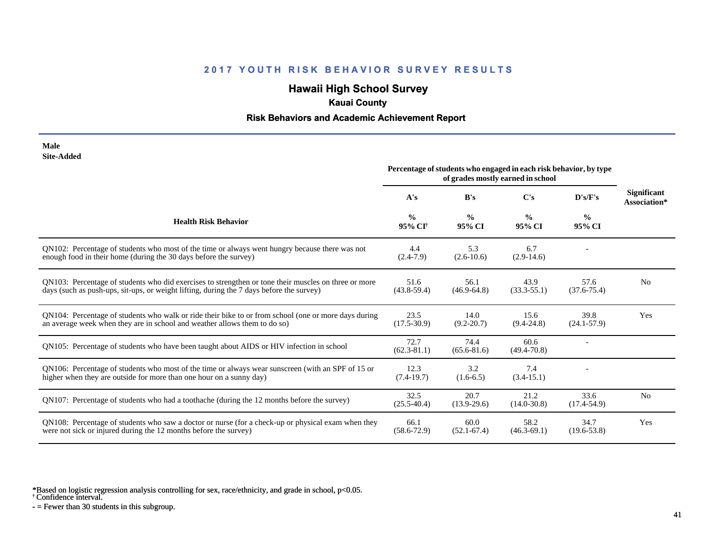# **Hawaii High School Survey**

## **Kauai County**

### **Risk Behaviors and Academic Achievement Report**

#### **Male Site-Added**

|                                                                                                                                                                                                  | Percentage of students who engaged in each risk behavior, by type<br>of grades mostly earned in school |                         |                         |                         |                                    |
|--------------------------------------------------------------------------------------------------------------------------------------------------------------------------------------------------|--------------------------------------------------------------------------------------------------------|-------------------------|-------------------------|-------------------------|------------------------------------|
|                                                                                                                                                                                                  | A's                                                                                                    | B's                     | C's                     | $\bf{D's/F's}$          | <b>Significant</b><br>Association* |
| <b>Health Risk Behavior</b>                                                                                                                                                                      | $\frac{0}{0}$<br>95% CI <sup>†</sup>                                                                   | $\frac{0}{0}$<br>95% CI | $\frac{0}{0}$<br>95% CI | $\frac{6}{9}$<br>95% CI |                                    |
| QN102: Percentage of students who most of the time or always went hungry because there was not<br>enough food in their home (during the 30 days before the survey)                               | 4.4<br>$(2.4 - 7.9)$                                                                                   | 5.3<br>$(2.6 - 10.6)$   | 6.7<br>$(2.9-14.6)$     |                         |                                    |
| ON103: Percentage of students who did exercises to strengthen or tone their muscles on three or more<br>days (such as push-ups, sit-ups, or weight lifting, during the 7 days before the survey) | 51.6<br>$(43.8 - 59.4)$                                                                                | 56.1<br>$(46.9 - 64.8)$ | 43.9<br>$(33.3 - 55.1)$ | 57.6<br>$(37.6 - 75.4)$ | N <sub>0</sub>                     |
| QN104: Percentage of students who walk or ride their bike to or from school (one or more days during<br>an average week when they are in school and weather allows them to do so)                | 23.5<br>$(17.5 - 30.9)$                                                                                | 14.0<br>$(9.2 - 20.7)$  | 15.6<br>$(9.4 - 24.8)$  | 39.8<br>$(24.1 - 57.9)$ | Yes                                |
| QN105: Percentage of students who have been taught about AIDS or HIV infection in school                                                                                                         | 72.7<br>$(62.3 - 81.1)$                                                                                | 74.4<br>$(65.6 - 81.6)$ | 60.6<br>$(49.4 - 70.8)$ |                         |                                    |
| QN106: Percentage of students who most of the time or always wear sunscreen (with an SPF of 15 or<br>higher when they are outside for more than one hour on a sunny day)                         | 12.3<br>$(7.4-19.7)$                                                                                   | 3.2<br>$(1.6-6.5)$      | 7.4<br>$(3.4-15.1)$     |                         |                                    |
| QN107: Percentage of students who had a toothache (during the 12 months before the survey)                                                                                                       | 32.5<br>$(25.5 - 40.4)$                                                                                | 20.7<br>$(13.9-29.6)$   | 21.2<br>$(14.0 - 30.8)$ | 33.6<br>$(17.4 - 54.9)$ | N <sub>0</sub>                     |
| QN108: Percentage of students who saw a doctor or nurse (for a check-up or physical exam when they<br>were not sick or injured during the 12 months before the survey)                           | 66.1<br>$(58.6 - 72.9)$                                                                                | 60.0<br>$(52.1 - 67.4)$ | 58.2<br>$(46.3 - 69.1)$ | 34.7<br>$(19.6 - 53.8)$ | Yes                                |

\*Based on logistic regression analysis controlling for sex, race/ethnicity, and grade in school, p<0.05.

† Confidence interval.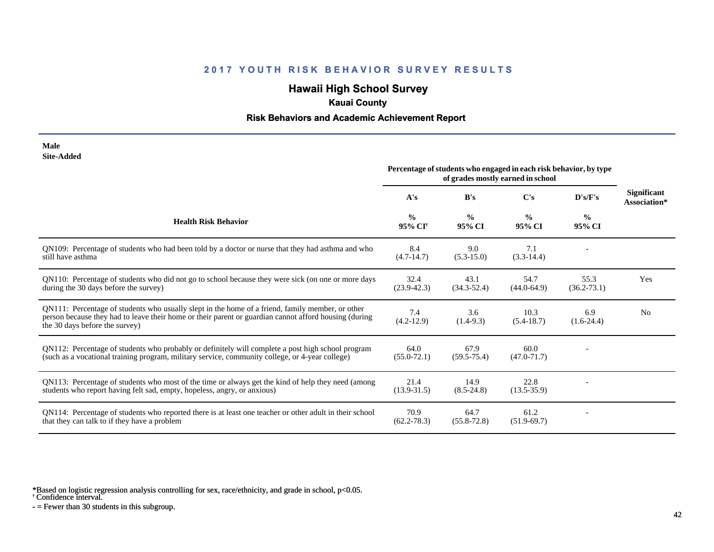# **Hawaii High School Survey**

## **Kauai County**

### **Risk Behaviors and Academic Achievement Report**

| Male              |
|-------------------|
| <b>Site-Added</b> |

|                                                                                                                                                                                                                                             | Percentage of students who engaged in each risk behavior, by type<br>of grades mostly earned in school |                         |                         |                         |                                    |
|---------------------------------------------------------------------------------------------------------------------------------------------------------------------------------------------------------------------------------------------|--------------------------------------------------------------------------------------------------------|-------------------------|-------------------------|-------------------------|------------------------------------|
|                                                                                                                                                                                                                                             | A's                                                                                                    | B's                     | C's                     | D's/F's                 | <b>Significant</b><br>Association* |
| <b>Health Risk Behavior</b>                                                                                                                                                                                                                 | $\frac{6}{9}$<br>95% CI <sup>+</sup>                                                                   | $\frac{0}{0}$<br>95% CI | $\frac{0}{0}$<br>95% CI | $\frac{0}{0}$<br>95% CI |                                    |
| QN109: Percentage of students who had been told by a doctor or nurse that they had asthma and who<br>still have asthma                                                                                                                      | 8.4<br>$(4.7-14.7)$                                                                                    | 9.0<br>$(5.3-15.0)$     | 7.1<br>$(3.3-14.4)$     |                         |                                    |
| QN110: Percentage of students who did not go to school because they were sick (on one or more days<br>during the 30 days before the survey)                                                                                                 | 32.4<br>$(23.9 - 42.3)$                                                                                | 43.1<br>$(34.3 - 52.4)$ | 54.7<br>$(44.0 - 64.9)$ | 55.3<br>$(36.2 - 73.1)$ | <b>Yes</b>                         |
| QN111: Percentage of students who usually slept in the home of a friend, family member, or other<br>person because they had to leave their home or their parent or guardian cannot afford housing (during<br>the 30 days before the survey) | 7.4<br>$(4.2 - 12.9)$                                                                                  | 3.6<br>$(1.4-9.3)$      | 10.3<br>$(5.4-18.7)$    | 6.9<br>$(1.6-24.4)$     | N <sub>0</sub>                     |
| QN112: Percentage of students who probably or definitely will complete a post high school program<br>(such as a vocational training program, military service, community college, or 4-year college)                                        | 64.0<br>$(55.0 - 72.1)$                                                                                | 67.9<br>$(59.5 - 75.4)$ | 60.0<br>$(47.0 - 71.7)$ |                         |                                    |
| QN113: Percentage of students who most of the time or always get the kind of help they need (among<br>students who report having felt sad, empty, hopeless, angry, or anxious)                                                              | 21.4<br>$(13.9 - 31.5)$                                                                                | 14.9<br>$(8.5 - 24.8)$  | 22.8<br>$(13.5 - 35.9)$ |                         |                                    |
| QN114: Percentage of students who reported there is at least one teacher or other adult in their school<br>that they can talk to if they have a problem                                                                                     | 70.9<br>$(62.2 - 78.3)$                                                                                | 64.7<br>$(55.8 - 72.8)$ | 61.2<br>$(51.9-69.7)$   |                         |                                    |

\*Based on logistic regression analysis controlling for sex, race/ethnicity, and grade in school, p<0.05.

† Confidence interval.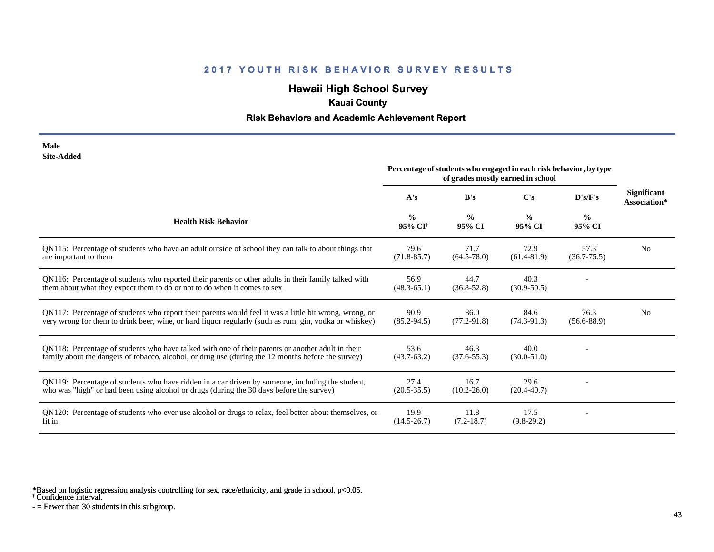# **Hawaii High School Survey**

## **Kauai County**

### **Risk Behaviors and Academic Achievement Report**

| Male              |
|-------------------|
| <b>Site-Added</b> |

|                                                                                                                                                                                                                  | Percentage of students who engaged in each risk behavior, by type<br>of grades mostly earned in school |                         |                         |                         |                                    |
|------------------------------------------------------------------------------------------------------------------------------------------------------------------------------------------------------------------|--------------------------------------------------------------------------------------------------------|-------------------------|-------------------------|-------------------------|------------------------------------|
|                                                                                                                                                                                                                  | A's                                                                                                    | B's                     | $\bf C's$               | $\bf{D's/F's}$          | <b>Significant</b><br>Association* |
| <b>Health Risk Behavior</b>                                                                                                                                                                                      | $\frac{0}{0}$<br>95% CI <sup>+</sup>                                                                   | $\frac{0}{0}$<br>95% CI | $\frac{0}{0}$<br>95% CI | $\frac{0}{0}$<br>95% CI |                                    |
| QN115: Percentage of students who have an adult outside of school they can talk to about things that<br>are important to them                                                                                    | 79.6<br>$(71.8 - 85.7)$                                                                                | 71.7<br>$(64.5 - 78.0)$ | 72.9<br>$(61.4 - 81.9)$ | 57.3<br>$(36.7 - 75.5)$ | N <sub>0</sub>                     |
| QN116: Percentage of students who reported their parents or other adults in their family talked with<br>them about what they expect them to do or not to do when it comes to sex                                 | 56.9<br>$(48.3 - 65.1)$                                                                                | 44.7<br>$(36.8 - 52.8)$ | 40.3<br>$(30.9 - 50.5)$ |                         |                                    |
| QN117: Percentage of students who report their parents would feel it was a little bit wrong, wrong, or<br>very wrong for them to drink beer, wine, or hard liquor regularly (such as rum, gin, vodka or whiskey) | 90.9<br>$(85.2 - 94.5)$                                                                                | 86.0<br>$(77.2 - 91.8)$ | 84.6<br>$(74.3-91.3)$   | 76.3<br>$(56.6 - 88.9)$ | N <sub>0</sub>                     |
| QN118: Percentage of students who have talked with one of their parents or another adult in their<br>family about the dangers of tobacco, alcohol, or drug use (during the 12 months before the survey)          | 53.6<br>$(43.7 - 63.2)$                                                                                | 46.3<br>$(37.6 - 55.3)$ | 40.0<br>$(30.0 - 51.0)$ |                         |                                    |
| QN119: Percentage of students who have ridden in a car driven by someone, including the student,<br>who was "high" or had been using alcohol or drugs (during the 30 days before the survey)                     | 27.4<br>$(20.5 - 35.5)$                                                                                | 16.7<br>$(10.2 - 26.0)$ | 29.6<br>$(20.4 - 40.7)$ |                         |                                    |
| QN120: Percentage of students who ever use alcohol or drugs to relax, feel better about themselves, or<br>fit in                                                                                                 | 19.9<br>$(14.5 - 26.7)$                                                                                | 11.8<br>$(7.2-18.7)$    | 17.5<br>$(9.8-29.2)$    |                         |                                    |

\*Based on logistic regression analysis controlling for sex, race/ethnicity, and grade in school, p<0.05.

† Confidence interval.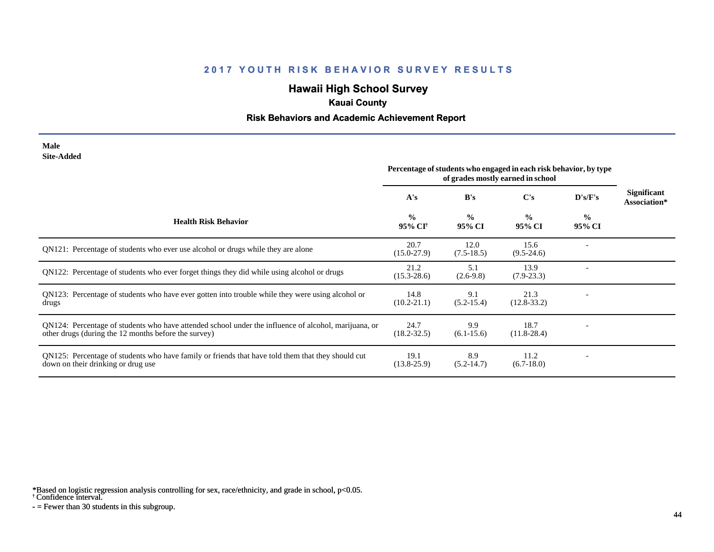# **Hawaii High School Survey**

## **Kauai County**

### **Risk Behaviors and Academic Achievement Report**

#### **Male Site-Added**

|                                                                                                                                                              | Percentage of students who engaged in each risk behavior, by type<br>of grades mostly earned in school |                         |                         |                         |                                    |
|--------------------------------------------------------------------------------------------------------------------------------------------------------------|--------------------------------------------------------------------------------------------------------|-------------------------|-------------------------|-------------------------|------------------------------------|
|                                                                                                                                                              | A's                                                                                                    | B's                     | $\bf C's$               | D's/F's                 | <b>Significant</b><br>Association* |
| <b>Health Risk Behavior</b>                                                                                                                                  | $\frac{0}{0}$<br>95% CI <sup>†</sup>                                                                   | $\frac{0}{0}$<br>95% CI | $\frac{0}{0}$<br>95% CI | $\frac{6}{9}$<br>95% CI |                                    |
| QN121: Percentage of students who ever use alcohol or drugs while they are alone                                                                             | 20.7<br>$(15.0 - 27.9)$                                                                                | 12.0<br>$(7.5-18.5)$    | 15.6<br>$(9.5-24.6)$    |                         |                                    |
| QN122: Percentage of students who ever forget things they did while using alcohol or drugs                                                                   | 21.2<br>$(15.3 - 28.6)$                                                                                | 5.1<br>$(2.6-9.8)$      | 13.9<br>$(7.9 - 23.3)$  |                         |                                    |
| QN123: Percentage of students who have ever gotten into trouble while they were using alcohol or<br>drugs                                                    | 14.8<br>$(10.2 - 21.1)$                                                                                | 9.1<br>$(5.2 - 15.4)$   | 21.3<br>$(12.8-33.2)$   |                         |                                    |
| QN124: Percentage of students who have attended school under the influence of alcohol, marijuana, or<br>other drugs (during the 12 months before the survey) | 24.7<br>$(18.2 - 32.5)$                                                                                | 9.9<br>$(6.1-15.6)$     | 18.7<br>$(11.8-28.4)$   |                         |                                    |
| QN125: Percentage of students who have family or friends that have told them that they should cut<br>down on their drinking or drug use                      | 19.1<br>$(13.8 - 25.9)$                                                                                | 8.9<br>$(5.2-14.7)$     | 11.2<br>$(6.7-18.0)$    |                         |                                    |

\*Based on logistic regression analysis controlling for sex, race/ethnicity, and grade in school, p<0.05.

† Confidence interval.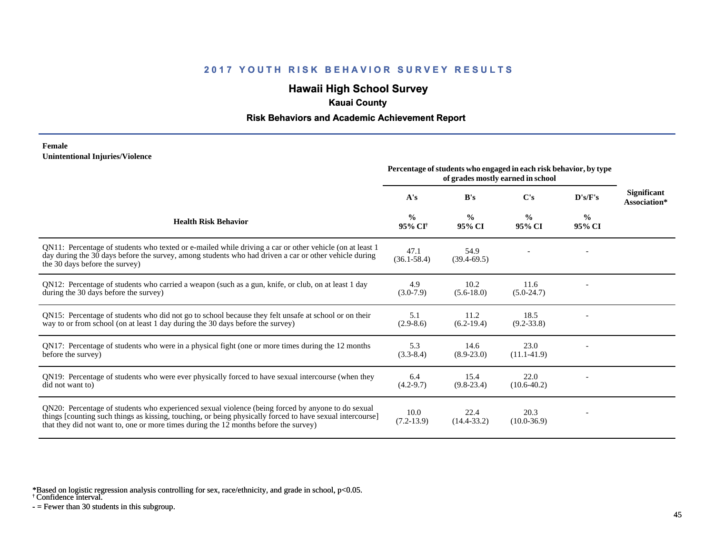# **Hawaii High School Survey**

## **Kauai County**

### **Risk Behaviors and Academic Achievement Report**

#### **Female Unintentional Injuries/Violence**

|                                                                                                                                                                                                                                                                                                        | Percentage of students who engaged in each risk behavior, by type<br>of grades mostly earned in school |                         |                         |                         |                                    |
|--------------------------------------------------------------------------------------------------------------------------------------------------------------------------------------------------------------------------------------------------------------------------------------------------------|--------------------------------------------------------------------------------------------------------|-------------------------|-------------------------|-------------------------|------------------------------------|
|                                                                                                                                                                                                                                                                                                        | A's                                                                                                    | B's                     | C's                     | D's/F's                 | <b>Significant</b><br>Association* |
| <b>Health Risk Behavior</b>                                                                                                                                                                                                                                                                            | $\frac{0}{0}$<br>95% CI <sup>†</sup>                                                                   | $\frac{0}{0}$<br>95% CI | $\frac{0}{0}$<br>95% CI | $\frac{0}{0}$<br>95% CI |                                    |
| QN11: Percentage of students who texted or e-mailed while driving a car or other vehicle (on at least 1<br>day during the 30 days before the survey, among students who had driven a car or other vehicle during<br>the 30 days before the survey)                                                     | 47.1<br>$(36.1 - 58.4)$                                                                                | 54.9<br>$(39.4 - 69.5)$ |                         |                         |                                    |
| QN12: Percentage of students who carried a weapon (such as a gun, knife, or club, on at least 1 day<br>during the 30 days before the survey)                                                                                                                                                           | 4.9<br>$(3.0-7.9)$                                                                                     | 10.2<br>$(5.6-18.0)$    | 11.6<br>$(5.0-24.7)$    |                         |                                    |
| QN15: Percentage of students who did not go to school because they felt unsafe at school or on their<br>way to or from school (on at least 1 day during the 30 days before the survey)                                                                                                                 | 5.1<br>$(2.9-8.6)$                                                                                     | 11.2<br>$(6.2-19.4)$    | 18.5<br>$(9.2 - 33.8)$  |                         |                                    |
| QN17: Percentage of students who were in a physical fight (one or more times during the 12 months<br>before the survey)                                                                                                                                                                                | 5.3<br>$(3.3-8.4)$                                                                                     | 14.6<br>$(8.9 - 23.0)$  | 23.0<br>$(11.1-41.9)$   |                         |                                    |
| QN19: Percentage of students who were ever physically forced to have sexual intercourse (when they<br>did not want to)                                                                                                                                                                                 | 6.4<br>$(4.2 - 9.7)$                                                                                   | 15.4<br>$(9.8-23.4)$    | 22.0<br>$(10.6 - 40.2)$ |                         |                                    |
| QN20: Percentage of students who experienced sexual violence (being forced by anyone to do sexual<br>things [counting such things as kissing, touching, or being physically forced to have sexual intercourse]<br>that they did not want to, one or more times during the 12 months before the survey) | 10.0<br>$(7.2 - 13.9)$                                                                                 | 22.4<br>$(14.4 - 33.2)$ | 20.3<br>$(10.0 - 36.9)$ |                         |                                    |

\*Based on logistic regression analysis controlling for sex, race/ethnicity, and grade in school, p<0.05.

† Confidence interval.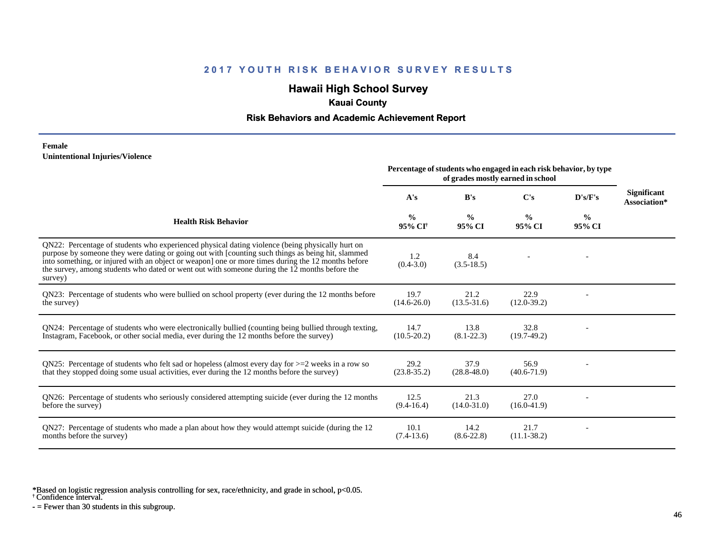## **Hawaii High School Survey**

## **Kauai County**

### **Risk Behaviors and Academic Achievement Report**

#### **Female Unintentional Injuries/Violence**

|                                                                                                                                                                                                                                                                                                                                                                                                                        | Percentage of students who engaged in each risk behavior, by type<br>of grades mostly earned in school |                         |                         |                         |                                    |
|------------------------------------------------------------------------------------------------------------------------------------------------------------------------------------------------------------------------------------------------------------------------------------------------------------------------------------------------------------------------------------------------------------------------|--------------------------------------------------------------------------------------------------------|-------------------------|-------------------------|-------------------------|------------------------------------|
|                                                                                                                                                                                                                                                                                                                                                                                                                        | A's                                                                                                    | B's                     | C's                     | $\bf{D's/F's}$          | <b>Significant</b><br>Association* |
| <b>Health Risk Behavior</b>                                                                                                                                                                                                                                                                                                                                                                                            | $\frac{0}{0}$<br>95% CI <sup>†</sup>                                                                   | $\frac{0}{0}$<br>95% CI | $\frac{0}{0}$<br>95% CI | $\frac{0}{0}$<br>95% CI |                                    |
| QN22: Percentage of students who experienced physical dating violence (being physically hurt on<br>purpose by someone they were dating or going out with [counting such things as being hit, slammed<br>into something, or injured with an object or weapon] one or more times during the 12 months before<br>the survey, among students who dated or went out with someone during the 12 months before the<br>survey) | 1.2<br>$(0.4 - 3.0)$                                                                                   | 8.4<br>$(3.5-18.5)$     |                         |                         |                                    |
| QN23: Percentage of students who were bullied on school property (ever during the 12 months before<br>the survey)                                                                                                                                                                                                                                                                                                      | 19.7<br>$(14.6 - 26.0)$                                                                                | 21.2<br>$(13.5 - 31.6)$ | 22.9<br>$(12.0-39.2)$   |                         |                                    |
| QN24: Percentage of students who were electronically bullied (counting being bullied through texting,<br>Instagram, Facebook, or other social media, ever during the 12 months before the survey)                                                                                                                                                                                                                      | 14.7<br>$(10.5 - 20.2)$                                                                                | 13.8<br>$(8.1 - 22.3)$  | 32.8<br>$(19.7-49.2)$   |                         |                                    |
| ON25: Percentage of students who felt sad or hopeless (almost every day for $>=$ 2 weeks in a row so<br>that they stopped doing some usual activities, ever during the 12 months before the survey)                                                                                                                                                                                                                    | 29.2<br>$(23.8 - 35.2)$                                                                                | 37.9<br>$(28.8 - 48.0)$ | 56.9<br>$(40.6 - 71.9)$ |                         |                                    |
| QN26: Percentage of students who seriously considered attempting suicide (ever during the 12 months<br>before the survey)                                                                                                                                                                                                                                                                                              | 12.5<br>$(9.4 - 16.4)$                                                                                 | 21.3<br>$(14.0 - 31.0)$ | 27.0<br>$(16.0-41.9)$   |                         |                                    |
| QN27: Percentage of students who made a plan about how they would attempt suicide (during the 12<br>months before the survey)                                                                                                                                                                                                                                                                                          | 10.1<br>$(7.4-13.6)$                                                                                   | 14.2<br>$(8.6-22.8)$    | 21.7<br>$(11.1 - 38.2)$ |                         |                                    |

\*Based on logistic regression analysis controlling for sex, race/ethnicity, and grade in school, p<0.05.

† Confidence interval.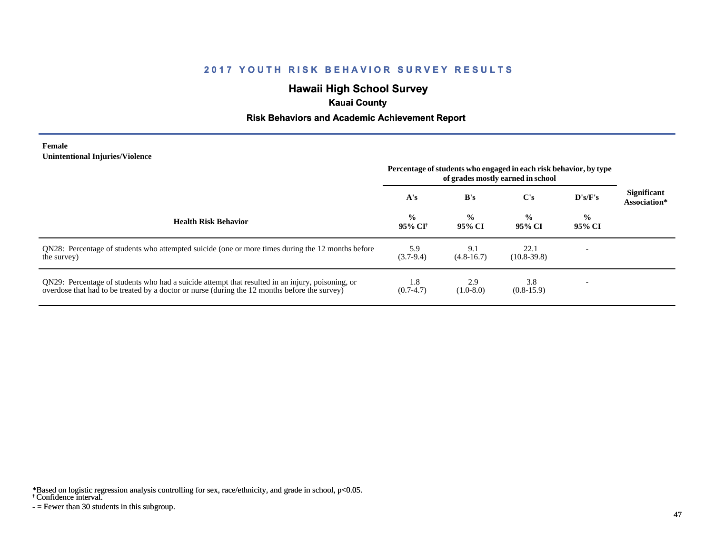# **Hawaii High School Survey**

## **Kauai County**

### **Risk Behaviors and Academic Achievement Report**

#### **Female Unintentional Injuries/Violence**

|                                                                                                                                                                                                   | Percentage of students who engaged in each risk behavior, by type<br>of grades mostly earned in school |                         |                         |                         |                                    |
|---------------------------------------------------------------------------------------------------------------------------------------------------------------------------------------------------|--------------------------------------------------------------------------------------------------------|-------------------------|-------------------------|-------------------------|------------------------------------|
|                                                                                                                                                                                                   | A's                                                                                                    | B's                     | C's                     | D's/F's                 | <b>Significant</b><br>Association* |
| <b>Health Risk Behavior</b>                                                                                                                                                                       | $\frac{0}{0}$<br>95% CI†                                                                               | $\frac{0}{0}$<br>95% CI | $\frac{0}{0}$<br>95% CI | $\frac{0}{0}$<br>95% CI |                                    |
| QN28: Percentage of students who attempted suicide (one or more times during the 12 months before<br>the survey)                                                                                  | 5.9<br>$(3.7-9.4)$                                                                                     | 9.1<br>$(4.8-16.7)$     | 22.1<br>$(10.8 - 39.8)$ |                         |                                    |
| QN29: Percentage of students who had a suicide attempt that resulted in an injury, poisoning, or<br>overdose that had to be treated by a doctor or nurse (during the 12 months before the survey) | 1.8<br>$(0.7-4.7)$                                                                                     | 2.9<br>$(1.0-8.0)$      | 3.8<br>$(0.8-15.9)$     |                         |                                    |

\*Based on logistic regression analysis controlling for sex, race/ethnicity, and grade in school, p<0.05.

† Confidence interval.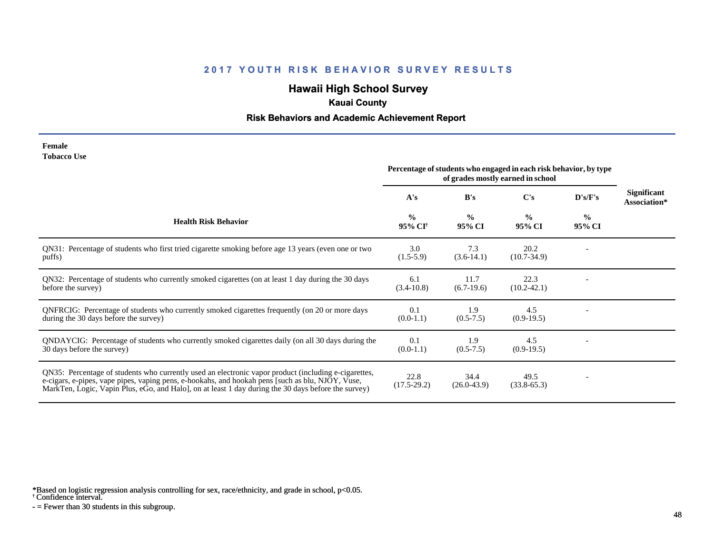# **Hawaii High School Survey**

## **Kauai County**

### **Risk Behaviors and Academic Achievement Report**

| Female             |  |
|--------------------|--|
| <b>Tobacco Use</b> |  |

|                                                                                                                                                                                                                                                                                                                 | Percentage of students who engaged in each risk behavior, by type<br>of grades mostly earned in school |                         |                         |                          |                                    |
|-----------------------------------------------------------------------------------------------------------------------------------------------------------------------------------------------------------------------------------------------------------------------------------------------------------------|--------------------------------------------------------------------------------------------------------|-------------------------|-------------------------|--------------------------|------------------------------------|
|                                                                                                                                                                                                                                                                                                                 | A's                                                                                                    | B's                     | $\bf C's$               | D's/F's                  | <b>Significant</b><br>Association* |
| <b>Health Risk Behavior</b>                                                                                                                                                                                                                                                                                     | $\frac{0}{0}$<br>95% CI <sup>†</sup>                                                                   | $\frac{0}{0}$<br>95% CI | $\frac{0}{0}$<br>95% CI | $\frac{6}{10}$<br>95% CI |                                    |
| QN31: Percentage of students who first tried cigarette smoking before age 13 years (even one or two<br>puffs)                                                                                                                                                                                                   | 3.0<br>$(1.5-5.9)$                                                                                     | 7.3<br>$(3.6-14.1)$     | 20.2<br>$(10.7 - 34.9)$ |                          |                                    |
| QN32: Percentage of students who currently smoked cigarettes (on at least 1 day during the 30 days<br>before the survey)                                                                                                                                                                                        | 6.1<br>$(3.4-10.8)$                                                                                    | 11.7<br>$(6.7-19.6)$    | 22.3<br>$(10.2 - 42.1)$ |                          |                                    |
| QNFRCIG: Percentage of students who currently smoked cigarettes frequently (on 20 or more days<br>during the 30 days before the survey)                                                                                                                                                                         | 0.1<br>$(0.0-1.1)$                                                                                     | 1.9<br>$(0.5 - 7.5)$    | 4.5<br>$(0.9-19.5)$     |                          |                                    |
| QNDAYCIG: Percentage of students who currently smoked cigarettes daily (on all 30 days during the<br>30 days before the survey)                                                                                                                                                                                 | 0.1<br>$(0.0-1.1)$                                                                                     | 1.9<br>$(0.5 - 7.5)$    | 4.5<br>$(0.9-19.5)$     |                          |                                    |
| QN35: Percentage of students who currently used an electronic vapor product (including e-cigarettes,<br>e-cigars, e-pipes, vape pipes, vaping pens, e-hookahs, and hookah pens [such as blu, NJOY, Vuse,<br>MarkTen, Logic, Vapin Plus, eGo, and Halo], on at least 1 day during the 30 days before the survey) | 22.8<br>$(17.5 - 29.2)$                                                                                | 34.4<br>$(26.0 - 43.9)$ | 49.5<br>$(33.8-65.3)$   | $\overline{a}$           |                                    |

\*Based on logistic regression analysis controlling for sex, race/ethnicity, and grade in school, p<0.05.

† Confidence interval.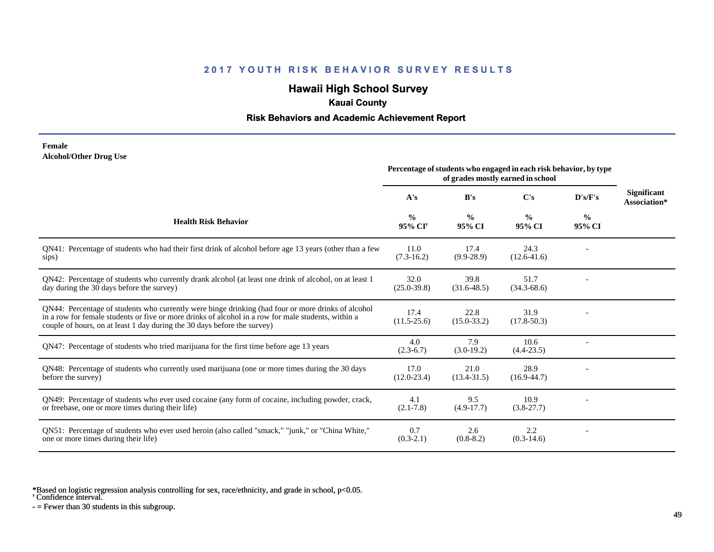## **Hawaii High School Survey**

## **Kauai County**

### **Risk Behaviors and Academic Achievement Report**

#### **Female Alcohol/Other Drug Use**

|                                                                                                                                                                                                                                                                                       | Percentage of students who engaged in each risk behavior, by type<br>of grades mostly earned in school |                         |                         |                         |                                    |
|---------------------------------------------------------------------------------------------------------------------------------------------------------------------------------------------------------------------------------------------------------------------------------------|--------------------------------------------------------------------------------------------------------|-------------------------|-------------------------|-------------------------|------------------------------------|
|                                                                                                                                                                                                                                                                                       | A's                                                                                                    | B's                     | C's                     | D's/F's                 | <b>Significant</b><br>Association* |
| <b>Health Risk Behavior</b>                                                                                                                                                                                                                                                           | $\frac{0}{0}$<br>95% CI <sup>†</sup>                                                                   | $\frac{0}{0}$<br>95% CI | $\frac{0}{0}$<br>95% CI | $\frac{6}{9}$<br>95% CI |                                    |
| QN41: Percentage of students who had their first drink of alcohol before age 13 years (other than a few<br>sips)                                                                                                                                                                      | 11.0<br>$(7.3-16.2)$                                                                                   | 17.4<br>$(9.9-28.9)$    | 24.3<br>$(12.6 - 41.6)$ |                         |                                    |
| QN42: Percentage of students who currently drank alcohol (at least one drink of alcohol, on at least 1<br>day during the 30 days before the survey)                                                                                                                                   | 32.0<br>$(25.0 - 39.8)$                                                                                | 39.8<br>$(31.6-48.5)$   | 51.7<br>$(34.3 - 68.6)$ |                         |                                    |
| QN44: Percentage of students who currently were binge drinking (had four or more drinks of alcohol<br>in a row for female students or five or more drinks of alcohol in a row for male students, within a<br>couple of hours, on at least 1 day during the 30 days before the survey) | 17.4<br>$(11.5 - 25.6)$                                                                                | 22.8<br>$(15.0 - 33.2)$ | 31.9<br>$(17.8 - 50.3)$ |                         |                                    |
| QN47: Percentage of students who tried marijuana for the first time before age 13 years                                                                                                                                                                                               | 4.0<br>$(2.3-6.7)$                                                                                     | 7.9<br>$(3.0-19.2)$     | 10.6<br>$(4.4-23.5)$    |                         |                                    |
| QN48: Percentage of students who currently used marijuana (one or more times during the 30 days<br>before the survey)                                                                                                                                                                 | 17.0<br>$(12.0 - 23.4)$                                                                                | 21.0<br>$(13.4 - 31.5)$ | 28.9<br>$(16.9 - 44.7)$ |                         |                                    |
| QN49: Percentage of students who ever used cocaine (any form of cocaine, including powder, crack,<br>or freebase, one or more times during their life)                                                                                                                                | 4.1<br>$(2.1 - 7.8)$                                                                                   | 9.5<br>$(4.9-17.7)$     | 10.9<br>$(3.8-27.7)$    |                         |                                    |
| QN51: Percentage of students who ever used heroin (also called "smack," "junk," or "China White,"<br>one or more times during their life)                                                                                                                                             | 0.7<br>$(0.3-2.1)$                                                                                     | 2.6<br>$(0.8-8.2)$      | 2.2<br>$(0.3-14.6)$     |                         |                                    |

\*Based on logistic regression analysis controlling for sex, race/ethnicity, and grade in school, p<0.05.

† Confidence interval.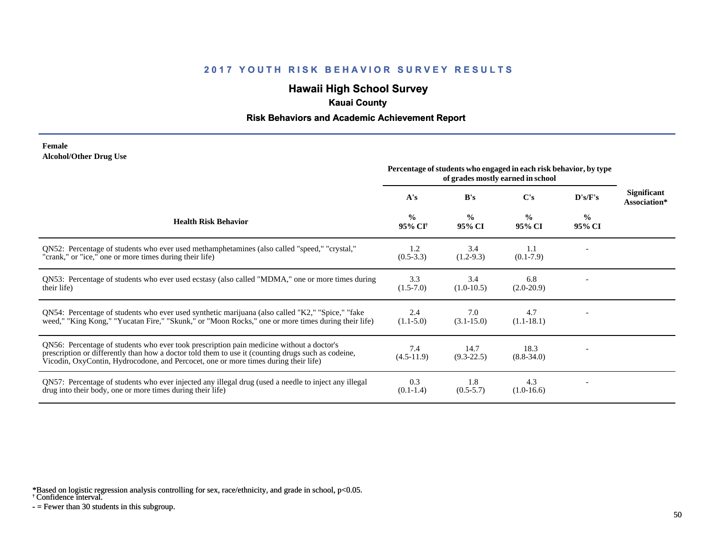# **Hawaii High School Survey**

## **Kauai County**

### **Risk Behaviors and Academic Achievement Report**

#### **Female Alcohol/Other Drug Use**

|                                                                                                                                                                                                                                                                                       | Percentage of students who engaged in each risk behavior, by type<br>of grades mostly earned in school |                         |                         |                         |                                    |
|---------------------------------------------------------------------------------------------------------------------------------------------------------------------------------------------------------------------------------------------------------------------------------------|--------------------------------------------------------------------------------------------------------|-------------------------|-------------------------|-------------------------|------------------------------------|
|                                                                                                                                                                                                                                                                                       | A's                                                                                                    | B's                     | $\bf C's$               | D's/F's                 | <b>Significant</b><br>Association* |
| <b>Health Risk Behavior</b>                                                                                                                                                                                                                                                           | $\frac{0}{0}$<br>95% CI <sup>†</sup>                                                                   | $\frac{0}{0}$<br>95% CI | $\frac{0}{0}$<br>95% CI | $\frac{0}{0}$<br>95% CI |                                    |
| ON52: Percentage of students who ever used methamphetamines (also called "speed," "crystal,"<br>"crank," or "ice," one or more times during their life)                                                                                                                               | 1.2<br>$(0.5-3.3)$                                                                                     | 3.4<br>$(1.2-9.3)$      | 1.1<br>$(0.1-7.9)$      |                         |                                    |
| QN53: Percentage of students who ever used ecstasy (also called "MDMA," one or more times during<br>their life)                                                                                                                                                                       | 3.3<br>$(1.5-7.0)$                                                                                     | 3.4<br>$(1.0-10.5)$     | 6.8<br>$(2.0-20.9)$     |                         |                                    |
| QN54: Percentage of students who ever used synthetic marijuana (also called "K2," "Spice," "fake<br>weed," "King Kong," "Yucatan Fire," "Skunk," or "Moon Rocks," one or more times during their life)                                                                                | 2.4<br>$(1.1-5.0)$                                                                                     | 7.0<br>$(3.1 - 15.0)$   | 4.7<br>$(1.1 - 18.1)$   |                         |                                    |
| QN56: Percentage of students who ever took prescription pain medicine without a doctor's<br>prescription or differently than how a doctor told them to use it (counting drugs such as codeine,<br>Vicodin, OxyContin, Hydrocodone, and Percocet, one or more times during their life) | 7.4<br>$(4.5-11.9)$                                                                                    | 14.7<br>$(9.3-22.5)$    | 18.3<br>$(8.8 - 34.0)$  |                         |                                    |
| QN57: Percentage of students who ever injected any illegal drug (used a needle to inject any illegal<br>drug into their body, one or more times during their life)                                                                                                                    | 0.3<br>$(0.1-1.4)$                                                                                     | 1.8<br>$(0.5-5.7)$      | 4.3<br>$(1.0-16.6)$     |                         |                                    |

\*Based on logistic regression analysis controlling for sex, race/ethnicity, and grade in school, p<0.05.

† Confidence interval.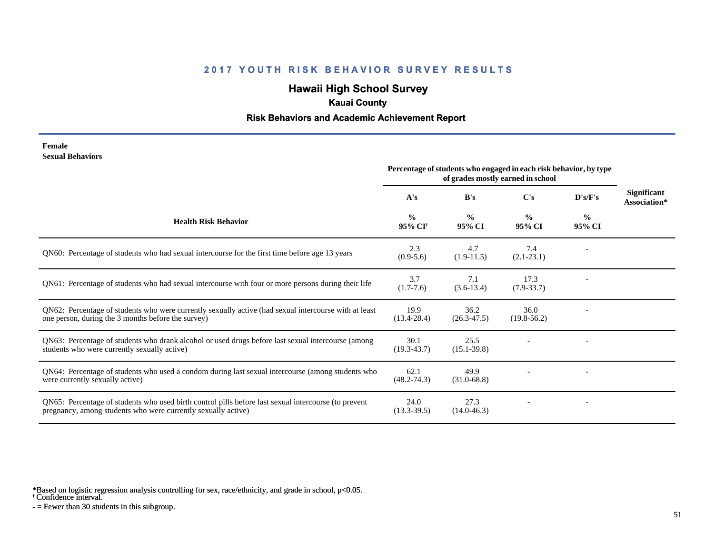# **Hawaii High School Survey**

## **Kauai County**

### **Risk Behaviors and Academic Achievement Report**

#### **Female Sexual Behaviors**

|                                                                                                                                                                       | Percentage of students who engaged in each risk behavior, by type<br>of grades mostly earned in school |                         |                         |                         |                                    |
|-----------------------------------------------------------------------------------------------------------------------------------------------------------------------|--------------------------------------------------------------------------------------------------------|-------------------------|-------------------------|-------------------------|------------------------------------|
|                                                                                                                                                                       | A's                                                                                                    | B's                     | C's                     | D's/F's                 | <b>Significant</b><br>Association* |
| <b>Health Risk Behavior</b>                                                                                                                                           | $\%$<br>95% CI†                                                                                        | $\frac{0}{0}$<br>95% CI | $\frac{0}{0}$<br>95% CI | $\frac{0}{0}$<br>95% CI |                                    |
| QN60: Percentage of students who had sexual intercourse for the first time before age 13 years                                                                        | 2.3<br>$(0.9-5.6)$                                                                                     | 4.7<br>$(1.9-11.5)$     | 7.4<br>$(2.1 - 23.1)$   |                         |                                    |
| QN61: Percentage of students who had sexual intercourse with four or more persons during their life                                                                   | 3.7<br>$(1.7-7.6)$                                                                                     | 7.1<br>$(3.6-13.4)$     | 17.3<br>$(7.9 - 33.7)$  |                         |                                    |
| QN62: Percentage of students who were currently sexually active (had sexual intercourse with at least<br>one person, during the 3 months before the survey)           | 19.9<br>$(13.4 - 28.4)$                                                                                | 36.2<br>$(26.3 - 47.5)$ | 36.0<br>$(19.8-56.2)$   |                         |                                    |
| QN63: Percentage of students who drank alcohol or used drugs before last sexual intercourse (among<br>students who were currently sexually active)                    | 30.1<br>$(19.3 - 43.7)$                                                                                | 25.5<br>$(15.1 - 39.8)$ |                         |                         |                                    |
| QN64: Percentage of students who used a condom during last sexual intercourse (among students who<br>were currently sexually active)                                  | 62.1<br>$(48.2 - 74.3)$                                                                                | 49.9<br>$(31.0 - 68.8)$ |                         |                         |                                    |
| QN65: Percentage of students who used birth control pills before last sexual intercourse (to prevent<br>pregnancy, among students who were currently sexually active) | 24.0<br>$(13.3 - 39.5)$                                                                                | 27.3<br>$(14.0 - 46.3)$ |                         |                         |                                    |

\*Based on logistic regression analysis controlling for sex, race/ethnicity, and grade in school, p<0.05.

† Confidence interval.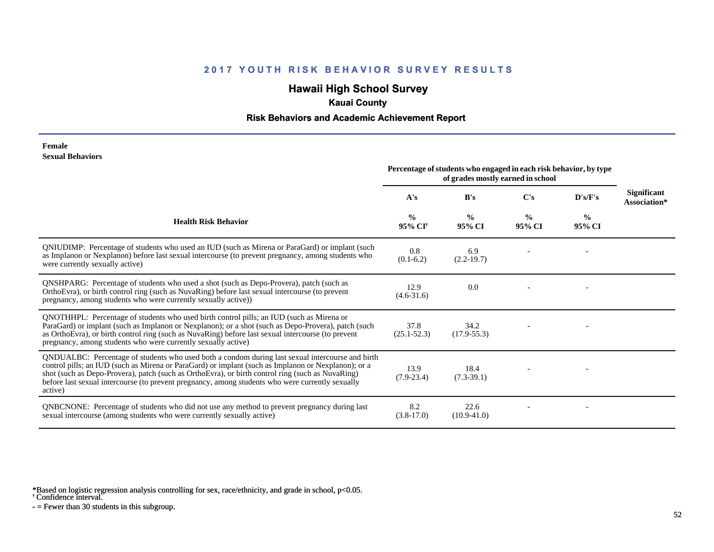# **Hawaii High School Survey**

## **Kauai County**

### **Risk Behaviors and Academic Achievement Report**

#### **Female Sexual Behaviors**

|                                                                                                                                                                                                                                                                                                                                                                                                                            | Percentage of students who engaged in each risk behavior, by type<br>of grades mostly earned in school |                         |                         |                         |                                    |
|----------------------------------------------------------------------------------------------------------------------------------------------------------------------------------------------------------------------------------------------------------------------------------------------------------------------------------------------------------------------------------------------------------------------------|--------------------------------------------------------------------------------------------------------|-------------------------|-------------------------|-------------------------|------------------------------------|
|                                                                                                                                                                                                                                                                                                                                                                                                                            | A's                                                                                                    | B's                     | C's                     | D's/F's                 | <b>Significant</b><br>Association* |
| <b>Health Risk Behavior</b>                                                                                                                                                                                                                                                                                                                                                                                                | $\frac{0}{0}$<br>95% CI <sup>+</sup>                                                                   | $\frac{0}{0}$<br>95% CI | $\frac{0}{0}$<br>95% CI | $\frac{6}{6}$<br>95% CI |                                    |
| QNIUDIMP: Percentage of students who used an IUD (such as Mirena or ParaGard) or implant (such<br>as Implanon or Nexplanon) before last sexual intercourse (to prevent pregnancy, among students who<br>were currently sexually active)                                                                                                                                                                                    | 0.8<br>$(0.1-6.2)$                                                                                     | 6.9<br>$(2.2-19.7)$     |                         |                         |                                    |
| <b>QNSHPARG:</b> Percentage of students who used a shot (such as Depo-Provera), patch (such as<br>OrthoEvra), or birth control ring (such as NuvaRing) before last sexual intercourse (to prevent<br>pregnancy, among students who were currently sexually active))                                                                                                                                                        | 12.9<br>$(4.6 - 31.6)$                                                                                 | 0.0                     |                         |                         |                                    |
| QNOTHHPL: Percentage of students who used birth control pills; an IUD (such as Mirena or<br>ParaGard) or implant (such as Implanon or Nexplanon); or a shot (such as Depo-Provera), patch (such<br>as OrthoEvra), or birth control ring (such as NuvaRing) before last sexual intercourse (to prevent<br>pregnancy, among students who were currently sexually active)                                                     | 37.8<br>$(25.1 - 52.3)$                                                                                | 34.2<br>$(17.9 - 55.3)$ |                         |                         |                                    |
| QNDUALBC: Percentage of students who used both a condom during last sexual intercourse and birth<br>control pills; an IUD (such as Mirena or ParaGard) or implant (such as Implanon or Nexplanon); or a<br>shot (such as Depo-Provera), patch (such as OrthoEvra), or birth control ring (such as NuvaRing)<br>before last sexual intercourse (to prevent pregnancy, among students who were currently sexually<br>active) | 13.9<br>$(7.9-23.4)$                                                                                   | 18.4<br>$(7.3-39.1)$    |                         |                         |                                    |
| <b>QNBCNONE:</b> Percentage of students who did not use any method to prevent pregnancy during last<br>sexual intercourse (among students who were currently sexually active)                                                                                                                                                                                                                                              | 8.2<br>$(3.8-17.0)$                                                                                    | 22.6<br>$(10.9 - 41.0)$ |                         |                         |                                    |

\*Based on logistic regression analysis controlling for sex, race/ethnicity, and grade in school, p<0.05.

† Confidence interval.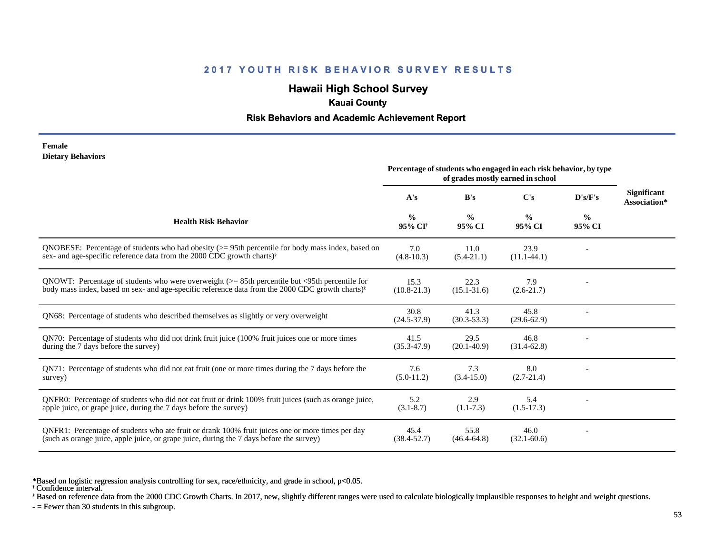## **Hawaii High School Survey**

### **Kauai County**

#### **Risk Behaviors and Academic Achievement Report**

#### **Female Dietary Behaviors**

|                                                                                                                                                                                                                   | Percentage of students who engaged in each risk behavior, by type<br>of grades mostly earned in school |                         |                         |                         |                                    |
|-------------------------------------------------------------------------------------------------------------------------------------------------------------------------------------------------------------------|--------------------------------------------------------------------------------------------------------|-------------------------|-------------------------|-------------------------|------------------------------------|
|                                                                                                                                                                                                                   | A's                                                                                                    | B's                     | $\bf C's$               | D's/F's                 | <b>Significant</b><br>Association* |
| <b>Health Risk Behavior</b>                                                                                                                                                                                       | $\frac{0}{0}$<br>95% CI†                                                                               | $\frac{0}{0}$<br>95% CI | $\frac{0}{0}$<br>95% CI | $\frac{0}{0}$<br>95% CI |                                    |
| QNOBESE: Percentage of students who had obesity $(>= 95$ th percentile for body mass index, based on<br>sex- and age-specific reference data from the 2000 CDC growth charts) <sup>§</sup>                        | 7.0<br>$(4.8-10.3)$                                                                                    | 11.0<br>$(5.4-21.1)$    | 23.9<br>$(11.1-44.1)$   |                         |                                    |
| QNOWT: Percentage of students who were overweight $(>= 85$ th percentile but <95th percentile for<br>body mass index, based on sex- and age-specific reference data from the 2000 CDC growth charts) <sup>§</sup> | 15.3<br>$(10.8 - 21.3)$                                                                                | 22.3<br>$(15.1 - 31.6)$ | 7.9<br>$(2.6-21.7)$     |                         |                                    |
| QN68: Percentage of students who described themselves as slightly or very overweight                                                                                                                              | 30.8<br>$(24.5 - 37.9)$                                                                                | 41.3<br>$(30.3 - 53.3)$ | 45.8<br>$(29.6 - 62.9)$ |                         |                                    |
| QN70: Percentage of students who did not drink fruit juice (100% fruit juices one or more times<br>during the 7 days before the survey)                                                                           | 41.5<br>$(35.3 - 47.9)$                                                                                | 29.5<br>$(20.1 - 40.9)$ | 46.8<br>$(31.4-62.8)$   |                         |                                    |
| QN71: Percentage of students who did not eat fruit (one or more times during the 7 days before the<br>survey)                                                                                                     | 7.6<br>$(5.0-11.2)$                                                                                    | 7.3<br>$(3.4 - 15.0)$   | 8.0<br>$(2.7-21.4)$     |                         |                                    |
| ONFR0: Percentage of students who did not eat fruit or drink 100% fruit juices (such as orange juice,<br>apple juice, or grape juice, during the 7 days before the survey)                                        | 5.2<br>$(3.1 - 8.7)$                                                                                   | 2.9<br>$(1.1-7.3)$      | 5.4<br>$(1.5-17.3)$     |                         |                                    |
| QNFR1: Percentage of students who ate fruit or drank 100% fruit juices one or more times per day<br>(such as orange juice, apple juice, or grape juice, during the 7 days before the survey)                      | 45.4<br>$(38.4 - 52.7)$                                                                                | 55.8<br>$(46.4 - 64.8)$ | 46.0<br>$(32.1 - 60.6)$ |                         |                                    |

\*Based on logistic regression analysis controlling for sex, race/ethnicity, and grade in school, p<0.05.

§ Based on reference data from the 2000 CDC Growth Charts. In 2017, new, slightly different ranges were used to calculate biologically implausible responses to height and weight questions.

<sup>†</sup> Confidence interval.

 $-$  = Fewer than 30 students in this subgroup.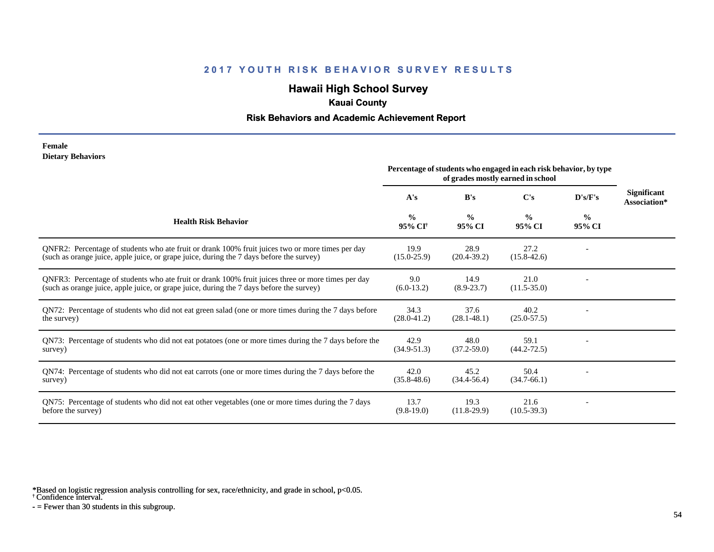## **Hawaii High School Survey**

## **Kauai County**

### **Risk Behaviors and Academic Achievement Report**

#### **Female Dietary Behaviors**

|                                                                                                                                                                                                | Percentage of students who engaged in each risk behavior, by type<br>of grades mostly earned in school |                         |                         |                |                                    |
|------------------------------------------------------------------------------------------------------------------------------------------------------------------------------------------------|--------------------------------------------------------------------------------------------------------|-------------------------|-------------------------|----------------|------------------------------------|
|                                                                                                                                                                                                | A's                                                                                                    | B's                     | C's                     | D's/F's        | <b>Significant</b><br>Association* |
| <b>Health Risk Behavior</b>                                                                                                                                                                    | $\frac{0}{0}$<br>95% CI <sup>+</sup>                                                                   | $\frac{0}{0}$<br>95% CI | $\frac{0}{0}$<br>95% CI | $\%$<br>95% CI |                                    |
| ONFR2: Percentage of students who ate fruit or drank 100% fruit juices two or more times per day<br>(such as orange juice, apple juice, or grape juice, during the 7 days before the survey)   | 19.9<br>$(15.0 - 25.9)$                                                                                | 28.9<br>$(20.4 - 39.2)$ | 27.2<br>$(15.8 - 42.6)$ |                |                                    |
| QNFR3: Percentage of students who ate fruit or drank 100% fruit juices three or more times per day<br>(such as orange juice, apple juice, or grape juice, during the 7 days before the survey) | 9.0<br>$(6.0-13.2)$                                                                                    | 14.9<br>$(8.9 - 23.7)$  | 21.0<br>$(11.5 - 35.0)$ |                |                                    |
| QN72: Percentage of students who did not eat green salad (one or more times during the 7 days before<br>the survey)                                                                            | 34.3<br>$(28.0 - 41.2)$                                                                                | 37.6<br>$(28.1 - 48.1)$ | 40.2<br>$(25.0 - 57.5)$ |                |                                    |
| QN73: Percentage of students who did not eat potatoes (one or more times during the 7 days before the<br>survey)                                                                               | 42.9<br>$(34.9 - 51.3)$                                                                                | 48.0<br>$(37.2 - 59.0)$ | 59.1<br>$(44.2 - 72.5)$ |                |                                    |
| QN74: Percentage of students who did not eat carrots (one or more times during the 7 days before the<br>survey)                                                                                | 42.0<br>$(35.8 - 48.6)$                                                                                | 45.2<br>$(34.4 - 56.4)$ | 50.4<br>$(34.7-66.1)$   |                |                                    |
| QN75: Percentage of students who did not eat other vegetables (one or more times during the 7 days<br>before the survey)                                                                       | 13.7<br>$(9.8-19.0)$                                                                                   | 19.3<br>$(11.8-29.9)$   | 21.6<br>$(10.5-39.3)$   |                |                                    |

\*Based on logistic regression analysis controlling for sex, race/ethnicity, and grade in school, p<0.05.

† Confidence interval.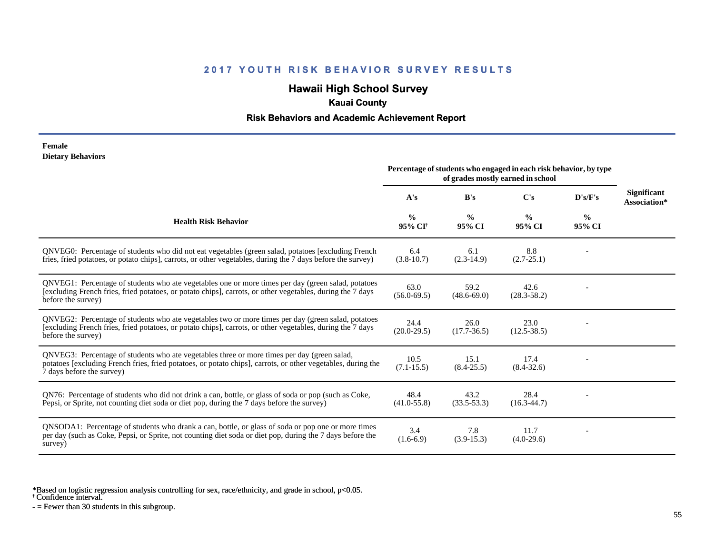## **Hawaii High School Survey**

## **Kauai County**

### **Risk Behaviors and Academic Achievement Report**

#### **Female Dietary Behaviors**

|                                                                                                                                                                                                                                          | Percentage of students who engaged in each risk behavior, by type<br>of grades mostly earned in school |                         |                         |                         |                                    |
|------------------------------------------------------------------------------------------------------------------------------------------------------------------------------------------------------------------------------------------|--------------------------------------------------------------------------------------------------------|-------------------------|-------------------------|-------------------------|------------------------------------|
|                                                                                                                                                                                                                                          | A's                                                                                                    | B's                     | C's                     | D's/F's                 | <b>Significant</b><br>Association* |
| <b>Health Risk Behavior</b>                                                                                                                                                                                                              | $\%$<br>95% CI <sup>+</sup>                                                                            | $\frac{0}{0}$<br>95% CI | $\frac{0}{0}$<br>95% CI | $\frac{0}{0}$<br>95% CI |                                    |
| QNVEG0: Percentage of students who did not eat vegetables (green salad, potatoes [excluding French<br>fries, fried potatoes, or potato chips], carrots, or other vegetables, during the 7 days before the survey)                        | 6.4<br>$(3.8-10.7)$                                                                                    | 6.1<br>$(2.3-14.9)$     | 8.8<br>$(2.7 - 25.1)$   |                         |                                    |
| QNVEG1: Percentage of students who ate vegetables one or more times per day (green salad, potatoes<br>[excluding French fries, fried potatoes, or potato chips], carrots, or other vegetables, during the 7 days<br>before the survey)   | 63.0<br>$(56.0 - 69.5)$                                                                                | 59.2<br>$(48.6 - 69.0)$ | 42.6<br>$(28.3 - 58.2)$ |                         |                                    |
| QNVEG2: Percentage of students who ate vegetables two or more times per day (green salad, potatoes<br>[excluding French fries, fried potatoes, or potato chips], carrots, or other vegetables, during the 7 days<br>before the survey)   | 24.4<br>$(20.0-29.5)$                                                                                  | 26.0<br>$(17.7 - 36.5)$ | 23.0<br>$(12.5 - 38.5)$ |                         |                                    |
| QNVEG3: Percentage of students who ate vegetables three or more times per day (green salad,<br>potatoes [excluding French fries, fried potatoes, or potato chips], carrots, or other vegetables, during the<br>7 days before the survey) | 10.5<br>$(7.1 - 15.5)$                                                                                 | 15.1<br>$(8.4 - 25.5)$  | 17.4<br>$(8.4 - 32.6)$  |                         |                                    |
| QN76: Percentage of students who did not drink a can, bottle, or glass of soda or pop (such as Coke,<br>Pepsi, or Sprite, not counting diet soda or diet pop, during the 7 days before the survey)                                       | 48.4<br>$(41.0 - 55.8)$                                                                                | 43.2<br>$(33.5 - 53.3)$ | 28.4<br>$(16.3 - 44.7)$ |                         |                                    |
| QNSODA1: Percentage of students who drank a can, bottle, or glass of soda or pop one or more times<br>per day (such as Coke, Pepsi, or Sprite, not counting diet soda or diet pop, during the 7 days before the<br>survey)               | 3.4<br>$(1.6-6.9)$                                                                                     | 7.8<br>$(3.9-15.3)$     | 11.7<br>$(4.0-29.6)$    |                         |                                    |

\*Based on logistic regression analysis controlling for sex, race/ethnicity, and grade in school, p<0.05.

† Confidence interval.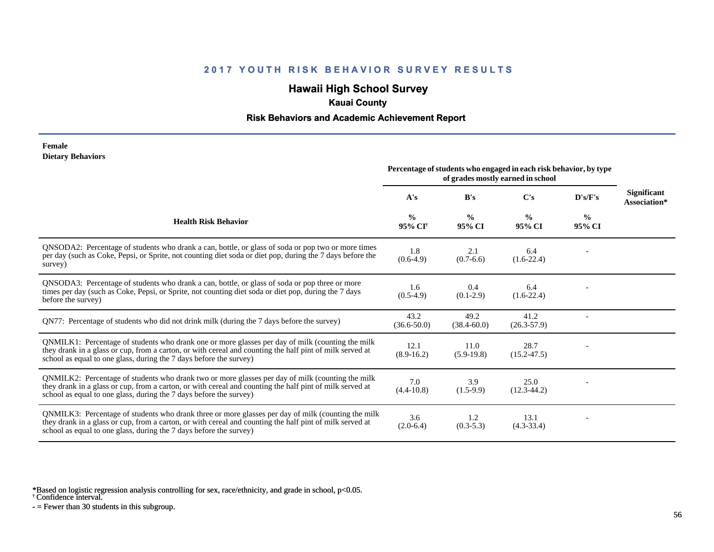## **Hawaii High School Survey**

## **Kauai County**

### **Risk Behaviors and Academic Achievement Report**

#### **Female Dietary Behaviors**

|                                                                                                                                                                                                                                                                                      | Percentage of students who engaged in each risk behavior, by type<br>of grades mostly earned in school |                         |                         |                         |                                    |
|--------------------------------------------------------------------------------------------------------------------------------------------------------------------------------------------------------------------------------------------------------------------------------------|--------------------------------------------------------------------------------------------------------|-------------------------|-------------------------|-------------------------|------------------------------------|
|                                                                                                                                                                                                                                                                                      | A's                                                                                                    | B's                     | C's                     | D's/F's                 | <b>Significant</b><br>Association* |
| <b>Health Risk Behavior</b>                                                                                                                                                                                                                                                          | $\frac{0}{0}$<br>95% CI <sup>+</sup>                                                                   | $\frac{0}{0}$<br>95% CI | $\frac{0}{0}$<br>95% CI | $\frac{0}{0}$<br>95% CI |                                    |
| QNSODA2: Percentage of students who drank a can, bottle, or glass of soda or pop two or more times<br>per day (such as Coke, Pepsi, or Sprite, not counting diet soda or diet pop, during the 7 days before the<br>survey)                                                           | 1.8<br>$(0.6-4.9)$                                                                                     | 2.1<br>$(0.7-6.6)$      | 6.4<br>$(1.6-22.4)$     |                         |                                    |
| QNSODA3: Percentage of students who drank a can, bottle, or glass of soda or pop three or more<br>times per day (such as Coke, Pepsi, or Sprite, not counting diet soda or diet pop, during the 7 days<br>before the survey)                                                         | 1.6<br>$(0.5-4.9)$                                                                                     | 0.4<br>$(0.1-2.9)$      | 6.4<br>$(1.6-22.4)$     |                         |                                    |
| QN77: Percentage of students who did not drink milk (during the 7 days before the survey)                                                                                                                                                                                            | 43.2<br>$(36.6 - 50.0)$                                                                                | 49.2<br>$(38.4 - 60.0)$ | 41.2<br>$(26.3 - 57.9)$ |                         |                                    |
| QNMILK1: Percentage of students who drank one or more glasses per day of milk (counting the milk<br>they drank in a glass or cup, from a carton, or with cereal and counting the half pint of milk served at<br>school as equal to one glass, during the 7 days before the survey)   | 12.1<br>$(8.9-16.2)$                                                                                   | 11.0<br>$(5.9-19.8)$    | 28.7<br>$(15.2 - 47.5)$ |                         |                                    |
| QNMILK2: Percentage of students who drank two or more glasses per day of milk (counting the milk<br>they drank in a glass or cup, from a carton, or with cereal and counting the half pint of milk served at<br>school as equal to one glass, during the 7 days before the survey)   | 7.0<br>$(4.4 - 10.8)$                                                                                  | 3.9<br>$(1.5-9.9)$      | 25.0<br>$(12.3 - 44.2)$ |                         |                                    |
| QNMILK3: Percentage of students who drank three or more glasses per day of milk (counting the milk<br>they drank in a glass or cup, from a carton, or with cereal and counting the half pint of milk served at<br>school as equal to one glass, during the 7 days before the survey) | 3.6<br>$(2.0-6.4)$                                                                                     | 1.2<br>$(0.3 - 5.3)$    | 13.1<br>$(4.3 - 33.4)$  |                         |                                    |

\*Based on logistic regression analysis controlling for sex, race/ethnicity, and grade in school, p<0.05.

† Confidence interval.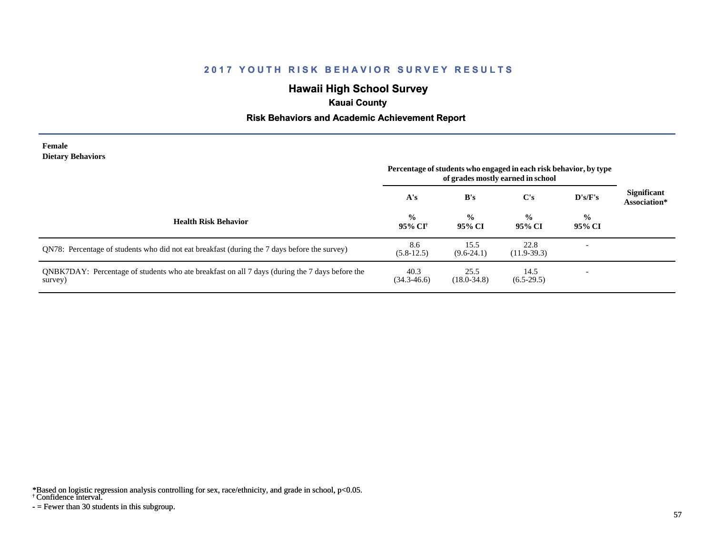## **Hawaii High School Survey**

## **Kauai County**

### **Risk Behaviors and Academic Achievement Report**

#### **Female Dietary Behaviors**

|                                                                                                           | Percentage of students who engaged in each risk behavior, by type<br>of grades mostly earned in school |                         |                         |                          |                                    |
|-----------------------------------------------------------------------------------------------------------|--------------------------------------------------------------------------------------------------------|-------------------------|-------------------------|--------------------------|------------------------------------|
|                                                                                                           | A's                                                                                                    | B's                     | C's                     | D's/F's                  | <b>Significant</b><br>Association* |
| <b>Health Risk Behavior</b>                                                                               | $\frac{0}{0}$<br>95% CI†                                                                               | $\frac{0}{0}$<br>95% CI | $\frac{0}{0}$<br>95% CI | $\frac{0}{0}$<br>95% CI  |                                    |
| QN78: Percentage of students who did not eat breakfast (during the 7 days before the survey)              | 8.6<br>$(5.8-12.5)$                                                                                    | 15.5<br>$(9.6-24.1)$    | 22.8<br>$(11.9-39.3)$   | $\overline{\phantom{a}}$ |                                    |
| QNBK7DAY: Percentage of students who ate breakfast on all 7 days (during the 7 days before the<br>survey) | 40.3<br>$(34.3 - 46.6)$                                                                                | 25.5<br>$(18.0 - 34.8)$ | 14.5<br>$(6.5-29.5)$    |                          |                                    |

\*Based on logistic regression analysis controlling for sex, race/ethnicity, and grade in school, p<0.05.

#### † Confidence interval.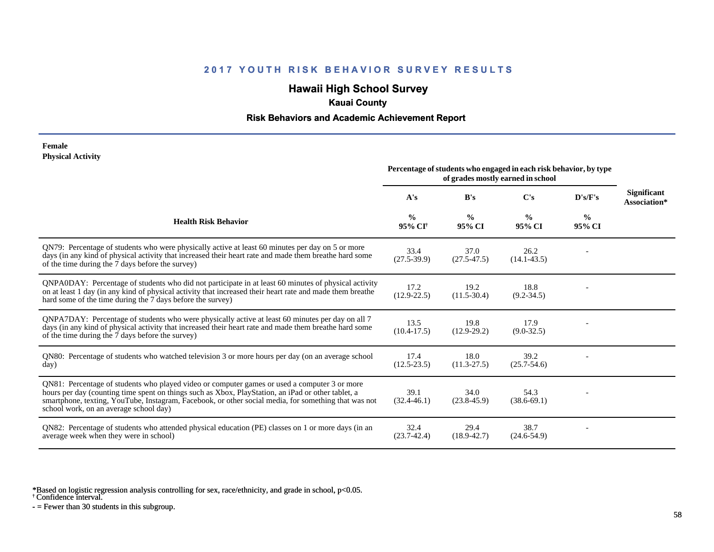## **Hawaii High School Survey**

## **Kauai County**

### **Risk Behaviors and Academic Achievement Report**

#### **Female Physical Activity**

|                                                                                                                                                                                                                                                                                                                                                      | Percentage of students who engaged in each risk behavior, by type<br>of grades mostly earned in school |                         |                         |                         |                                    |
|------------------------------------------------------------------------------------------------------------------------------------------------------------------------------------------------------------------------------------------------------------------------------------------------------------------------------------------------------|--------------------------------------------------------------------------------------------------------|-------------------------|-------------------------|-------------------------|------------------------------------|
|                                                                                                                                                                                                                                                                                                                                                      | A's                                                                                                    | B's                     | $\bf C's$               | D's/F's                 | <b>Significant</b><br>Association* |
| <b>Health Risk Behavior</b>                                                                                                                                                                                                                                                                                                                          | $\frac{0}{0}$<br>95% CI†                                                                               | $\frac{0}{0}$<br>95% CI | $\frac{0}{0}$<br>95% CI | $\frac{0}{0}$<br>95% CI |                                    |
| QN79: Percentage of students who were physically active at least 60 minutes per day on 5 or more<br>days (in any kind of physical activity that increased their heart rate and made them breathe hard some<br>of the time during the 7 days before the survey)                                                                                       | 33.4<br>$(27.5 - 39.9)$                                                                                | 37.0<br>$(27.5 - 47.5)$ | 26.2<br>$(14.1 - 43.5)$ |                         |                                    |
| QNPA0DAY: Percentage of students who did not participate in at least 60 minutes of physical activity<br>on at least 1 day (in any kind of physical activity that increased their heart rate and made them breathe<br>hard some of the time during the 7 days before the survey)                                                                      | 17.2<br>$(12.9 - 22.5)$                                                                                | 19.2<br>$(11.5 - 30.4)$ | 18.8<br>$(9.2 - 34.5)$  |                         |                                    |
| ONPA7DAY: Percentage of students who were physically active at least 60 minutes per day on all 7<br>days (in any kind of physical activity that increased their heart rate and made them breathe hard some<br>of the time during the 7 days before the survey)                                                                                       | 13.5<br>$(10.4 - 17.5)$                                                                                | 19.8<br>$(12.9-29.2)$   | 17.9<br>$(9.0-32.5)$    |                         |                                    |
| QN80: Percentage of students who watched television 3 or more hours per day (on an average school<br>day)                                                                                                                                                                                                                                            | 17.4<br>$(12.5 - 23.5)$                                                                                | 18.0<br>$(11.3 - 27.5)$ | 39.2<br>$(25.7 - 54.6)$ |                         |                                    |
| QN81: Percentage of students who played video or computer games or used a computer 3 or more<br>hours per day (counting time spent on things such as Xbox, PlayStation, an iPad or other tablet, a<br>smartphone, texting, YouTube, Instagram, Facebook, or other social media, for something that was not<br>school work, on an average school day) | 39.1<br>$(32.4 - 46.1)$                                                                                | 34.0<br>$(23.8 - 45.9)$ | 54.3<br>$(38.6-69.1)$   |                         |                                    |
| QN82: Percentage of students who attended physical education (PE) classes on 1 or more days (in an<br>average week when they were in school)                                                                                                                                                                                                         | 32.4<br>$(23.7-42.4)$                                                                                  | 29.4<br>$(18.9 - 42.7)$ | 38.7<br>$(24.6 - 54.9)$ |                         |                                    |

\*Based on logistic regression analysis controlling for sex, race/ethnicity, and grade in school, p<0.05.

† Confidence interval.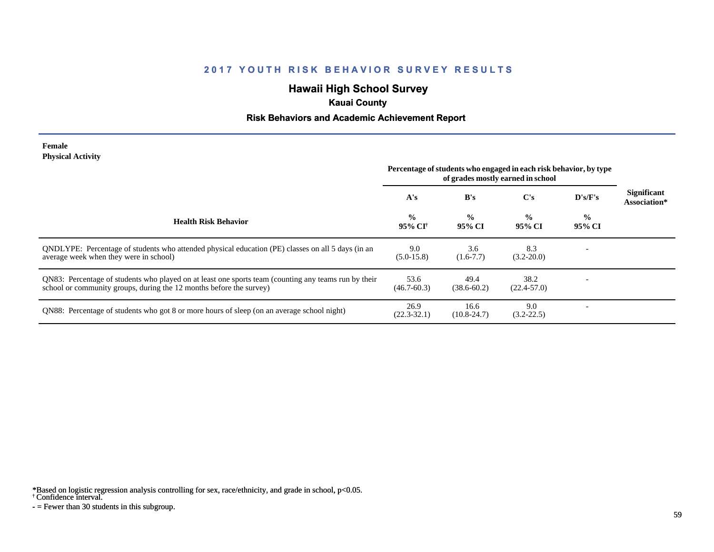## **Hawaii High School Survey**

## **Kauai County**

### **Risk Behaviors and Academic Achievement Report**

#### **Female Physical Activity**

|                                                                                                                                                                             | Percentage of students who engaged in each risk behavior, by type<br>of grades mostly earned in school |                         |                         |                          |                                    |
|-----------------------------------------------------------------------------------------------------------------------------------------------------------------------------|--------------------------------------------------------------------------------------------------------|-------------------------|-------------------------|--------------------------|------------------------------------|
|                                                                                                                                                                             | A's                                                                                                    | B's                     | $\bf C's$               | D's/F's                  | <b>Significant</b><br>Association* |
| <b>Health Risk Behavior</b>                                                                                                                                                 | $\frac{0}{0}$<br>95% CI†                                                                               | $\frac{0}{0}$<br>95% CI | $\frac{0}{0}$<br>95% CI | $\frac{0}{0}$<br>95% CI  |                                    |
| QNDLYPE: Percentage of students who attended physical education (PE) classes on all 5 days (in an<br>average week when they were in school)                                 | 9.0<br>$(5.0-15.8)$                                                                                    | 3.6<br>$(1.6 - 7.7)$    | 8.3<br>$(3.2 - 20.0)$   |                          |                                    |
| QN83: Percentage of students who played on at least one sports team (counting any teams run by their<br>school or community groups, during the 12 months before the survey) | 53.6<br>$(46.7 - 60.3)$                                                                                | 49.4<br>$(38.6 - 60.2)$ | 38.2<br>$(22.4 - 57.0)$ | $\overline{\phantom{0}}$ |                                    |
| QN88: Percentage of students who got 8 or more hours of sleep (on an average school night)                                                                                  | 26.9<br>$(22.3 - 32.1)$                                                                                | 16.6<br>$(10.8 - 24.7)$ | 9.0<br>$(3.2 - 22.5)$   |                          |                                    |

\*Based on logistic regression analysis controlling for sex, race/ethnicity, and grade in school, p<0.05.

† Confidence interval.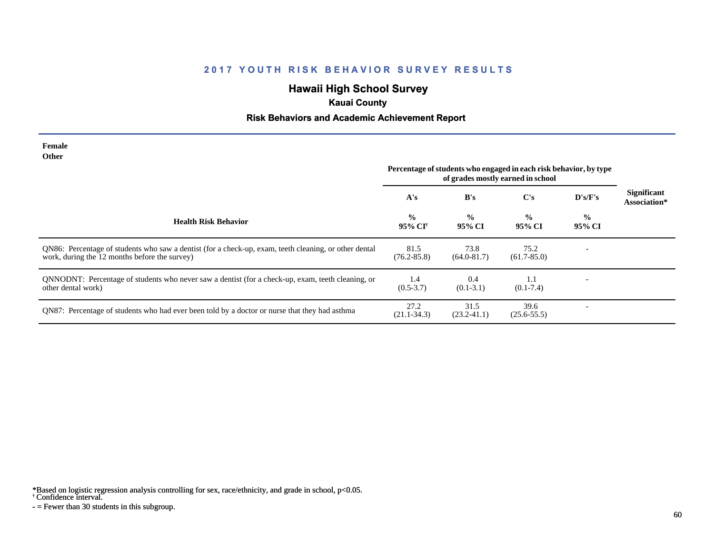# **Hawaii High School Survey**

## **Kauai County**

### **Risk Behaviors and Academic Achievement Report**

| Female<br><b>Other</b>                                                                                                                                 |                                      |                         |                                                                                                        |                         |                                    |
|--------------------------------------------------------------------------------------------------------------------------------------------------------|--------------------------------------|-------------------------|--------------------------------------------------------------------------------------------------------|-------------------------|------------------------------------|
|                                                                                                                                                        |                                      |                         | Percentage of students who engaged in each risk behavior, by type<br>of grades mostly earned in school |                         |                                    |
|                                                                                                                                                        | A's                                  | B's                     | $\bf C's$                                                                                              | D's/F's                 | <b>Significant</b><br>Association* |
| <b>Health Risk Behavior</b>                                                                                                                            | $\frac{0}{0}$<br>95% CI <sup>†</sup> | $\frac{0}{0}$<br>95% CI | $\frac{0}{0}$<br>95% CI                                                                                | $\frac{0}{0}$<br>95% CI |                                    |
| QN86: Percentage of students who saw a dentist (for a check-up, exam, teeth cleaning, or other dental<br>work, during the 12 months before the survey) | 81.5<br>$(76.2 - 85.8)$              | 73.8<br>$(64.0 - 81.7)$ | 75.2<br>$(61.7 - 85.0)$                                                                                |                         |                                    |
| QNNODNT: Percentage of students who never saw a dentist (for a check-up, exam, teeth cleaning, or<br>other dental work)                                | 1.4<br>$(0.5 - 3.7)$                 | 0.4<br>$(0.1 - 3.1)$    | 1.1<br>$(0.1 - 7.4)$                                                                                   |                         |                                    |
| QN87: Percentage of students who had ever been told by a doctor or nurse that they had asthma                                                          | 27.2<br>$(21.1 - 34.3)$              | 31.5<br>$(23.2 - 41.1)$ | 39.6<br>$(25.6 - 55.5)$                                                                                |                         |                                    |

\*Based on logistic regression analysis controlling for sex, race/ethnicity, and grade in school, p<0.05.

† Confidence interval.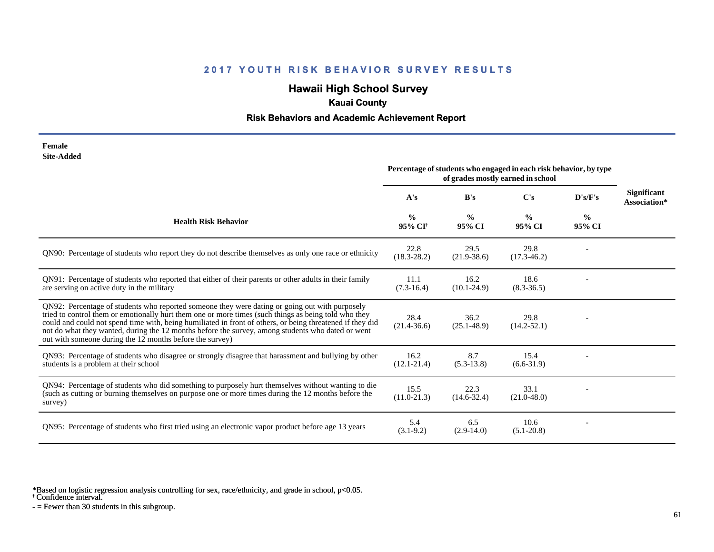# **Hawaii High School Survey**

## **Kauai County**

### **Risk Behaviors and Academic Achievement Report**

| Female     |
|------------|
| Site-Added |

|                                                                                                                                                                                                                                                                                                                                                                                                                                                                                      | Percentage of students who engaged in each risk behavior, by type<br>of grades mostly earned in school |                         |                         |                         |                                    |
|--------------------------------------------------------------------------------------------------------------------------------------------------------------------------------------------------------------------------------------------------------------------------------------------------------------------------------------------------------------------------------------------------------------------------------------------------------------------------------------|--------------------------------------------------------------------------------------------------------|-------------------------|-------------------------|-------------------------|------------------------------------|
|                                                                                                                                                                                                                                                                                                                                                                                                                                                                                      | A's                                                                                                    | B's                     | $\bf C's$               | D's/F's                 | <b>Significant</b><br>Association* |
| <b>Health Risk Behavior</b>                                                                                                                                                                                                                                                                                                                                                                                                                                                          | $\frac{0}{0}$<br>95% CI <sup>+</sup>                                                                   | $\frac{0}{0}$<br>95% CI | $\frac{0}{0}$<br>95% CI | $\frac{6}{9}$<br>95% CI |                                    |
| QN90: Percentage of students who report they do not describe themselves as only one race or ethnicity                                                                                                                                                                                                                                                                                                                                                                                | 22.8<br>$(18.3 - 28.2)$                                                                                | 29.5<br>$(21.9 - 38.6)$ | 29.8<br>$(17.3 - 46.2)$ |                         |                                    |
| QN91: Percentage of students who reported that either of their parents or other adults in their family<br>are serving on active duty in the military                                                                                                                                                                                                                                                                                                                                 | 11.1<br>$(7.3-16.4)$                                                                                   | 16.2<br>$(10.1 - 24.9)$ | 18.6<br>$(8.3 - 36.5)$  |                         |                                    |
| QN92: Percentage of students who reported someone they were dating or going out with purposely<br>tried to control them or emotionally hurt them one or more times (such things as being told who they<br>could and could not spend time with, being humiliated in front of others, or being threatened if they did<br>not do what they wanted, during the 12 months before the survey, among students who dated or went<br>out with someone during the 12 months before the survey) | 28.4<br>$(21.4 - 36.6)$                                                                                | 36.2<br>$(25.1 - 48.9)$ | 29.8<br>$(14.2 - 52.1)$ |                         |                                    |
| QN93: Percentage of students who disagree or strongly disagree that harassment and bullying by other<br>students is a problem at their school                                                                                                                                                                                                                                                                                                                                        | 16.2<br>$(12.1 - 21.4)$                                                                                | 8.7<br>$(5.3-13.8)$     | 15.4<br>$(6.6-31.9)$    |                         |                                    |
| QN94: Percentage of students who did something to purposely hurt themselves without wanting to die<br>(such as cutting or burning themselves on purpose one or more times during the 12 months before the<br>survey)                                                                                                                                                                                                                                                                 | 15.5<br>$(11.0 - 21.3)$                                                                                | 22.3<br>$(14.6 - 32.4)$ | 33.1<br>$(21.0 - 48.0)$ |                         |                                    |
| QN95: Percentage of students who first tried using an electronic vapor product before age 13 years                                                                                                                                                                                                                                                                                                                                                                                   | 5.4<br>$(3.1-9.2)$                                                                                     | 6.5<br>$(2.9-14.0)$     | 10.6<br>$(5.1 - 20.8)$  |                         |                                    |

\*Based on logistic regression analysis controlling for sex, race/ethnicity, and grade in school, p<0.05.

† Confidence interval.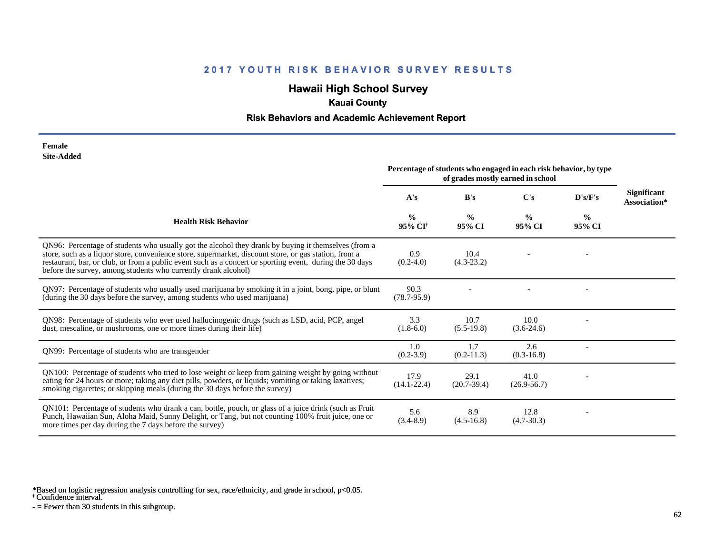# **Hawaii High School Survey**

## **Kauai County**

### **Risk Behaviors and Academic Achievement Report**

#### **Female Site-Added**

|                                                                                                                                                                                                                                                                                                                                                                                            | Percentage of students who engaged in each risk behavior, by type<br>of grades mostly earned in school |                         |                         |                         |                                    |
|--------------------------------------------------------------------------------------------------------------------------------------------------------------------------------------------------------------------------------------------------------------------------------------------------------------------------------------------------------------------------------------------|--------------------------------------------------------------------------------------------------------|-------------------------|-------------------------|-------------------------|------------------------------------|
|                                                                                                                                                                                                                                                                                                                                                                                            | A's                                                                                                    | B's                     | $\bf C's$               | D's/F's                 | <b>Significant</b><br>Association* |
| <b>Health Risk Behavior</b>                                                                                                                                                                                                                                                                                                                                                                | $\frac{0}{0}$<br>95% CI†                                                                               | $\frac{0}{0}$<br>95% CI | $\frac{0}{0}$<br>95% CI | $\frac{0}{0}$<br>95% CI |                                    |
| QN96: Percentage of students who usually got the alcohol they drank by buying it themselves (from a<br>store, such as a liquor store, convenience store, supermarket, discount store, or gas station, from a<br>restaurant, bar, or club, or from a public event such as a concert or sporting event, during the 30 days<br>before the survey, among students who currently drank alcohol) | 0.9<br>$(0.2-4.0)$                                                                                     | 10.4<br>$(4.3-23.2)$    |                         |                         |                                    |
| QN97: Percentage of students who usually used marijuana by smoking it in a joint, bong, pipe, or blunt<br>(during the 30 days before the survey, among students who used marijuana)                                                                                                                                                                                                        | 90.3<br>$(78.7 - 95.9)$                                                                                |                         |                         |                         |                                    |
| QN98: Percentage of students who ever used hallucinogenic drugs (such as LSD, acid, PCP, angel<br>dust, mescaline, or mushrooms, one or more times during their life)                                                                                                                                                                                                                      | 3.3<br>$(1.8-6.0)$                                                                                     | 10.7<br>$(5.5-19.8)$    | 10.0<br>$(3.6-24.6)$    |                         |                                    |
| QN99: Percentage of students who are transgender                                                                                                                                                                                                                                                                                                                                           | 1.0<br>$(0.2 - 3.9)$                                                                                   | 1.7<br>$(0.2-11.3)$     | 2.6<br>$(0.3 - 16.8)$   |                         |                                    |
| QN100: Percentage of students who tried to lose weight or keep from gaining weight by going without<br>eating for 24 hours or more; taking any diet pills, powders, or liquids; vomiting or taking laxatives;<br>smoking cigarettes; or skipping meals (during the 30 days before the survey)                                                                                              | 17.9<br>$(14.1 - 22.4)$                                                                                | 29.1<br>$(20.7-39.4)$   | 41.0<br>$(26.9 - 56.7)$ |                         |                                    |
| QN101: Percentage of students who drank a can, bottle, pouch, or glass of a juice drink (such as Fruit<br>Punch, Hawaiian Sun, Aloha Maid, Sunny Delight, or Tang, but not counting 100% fruit juice, one or<br>more times per day during the 7 days before the survey)                                                                                                                    | 5.6<br>$(3.4 - 8.9)$                                                                                   | 8.9<br>$(4.5-16.8)$     | 12.8<br>$(4.7 - 30.3)$  |                         |                                    |

\*Based on logistic regression analysis controlling for sex, race/ethnicity, and grade in school, p<0.05.

† Confidence interval.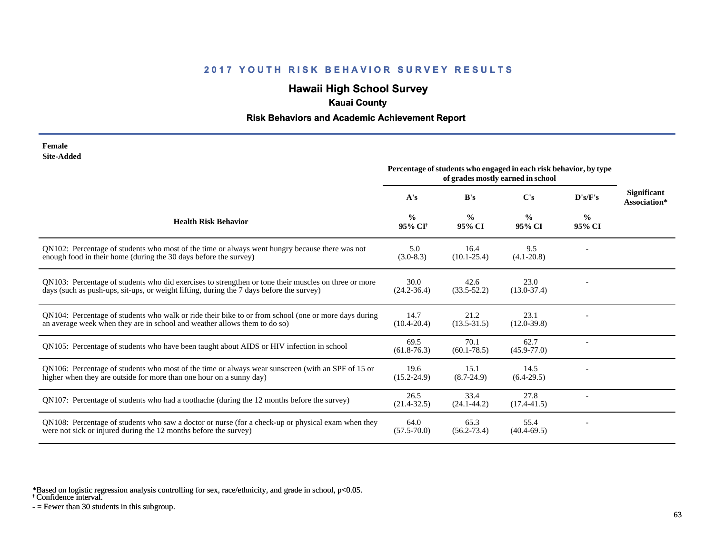# **Hawaii High School Survey**

## **Kauai County**

### **Risk Behaviors and Academic Achievement Report**

| Female     |
|------------|
| Site-Added |

|                                                                                                                                                                                                  | Percentage of students who engaged in each risk behavior, by type<br>of grades mostly earned in school |                         |                         |                          |                                    |
|--------------------------------------------------------------------------------------------------------------------------------------------------------------------------------------------------|--------------------------------------------------------------------------------------------------------|-------------------------|-------------------------|--------------------------|------------------------------------|
|                                                                                                                                                                                                  | A's                                                                                                    | B's                     | $\bf C's$               | D's/F's                  | <b>Significant</b><br>Association* |
| <b>Health Risk Behavior</b>                                                                                                                                                                      | $\frac{0}{0}$<br>95% CI <sup>†</sup>                                                                   | $\frac{0}{0}$<br>95% CI | $\frac{0}{0}$<br>95% CI | $\frac{0}{0}$<br>95% CI  |                                    |
| QN102: Percentage of students who most of the time or always went hungry because there was not<br>enough food in their home (during the 30 days before the survey)                               | 5.0<br>$(3.0-8.3)$                                                                                     | 16.4<br>$(10.1 - 25.4)$ | 9.5<br>$(4.1 - 20.8)$   |                          |                                    |
| QN103: Percentage of students who did exercises to strengthen or tone their muscles on three or more<br>days (such as push-ups, sit-ups, or weight lifting, during the 7 days before the survey) | 30.0<br>$(24.2 - 36.4)$                                                                                | 42.6<br>$(33.5 - 52.2)$ | 23.0<br>$(13.0 - 37.4)$ |                          |                                    |
| QN104: Percentage of students who walk or ride their bike to or from school (one or more days during<br>an average week when they are in school and weather allows them to do so)                | 14.7<br>$(10.4 - 20.4)$                                                                                | 21.2<br>$(13.5 - 31.5)$ | 23.1<br>$(12.0 - 39.8)$ |                          |                                    |
| QN105: Percentage of students who have been taught about AIDS or HIV infection in school                                                                                                         | 69.5<br>$(61.8-76.3)$                                                                                  | 70.1<br>$(60.1 - 78.5)$ | 62.7<br>$(45.9 - 77.0)$ |                          |                                    |
| QN106: Percentage of students who most of the time or always wear sunscreen (with an SPF of 15 or<br>higher when they are outside for more than one hour on a sunny day)                         | 19.6<br>$(15.2 - 24.9)$                                                                                | 15.1<br>$(8.7 - 24.9)$  | 14.5<br>$(6.4-29.5)$    |                          |                                    |
| QN107: Percentage of students who had a toothache (during the 12 months before the survey)                                                                                                       | 26.5<br>$(21.4 - 32.5)$                                                                                | 33.4<br>$(24.1 - 44.2)$ | 27.8<br>$(17.4 - 41.5)$ | $\overline{\phantom{a}}$ |                                    |
| QN108: Percentage of students who saw a doctor or nurse (for a check-up or physical exam when they<br>were not sick or injured during the 12 months before the survey)                           | 64.0<br>$(57.5 - 70.0)$                                                                                | 65.3<br>$(56.2 - 73.4)$ | 55.4<br>$(40.4 - 69.5)$ |                          |                                    |

\*Based on logistic regression analysis controlling for sex, race/ethnicity, and grade in school, p<0.05.

† Confidence interval.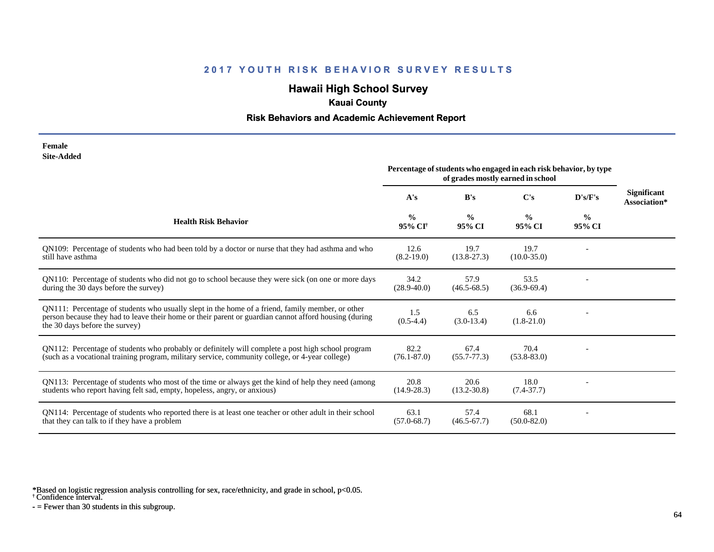# **Hawaii High School Survey**

## **Kauai County**

### **Risk Behaviors and Academic Achievement Report**

| Female     |
|------------|
| Site-Added |

|                                                                                                                                                                                                                                             | Percentage of students who engaged in each risk behavior, by type<br>of grades mostly earned in school |                         |                         |                         |                                    |
|---------------------------------------------------------------------------------------------------------------------------------------------------------------------------------------------------------------------------------------------|--------------------------------------------------------------------------------------------------------|-------------------------|-------------------------|-------------------------|------------------------------------|
|                                                                                                                                                                                                                                             | A's                                                                                                    | B's                     | C's                     | D's/F's                 | <b>Significant</b><br>Association* |
| <b>Health Risk Behavior</b>                                                                                                                                                                                                                 | $\frac{0}{0}$<br>95% CI <sup>†</sup>                                                                   | $\frac{0}{0}$<br>95% CI | $\frac{0}{0}$<br>95% CI | $\frac{0}{0}$<br>95% CI |                                    |
| QN109: Percentage of students who had been told by a doctor or nurse that they had asthma and who<br>still have asthma                                                                                                                      | 12.6<br>$(8.2 - 19.0)$                                                                                 | 19.7<br>$(13.8-27.3)$   | 19.7<br>$(10.0 - 35.0)$ |                         |                                    |
| QN110: Percentage of students who did not go to school because they were sick (on one or more days<br>during the 30 days before the survey)                                                                                                 | 34.2<br>$(28.9 - 40.0)$                                                                                | 57.9<br>$(46.5 - 68.5)$ | 53.5<br>$(36.9 - 69.4)$ |                         |                                    |
| QN111: Percentage of students who usually slept in the home of a friend, family member, or other<br>person because they had to leave their home or their parent or guardian cannot afford housing (during<br>the 30 days before the survey) | 1.5<br>$(0.5-4.4)$                                                                                     | 6.5<br>$(3.0-13.4)$     | 6.6<br>$(1.8-21.0)$     |                         |                                    |
| QN112: Percentage of students who probably or definitely will complete a post high school program<br>(such as a vocational training program, military service, community college, or 4-year college)                                        | 82.2<br>$(76.1 - 87.0)$                                                                                | 67.4<br>$(55.7 - 77.3)$ | 70.4<br>$(53.8 - 83.0)$ |                         |                                    |
| QN113: Percentage of students who most of the time or always get the kind of help they need (among<br>students who report having felt sad, empty, hopeless, angry, or anxious)                                                              | 20.8<br>$(14.9 - 28.3)$                                                                                | 20.6<br>$(13.2 - 30.8)$ | 18.0<br>$(7.4 - 37.7)$  |                         |                                    |
| QN114: Percentage of students who reported there is at least one teacher or other adult in their school<br>that they can talk to if they have a problem                                                                                     | 63.1<br>$(57.0 - 68.7)$                                                                                | 57.4<br>$(46.5 - 67.7)$ | 68.1<br>$(50.0 - 82.0)$ |                         |                                    |

\*Based on logistic regression analysis controlling for sex, race/ethnicity, and grade in school, p<0.05.

† Confidence interval.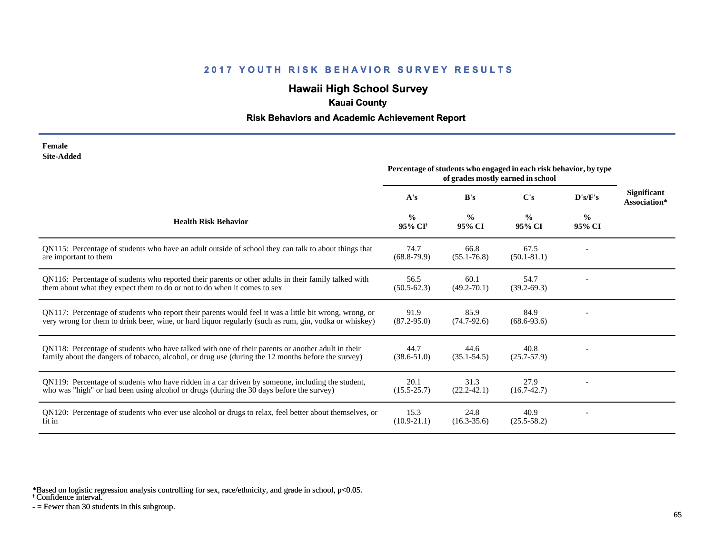# **Hawaii High School Survey**

## **Kauai County**

### **Risk Behaviors and Academic Achievement Report**

| Female            |
|-------------------|
| <b>Site-Added</b> |

|                                                                                                                                                                                                                  | Percentage of students who engaged in each risk behavior, by type<br>of grades mostly earned in school |                         |                         |                         |                                    |
|------------------------------------------------------------------------------------------------------------------------------------------------------------------------------------------------------------------|--------------------------------------------------------------------------------------------------------|-------------------------|-------------------------|-------------------------|------------------------------------|
|                                                                                                                                                                                                                  | A's                                                                                                    | B's                     | C's                     | D's/F's                 | <b>Significant</b><br>Association* |
| <b>Health Risk Behavior</b>                                                                                                                                                                                      | $\frac{0}{0}$<br>95% CI <sup>†</sup>                                                                   | $\frac{0}{0}$<br>95% CI | $\frac{0}{0}$<br>95% CI | $\frac{0}{0}$<br>95% CI |                                    |
| QN115: Percentage of students who have an adult outside of school they can talk to about things that<br>are important to them                                                                                    | 74.7<br>$(68.8-79.9)$                                                                                  | 66.8<br>$(55.1 - 76.8)$ | 67.5<br>$(50.1 - 81.1)$ |                         |                                    |
| QN116: Percentage of students who reported their parents or other adults in their family talked with<br>them about what they expect them to do or not to do when it comes to sex                                 | 56.5<br>$(50.5 - 62.3)$                                                                                | 60.1<br>$(49.2 - 70.1)$ | 54.7<br>$(39.2 - 69.3)$ |                         |                                    |
| QN117: Percentage of students who report their parents would feel it was a little bit wrong, wrong, or<br>very wrong for them to drink beer, wine, or hard liquor regularly (such as rum, gin, vodka or whiskey) | 91.9<br>$(87.2 - 95.0)$                                                                                | 85.9<br>$(74.7-92.6)$   | 84.9<br>$(68.6 - 93.6)$ |                         |                                    |
| QN118: Percentage of students who have talked with one of their parents or another adult in their<br>family about the dangers of tobacco, alcohol, or drug use (during the 12 months before the survey)          | 44.7<br>$(38.6 - 51.0)$                                                                                | 44.6<br>$(35.1 - 54.5)$ | 40.8<br>$(25.7 - 57.9)$ |                         |                                    |
| QN119: Percentage of students who have ridden in a car driven by someone, including the student,<br>who was "high" or had been using alcohol or drugs (during the 30 days before the survey)                     | 20.1<br>$(15.5 - 25.7)$                                                                                | 31.3<br>$(22.2 - 42.1)$ | 27.9<br>$(16.7 - 42.7)$ |                         |                                    |
| QN120: Percentage of students who ever use alcohol or drugs to relax, feel better about themselves, or<br>fit in                                                                                                 | 15.3<br>$(10.9 - 21.1)$                                                                                | 24.8<br>$(16.3 - 35.6)$ | 40.9<br>$(25.5 - 58.2)$ |                         |                                    |

\*Based on logistic regression analysis controlling for sex, race/ethnicity, and grade in school, p<0.05.

† Confidence interval.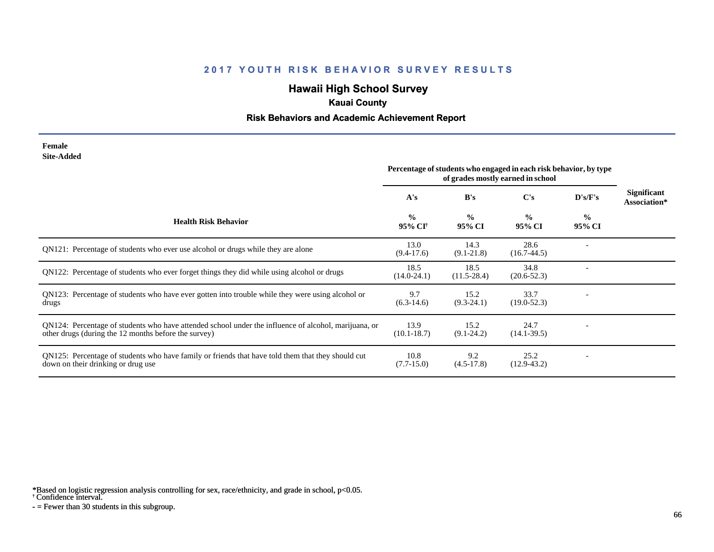# **Hawaii High School Survey**

## **Kauai County**

### **Risk Behaviors and Academic Achievement Report**

#### **Female Site-Added**

|                                                                                                                                                              | Percentage of students who engaged in each risk behavior, by type<br>of grades mostly earned in school |                         |                         |                         |                             |
|--------------------------------------------------------------------------------------------------------------------------------------------------------------|--------------------------------------------------------------------------------------------------------|-------------------------|-------------------------|-------------------------|-----------------------------|
|                                                                                                                                                              | A's                                                                                                    | B's                     | $\bf C's$               | D's/F's                 | Significant<br>Association* |
| <b>Health Risk Behavior</b>                                                                                                                                  | $\frac{0}{0}$<br>95% CI†                                                                               | $\frac{0}{0}$<br>95% CI | $\frac{0}{0}$<br>95% CI | $\frac{0}{0}$<br>95% CI |                             |
| QN121: Percentage of students who ever use alcohol or drugs while they are alone                                                                             | 13.0<br>$(9.4-17.6)$                                                                                   | 14.3<br>$(9.1 - 21.8)$  | 28.6<br>$(16.7-44.5)$   |                         |                             |
| QN122: Percentage of students who ever forget things they did while using alcohol or drugs                                                                   | 18.5<br>$(14.0 - 24.1)$                                                                                | 18.5<br>$(11.5 - 28.4)$ | 34.8<br>$(20.6 - 52.3)$ |                         |                             |
| QN123: Percentage of students who have ever gotten into trouble while they were using alcohol or<br>drugs                                                    | 9.7<br>$(6.3-14.6)$                                                                                    | 15.2<br>$(9.3-24.1)$    | 33.7<br>$(19.0 - 52.3)$ |                         |                             |
| QN124: Percentage of students who have attended school under the influence of alcohol, marijuana, or<br>other drugs (during the 12 months before the survey) | 13.9<br>$(10.1 - 18.7)$                                                                                | 15.2<br>$(9.1 - 24.2)$  | 24.7<br>$(14.1 - 39.5)$ |                         |                             |
| QN125: Percentage of students who have family or friends that have told them that they should cut<br>down on their drinking or drug use                      | 10.8<br>$(7.7-15.0)$                                                                                   | 9.2<br>$(4.5-17.8)$     | 25.2<br>$(12.9-43.2)$   |                         |                             |

\*Based on logistic regression analysis controlling for sex, race/ethnicity, and grade in school, p<0.05.

† Confidence interval.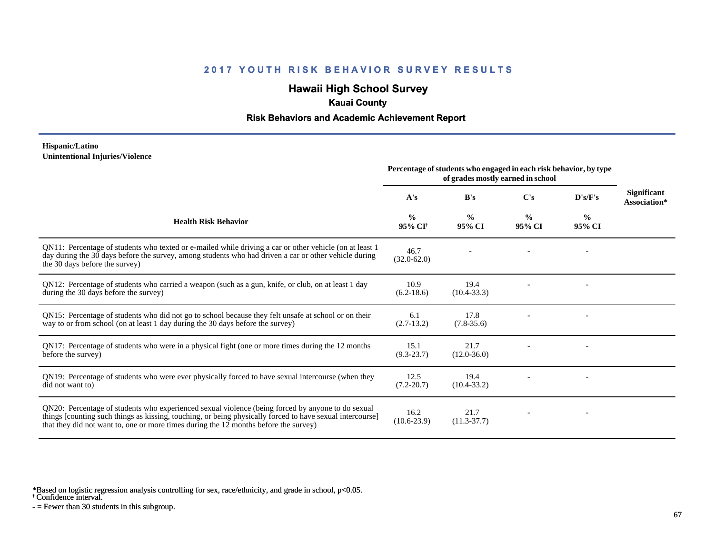# **Hawaii High School Survey**

## **Kauai County**

### **Risk Behaviors and Academic Achievement Report**

#### **Hispanic/Latino Unintentional Injuries/Violence**

|                                                                                                                                                                                                                                                                                                        | Percentage of students who engaged in each risk behavior, by type<br>of grades mostly earned in school |                         |                         |                         |                                    |
|--------------------------------------------------------------------------------------------------------------------------------------------------------------------------------------------------------------------------------------------------------------------------------------------------------|--------------------------------------------------------------------------------------------------------|-------------------------|-------------------------|-------------------------|------------------------------------|
|                                                                                                                                                                                                                                                                                                        | A's                                                                                                    | B's                     | C's                     | D's/F's                 | <b>Significant</b><br>Association* |
| <b>Health Risk Behavior</b>                                                                                                                                                                                                                                                                            | $\frac{0}{0}$<br>95% CI <sup>†</sup>                                                                   | $\frac{0}{0}$<br>95% CI | $\frac{0}{0}$<br>95% CI | $\frac{0}{0}$<br>95% CI |                                    |
| QN11: Percentage of students who texted or e-mailed while driving a car or other vehicle (on at least 1<br>day during the 30 days before the survey, among students who had driven a car or other vehicle during<br>the 30 days before the survey)                                                     | 46.7<br>$(32.0 - 62.0)$                                                                                |                         |                         |                         |                                    |
| QN12: Percentage of students who carried a weapon (such as a gun, knife, or club, on at least 1 day<br>during the 30 days before the survey)                                                                                                                                                           | 10.9<br>$(6.2 - 18.6)$                                                                                 | 19.4<br>$(10.4 - 33.3)$ |                         |                         |                                    |
| QN15: Percentage of students who did not go to school because they felt unsafe at school or on their<br>way to or from school (on at least 1 day during the 30 days before the survey)                                                                                                                 | 6.1<br>$(2.7-13.2)$                                                                                    | 17.8<br>$(7.8-35.6)$    |                         |                         |                                    |
| QN17: Percentage of students who were in a physical fight (one or more times during the 12 months<br>before the survey)                                                                                                                                                                                | 15.1<br>$(9.3 - 23.7)$                                                                                 | 21.7<br>$(12.0 - 36.0)$ |                         |                         |                                    |
| QN19: Percentage of students who were ever physically forced to have sexual intercourse (when they<br>did not want to)                                                                                                                                                                                 | 12.5<br>$(7.2 - 20.7)$                                                                                 | 19.4<br>$(10.4 - 33.2)$ |                         |                         |                                    |
| QN20: Percentage of students who experienced sexual violence (being forced by anyone to do sexual<br>things [counting such things as kissing, touching, or being physically forced to have sexual intercourse]<br>that they did not want to, one or more times during the 12 months before the survey) | 16.2<br>$(10.6 - 23.9)$                                                                                | 21.7<br>$(11.3-37.7)$   |                         |                         |                                    |

\*Based on logistic regression analysis controlling for sex, race/ethnicity, and grade in school, p<0.05.

† Confidence interval.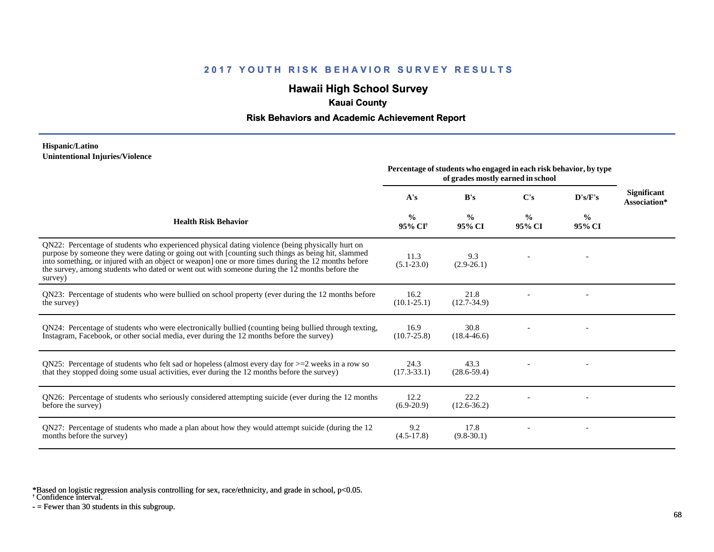# **Hawaii High School Survey**

## **Kauai County**

### **Risk Behaviors and Academic Achievement Report**

#### **Hispanic/Latino Unintentional Injuries/Violence**

|                                                                                                                                                                                                                                                                                                                                                                                                                        | Percentage of students who engaged in each risk behavior, by type<br>of grades mostly earned in school |                         |                         |                         |                                    |
|------------------------------------------------------------------------------------------------------------------------------------------------------------------------------------------------------------------------------------------------------------------------------------------------------------------------------------------------------------------------------------------------------------------------|--------------------------------------------------------------------------------------------------------|-------------------------|-------------------------|-------------------------|------------------------------------|
|                                                                                                                                                                                                                                                                                                                                                                                                                        | A's                                                                                                    | B's                     | C's                     | D's/F's                 | <b>Significant</b><br>Association* |
| <b>Health Risk Behavior</b>                                                                                                                                                                                                                                                                                                                                                                                            | $\frac{0}{0}$<br>95% CI                                                                                | $\frac{0}{0}$<br>95% CI | $\frac{0}{0}$<br>95% CI | $\frac{0}{0}$<br>95% CI |                                    |
| QN22: Percentage of students who experienced physical dating violence (being physically hurt on<br>purpose by someone they were dating or going out with [counting such things as being hit, slammed<br>into something, or injured with an object or weapon] one or more times during the 12 months before<br>the survey, among students who dated or went out with someone during the 12 months before the<br>survey) | 11.3<br>$(5.1 - 23.0)$                                                                                 | 9.3<br>$(2.9-26.1)$     |                         |                         |                                    |
| QN23: Percentage of students who were bullied on school property (ever during the 12 months before<br>the survey)                                                                                                                                                                                                                                                                                                      | 16.2<br>$(10.1 - 25.1)$                                                                                | 21.8<br>$(12.7 - 34.9)$ |                         |                         |                                    |
| QN24: Percentage of students who were electronically bullied (counting being bullied through texting,<br>Instagram, Facebook, or other social media, ever during the 12 months before the survey)                                                                                                                                                                                                                      | 16.9<br>$(10.7 - 25.8)$                                                                                | 30.8<br>$(18.4 - 46.6)$ |                         |                         |                                    |
| ON25: Percentage of students who felt sad or hopeless (almost every day for $>=$ 2 weeks in a row so<br>that they stopped doing some usual activities, ever during the 12 months before the survey)                                                                                                                                                                                                                    | 24.3<br>$(17.3 - 33.1)$                                                                                | 43.3<br>$(28.6 - 59.4)$ |                         |                         |                                    |
| QN26: Percentage of students who seriously considered attempting suicide (ever during the 12 months<br>before the survey)                                                                                                                                                                                                                                                                                              | 12.2<br>$(6.9-20.9)$                                                                                   | 22.2<br>$(12.6 - 36.2)$ |                         |                         |                                    |
| QN27: Percentage of students who made a plan about how they would attempt suicide (during the 12<br>months before the survey)                                                                                                                                                                                                                                                                                          | 9.2<br>$(4.5-17.8)$                                                                                    | 17.8<br>$(9.8-30.1)$    |                         |                         |                                    |

\*Based on logistic regression analysis controlling for sex, race/ethnicity, and grade in school, p<0.05.

† Confidence interval.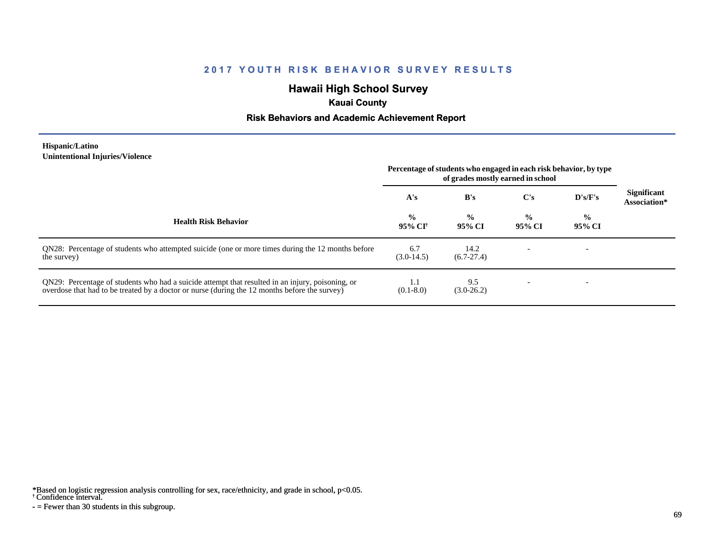# **Hawaii High School Survey**

## **Kauai County**

### **Risk Behaviors and Academic Achievement Report**

#### **Hispanic/Latino Unintentional Injuries/Violence**

|                                                                                                                                                                                                   | Percentage of students who engaged in each risk behavior, by type<br>of grades mostly earned in school |                         |                         |                         |                                    |
|---------------------------------------------------------------------------------------------------------------------------------------------------------------------------------------------------|--------------------------------------------------------------------------------------------------------|-------------------------|-------------------------|-------------------------|------------------------------------|
|                                                                                                                                                                                                   | A's                                                                                                    | B's                     | $\bf C's$               | D's/F's                 | <b>Significant</b><br>Association* |
| <b>Health Risk Behavior</b>                                                                                                                                                                       | $\frac{0}{0}$<br>95% CI†                                                                               | $\frac{0}{0}$<br>95% CI | $\frac{0}{0}$<br>95% CI | $\frac{0}{0}$<br>95% CI |                                    |
| QN28: Percentage of students who attempted suicide (one or more times during the 12 months before<br>the survey)                                                                                  | 6.7<br>$(3.0-14.5)$                                                                                    | 14.2<br>$(6.7-27.4)$    |                         |                         |                                    |
| QN29: Percentage of students who had a suicide attempt that resulted in an injury, poisoning, or<br>overdose that had to be treated by a doctor or nurse (during the 12 months before the survey) | 1.1<br>$(0.1 - 8.0)$                                                                                   | 9.5<br>$(3.0-26.2)$     |                         |                         |                                    |

\*Based on logistic regression analysis controlling for sex, race/ethnicity, and grade in school, p<0.05.

#### † Confidence interval.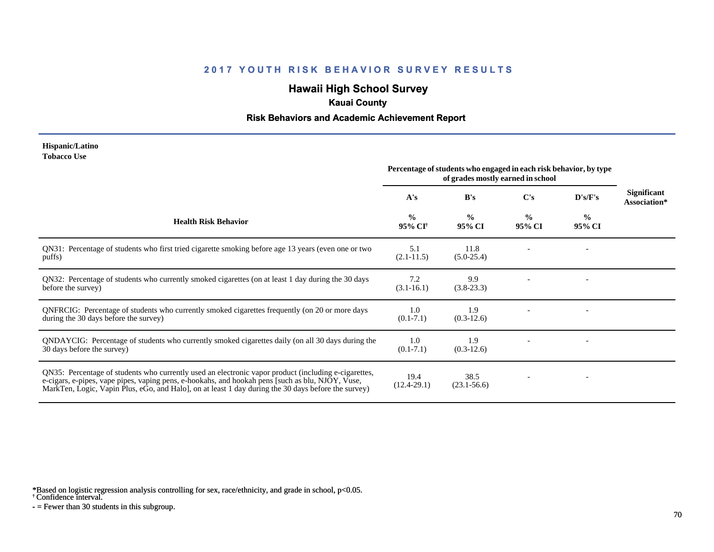# **Hawaii High School Survey**

### **Kauai County**

### **Risk Behaviors and Academic Achievement Report**

#### **Hispanic/Latino Tobacco Use**

|                                                                                                                                                                                                                                                                                                                 | Percentage of students who engaged in each risk behavior, by type<br>of grades mostly earned in school |                         |                         |                |                                    |
|-----------------------------------------------------------------------------------------------------------------------------------------------------------------------------------------------------------------------------------------------------------------------------------------------------------------|--------------------------------------------------------------------------------------------------------|-------------------------|-------------------------|----------------|------------------------------------|
|                                                                                                                                                                                                                                                                                                                 | A's                                                                                                    | B's                     | C's                     | D's/F's        | <b>Significant</b><br>Association* |
| <b>Health Risk Behavior</b>                                                                                                                                                                                                                                                                                     | $\frac{0}{0}$<br>95% CI <sup>†</sup>                                                                   | $\frac{0}{0}$<br>95% CI | $\frac{0}{0}$<br>95% CI | $\%$<br>95% CI |                                    |
| QN31: Percentage of students who first tried cigarette smoking before age 13 years (even one or two<br>puffs)                                                                                                                                                                                                   | 5.1<br>$(2.1 - 11.5)$                                                                                  | 11.8<br>$(5.0-25.4)$    |                         |                |                                    |
| QN32: Percentage of students who currently smoked cigarettes (on at least 1 day during the 30 days<br>before the survey)                                                                                                                                                                                        | 7.2<br>$(3.1 - 16.1)$                                                                                  | 9.9<br>$(3.8-23.3)$     |                         |                |                                    |
| QNFRCIG: Percentage of students who currently smoked cigarettes frequently (on 20 or more days<br>during the 30 days before the survey)                                                                                                                                                                         | 1.0<br>$(0.1 - 7.1)$                                                                                   | 1.9<br>$(0.3-12.6)$     |                         |                |                                    |
| QNDAYCIG: Percentage of students who currently smoked cigarettes daily (on all 30 days during the<br>30 days before the survey)                                                                                                                                                                                 | 1.0<br>$(0.1 - 7.1)$                                                                                   | 1.9<br>$(0.3-12.6)$     |                         |                |                                    |
| QN35: Percentage of students who currently used an electronic vapor product (including e-cigarettes,<br>e-cigars, e-pipes, vape pipes, vaping pens, e-hookahs, and hookah pens [such as blu, NJOY, Vuse,<br>MarkTen, Logic, Vapin Plus, eGo, and Halo], on at least 1 day during the 30 days before the survey) | 19.4<br>$(12.4 - 29.1)$                                                                                | 38.5<br>$(23.1 - 56.6)$ |                         |                |                                    |

\*Based on logistic regression analysis controlling for sex, race/ethnicity, and grade in school, p<0.05.

† Confidence interval.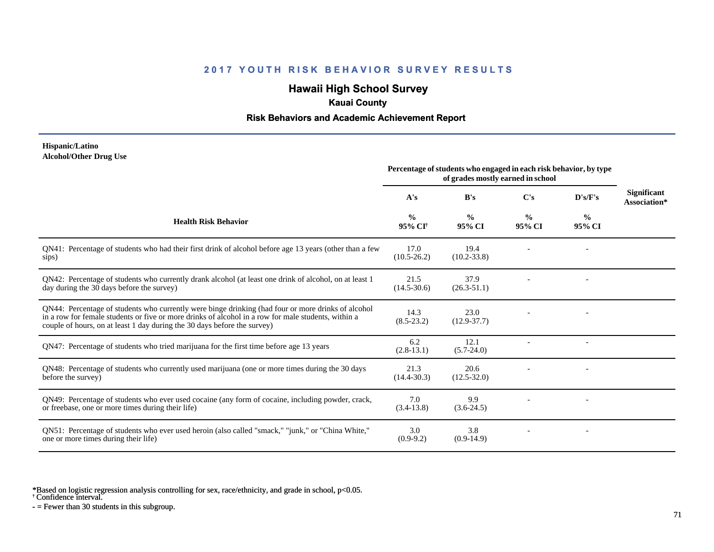# **Hawaii High School Survey**

### **Kauai County**

### **Risk Behaviors and Academic Achievement Report**

#### **Hispanic/Latino Alcohol/Other Drug Use**

|                                                                                                                                                                                                                                                                                       | Percentage of students who engaged in each risk behavior, by type<br>of grades mostly earned in school |                         |                         |                          |                                    |
|---------------------------------------------------------------------------------------------------------------------------------------------------------------------------------------------------------------------------------------------------------------------------------------|--------------------------------------------------------------------------------------------------------|-------------------------|-------------------------|--------------------------|------------------------------------|
|                                                                                                                                                                                                                                                                                       | A's                                                                                                    | B's                     | C's                     | $\bf{D's/F's}$           | <b>Significant</b><br>Association* |
| <b>Health Risk Behavior</b>                                                                                                                                                                                                                                                           | $\frac{0}{0}$<br>95% CI <sup>+</sup>                                                                   | $\frac{6}{9}$<br>95% CI | $\frac{0}{0}$<br>95% CI | $\%$<br>95% CI           |                                    |
| QN41: Percentage of students who had their first drink of alcohol before age 13 years (other than a few<br>sips)                                                                                                                                                                      | 17.0<br>$(10.5 - 26.2)$                                                                                | 19.4<br>$(10.2 - 33.8)$ |                         |                          |                                    |
| QN42: Percentage of students who currently drank alcohol (at least one drink of alcohol, on at least 1<br>day during the 30 days before the survey)                                                                                                                                   | 21.5<br>$(14.5 - 30.6)$                                                                                | 37.9<br>$(26.3 - 51.1)$ |                         |                          |                                    |
| QN44: Percentage of students who currently were binge drinking (had four or more drinks of alcohol<br>in a row for female students or five or more drinks of alcohol in a row for male students, within a<br>couple of hours, on at least 1 day during the 30 days before the survey) | 14.3<br>$(8.5-23.2)$                                                                                   | 23.0<br>$(12.9 - 37.7)$ |                         |                          |                                    |
| QN47: Percentage of students who tried marijuana for the first time before age 13 years                                                                                                                                                                                               | 6.2<br>$(2.8-13.1)$                                                                                    | 12.1<br>$(5.7 - 24.0)$  |                         | $\overline{\phantom{a}}$ |                                    |
| QN48: Percentage of students who currently used marijuana (one or more times during the 30 days<br>before the survey)                                                                                                                                                                 | 21.3<br>$(14.4 - 30.3)$                                                                                | 20.6<br>$(12.5 - 32.0)$ |                         |                          |                                    |
| QN49: Percentage of students who ever used cocaine (any form of cocaine, including powder, crack,<br>or freebase, one or more times during their life)                                                                                                                                | 7.0<br>$(3.4-13.8)$                                                                                    | 9.9<br>$(3.6-24.5)$     |                         |                          |                                    |
| QN51: Percentage of students who ever used heroin (also called "smack," "junk," or "China White,"<br>one or more times during their life)                                                                                                                                             | 3.0<br>$(0.9-9.2)$                                                                                     | 3.8<br>$(0.9-14.9)$     |                         |                          |                                    |

\*Based on logistic regression analysis controlling for sex, race/ethnicity, and grade in school, p<0.05.

† Confidence interval.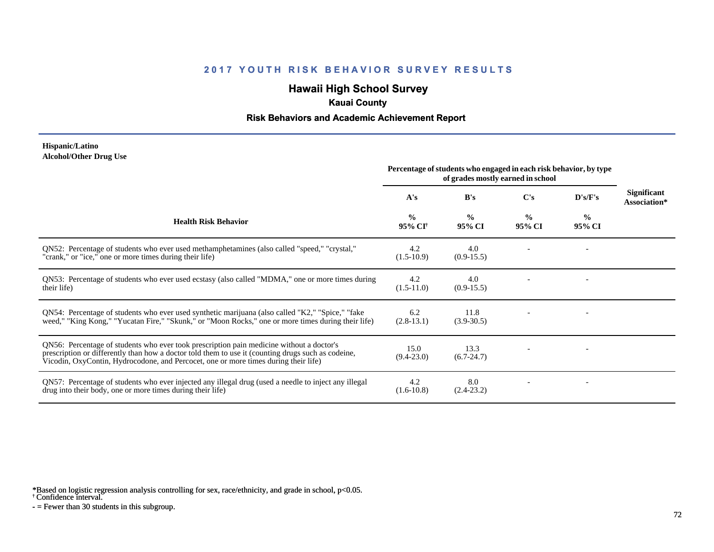# **Hawaii High School Survey**

## **Kauai County**

### **Risk Behaviors and Academic Achievement Report**

#### **Hispanic/Latino Alcohol/Other Drug Use**

|                                                                                                                                                                                                                                                                                       | Percentage of students who engaged in each risk behavior, by type<br>of grades mostly earned in school |                         |                         |                         |                                    |
|---------------------------------------------------------------------------------------------------------------------------------------------------------------------------------------------------------------------------------------------------------------------------------------|--------------------------------------------------------------------------------------------------------|-------------------------|-------------------------|-------------------------|------------------------------------|
|                                                                                                                                                                                                                                                                                       | A's                                                                                                    | B's                     | $\bf C's$               | D's/F's                 | <b>Significant</b><br>Association* |
| <b>Health Risk Behavior</b>                                                                                                                                                                                                                                                           | $\frac{0}{0}$<br>95% CI <sup>†</sup>                                                                   | $\frac{0}{0}$<br>95% CI | $\frac{0}{0}$<br>95% CI | $\frac{0}{0}$<br>95% CI |                                    |
| ON52: Percentage of students who ever used methamphetamines (also called "speed," "crystal,"<br>"crank," or "ice," one or more times during their life)                                                                                                                               | 4.2<br>$(1.5-10.9)$                                                                                    | 4.0<br>$(0.9-15.5)$     |                         |                         |                                    |
| QN53: Percentage of students who ever used ecstasy (also called "MDMA," one or more times during<br>their life)                                                                                                                                                                       | 4.2<br>$(1.5-11.0)$                                                                                    | 4.0<br>$(0.9-15.5)$     |                         |                         |                                    |
| QN54: Percentage of students who ever used synthetic marijuana (also called "K2," "Spice," "fake<br>weed," "King Kong," "Yucatan Fire," "Skunk," or "Moon Rocks," one or more times during their life)                                                                                | 6.2<br>$(2.8-13.1)$                                                                                    | 11.8<br>$(3.9 - 30.5)$  |                         |                         |                                    |
| QN56: Percentage of students who ever took prescription pain medicine without a doctor's<br>prescription or differently than how a doctor told them to use it (counting drugs such as codeine,<br>Vicodin, OxyContin, Hydrocodone, and Percocet, one or more times during their life) | 15.0<br>$(9.4 - 23.0)$                                                                                 | 13.3<br>$(6.7 - 24.7)$  |                         |                         |                                    |
| QN57: Percentage of students who ever injected any illegal drug (used a needle to inject any illegal<br>drug into their body, one or more times during their life)                                                                                                                    | 4.2<br>$(1.6-10.8)$                                                                                    | 8.0<br>$(2.4-23.2)$     |                         |                         |                                    |

\*Based on logistic regression analysis controlling for sex, race/ethnicity, and grade in school, p<0.05.

† Confidence interval.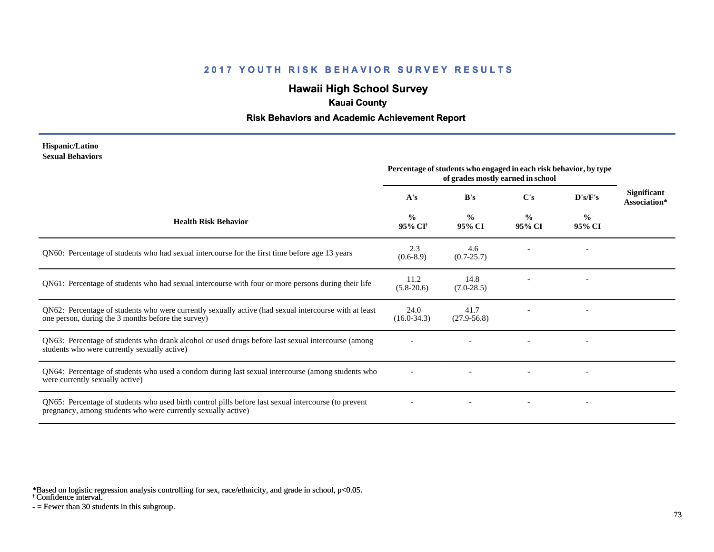# **Hawaii High School Survey**

### **Kauai County**

### **Risk Behaviors and Academic Achievement Report**

#### **Hispanic/Latino Sexual Behaviors**

|                                                                                                                                                                       | Percentage of students who engaged in each risk behavior, by type<br>of grades mostly earned in school |                         |                         |                          |                                    |
|-----------------------------------------------------------------------------------------------------------------------------------------------------------------------|--------------------------------------------------------------------------------------------------------|-------------------------|-------------------------|--------------------------|------------------------------------|
|                                                                                                                                                                       | A's                                                                                                    | B's                     | C's                     | D's/F's                  | <b>Significant</b><br>Association* |
| <b>Health Risk Behavior</b>                                                                                                                                           | $\frac{0}{0}$<br>95% CI <sup>+</sup>                                                                   | $\frac{0}{0}$<br>95% CI | $\frac{0}{0}$<br>95% CI | $\frac{0}{0}$<br>95% CI  |                                    |
| QN60: Percentage of students who had sexual intercourse for the first time before age 13 years                                                                        | 2.3<br>$(0.6-8.9)$                                                                                     | 4.6<br>$(0.7 - 25.7)$   |                         |                          |                                    |
| QN61: Percentage of students who had sexual intercourse with four or more persons during their life                                                                   | 11.2<br>$(5.8-20.6)$                                                                                   | 14.8<br>$(7.0-28.5)$    |                         |                          |                                    |
| QN62: Percentage of students who were currently sexually active (had sexual intercourse with at least<br>one person, during the 3 months before the survey)           | 24.0<br>$(16.0-34.3)$                                                                                  | 41.7<br>$(27.9 - 56.8)$ |                         |                          |                                    |
| QN63: Percentage of students who drank alcohol or used drugs before last sexual intercourse (among<br>students who were currently sexually active)                    |                                                                                                        |                         |                         | $\overline{\phantom{a}}$ |                                    |
| QN64: Percentage of students who used a condom during last sexual intercourse (among students who<br>were currently sexually active)                                  |                                                                                                        |                         |                         |                          |                                    |
| QN65: Percentage of students who used birth control pills before last sexual intercourse (to prevent<br>pregnancy, among students who were currently sexually active) |                                                                                                        |                         |                         | $\overline{\phantom{a}}$ |                                    |

\*Based on logistic regression analysis controlling for sex, race/ethnicity, and grade in school, p<0.05.

† Confidence interval.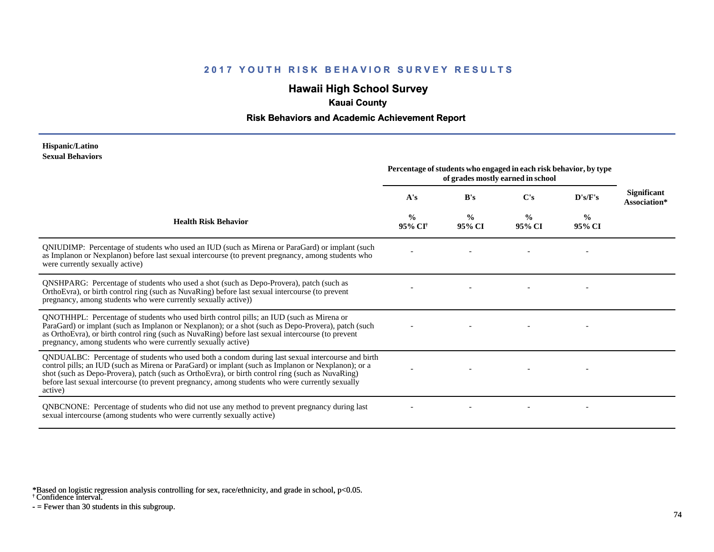# **Hawaii High School Survey**

### **Kauai County**

### **Risk Behaviors and Academic Achievement Report**

#### **Hispanic/Latino Sexual Behaviors**

|                                                                                                                                                                                                                                                                                                                                                                                                                            | Percentage of students who engaged in each risk behavior, by type<br>of grades mostly earned in school |                         |                         |                         |                             |
|----------------------------------------------------------------------------------------------------------------------------------------------------------------------------------------------------------------------------------------------------------------------------------------------------------------------------------------------------------------------------------------------------------------------------|--------------------------------------------------------------------------------------------------------|-------------------------|-------------------------|-------------------------|-----------------------------|
|                                                                                                                                                                                                                                                                                                                                                                                                                            | A's                                                                                                    | B's                     | C's                     | D's/F's                 | Significant<br>Association* |
| <b>Health Risk Behavior</b>                                                                                                                                                                                                                                                                                                                                                                                                | $\frac{0}{0}$<br>95% CI                                                                                | $\frac{0}{0}$<br>95% CI | $\frac{0}{0}$<br>95% CI | $\frac{0}{0}$<br>95% CI |                             |
| QNIUDIMP: Percentage of students who used an IUD (such as Mirena or ParaGard) or implant (such<br>as Implanon or Nexplanon) before last sexual intercourse (to prevent pregnancy, among students who<br>were currently sexually active)                                                                                                                                                                                    |                                                                                                        |                         |                         |                         |                             |
| QNSHPARG: Percentage of students who used a shot (such as Depo-Provera), patch (such as<br>OrthoEvra), or birth control ring (such as NuvaRing) before last sexual intercourse (to prevent<br>pregnancy, among students who were currently sexually active))                                                                                                                                                               |                                                                                                        |                         |                         |                         |                             |
| QNOTHHPL: Percentage of students who used birth control pills; an IUD (such as Mirena or<br>ParaGard) or implant (such as Implanon or Nexplanon); or a shot (such as Depo-Provera), patch (such<br>as OrthoEvra), or birth control ring (such as NuvaRing) before last sexual intercourse (to prevent<br>pregnancy, among students who were currently sexually active)                                                     |                                                                                                        |                         |                         |                         |                             |
| QNDUALBC: Percentage of students who used both a condom during last sexual intercourse and birth<br>control pills; an IUD (such as Mirena or ParaGard) or implant (such as Implanon or Nexplanon); or a<br>shot (such as Depo-Provera), patch (such as OrthoEvra), or birth control ring (such as NuvaRing)<br>before last sexual intercourse (to prevent pregnancy, among students who were currently sexually<br>active) |                                                                                                        |                         |                         |                         |                             |
| QNBCNONE: Percentage of students who did not use any method to prevent pregnancy during last<br>sexual intercourse (among students who were currently sexually active)                                                                                                                                                                                                                                                     |                                                                                                        |                         |                         |                         |                             |

\*Based on logistic regression analysis controlling for sex, race/ethnicity, and grade in school, p<0.05.

† Confidence interval.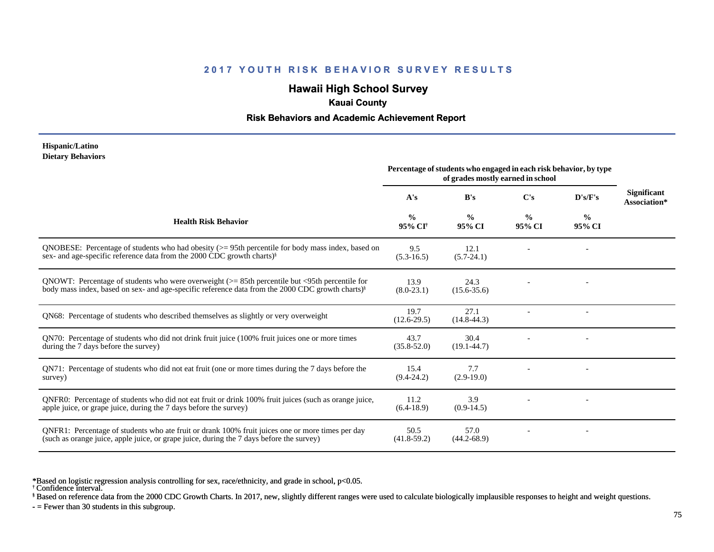# **Hawaii High School Survey**

### **Kauai County**

### **Risk Behaviors and Academic Achievement Report**

#### **Hispanic/Latino Dietary Behaviors**

|                                                                                                                                                                                                                         | Percentage of students who engaged in each risk behavior, by type<br>of grades mostly earned in school |                         |                         |                          |                                    |
|-------------------------------------------------------------------------------------------------------------------------------------------------------------------------------------------------------------------------|--------------------------------------------------------------------------------------------------------|-------------------------|-------------------------|--------------------------|------------------------------------|
|                                                                                                                                                                                                                         | A's                                                                                                    | B's                     | C's                     | D's/F's                  | <b>Significant</b><br>Association* |
| <b>Health Risk Behavior</b>                                                                                                                                                                                             | $\frac{6}{6}$<br>95% CI <sup>†</sup>                                                                   | $\frac{0}{0}$<br>95% CI | $\frac{0}{0}$<br>95% CI | $\frac{6}{9}$<br>95% CI  |                                    |
| QNOBESE: Percentage of students who had obesity $(>= 95$ th percentile for body mass index, based on<br>sex- and age-specific reference data from the 2000 CDC growth charts) <sup>§</sup>                              | 9.5<br>$(5.3-16.5)$                                                                                    | 12.1<br>$(5.7-24.1)$    |                         |                          |                                    |
| QNOWT: Percentage of students who were overweight $(>= 85$ th percentile but $\leq$ 95th percentile for<br>body mass index, based on sex- and age-specific reference data from the 2000 CDC growth charts) <sup>8</sup> | 13.9<br>$(8.0-23.1)$                                                                                   | 24.3<br>$(15.6 - 35.6)$ |                         |                          |                                    |
| QN68: Percentage of students who described themselves as slightly or very overweight                                                                                                                                    | 19.7<br>$(12.6-29.5)$                                                                                  | 27.1<br>$(14.8 - 44.3)$ |                         | $\overline{\phantom{a}}$ |                                    |
| QN70: Percentage of students who did not drink fruit juice (100% fruit juices one or more times<br>during the 7 days before the survey)                                                                                 | 43.7<br>$(35.8 - 52.0)$                                                                                | 30.4<br>$(19.1 - 44.7)$ |                         |                          |                                    |
| QN71: Percentage of students who did not eat fruit (one or more times during the 7 days before the<br>survey)                                                                                                           | 15.4<br>$(9.4 - 24.2)$                                                                                 | 7.7<br>$(2.9-19.0)$     |                         |                          |                                    |
| ONFR0: Percentage of students who did not eat fruit or drink 100% fruit juices (such as orange juice,<br>apple juice, or grape juice, during the 7 days before the survey)                                              | 11.2<br>$(6.4-18.9)$                                                                                   | 3.9<br>$(0.9-14.5)$     |                         |                          |                                    |
| QNFR1: Percentage of students who ate fruit or drank 100% fruit juices one or more times per day<br>(such as orange juice, apple juice, or grape juice, during the 7 days before the survey)                            | 50.5<br>$(41.8-59.2)$                                                                                  | 57.0<br>$(44.2 - 68.9)$ |                         |                          |                                    |

\*Based on logistic regression analysis controlling for sex, race/ethnicity, and grade in school, p<0.05.

† Confidence interval.

§ Based on reference data from the 2000 CDC Growth Charts. In 2017, new, slightly different ranges were used to calculate biologically implausible responses to height and weight questions.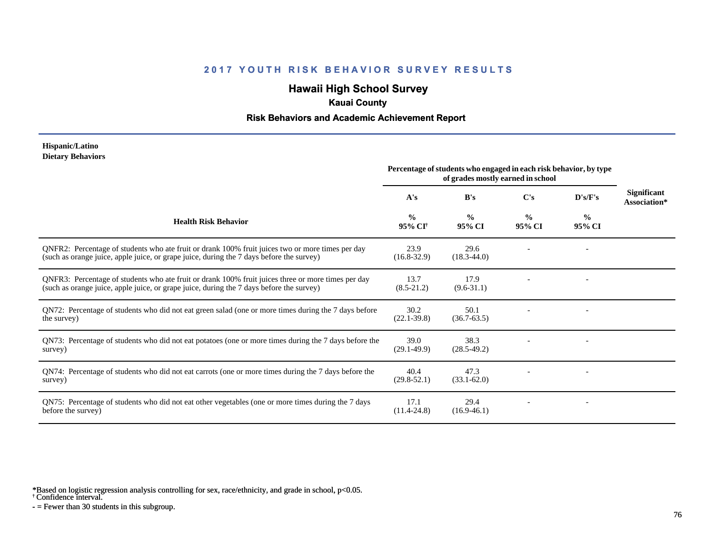# **Hawaii High School Survey**

### **Kauai County**

### **Risk Behaviors and Academic Achievement Report**

#### **Hispanic/Latino Dietary Behaviors**

|                                                                                                                                                                                                | Percentage of students who engaged in each risk behavior, by type<br>of grades mostly earned in school |                         |                         |                         |                             |
|------------------------------------------------------------------------------------------------------------------------------------------------------------------------------------------------|--------------------------------------------------------------------------------------------------------|-------------------------|-------------------------|-------------------------|-----------------------------|
|                                                                                                                                                                                                | A's                                                                                                    | B's                     | C's                     | D's/F's                 | Significant<br>Association* |
| <b>Health Risk Behavior</b>                                                                                                                                                                    | $\frac{0}{0}$<br>95% CI†                                                                               | $\frac{0}{0}$<br>95% CI | $\frac{0}{0}$<br>95% CI | $\frac{6}{9}$<br>95% CI |                             |
| QNFR2: Percentage of students who ate fruit or drank 100% fruit juices two or more times per day<br>(such as orange juice, apple juice, or grape juice, during the 7 days before the survey)   | 23.9<br>$(16.8 - 32.9)$                                                                                | 29.6<br>$(18.3 - 44.0)$ |                         |                         |                             |
| QNFR3: Percentage of students who ate fruit or drank 100% fruit juices three or more times per day<br>(such as orange juice, apple juice, or grape juice, during the 7 days before the survey) | 13.7<br>$(8.5-21.2)$                                                                                   | 17.9<br>$(9.6 - 31.1)$  |                         |                         |                             |
| QN72: Percentage of students who did not eat green salad (one or more times during the 7 days before<br>the survey)                                                                            | 30.2<br>$(22.1 - 39.8)$                                                                                | 50.1<br>$(36.7 - 63.5)$ |                         |                         |                             |
| QN73: Percentage of students who did not eat potatoes (one or more times during the 7 days before the<br>survey)                                                                               | 39.0<br>$(29.1 - 49.9)$                                                                                | 38.3<br>$(28.5 - 49.2)$ |                         |                         |                             |
| QN74: Percentage of students who did not eat carrots (one or more times during the 7 days before the<br>survey)                                                                                | 40.4<br>$(29.8 - 52.1)$                                                                                | 47.3<br>$(33.1 - 62.0)$ |                         |                         |                             |
| QN75: Percentage of students who did not eat other vegetables (one or more times during the 7 days<br>before the survey)                                                                       | 17.1<br>$(11.4 - 24.8)$                                                                                | 29.4<br>$(16.9-46.1)$   |                         |                         |                             |

\*Based on logistic regression analysis controlling for sex, race/ethnicity, and grade in school, p<0.05.

† Confidence interval.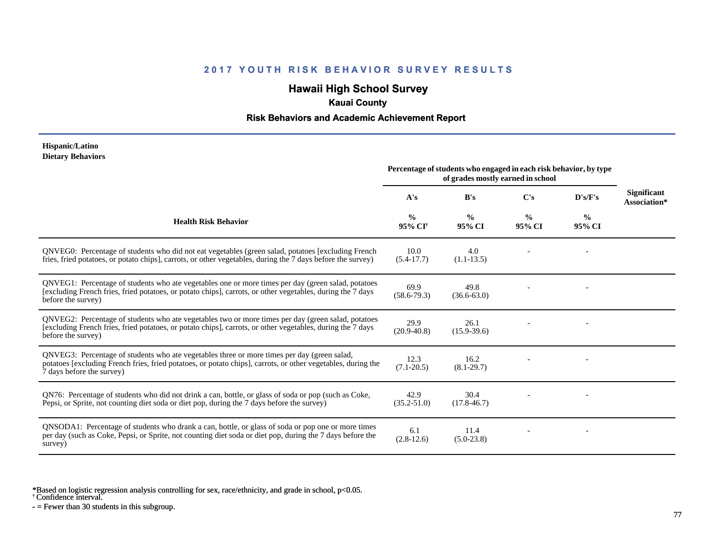## **Hawaii High School Survey**

### **Kauai County**

### **Risk Behaviors and Academic Achievement Report**

#### **Hispanic/Latino Dietary Behaviors**

|                                                                                                                                                                                                                                          | Percentage of students who engaged in each risk behavior, by type<br>of grades mostly earned in school |                         |                         |                         |                                    |
|------------------------------------------------------------------------------------------------------------------------------------------------------------------------------------------------------------------------------------------|--------------------------------------------------------------------------------------------------------|-------------------------|-------------------------|-------------------------|------------------------------------|
|                                                                                                                                                                                                                                          | A's                                                                                                    | B's                     | C's                     | D's/F's                 | <b>Significant</b><br>Association* |
| <b>Health Risk Behavior</b>                                                                                                                                                                                                              | $\frac{0}{0}$<br>95% CI <sup>+</sup>                                                                   | $\frac{0}{0}$<br>95% CI | $\frac{0}{0}$<br>95% CI | $\frac{0}{0}$<br>95% CI |                                    |
| QNVEG0: Percentage of students who did not eat vegetables (green salad, potatoes [excluding French<br>fries, fried potatoes, or potato chips], carrots, or other vegetables, during the 7 days before the survey)                        | 10.0<br>$(5.4-17.7)$                                                                                   | 4.0<br>$(1.1-13.5)$     |                         |                         |                                    |
| QNVEG1: Percentage of students who ate vegetables one or more times per day (green salad, potatoes<br>[excluding French fries, fried potatoes, or potato chips], carrots, or other vegetables, during the 7 days<br>before the survey)   | 69.9<br>$(58.6 - 79.3)$                                                                                | 49.8<br>$(36.6 - 63.0)$ |                         |                         |                                    |
| QNVEG2: Percentage of students who ate vegetables two or more times per day (green salad, potatoes<br>[excluding French fries, fried potatoes, or potato chips], carrots, or other vegetables, during the 7 days<br>before the survey)   | 29.9<br>$(20.9 - 40.8)$                                                                                | 26.1<br>$(15.9 - 39.6)$ |                         |                         |                                    |
| QNVEG3: Percentage of students who ate vegetables three or more times per day (green salad,<br>potatoes [excluding French fries, fried potatoes, or potato chips], carrots, or other vegetables, during the<br>7 days before the survey) | 12.3<br>$(7.1 - 20.5)$                                                                                 | 16.2<br>$(8.1 - 29.7)$  |                         |                         |                                    |
| QN76: Percentage of students who did not drink a can, bottle, or glass of soda or pop (such as Coke,<br>Pepsi, or Sprite, not counting diet soda or diet pop, during the 7 days before the survey)                                       | 42.9<br>$(35.2 - 51.0)$                                                                                | 30.4<br>$(17.8 - 46.7)$ |                         |                         |                                    |
| QNSODA1: Percentage of students who drank a can, bottle, or glass of soda or pop one or more times<br>per day (such as Coke, Pepsi, or Sprite, not counting diet soda or diet pop, during the 7 days before the<br>survey)               | 6.1<br>$(2.8-12.6)$                                                                                    | 11.4<br>$(5.0-23.8)$    |                         |                         |                                    |

\*Based on logistic regression analysis controlling for sex, race/ethnicity, and grade in school, p<0.05.

† Confidence interval.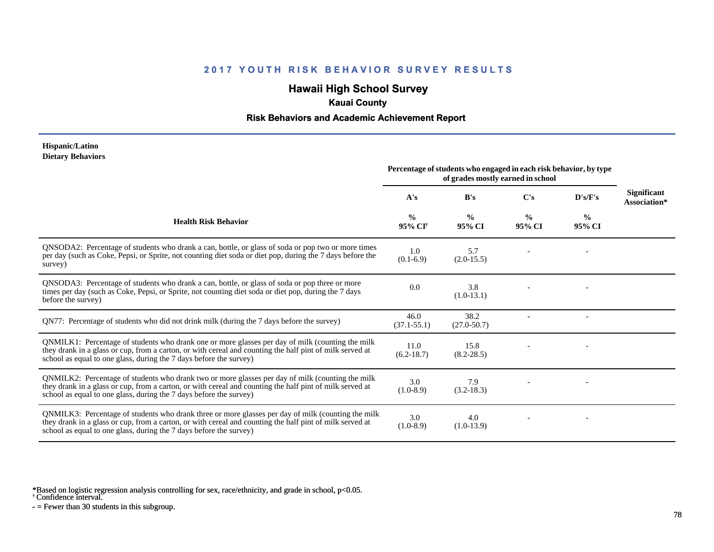# **Hawaii High School Survey**

### **Kauai County**

### **Risk Behaviors and Academic Achievement Report**

#### **Hispanic/Latino Dietary Behaviors**

|                                                                                                                                                                                                                                                                                      | Percentage of students who engaged in each risk behavior, by type<br>of grades mostly earned in school |                         |                         |                         |                                    |
|--------------------------------------------------------------------------------------------------------------------------------------------------------------------------------------------------------------------------------------------------------------------------------------|--------------------------------------------------------------------------------------------------------|-------------------------|-------------------------|-------------------------|------------------------------------|
|                                                                                                                                                                                                                                                                                      | A's                                                                                                    | B's                     | C's                     | D's/F's                 | <b>Significant</b><br>Association* |
| <b>Health Risk Behavior</b>                                                                                                                                                                                                                                                          | $\frac{0}{0}$<br>95% CI                                                                                | $\frac{0}{0}$<br>95% CI | $\frac{0}{0}$<br>95% CI | $\frac{0}{0}$<br>95% CI |                                    |
| QNSODA2: Percentage of students who drank a can, bottle, or glass of soda or pop two or more times<br>per day (such as Coke, Pepsi, or Sprite, not counting diet soda or diet pop, during the 7 days before the<br>survey)                                                           | 1.0<br>$(0.1-6.9)$                                                                                     | 5.7<br>$(2.0-15.5)$     |                         |                         |                                    |
| QNSODA3: Percentage of students who drank a can, bottle, or glass of soda or pop three or more<br>times per day (such as Coke, Pepsi, or Sprite, not counting diet soda or diet pop, during the 7 days<br>before the survey)                                                         | 0.0                                                                                                    | 3.8<br>$(1.0-13.1)$     |                         |                         |                                    |
| QN77: Percentage of students who did not drink milk (during the 7 days before the survey)                                                                                                                                                                                            | 46.0<br>$(37.1 - 55.1)$                                                                                | 38.2<br>$(27.0 - 50.7)$ |                         |                         |                                    |
| QNMILK1: Percentage of students who drank one or more glasses per day of milk (counting the milk<br>they drank in a glass or cup, from a carton, or with cereal and counting the half pint of milk served at<br>school as equal to one glass, during the 7 days before the survey)   | 11.0<br>$(6.2 - 18.7)$                                                                                 | 15.8<br>$(8.2 - 28.5)$  |                         |                         |                                    |
| QNMILK2: Percentage of students who drank two or more glasses per day of milk (counting the milk<br>they drank in a glass or cup, from a carton, or with cereal and counting the half pint of milk served at<br>school as equal to one glass, during the 7 days before the survey)   | 3.0<br>$(1.0-8.9)$                                                                                     | 7.9<br>$(3.2 - 18.3)$   |                         |                         |                                    |
| QNMILK3: Percentage of students who drank three or more glasses per day of milk (counting the milk<br>they drank in a glass or cup, from a carton, or with cereal and counting the half pint of milk served at<br>school as equal to one glass, during the 7 days before the survey) | 3.0<br>$(1.0-8.9)$                                                                                     | 4.0<br>$(1.0-13.9)$     |                         |                         |                                    |

\*Based on logistic regression analysis controlling for sex, race/ethnicity, and grade in school, p<0.05.

† Confidence interval.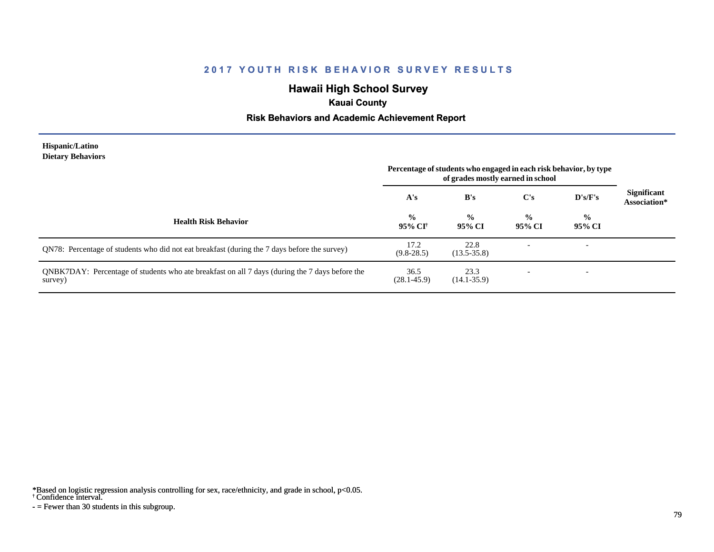# **Hawaii High School Survey**

### **Kauai County**

### **Risk Behaviors and Academic Achievement Report**

#### **Hispanic/Latino Dietary Behaviors**

|                                                                                                           | Percentage of students who engaged in each risk behavior, by type<br>of grades mostly earned in school |                         |                         |                          |                                    |
|-----------------------------------------------------------------------------------------------------------|--------------------------------------------------------------------------------------------------------|-------------------------|-------------------------|--------------------------|------------------------------------|
|                                                                                                           | A's                                                                                                    | B's                     | C's                     | D's/F's                  | <b>Significant</b><br>Association* |
| <b>Health Risk Behavior</b>                                                                               | $\frac{6}{10}$<br>95% CI†                                                                              | $\frac{0}{0}$<br>95% CI | $\frac{0}{0}$<br>95% CI | $\frac{0}{0}$<br>95% CI  |                                    |
| QN78: Percentage of students who did not eat breakfast (during the 7 days before the survey)              | 17.2<br>$(9.8-28.5)$                                                                                   | 22.8<br>$(13.5 - 35.8)$ |                         | $\overline{\phantom{a}}$ |                                    |
| QNBK7DAY: Percentage of students who ate breakfast on all 7 days (during the 7 days before the<br>survey) | 36.5<br>$(28.1 - 45.9)$                                                                                | 23.3<br>$(14.1 - 35.9)$ |                         | $\overline{\phantom{0}}$ |                                    |

\*Based on logistic regression analysis controlling for sex, race/ethnicity, and grade in school, p<0.05.

† Confidence interval.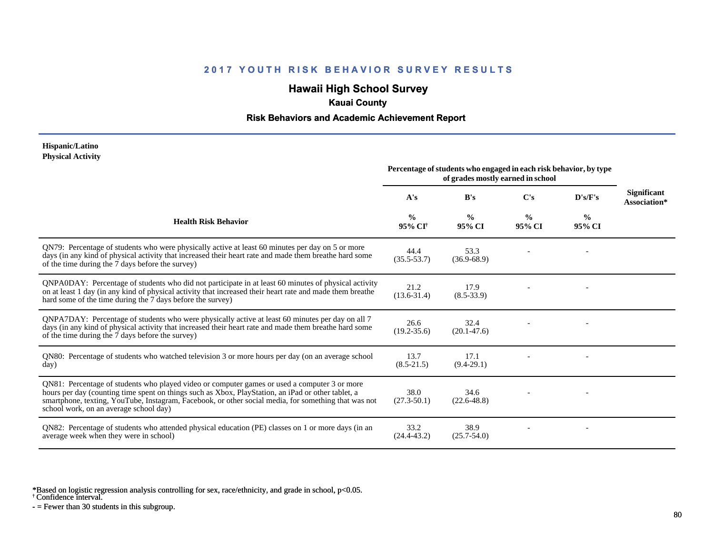# **Hawaii High School Survey**

### **Kauai County**

### **Risk Behaviors and Academic Achievement Report**

#### **Hispanic/Latino Physical Activity**

|                                                                                                                                                                                                                                                                                                                                                      | Percentage of students who engaged in each risk behavior, by type<br>of grades mostly earned in school |                         |                         |                         |                                    |
|------------------------------------------------------------------------------------------------------------------------------------------------------------------------------------------------------------------------------------------------------------------------------------------------------------------------------------------------------|--------------------------------------------------------------------------------------------------------|-------------------------|-------------------------|-------------------------|------------------------------------|
|                                                                                                                                                                                                                                                                                                                                                      | A's                                                                                                    | B's                     | $\bf C's$               | D's/F's                 | <b>Significant</b><br>Association* |
| <b>Health Risk Behavior</b>                                                                                                                                                                                                                                                                                                                          | $\frac{6}{6}$<br>95% CI†                                                                               | $\frac{0}{0}$<br>95% CI | $\frac{0}{0}$<br>95% CI | $\frac{0}{0}$<br>95% CI |                                    |
| QN79: Percentage of students who were physically active at least 60 minutes per day on 5 or more<br>days (in any kind of physical activity that increased their heart rate and made them breathe hard some<br>of the time during the 7 days before the survey)                                                                                       | 44.4<br>$(35.5 - 53.7)$                                                                                | 53.3<br>$(36.9 - 68.9)$ |                         |                         |                                    |
| QNPA0DAY: Percentage of students who did not participate in at least 60 minutes of physical activity<br>on at least 1 day (in any kind of physical activity that increased their heart rate and made them breathe<br>hard some of the time during the 7 days before the survey)                                                                      | 21.2<br>$(13.6 - 31.4)$                                                                                | 17.9<br>$(8.5 - 33.9)$  |                         |                         |                                    |
| QNPA7DAY: Percentage of students who were physically active at least 60 minutes per day on all 7<br>days (in any kind of physical activity that increased their heart rate and made them breathe hard some<br>of the time during the 7 days before the survey)                                                                                       | 26.6<br>$(19.2 - 35.6)$                                                                                | 32.4<br>$(20.1 - 47.6)$ |                         |                         |                                    |
| QN80: Percentage of students who watched television 3 or more hours per day (on an average school<br>day)                                                                                                                                                                                                                                            | 13.7<br>$(8.5 - 21.5)$                                                                                 | 17.1<br>$(9.4-29.1)$    |                         |                         |                                    |
| QN81: Percentage of students who played video or computer games or used a computer 3 or more<br>hours per day (counting time spent on things such as Xbox, PlayStation, an iPad or other tablet, a<br>smartphone, texting, YouTube, Instagram, Facebook, or other social media, for something that was not<br>school work, on an average school day) | 38.0<br>$(27.3 - 50.1)$                                                                                | 34.6<br>$(22.6 - 48.8)$ |                         |                         |                                    |
| QN82: Percentage of students who attended physical education (PE) classes on 1 or more days (in an<br>average week when they were in school)                                                                                                                                                                                                         | 33.2<br>$(24.4 - 43.2)$                                                                                | 38.9<br>$(25.7 - 54.0)$ |                         |                         |                                    |

\*Based on logistic regression analysis controlling for sex, race/ethnicity, and grade in school, p<0.05.

† Confidence interval.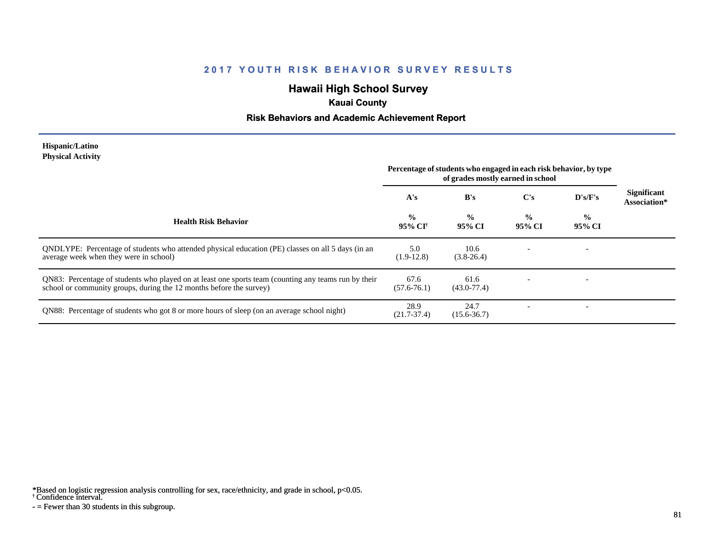# **Hawaii High School Survey**

### **Kauai County**

### **Risk Behaviors and Academic Achievement Report**

#### **Hispanic/Latino Physical Activity**

|                                                                                                                                                                             | Percentage of students who engaged in each risk behavior, by type<br>of grades mostly earned in school |                         |                         |                          |                                    |
|-----------------------------------------------------------------------------------------------------------------------------------------------------------------------------|--------------------------------------------------------------------------------------------------------|-------------------------|-------------------------|--------------------------|------------------------------------|
|                                                                                                                                                                             | A's                                                                                                    | B's                     | $\bf C's$               | D's/F's                  | <b>Significant</b><br>Association* |
| <b>Health Risk Behavior</b>                                                                                                                                                 | $\frac{0}{0}$<br>95% CI†                                                                               | $\frac{0}{0}$<br>95% CI | $\frac{0}{0}$<br>95% CI | $\frac{0}{0}$<br>95% CI  |                                    |
| ONDLYPE: Percentage of students who attended physical education (PE) classes on all 5 days (in an<br>average week when they were in school)                                 | 5.0<br>$(1.9-12.8)$                                                                                    | 10.6<br>$(3.8-26.4)$    |                         | $\overline{\phantom{a}}$ |                                    |
| QN83: Percentage of students who played on at least one sports team (counting any teams run by their<br>school or community groups, during the 12 months before the survey) | 67.6<br>$(57.6 - 76.1)$                                                                                | 61.6<br>$(43.0 - 77.4)$ |                         |                          |                                    |
| QN88: Percentage of students who got 8 or more hours of sleep (on an average school night)                                                                                  | 28.9<br>$(21.7 - 37.4)$                                                                                | 24.7<br>$(15.6 - 36.7)$ |                         | $\overline{\phantom{0}}$ |                                    |

\*Based on logistic regression analysis controlling for sex, race/ethnicity, and grade in school, p<0.05.

† Confidence interval.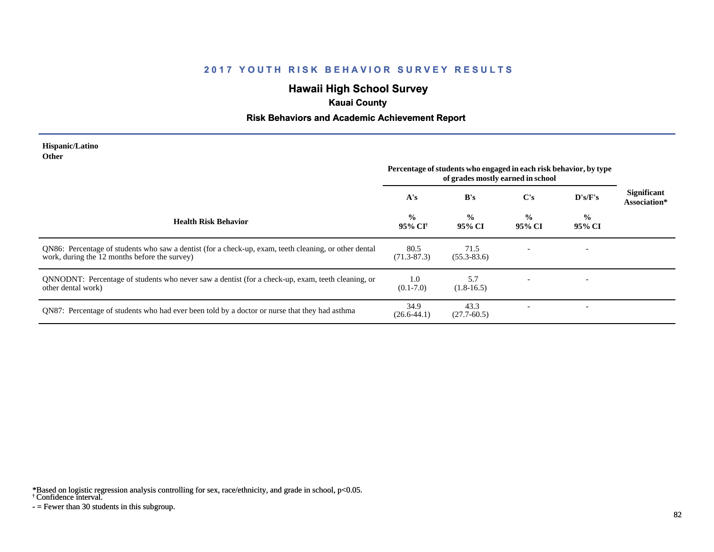# **Hawaii High School Survey**

## **Kauai County**

### **Risk Behaviors and Academic Achievement Report**

#### **Hispanic/Latino Other**

|                                                                                                                                                        | Percentage of students who engaged in each risk behavior, by type<br>of grades mostly earned in school |                         |                         |                         |                                    |
|--------------------------------------------------------------------------------------------------------------------------------------------------------|--------------------------------------------------------------------------------------------------------|-------------------------|-------------------------|-------------------------|------------------------------------|
|                                                                                                                                                        | A's                                                                                                    | B's                     | $\bf C's$               | D's/F's                 | <b>Significant</b><br>Association* |
| <b>Health Risk Behavior</b>                                                                                                                            | $\frac{0}{0}$<br>95% CI†                                                                               | $\frac{0}{0}$<br>95% CI | $\frac{0}{0}$<br>95% CI | $\frac{0}{0}$<br>95% CI |                                    |
| QN86: Percentage of students who saw a dentist (for a check-up, exam, teeth cleaning, or other dental<br>work, during the 12 months before the survey) | 80.5<br>$(71.3 - 87.3)$                                                                                | 71.5<br>$(55.3 - 83.6)$ |                         |                         |                                    |
| QNNODNT: Percentage of students who never saw a dentist (for a check-up, exam, teeth cleaning, or<br>other dental work)                                | 1.0<br>$(0.1 - 7.0)$                                                                                   | 5.7<br>$(1.8-16.5)$     |                         |                         |                                    |
| QN87: Percentage of students who had ever been told by a doctor or nurse that they had asthma                                                          | 34.9<br>$(26.6 - 44.1)$                                                                                | 43.3<br>$(27.7 - 60.5)$ |                         |                         |                                    |

\*Based on logistic regression analysis controlling for sex, race/ethnicity, and grade in school, p<0.05.

† Confidence interval.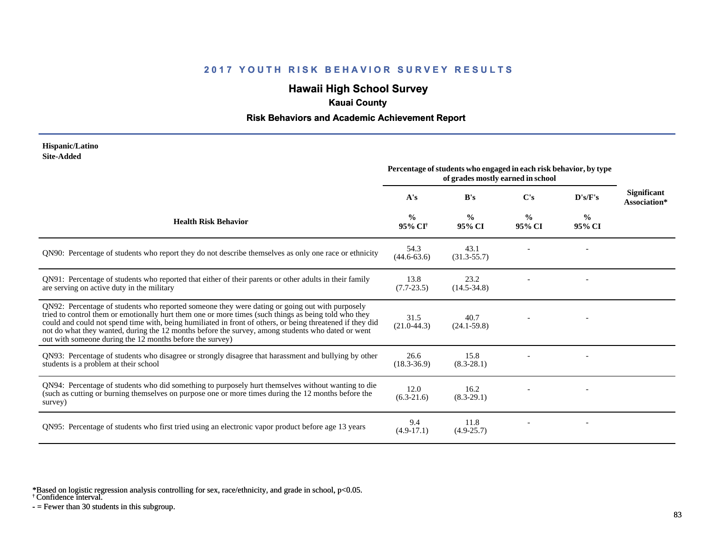# **Hawaii High School Survey**

### **Kauai County**

### **Risk Behaviors and Academic Achievement Report**

#### **Hispanic/Latino Site-Added**

|                                                                                                                                                                                                                                                                                                                                                                                                                                                                                      | Percentage of students who engaged in each risk behavior, by type<br>of grades mostly earned in school |                         |                         |                         |                             |
|--------------------------------------------------------------------------------------------------------------------------------------------------------------------------------------------------------------------------------------------------------------------------------------------------------------------------------------------------------------------------------------------------------------------------------------------------------------------------------------|--------------------------------------------------------------------------------------------------------|-------------------------|-------------------------|-------------------------|-----------------------------|
|                                                                                                                                                                                                                                                                                                                                                                                                                                                                                      | A's                                                                                                    | B's                     | C's                     | D's/F's                 | Significant<br>Association* |
| <b>Health Risk Behavior</b>                                                                                                                                                                                                                                                                                                                                                                                                                                                          | $\frac{0}{0}$<br>95% CI <sup>+</sup>                                                                   | $\frac{0}{0}$<br>95% CI | $\frac{0}{0}$<br>95% CI | $\frac{0}{0}$<br>95% CI |                             |
| QN90: Percentage of students who report they do not describe themselves as only one race or ethnicity                                                                                                                                                                                                                                                                                                                                                                                | 54.3<br>$(44.6 - 63.6)$                                                                                | 43.1<br>$(31.3 - 55.7)$ |                         |                         |                             |
| QN91: Percentage of students who reported that either of their parents or other adults in their family<br>are serving on active duty in the military                                                                                                                                                                                                                                                                                                                                 | 13.8<br>$(7.7-23.5)$                                                                                   | 23.2<br>$(14.5 - 34.8)$ |                         |                         |                             |
| QN92: Percentage of students who reported someone they were dating or going out with purposely<br>tried to control them or emotionally hurt them one or more times (such things as being told who they<br>could and could not spend time with, being humiliated in front of others, or being threatened if they did<br>not do what they wanted, during the 12 months before the survey, among students who dated or went<br>out with someone during the 12 months before the survey) | 31.5<br>$(21.0-44.3)$                                                                                  | 40.7<br>$(24.1 - 59.8)$ |                         |                         |                             |
| QN93: Percentage of students who disagree or strongly disagree that harassment and bullying by other<br>students is a problem at their school                                                                                                                                                                                                                                                                                                                                        | 26.6<br>$(18.3 - 36.9)$                                                                                | 15.8<br>$(8.3 - 28.1)$  |                         |                         |                             |
| QN94: Percentage of students who did something to purposely hurt themselves without wanting to die<br>(such as cutting or burning themselves on purpose one or more times during the 12 months before the<br>survey)                                                                                                                                                                                                                                                                 | 12.0<br>$(6.3-21.6)$                                                                                   | 16.2<br>$(8.3-29.1)$    |                         |                         |                             |
| QN95: Percentage of students who first tried using an electronic vapor product before age 13 years                                                                                                                                                                                                                                                                                                                                                                                   | 9.4<br>$(4.9-17.1)$                                                                                    | 11.8<br>$(4.9 - 25.7)$  |                         |                         |                             |

\*Based on logistic regression analysis controlling for sex, race/ethnicity, and grade in school, p<0.05.

† Confidence interval.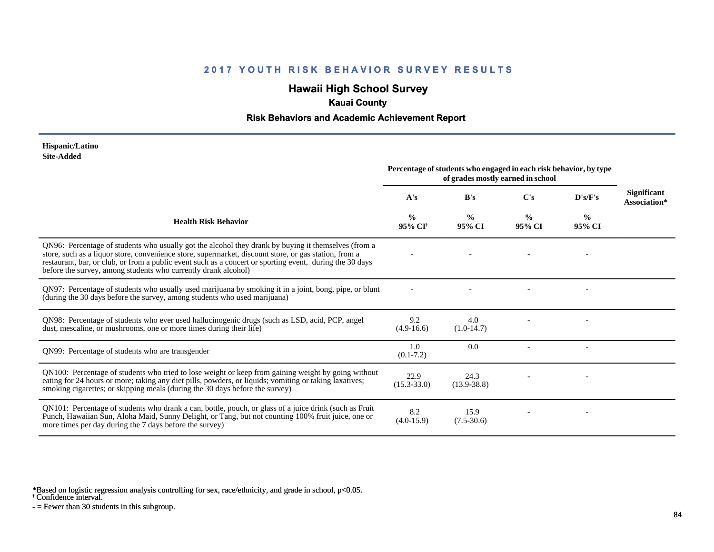# **Hawaii High School Survey**

## **Kauai County**

### **Risk Behaviors and Academic Achievement Report**

#### **Hispanic/Latino Site-Added**

|                                                                                                                                                                                                                                                                                                                                                                                            | Percentage of students who engaged in each risk behavior, by type<br>of grades mostly earned in school |                         |                         |                         |                                    |
|--------------------------------------------------------------------------------------------------------------------------------------------------------------------------------------------------------------------------------------------------------------------------------------------------------------------------------------------------------------------------------------------|--------------------------------------------------------------------------------------------------------|-------------------------|-------------------------|-------------------------|------------------------------------|
|                                                                                                                                                                                                                                                                                                                                                                                            | A's                                                                                                    | B's                     | $\bf C's$               | D's/F's                 | <b>Significant</b><br>Association* |
| <b>Health Risk Behavior</b>                                                                                                                                                                                                                                                                                                                                                                | $\frac{0}{0}$<br>95% CI†                                                                               | $\frac{0}{0}$<br>95% CI | $\frac{0}{0}$<br>95% CI | $\frac{0}{0}$<br>95% CI |                                    |
| QN96: Percentage of students who usually got the alcohol they drank by buying it themselves (from a<br>store, such as a liquor store, convenience store, supermarket, discount store, or gas station, from a<br>restaurant, bar, or club, or from a public event such as a concert or sporting event, during the 30 days<br>before the survey, among students who currently drank alcohol) |                                                                                                        |                         |                         |                         |                                    |
| QN97: Percentage of students who usually used marijuana by smoking it in a joint, bong, pipe, or blunt<br>(during the 30 days before the survey, among students who used marijuana)                                                                                                                                                                                                        |                                                                                                        |                         |                         |                         |                                    |
| QN98: Percentage of students who ever used hallucinogenic drugs (such as LSD, acid, PCP, angel<br>dust, mescaline, or mushrooms, one or more times during their life)                                                                                                                                                                                                                      | 9.2<br>$(4.9-16.6)$                                                                                    | 4.0<br>$(1.0-14.7)$     |                         |                         |                                    |
| QN99: Percentage of students who are transgender                                                                                                                                                                                                                                                                                                                                           | 1.0<br>$(0.1 - 7.2)$                                                                                   | 0.0                     |                         |                         |                                    |
| QN100: Percentage of students who tried to lose weight or keep from gaining weight by going without<br>eating for 24 hours or more; taking any diet pills, powders, or liquids; vomiting or taking laxatives;<br>smoking cigarettes; or skipping meals (during the 30 days before the survey)                                                                                              | 22.9<br>$(15.3 - 33.0)$                                                                                | 24.3<br>$(13.9 - 38.8)$ |                         |                         |                                    |
| QN101: Percentage of students who drank a can, bottle, pouch, or glass of a juice drink (such as Fruit<br>Punch, Hawaiian Sun, Aloha Maid, Sunny Delight, or Tang, but not counting 100% fruit juice, one or<br>more times per day during the 7 days before the survey)                                                                                                                    | 8.2<br>$(4.0-15.9)$                                                                                    | 15.9<br>$(7.5-30.6)$    |                         |                         |                                    |

\*Based on logistic regression analysis controlling for sex, race/ethnicity, and grade in school, p<0.05.

† Confidence interval.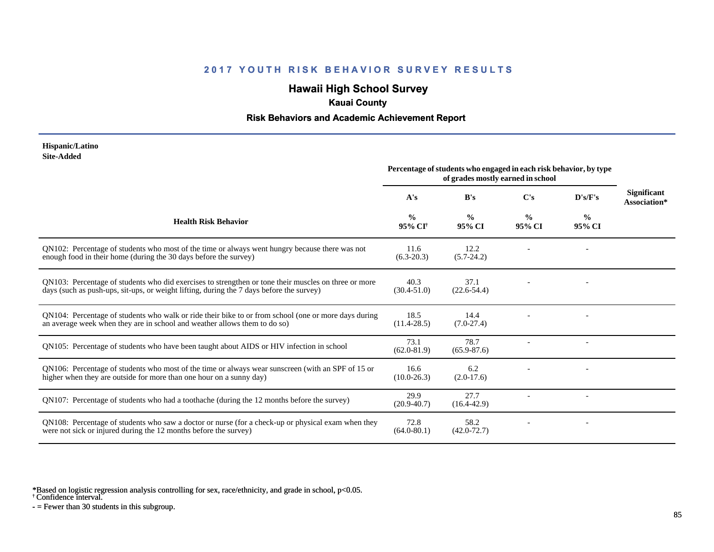# **Hawaii High School Survey**

## **Kauai County**

### **Risk Behaviors and Academic Achievement Report**

#### **Hispanic/Latino Site-Added**

|                                                                                                                                                                                                  | Percentage of students who engaged in each risk behavior, by type<br>of grades mostly earned in school |                         |                         |                         |                                    |
|--------------------------------------------------------------------------------------------------------------------------------------------------------------------------------------------------|--------------------------------------------------------------------------------------------------------|-------------------------|-------------------------|-------------------------|------------------------------------|
|                                                                                                                                                                                                  | A's                                                                                                    | B's                     | C's                     | D's/F's                 | <b>Significant</b><br>Association* |
| <b>Health Risk Behavior</b>                                                                                                                                                                      | $\frac{0}{0}$<br>95% CI <sup>+</sup>                                                                   | $\frac{0}{0}$<br>95% CI | $\frac{0}{0}$<br>95% CI | $\frac{6}{9}$<br>95% CI |                                    |
| QN102: Percentage of students who most of the time or always went hungry because there was not<br>enough food in their home (during the 30 days before the survey)                               | 11.6<br>$(6.3-20.3)$                                                                                   | 12.2<br>$(5.7-24.2)$    |                         |                         |                                    |
| QN103: Percentage of students who did exercises to strengthen or tone their muscles on three or more<br>days (such as push-ups, sit-ups, or weight lifting, during the 7 days before the survey) | 40.3<br>$(30.4 - 51.0)$                                                                                | 37.1<br>$(22.6 - 54.4)$ |                         |                         |                                    |
| QN104: Percentage of students who walk or ride their bike to or from school (one or more days during<br>an average week when they are in school and weather allows them to do so)                | 18.5<br>$(11.4 - 28.5)$                                                                                | 14.4<br>$(7.0-27.4)$    |                         |                         |                                    |
| QN105: Percentage of students who have been taught about AIDS or HIV infection in school                                                                                                         | 73.1<br>$(62.0 - 81.9)$                                                                                | 78.7<br>$(65.9 - 87.6)$ |                         |                         |                                    |
| QN106: Percentage of students who most of the time or always wear sunscreen (with an SPF of 15 or<br>higher when they are outside for more than one hour on a sunny day)                         | 16.6<br>$(10.0 - 26.3)$                                                                                | 6.2<br>$(2.0-17.6)$     |                         |                         |                                    |
| QN107: Percentage of students who had a toothache (during the 12 months before the survey)                                                                                                       | 29.9<br>$(20.9 - 40.7)$                                                                                | 27.7<br>$(16.4 - 42.9)$ |                         |                         |                                    |
| QN108: Percentage of students who saw a doctor or nurse (for a check-up or physical exam when they<br>were not sick or injured during the 12 months before the survey)                           | 72.8<br>$(64.0 - 80.1)$                                                                                | 58.2<br>$(42.0 - 72.7)$ |                         |                         |                                    |

\*Based on logistic regression analysis controlling for sex, race/ethnicity, and grade in school, p<0.05.

† Confidence interval.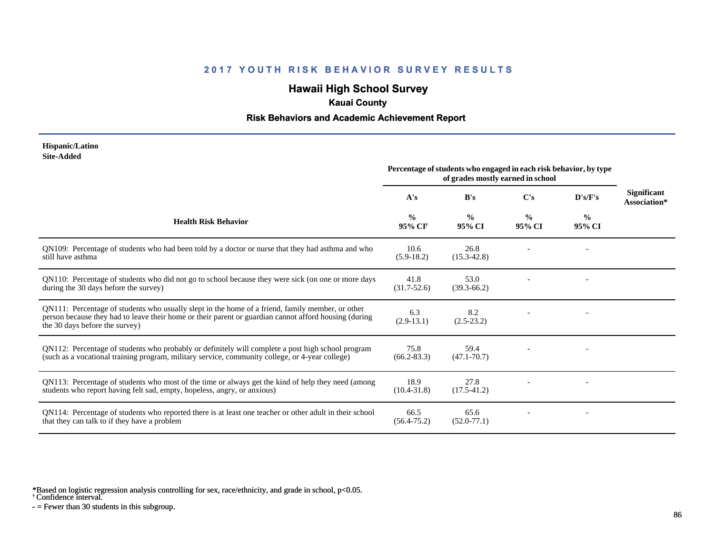# **Hawaii High School Survey**

## **Kauai County**

### **Risk Behaviors and Academic Achievement Report**

#### **Hispanic/Latino Site-Added**

|                                                                                                                                                                                                                                             | Percentage of students who engaged in each risk behavior, by type<br>of grades mostly earned in school |                         |                         |                         |                                    |
|---------------------------------------------------------------------------------------------------------------------------------------------------------------------------------------------------------------------------------------------|--------------------------------------------------------------------------------------------------------|-------------------------|-------------------------|-------------------------|------------------------------------|
|                                                                                                                                                                                                                                             | A's                                                                                                    | B's                     | $\bf C's$               | D's/F's                 | <b>Significant</b><br>Association* |
| <b>Health Risk Behavior</b>                                                                                                                                                                                                                 | $\frac{0}{0}$<br>95% CI <sup>†</sup>                                                                   | $\frac{0}{0}$<br>95% CI | $\frac{0}{0}$<br>95% CI | $\frac{0}{0}$<br>95% CI |                                    |
| QN109: Percentage of students who had been told by a doctor or nurse that they had asthma and who<br>still have asthma                                                                                                                      | 10.6<br>$(5.9-18.2)$                                                                                   | 26.8<br>$(15.3 - 42.8)$ |                         |                         |                                    |
| QN110: Percentage of students who did not go to school because they were sick (on one or more days<br>during the 30 days before the survey)                                                                                                 | 41.8<br>$(31.7 - 52.6)$                                                                                | 53.0<br>$(39.3 - 66.2)$ |                         |                         |                                    |
| QN111: Percentage of students who usually slept in the home of a friend, family member, or other<br>person because they had to leave their home or their parent or guardian cannot afford housing (during<br>the 30 days before the survey) | 6.3<br>$(2.9-13.1)$                                                                                    | 8.2<br>$(2.5-23.2)$     |                         |                         |                                    |
| QN112: Percentage of students who probably or definitely will complete a post high school program<br>(such as a vocational training program, military service, community college, or 4-year college)                                        | 75.8<br>$(66.2 - 83.3)$                                                                                | 59.4<br>$(47.1 - 70.7)$ |                         |                         |                                    |
| QN113: Percentage of students who most of the time or always get the kind of help they need (among<br>students who report having felt sad, empty, hopeless, angry, or anxious)                                                              | 18.9<br>$(10.4 - 31.8)$                                                                                | 27.8<br>$(17.5-41.2)$   |                         |                         |                                    |
| QN114: Percentage of students who reported there is at least one teacher or other adult in their school<br>that they can talk to if they have a problem                                                                                     | 66.5<br>$(56.4 - 75.2)$                                                                                | 65.6<br>$(52.0 - 77.1)$ |                         |                         |                                    |

\*Based on logistic regression analysis controlling for sex, race/ethnicity, and grade in school, p<0.05.

† Confidence interval.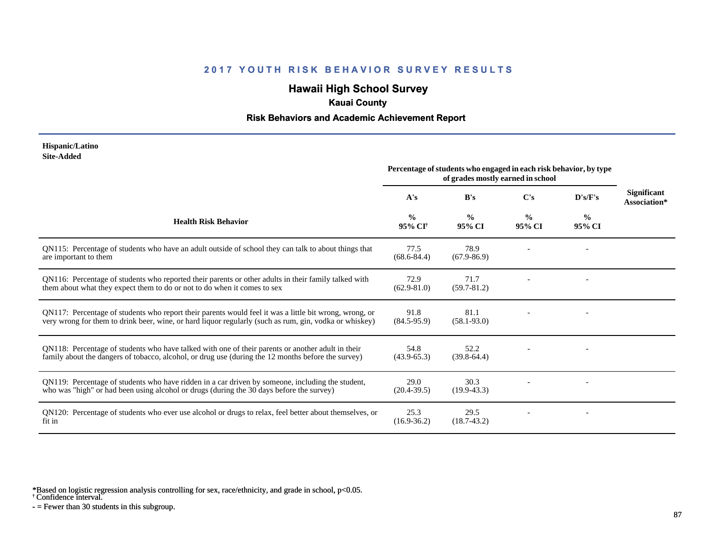# **Hawaii High School Survey**

## **Kauai County**

### **Risk Behaviors and Academic Achievement Report**

#### **Hispanic/Latino Site-Added**

|                                                                                                                                                                                                                  | Percentage of students who engaged in each risk behavior, by type<br>of grades mostly earned in school |                         |                         |                         |                                    |
|------------------------------------------------------------------------------------------------------------------------------------------------------------------------------------------------------------------|--------------------------------------------------------------------------------------------------------|-------------------------|-------------------------|-------------------------|------------------------------------|
|                                                                                                                                                                                                                  | A's                                                                                                    | B's                     | $\bf C's$               | D's/F's                 | <b>Significant</b><br>Association* |
| <b>Health Risk Behavior</b>                                                                                                                                                                                      | $\frac{0}{0}$<br>95% CI <sup>+</sup>                                                                   | $\frac{0}{0}$<br>95% CI | $\frac{0}{0}$<br>95% CI | $\frac{0}{0}$<br>95% CI |                                    |
| QN115: Percentage of students who have an adult outside of school they can talk to about things that<br>are important to them                                                                                    | 77.5<br>$(68.6 - 84.4)$                                                                                | 78.9<br>$(67.9 - 86.9)$ |                         |                         |                                    |
| QN116: Percentage of students who reported their parents or other adults in their family talked with<br>them about what they expect them to do or not to do when it comes to sex                                 | 72.9<br>$(62.9 - 81.0)$                                                                                | 71.7<br>$(59.7 - 81.2)$ |                         |                         |                                    |
| QN117: Percentage of students who report their parents would feel it was a little bit wrong, wrong, or<br>very wrong for them to drink beer, wine, or hard liquor regularly (such as rum, gin, vodka or whiskey) | 91.8<br>$(84.5-95.9)$                                                                                  | 81.1<br>$(58.1 - 93.0)$ |                         |                         |                                    |
| QN118: Percentage of students who have talked with one of their parents or another adult in their<br>family about the dangers of tobacco, alcohol, or drug use (during the 12 months before the survey)          | 54.8<br>$(43.9 - 65.3)$                                                                                | 52.2<br>$(39.8-64.4)$   |                         |                         |                                    |
| QN119: Percentage of students who have ridden in a car driven by someone, including the student,<br>who was "high" or had been using alcohol or drugs (during the 30 days before the survey)                     | 29.0<br>$(20.4 - 39.5)$                                                                                | 30.3<br>$(19.9-43.3)$   |                         |                         |                                    |
| QN120: Percentage of students who ever use alcohol or drugs to relax, feel better about themselves, or<br>fit in                                                                                                 | 25.3<br>$(16.9 - 36.2)$                                                                                | 29.5<br>$(18.7 - 43.2)$ |                         |                         |                                    |

\*Based on logistic regression analysis controlling for sex, race/ethnicity, and grade in school, p<0.05.

† Confidence interval.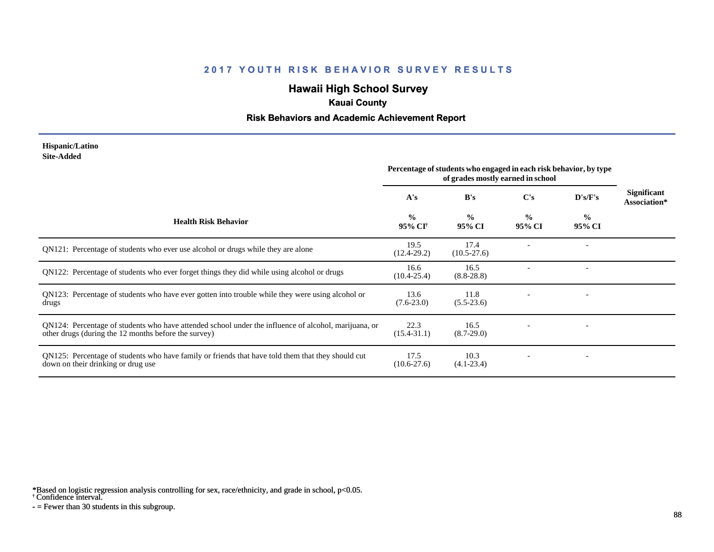# **Hawaii High School Survey**

### **Kauai County**

### **Risk Behaviors and Academic Achievement Report**

#### **Hispanic/Latino Site-Added**

|                                                                                                                                                              | Percentage of students who engaged in each risk behavior, by type<br>of grades mostly earned in school |                         |                         |                         |                                    |
|--------------------------------------------------------------------------------------------------------------------------------------------------------------|--------------------------------------------------------------------------------------------------------|-------------------------|-------------------------|-------------------------|------------------------------------|
|                                                                                                                                                              | A's                                                                                                    | B's                     | C's                     | $\bf{D's/F's}$          | <b>Significant</b><br>Association* |
| <b>Health Risk Behavior</b>                                                                                                                                  | $\frac{0}{0}$<br>95% CI <sup>+</sup>                                                                   | $\frac{0}{0}$<br>95% CI | $\frac{0}{0}$<br>95% CI | $\frac{6}{6}$<br>95% CI |                                    |
| QN121: Percentage of students who ever use alcohol or drugs while they are alone                                                                             | 19.5<br>$(12.4 - 29.2)$                                                                                | 17.4<br>$(10.5 - 27.6)$ |                         |                         |                                    |
| QN122: Percentage of students who ever forget things they did while using alcohol or drugs                                                                   | 16.6<br>$(10.4 - 25.4)$                                                                                | 16.5<br>$(8.8 - 28.8)$  |                         |                         |                                    |
| QN123: Percentage of students who have ever gotten into trouble while they were using alcohol or<br>drugs                                                    | 13.6<br>$(7.6-23.0)$                                                                                   | 11.8<br>$(5.5-23.6)$    |                         |                         |                                    |
| QN124: Percentage of students who have attended school under the influence of alcohol, marijuana, or<br>other drugs (during the 12 months before the survey) | 22.3<br>$(15.4 - 31.1)$                                                                                | 16.5<br>$(8.7-29.0)$    |                         |                         |                                    |
| QN125: Percentage of students who have family or friends that have told them that they should cut<br>down on their drinking or drug use                      | 17.5<br>$(10.6 - 27.6)$                                                                                | 10.3<br>$(4.1 - 23.4)$  |                         |                         |                                    |

\*Based on logistic regression analysis controlling for sex, race/ethnicity, and grade in school, p<0.05.

† Confidence interval.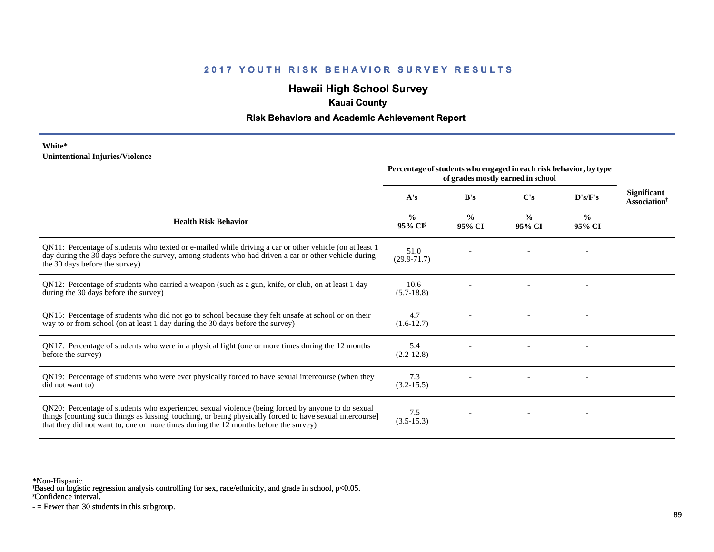## **Hawaii High School Survey**

## **Kauai County**

### **Risk Behaviors and Academic Achievement Report**

#### **White\* Unintentional Injuries/Violence**

|                                                                                                                                                                                                                                                                                                        | Percentage of students who engaged in each risk behavior, by type<br>of grades mostly earned in school |                         |                         |                          |                                    |
|--------------------------------------------------------------------------------------------------------------------------------------------------------------------------------------------------------------------------------------------------------------------------------------------------------|--------------------------------------------------------------------------------------------------------|-------------------------|-------------------------|--------------------------|------------------------------------|
|                                                                                                                                                                                                                                                                                                        | A's                                                                                                    | B's                     | $\bf C's$               | D's/F's                  | <b>Significant</b><br>Association† |
| <b>Health Risk Behavior</b>                                                                                                                                                                                                                                                                            | $\frac{0}{0}$<br>95% CI <sup>§</sup>                                                                   | $\frac{0}{0}$<br>95% CI | $\frac{0}{0}$<br>95% CI | $\frac{0}{0}$<br>95% CI  |                                    |
| QN11: Percentage of students who texted or e-mailed while driving a car or other vehicle (on at least 1<br>day during the 30 days before the survey, among students who had driven a car or other vehicle during<br>the 30 days before the survey)                                                     | 51.0<br>$(29.9 - 71.7)$                                                                                |                         |                         | $\overline{\phantom{a}}$ |                                    |
| QN12: Percentage of students who carried a weapon (such as a gun, knife, or club, on at least 1 day<br>during the 30 days before the survey)                                                                                                                                                           | 10.6<br>$(5.7-18.8)$                                                                                   |                         |                         |                          |                                    |
| QN15: Percentage of students who did not go to school because they felt unsafe at school or on their<br>way to or from school (on at least 1 day during the 30 days before the survey)                                                                                                                 | 4.7<br>$(1.6-12.7)$                                                                                    |                         |                         |                          |                                    |
| QN17: Percentage of students who were in a physical fight (one or more times during the 12 months<br>before the survey)                                                                                                                                                                                | 5.4<br>$(2.2 - 12.8)$                                                                                  |                         |                         |                          |                                    |
| QN19: Percentage of students who were ever physically forced to have sexual intercourse (when they<br>did not want to)                                                                                                                                                                                 | 7.3<br>$(3.2 - 15.5)$                                                                                  |                         |                         |                          |                                    |
| QN20: Percentage of students who experienced sexual violence (being forced by anyone to do sexual<br>things [counting such things as kissing, touching, or being physically forced to have sexual intercourse]<br>that they did not want to, one or more times during the 12 months before the survey) | 7.5<br>$(3.5-15.3)$                                                                                    |                         |                         |                          |                                    |

\*Non-Hispanic.

† Based on logistic regression analysis controlling for sex, race/ethnicity, and grade in school, p<0.05.

§Confidence interval.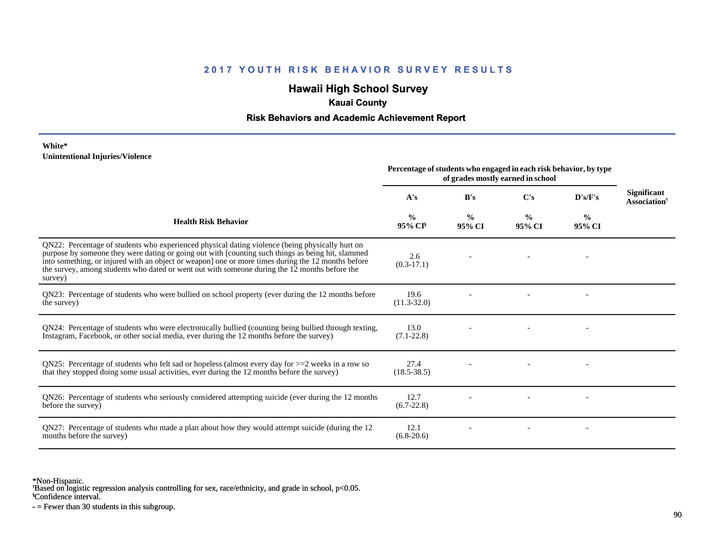## **Hawaii High School Survey**

## **Kauai County**

### **Risk Behaviors and Academic Achievement Report**

#### **White\* Unintentional Injuries/Violence**

|                                                                                                                                                                                                                                                                                                                                                                                                                        | Percentage of students who engaged in each risk behavior, by type<br>of grades mostly earned in school |                         |                         |                         |                                                |
|------------------------------------------------------------------------------------------------------------------------------------------------------------------------------------------------------------------------------------------------------------------------------------------------------------------------------------------------------------------------------------------------------------------------|--------------------------------------------------------------------------------------------------------|-------------------------|-------------------------|-------------------------|------------------------------------------------|
|                                                                                                                                                                                                                                                                                                                                                                                                                        | A's                                                                                                    | B's                     | $\bf C's$               | D's/F's                 | Significant<br><b>Association</b> <sup>†</sup> |
| <b>Health Risk Behavior</b>                                                                                                                                                                                                                                                                                                                                                                                            | %<br>$95\%$ CI <sup>§</sup>                                                                            | $\frac{0}{0}$<br>95% CI | $\frac{0}{0}$<br>95% CI | $\frac{0}{0}$<br>95% CI |                                                |
| QN22: Percentage of students who experienced physical dating violence (being physically hurt on<br>purpose by someone they were dating or going out with [counting such things as being hit, slammed<br>into something, or injured with an object or weapon] one or more times during the 12 months before<br>the survey, among students who dated or went out with someone during the 12 months before the<br>survey) | 2.6<br>$(0.3-17.1)$                                                                                    |                         |                         |                         |                                                |
| QN23: Percentage of students who were bullied on school property (ever during the 12 months before<br>the survey)                                                                                                                                                                                                                                                                                                      | 19.6<br>$(11.3 - 32.0)$                                                                                |                         |                         |                         |                                                |
| QN24: Percentage of students who were electronically bullied (counting being bullied through texting,<br>Instagram, Facebook, or other social media, ever during the 12 months before the survey)                                                                                                                                                                                                                      | 13.0<br>$(7.1 - 22.8)$                                                                                 |                         |                         |                         |                                                |
| QN25: Percentage of students who felt sad or hopeless (almost every day for $>=$ 2 weeks in a row so<br>that they stopped doing some usual activities, ever during the 12 months before the survey)                                                                                                                                                                                                                    | 27.4<br>$(18.5 - 38.5)$                                                                                |                         |                         |                         |                                                |
| QN26: Percentage of students who seriously considered attempting suicide (ever during the 12 months<br>before the survey)                                                                                                                                                                                                                                                                                              | 12.7<br>$(6.7-22.8)$                                                                                   |                         |                         |                         |                                                |
| QN27: Percentage of students who made a plan about how they would attempt suicide (during the 12<br>months before the survey)                                                                                                                                                                                                                                                                                          | 12.1<br>$(6.8-20.6)$                                                                                   |                         |                         |                         |                                                |

\*Non-Hispanic.

† Based on logistic regression analysis controlling for sex, race/ethnicity, and grade in school, p<0.05.

§Confidence interval.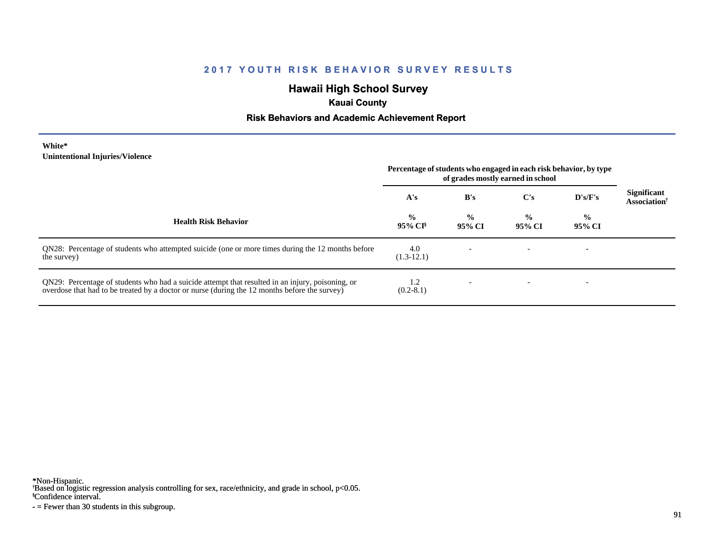## **Hawaii High School Survey**

## **Kauai County**

### **Risk Behaviors and Academic Achievement Report**

#### **White\* Unintentional Injuries/Violence**

|                                                                                                                                                                                                   | Percentage of students who engaged in each risk behavior, by type<br>of grades mostly earned in school |                         |                         |                         |                                                       |
|---------------------------------------------------------------------------------------------------------------------------------------------------------------------------------------------------|--------------------------------------------------------------------------------------------------------|-------------------------|-------------------------|-------------------------|-------------------------------------------------------|
|                                                                                                                                                                                                   | A's                                                                                                    | B's                     | C's                     | D's/F's                 | <b>Significant</b><br><b>Association</b> <sup>†</sup> |
| <b>Health Risk Behavior</b>                                                                                                                                                                       | $\frac{0}{0}$<br>$95\%$ CI <sup>§</sup>                                                                | $\frac{0}{0}$<br>95% CI | $\frac{6}{9}$<br>95% CI | $\frac{0}{0}$<br>95% CI |                                                       |
| QN28: Percentage of students who attempted suicide (one or more times during the 12 months before<br>the survey)                                                                                  | 4.0<br>$(1.3-12.1)$                                                                                    |                         |                         |                         |                                                       |
| QN29: Percentage of students who had a suicide attempt that resulted in an injury, poisoning, or<br>overdose that had to be treated by a doctor or nurse (during the 12 months before the survey) | 1.2<br>$(0.2-8.1)$                                                                                     |                         |                         |                         |                                                       |

\*Non-Hispanic.

† Based on logistic regression analysis controlling for sex, race/ethnicity, and grade in school, p<0.05.

§Confidence interval.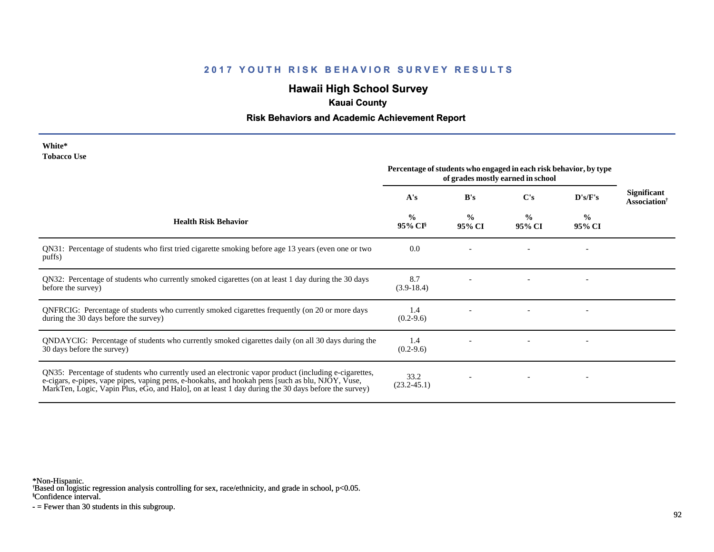## **Hawaii High School Survey**

## **Kauai County**

### **Risk Behaviors and Academic Achievement Report**

| White*      |  |
|-------------|--|
| Tobacco Use |  |

|                                                                                                                                                                                                                                                                                                                 | Percentage of students who engaged in each risk behavior, by type<br>of grades mostly earned in school |                         |                         |                          |                                                |
|-----------------------------------------------------------------------------------------------------------------------------------------------------------------------------------------------------------------------------------------------------------------------------------------------------------------|--------------------------------------------------------------------------------------------------------|-------------------------|-------------------------|--------------------------|------------------------------------------------|
|                                                                                                                                                                                                                                                                                                                 | A's                                                                                                    | B's                     | C's                     | D's/F's                  | <b>Significant</b><br>Association <sup>†</sup> |
| <b>Health Risk Behavior</b>                                                                                                                                                                                                                                                                                     | $\frac{0}{0}$<br>$95\%$ CI <sup>§</sup>                                                                | $\frac{0}{0}$<br>95% CI | $\frac{0}{0}$<br>95% CI | $\frac{0}{0}$<br>95% CI  |                                                |
| QN31: Percentage of students who first tried cigarette smoking before age 13 years (even one or two<br>puffs)                                                                                                                                                                                                   | 0.0                                                                                                    |                         |                         | $\overline{\phantom{a}}$ |                                                |
| QN32: Percentage of students who currently smoked cigarettes (on at least 1 day during the 30 days<br>before the survey)                                                                                                                                                                                        | 8.7<br>$(3.9-18.4)$                                                                                    |                         |                         |                          |                                                |
| QNFRCIG: Percentage of students who currently smoked cigarettes frequently (on 20 or more days<br>during the 30 days before the survey)                                                                                                                                                                         | 1.4<br>$(0.2-9.6)$                                                                                     |                         |                         |                          |                                                |
| QNDAYCIG: Percentage of students who currently smoked cigarettes daily (on all 30 days during the<br>30 days before the survey)                                                                                                                                                                                 | 1.4<br>$(0.2-9.6)$                                                                                     |                         |                         |                          |                                                |
| QN35: Percentage of students who currently used an electronic vapor product (including e-cigarettes,<br>e-cigars, e-pipes, vape pipes, vaping pens, e-hookahs, and hookah pens [such as blu, NJOY, Vuse,<br>MarkTen, Logic, Vapin Plus, eGo, and Halo], on at least 1 day during the 30 days before the survey) | 33.2<br>$(23.2 - 45.1)$                                                                                |                         |                         | $\overline{a}$           |                                                |

\*Non-Hispanic.

† Based on logistic regression analysis controlling for sex, race/ethnicity, and grade in school, p<0.05.

§Confidence interval.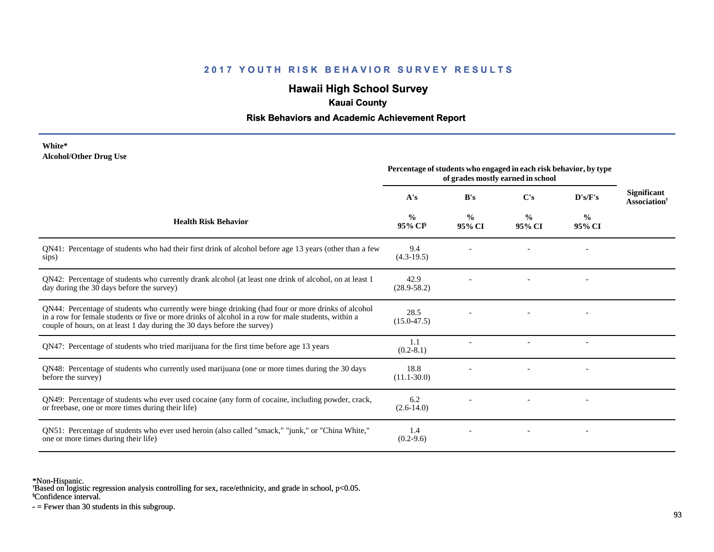## **Hawaii High School Survey**

## **Kauai County**

### **Risk Behaviors and Academic Achievement Report**

#### **White\* Alcohol/Other Drug Use**

|                                                                                                                                                                                                                                                                                       | Percentage of students who engaged in each risk behavior, by type<br>of grades mostly earned in school |                         |                         |                         |                                                       |
|---------------------------------------------------------------------------------------------------------------------------------------------------------------------------------------------------------------------------------------------------------------------------------------|--------------------------------------------------------------------------------------------------------|-------------------------|-------------------------|-------------------------|-------------------------------------------------------|
|                                                                                                                                                                                                                                                                                       | A's                                                                                                    | B's                     | C's                     | D's/F's                 | <b>Significant</b><br><b>Association</b> <sup>†</sup> |
| <b>Health Risk Behavior</b>                                                                                                                                                                                                                                                           | $\frac{0}{0}$<br>95% CI <sup>§</sup>                                                                   | $\frac{6}{9}$<br>95% CI | $\frac{0}{0}$<br>95% CI | $\frac{0}{0}$<br>95% CI |                                                       |
| QN41: Percentage of students who had their first drink of alcohol before age 13 years (other than a few<br>sips)                                                                                                                                                                      | 9.4<br>$(4.3-19.5)$                                                                                    |                         |                         |                         |                                                       |
| QN42: Percentage of students who currently drank alcohol (at least one drink of alcohol, on at least 1<br>day during the 30 days before the survey)                                                                                                                                   | 42.9<br>$(28.9 - 58.2)$                                                                                |                         |                         |                         |                                                       |
| QN44: Percentage of students who currently were binge drinking (had four or more drinks of alcohol<br>in a row for female students or five or more drinks of alcohol in a row for male students, within a<br>couple of hours, on at least 1 day during the 30 days before the survey) | 28.5<br>$(15.0 - 47.5)$                                                                                |                         |                         |                         |                                                       |
| QN47: Percentage of students who tried marijuana for the first time before age 13 years                                                                                                                                                                                               | 1.1<br>$(0.2-8.1)$                                                                                     |                         |                         |                         |                                                       |
| QN48: Percentage of students who currently used marijuana (one or more times during the 30 days<br>before the survey)                                                                                                                                                                 | 18.8<br>$(11.1 - 30.0)$                                                                                |                         |                         |                         |                                                       |
| QN49: Percentage of students who ever used cocaine (any form of cocaine, including powder, crack,<br>or freebase, one or more times during their life)                                                                                                                                | 6.2<br>$(2.6-14.0)$                                                                                    |                         |                         |                         |                                                       |
| ON51: Percentage of students who ever used heroin (also called "smack," "junk," or "China White,"<br>one or more times during their life)                                                                                                                                             | 1.4<br>$(0.2-9.6)$                                                                                     |                         |                         |                         |                                                       |

\*Non-Hispanic.

† Based on logistic regression analysis controlling for sex, race/ethnicity, and grade in school, p<0.05.

§Confidence interval.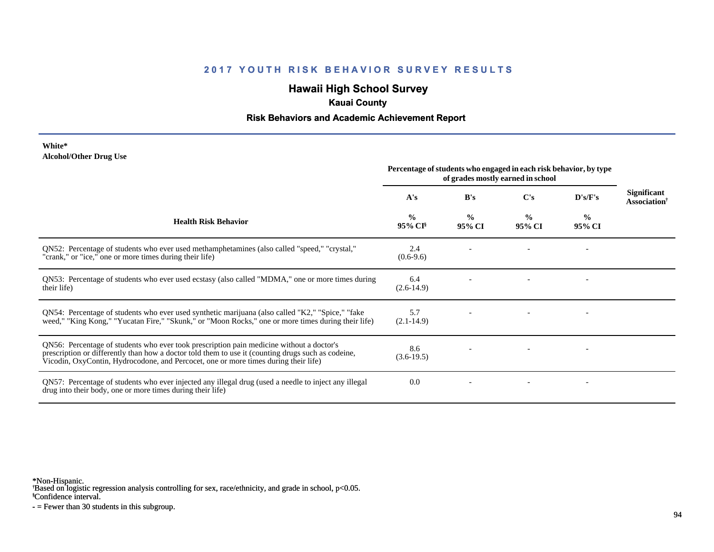## **Hawaii High School Survey**

## **Kauai County**

### **Risk Behaviors and Academic Achievement Report**

#### **White\* Alcohol/Other Drug Use**

|                                                                                                                                                                                                                                                                                       | Percentage of students who engaged in each risk behavior, by type<br>of grades mostly earned in school |                         |                         |                          |                                                       |
|---------------------------------------------------------------------------------------------------------------------------------------------------------------------------------------------------------------------------------------------------------------------------------------|--------------------------------------------------------------------------------------------------------|-------------------------|-------------------------|--------------------------|-------------------------------------------------------|
|                                                                                                                                                                                                                                                                                       | A's                                                                                                    | B's                     | C's                     | D's/F's                  | <b>Significant</b><br><b>Association</b> <sup>†</sup> |
| <b>Health Risk Behavior</b>                                                                                                                                                                                                                                                           | $\frac{0}{0}$<br>95% CI <sup>§</sup>                                                                   | $\frac{0}{0}$<br>95% CI | $\frac{0}{0}$<br>95% CI | $\frac{6}{10}$<br>95% CI |                                                       |
| QN52: Percentage of students who ever used methamphetamines (also called "speed," "crystal,"<br>"crank," or "ice," one or more times during their life)                                                                                                                               | 2.4<br>$(0.6-9.6)$                                                                                     |                         |                         |                          |                                                       |
| QN53: Percentage of students who ever used ecstasy (also called "MDMA," one or more times during<br>their life)                                                                                                                                                                       | 6.4<br>$(2.6-14.9)$                                                                                    |                         |                         |                          |                                                       |
| QN54: Percentage of students who ever used synthetic marijuana (also called "K2," "Spice," "fake<br>weed," "King Kong," "Yucatan Fire," "Skunk," or "Moon Rocks," one or more times during their life)                                                                                | 5.7<br>$(2.1 - 14.9)$                                                                                  |                         |                         |                          |                                                       |
| QN56: Percentage of students who ever took prescription pain medicine without a doctor's<br>prescription or differently than how a doctor told them to use it (counting drugs such as codeine,<br>Vicodin, OxyContin, Hydrocodone, and Percocet, one or more times during their life) | 8.6<br>$(3.6-19.5)$                                                                                    |                         |                         |                          |                                                       |
| QN57: Percentage of students who ever injected any illegal drug (used a needle to inject any illegal<br>drug into their body, one or more times during their life)                                                                                                                    | 0.0                                                                                                    |                         |                         |                          |                                                       |

\*Non-Hispanic.

† Based on logistic regression analysis controlling for sex, race/ethnicity, and grade in school, p<0.05.

§Confidence interval.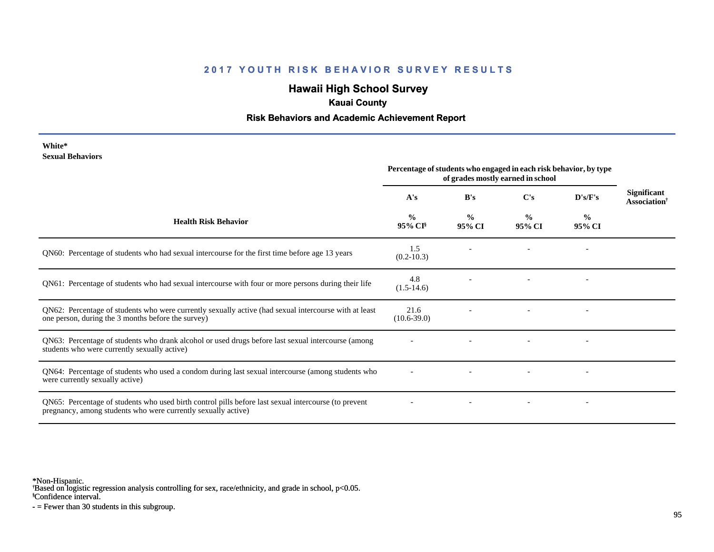## **Hawaii High School Survey**

### **Kauai County**

### **Risk Behaviors and Academic Achievement Report**

| White*                  |
|-------------------------|
| <b>Sexual Behaviors</b> |

|                                                                                                                                                                       | Percentage of students who engaged in each risk behavior, by type<br>of grades mostly earned in school |                         |                         |                          |                                                |
|-----------------------------------------------------------------------------------------------------------------------------------------------------------------------|--------------------------------------------------------------------------------------------------------|-------------------------|-------------------------|--------------------------|------------------------------------------------|
|                                                                                                                                                                       | A's                                                                                                    | B's                     | $\bf C's$               | D's/F's                  | <b>Significant</b><br>Association <sup>†</sup> |
| <b>Health Risk Behavior</b>                                                                                                                                           | $\frac{0}{0}$<br>95% CI <sup>§</sup>                                                                   | $\frac{0}{0}$<br>95% CI | $\frac{0}{0}$<br>95% CI | $\%$<br>95% CI           |                                                |
| QN60: Percentage of students who had sexual intercourse for the first time before age 13 years                                                                        | 1.5<br>$(0.2 - 10.3)$                                                                                  |                         |                         |                          |                                                |
| QN61: Percentage of students who had sexual intercourse with four or more persons during their life                                                                   | 4.8<br>$(1.5-14.6)$                                                                                    |                         |                         |                          |                                                |
| QN62: Percentage of students who were currently sexually active (had sexual intercourse with at least<br>one person, during the 3 months before the survey)           | 21.6<br>$(10.6 - 39.0)$                                                                                |                         |                         |                          |                                                |
| QN63: Percentage of students who drank alcohol or used drugs before last sexual intercourse (among<br>students who were currently sexually active)                    |                                                                                                        |                         |                         | $\overline{\phantom{a}}$ |                                                |
| QN64: Percentage of students who used a condom during last sexual intercourse (among students who<br>were currently sexually active)                                  |                                                                                                        |                         |                         | $\overline{\phantom{a}}$ |                                                |
| QN65: Percentage of students who used birth control pills before last sexual intercourse (to prevent<br>pregnancy, among students who were currently sexually active) |                                                                                                        |                         |                         | $\overline{\phantom{a}}$ |                                                |

\*Non-Hispanic.

† Based on logistic regression analysis controlling for sex, race/ethnicity, and grade in school, p<0.05.

§Confidence interval.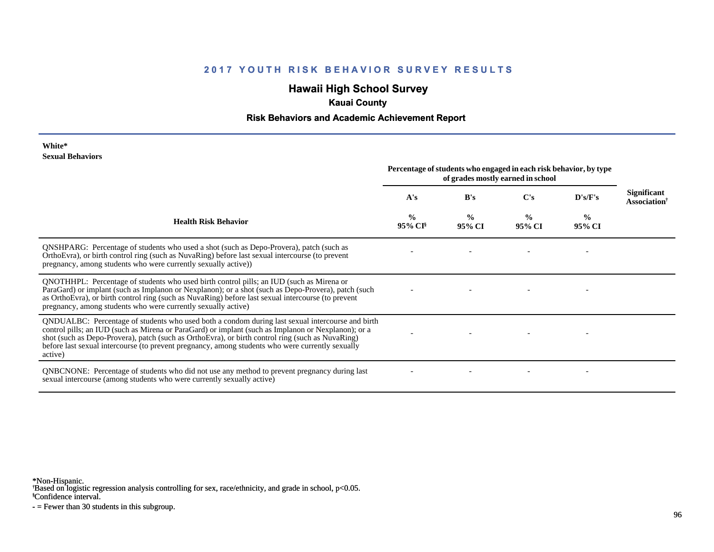## **Hawaii High School Survey**

## **Kauai County**

### **Risk Behaviors and Academic Achievement Report**

#### **White\* Sexual Behaviors**

|                                                                                                                                                                                                                                                                                                                                                                                                                            | Percentage of students who engaged in each risk behavior, by type<br>of grades mostly earned in school |                         |                |                         |                                                |
|----------------------------------------------------------------------------------------------------------------------------------------------------------------------------------------------------------------------------------------------------------------------------------------------------------------------------------------------------------------------------------------------------------------------------|--------------------------------------------------------------------------------------------------------|-------------------------|----------------|-------------------------|------------------------------------------------|
|                                                                                                                                                                                                                                                                                                                                                                                                                            | A's                                                                                                    | B's                     | $\bf C's$      | D's/F's                 | <b>Significant</b><br>Association <sup>†</sup> |
| <b>Health Risk Behavior</b>                                                                                                                                                                                                                                                                                                                                                                                                | $\frac{0}{0}$<br>95% CI <sup>§</sup>                                                                   | $\frac{0}{0}$<br>95% CI | $\%$<br>95% CI | $\frac{6}{9}$<br>95% CI |                                                |
| QNSHPARG: Percentage of students who used a shot (such as Depo-Provera), patch (such as<br>OrthoEvra), or birth control ring (such as NuvaRing) before last sexual intercourse (to prevent<br>pregnancy, among students who were currently sexually active))                                                                                                                                                               |                                                                                                        |                         |                |                         |                                                |
| QNOTHHPL: Percentage of students who used birth control pills; an IUD (such as Mirena or<br>ParaGard) or implant (such as Implanon or Nexplanon); or a shot (such as Depo-Provera), patch (such<br>as OrthoEvra), or birth control ring (such as NuvaRing) before last sexual intercourse (to prevent<br>pregnancy, among students who were currently sexually active)                                                     |                                                                                                        |                         |                |                         |                                                |
| QNDUALBC: Percentage of students who used both a condom during last sexual intercourse and birth<br>control pills; an IUD (such as Mirena or ParaGard) or implant (such as Implanon or Nexplanon); or a<br>shot (such as Depo-Provera), patch (such as OrthoEvra), or birth control ring (such as NuvaRing)<br>before last sexual intercourse (to prevent pregnancy, among students who were currently sexually<br>active) |                                                                                                        |                         |                |                         |                                                |
| <b>QNBCNONE:</b> Percentage of students who did not use any method to prevent pregnancy during last<br>sexual intercourse (among students who were currently sexually active)                                                                                                                                                                                                                                              |                                                                                                        |                         |                |                         |                                                |

\*Non-Hispanic.

† Based on logistic regression analysis controlling for sex, race/ethnicity, and grade in school, p<0.05.

§Confidence interval.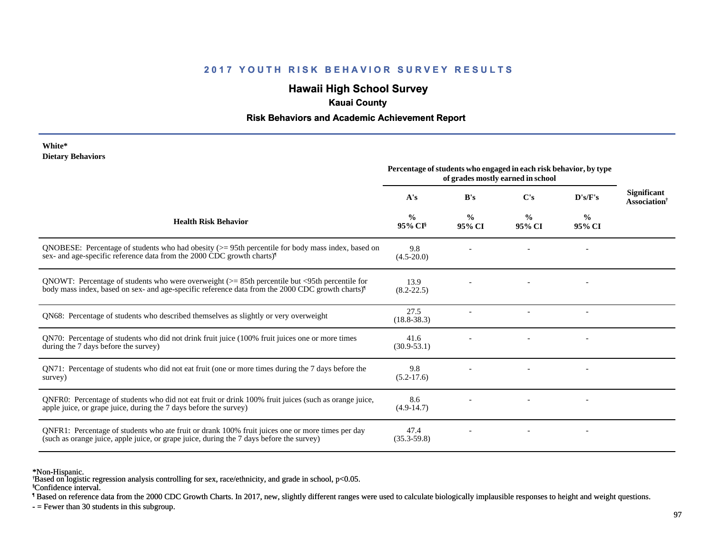# **Hawaii High School Survey**

### **Kauai County**

### **Risk Behaviors and Academic Achievement Report**

#### **White\* Dietary Behaviors**

|                                                                                                                                                                                                                   | Percentage of students who engaged in each risk behavior, by type<br>of grades mostly earned in school |                         |                         |                          |                                                |
|-------------------------------------------------------------------------------------------------------------------------------------------------------------------------------------------------------------------|--------------------------------------------------------------------------------------------------------|-------------------------|-------------------------|--------------------------|------------------------------------------------|
|                                                                                                                                                                                                                   | A's                                                                                                    | B's                     | $\bf C's$               | D's/F's                  | <b>Significant</b><br>Association <sup>†</sup> |
| <b>Health Risk Behavior</b>                                                                                                                                                                                       | %<br>95% CI <sup>§</sup>                                                                               | $\frac{0}{0}$<br>95% CI | $\frac{0}{0}$<br>95% CI | $\frac{0}{0}$<br>95% CI  |                                                |
| QNOBESE: Percentage of students who had obesity $(>= 95$ th percentile for body mass index, based on<br>sex- and age-specific reference data from the 2000 CDC growth charts) <sup>1</sup>                        | 9.8<br>$(4.5-20.0)$                                                                                    |                         |                         |                          |                                                |
| QNOWT: Percentage of students who were overweight $(>= 85$ th percentile but <95th percentile for<br>body mass index, based on sex- and age-specific reference data from the 2000 CDC growth charts) <sup>1</sup> | 13.9<br>$(8.2 - 22.5)$                                                                                 |                         |                         |                          |                                                |
| QN68: Percentage of students who described themselves as slightly or very overweight                                                                                                                              | 27.5<br>$(18.8 - 38.3)$                                                                                |                         |                         | $\overline{\phantom{a}}$ |                                                |
| QN70: Percentage of students who did not drink fruit juice (100% fruit juices one or more times<br>during the 7 days before the survey)                                                                           | 41.6<br>$(30.9 - 53.1)$                                                                                |                         |                         |                          |                                                |
| QN71: Percentage of students who did not eat fruit (one or more times during the 7 days before the<br>survey)                                                                                                     | 9.8<br>$(5.2-17.6)$                                                                                    |                         |                         |                          |                                                |
| ONFR0: Percentage of students who did not eat fruit or drink 100% fruit juices (such as orange juice,<br>apple juice, or grape juice, during the 7 days before the survey)                                        | 8.6<br>$(4.9-14.7)$                                                                                    |                         |                         |                          |                                                |
| QNFR1: Percentage of students who ate fruit or drank 100% fruit juices one or more times per day<br>(such as orange juice, apple juice, or grape juice, during the 7 days before the survey)                      | 47.4<br>$(35.3 - 59.8)$                                                                                |                         |                         |                          |                                                |

\*Non-Hispanic.

§Confidence interval. † Based on logistic regression analysis controlling for sex, race/ethnicity, and grade in school, p<0.05.

¶ Based on reference data from the 2000 CDC Growth Charts. In 2017, new, slightly different ranges were used to calculate biologically implausible responses to height and weight questions.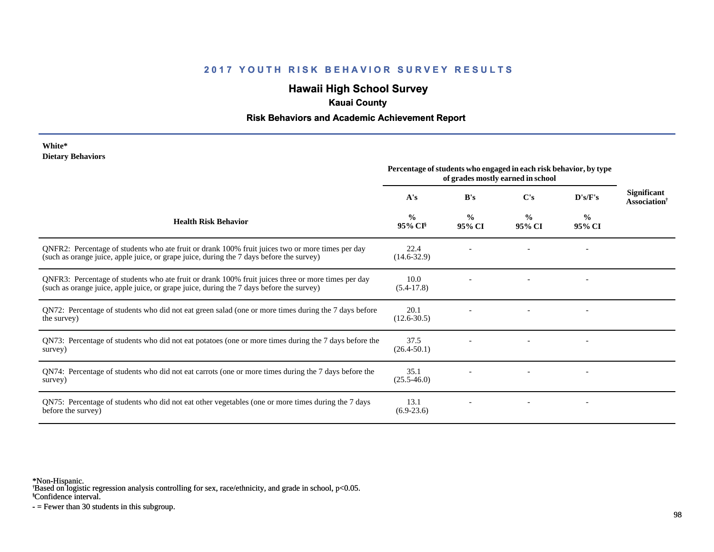## **Hawaii High School Survey**

## **Kauai County**

### **Risk Behaviors and Academic Achievement Report**

#### **White\* Dietary Behaviors**

|                                                                                                                                                                                                | Percentage of students who engaged in each risk behavior, by type<br>of grades mostly earned in school |                         |                         |                          |                                                       |
|------------------------------------------------------------------------------------------------------------------------------------------------------------------------------------------------|--------------------------------------------------------------------------------------------------------|-------------------------|-------------------------|--------------------------|-------------------------------------------------------|
|                                                                                                                                                                                                | A's                                                                                                    | B's                     | C's                     | D's/F's                  | <b>Significant</b><br><b>Association</b> <sup>†</sup> |
| <b>Health Risk Behavior</b>                                                                                                                                                                    | $\frac{0}{0}$<br>$95\%$ CI <sup>§</sup>                                                                | $\frac{0}{0}$<br>95% CI | $\frac{0}{0}$<br>95% CI | $\frac{6}{10}$<br>95% CI |                                                       |
| QNFR2: Percentage of students who ate fruit or drank 100% fruit juices two or more times per day<br>(such as orange juice, apple juice, or grape juice, during the 7 days before the survey)   | 22.4<br>$(14.6 - 32.9)$                                                                                |                         |                         |                          |                                                       |
| QNFR3: Percentage of students who ate fruit or drank 100% fruit juices three or more times per day<br>(such as orange juice, apple juice, or grape juice, during the 7 days before the survey) | 10.0<br>$(5.4-17.8)$                                                                                   |                         |                         |                          |                                                       |
| QN72: Percentage of students who did not eat green salad (one or more times during the 7 days before<br>the survey)                                                                            | 20.1<br>$(12.6 - 30.5)$                                                                                |                         |                         |                          |                                                       |
| QN73: Percentage of students who did not eat potatoes (one or more times during the 7 days before the<br>survey)                                                                               | 37.5<br>$(26.4 - 50.1)$                                                                                |                         |                         |                          |                                                       |
| QN74: Percentage of students who did not eat carrots (one or more times during the 7 days before the<br>survey)                                                                                | 35.1<br>$(25.5 - 46.0)$                                                                                |                         |                         |                          |                                                       |
| QN75: Percentage of students who did not eat other vegetables (one or more times during the 7 days<br>before the survey)                                                                       | 13.1<br>$(6.9-23.6)$                                                                                   |                         |                         |                          |                                                       |

\*Non-Hispanic.

† Based on logistic regression analysis controlling for sex, race/ethnicity, and grade in school, p<0.05.

§Confidence interval.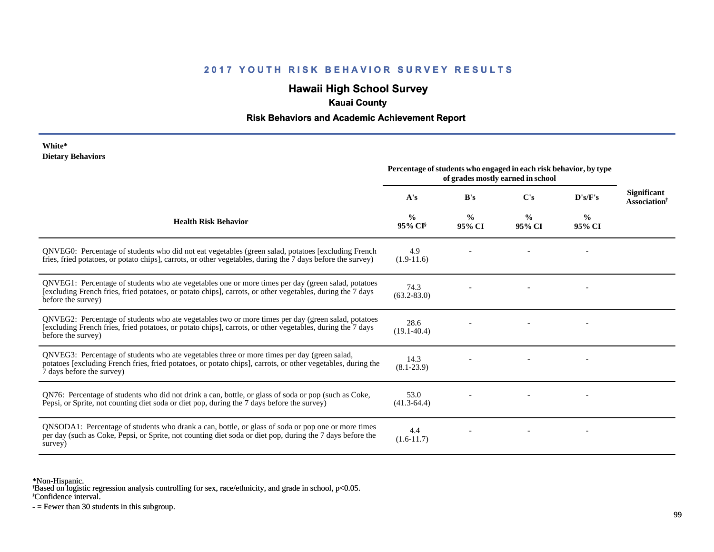## **Hawaii High School Survey**

### **Kauai County**

### **Risk Behaviors and Academic Achievement Report**

#### **White\* Dietary Behaviors**

|                                                                                                                                                                                                                                          | Percentage of students who engaged in each risk behavior, by type<br>of grades mostly earned in school |                         |                         |                         |                                                       |
|------------------------------------------------------------------------------------------------------------------------------------------------------------------------------------------------------------------------------------------|--------------------------------------------------------------------------------------------------------|-------------------------|-------------------------|-------------------------|-------------------------------------------------------|
|                                                                                                                                                                                                                                          | A's                                                                                                    | B's                     | C's                     | D's/F's                 | <b>Significant</b><br><b>Association</b> <sup>†</sup> |
| <b>Health Risk Behavior</b>                                                                                                                                                                                                              | $\frac{0}{0}$<br>$95\%$ CI <sup>§</sup>                                                                | $\frac{0}{0}$<br>95% CI | $\frac{0}{0}$<br>95% CI | $\frac{0}{0}$<br>95% CI |                                                       |
| QNVEG0: Percentage of students who did not eat vegetables (green salad, potatoes [excluding French]<br>fries, fried potatoes, or potato chips], carrots, or other vegetables, during the 7 days before the survey)                       | 4.9<br>$(1.9-11.6)$                                                                                    |                         |                         |                         |                                                       |
| QNVEG1: Percentage of students who ate vegetables one or more times per day (green salad, potatoes<br>[excluding French fries, fried potatoes, or potato chips], carrots, or other vegetables, during the 7 days<br>before the survey)   | 74.3<br>$(63.2 - 83.0)$                                                                                |                         |                         |                         |                                                       |
| QNVEG2: Percentage of students who ate vegetables two or more times per day (green salad, potatoes<br>[excluding French fries, fried potatoes, or potato chips], carrots, or other vegetables, during the 7 days<br>before the survey)   | 28.6<br>$(19.1 - 40.4)$                                                                                |                         |                         |                         |                                                       |
| QNVEG3: Percentage of students who ate vegetables three or more times per day (green salad,<br>potatoes [excluding French fries, fried potatoes, or potato chips], carrots, or other vegetables, during the<br>7 days before the survey) | 14.3<br>$(8.1 - 23.9)$                                                                                 |                         |                         |                         |                                                       |
| QN76: Percentage of students who did not drink a can, bottle, or glass of soda or pop (such as Coke,<br>Pepsi, or Sprite, not counting diet soda or diet pop, during the 7 days before the survey)                                       | 53.0<br>$(41.3-64.4)$                                                                                  |                         |                         |                         |                                                       |
| QNSODA1: Percentage of students who drank a can, bottle, or glass of soda or pop one or more times<br>per day (such as Coke, Pepsi, or Sprite, not counting diet soda or diet pop, during the 7 days before the<br>survey)               | 4.4<br>$(1.6-11.7)$                                                                                    |                         |                         |                         |                                                       |

\*Non-Hispanic.

† Based on logistic regression analysis controlling for sex, race/ethnicity, and grade in school, p<0.05.

§Confidence interval.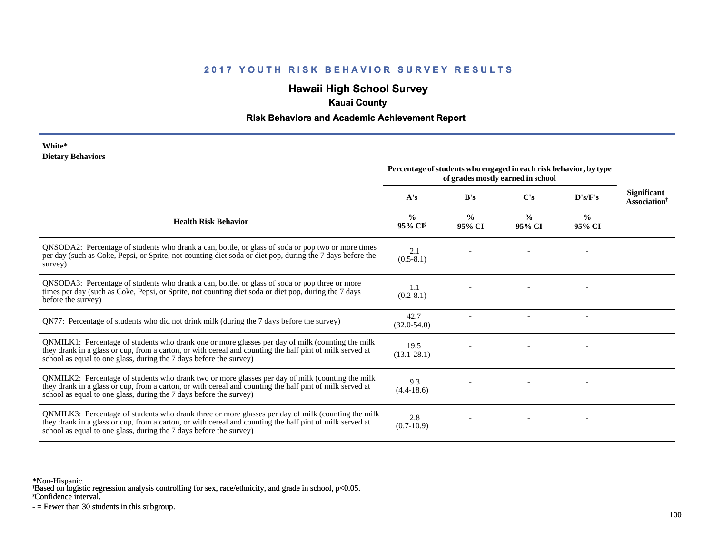## **Hawaii High School Survey**

## **Kauai County**

### **Risk Behaviors and Academic Achievement Report**

#### **White\* Dietary Behaviors**

|                                                                                                                                                                                                                                                                                      | Percentage of students who engaged in each risk behavior, by type<br>of grades mostly earned in school |                         |                         |                         |                                                |
|--------------------------------------------------------------------------------------------------------------------------------------------------------------------------------------------------------------------------------------------------------------------------------------|--------------------------------------------------------------------------------------------------------|-------------------------|-------------------------|-------------------------|------------------------------------------------|
|                                                                                                                                                                                                                                                                                      | A's                                                                                                    | B's                     | $\bf C's$               | D's/F's                 | <b>Significant</b><br>Association <sup>†</sup> |
| <b>Health Risk Behavior</b>                                                                                                                                                                                                                                                          | $\frac{6}{6}$<br>95% CI <sup>§</sup>                                                                   | $\frac{6}{9}$<br>95% CI | $\frac{0}{0}$<br>95% CI | $\frac{0}{0}$<br>95% CI |                                                |
| QNSODA2: Percentage of students who drank a can, bottle, or glass of soda or pop two or more times<br>per day (such as Coke, Pepsi, or Sprite, not counting diet soda or diet pop, during the 7 days before the<br>survey)                                                           | 2.1<br>$(0.5-8.1)$                                                                                     |                         |                         |                         |                                                |
| QNSODA3: Percentage of students who drank a can, bottle, or glass of soda or pop three or more<br>times per day (such as Coke, Pepsi, or Sprite, not counting diet soda or diet pop, during the 7 days<br>before the survey)                                                         | 1.1<br>$(0.2-8.1)$                                                                                     |                         |                         |                         |                                                |
| QN77: Percentage of students who did not drink milk (during the 7 days before the survey)                                                                                                                                                                                            | 42.7<br>$(32.0 - 54.0)$                                                                                |                         |                         |                         |                                                |
| QNMILK1: Percentage of students who drank one or more glasses per day of milk (counting the milk<br>they drank in a glass or cup, from a carton, or with cereal and counting the half pint of milk served at<br>school as equal to one glass, during the 7 days before the survey)   | 19.5<br>$(13.1 - 28.1)$                                                                                |                         |                         |                         |                                                |
| QNMILK2: Percentage of students who drank two or more glasses per day of milk (counting the milk<br>they drank in a glass or cup, from a carton, or with cereal and counting the half pint of milk served at<br>school as equal to one glass, during the 7 days before the survey)   | 9.3<br>$(4.4 - 18.6)$                                                                                  |                         |                         |                         |                                                |
| QNMILK3: Percentage of students who drank three or more glasses per day of milk (counting the milk<br>they drank in a glass or cup, from a carton, or with cereal and counting the half pint of milk served at<br>school as equal to one glass, during the 7 days before the survey) | 2.8<br>$(0.7-10.9)$                                                                                    |                         |                         |                         |                                                |

\*Non-Hispanic.

† Based on logistic regression analysis controlling for sex, race/ethnicity, and grade in school, p<0.05.

§Confidence interval.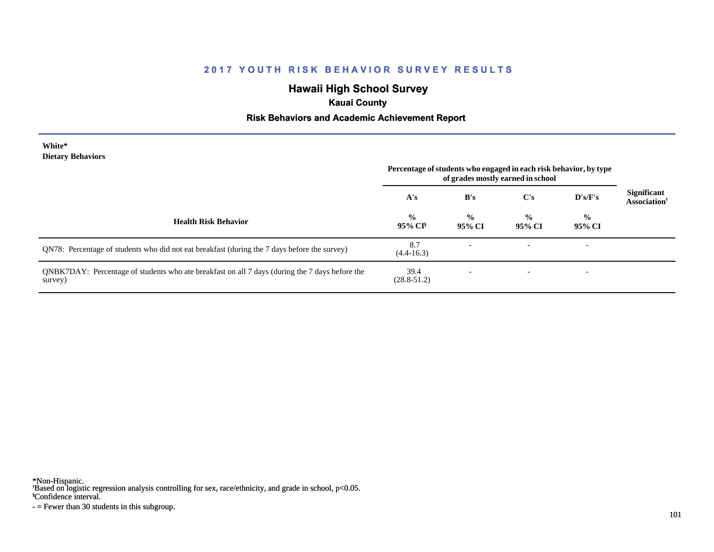## **Hawaii High School Survey**

## **Kauai County**

### **Risk Behaviors and Academic Achievement Report**

#### **White\* Dietary Behaviors**

|                                                                                                           | Percentage of students who engaged in each risk behavior, by type<br>of grades mostly earned in school |                         |                         |                          |                                                |
|-----------------------------------------------------------------------------------------------------------|--------------------------------------------------------------------------------------------------------|-------------------------|-------------------------|--------------------------|------------------------------------------------|
|                                                                                                           | A's                                                                                                    | B's                     | C's                     | D's/F's                  | <b>Significant</b><br>Association <sup>†</sup> |
| <b>Health Risk Behavior</b>                                                                               | $\frac{0}{0}$<br>$95\%$ CI <sup>§</sup>                                                                | $\frac{6}{9}$<br>95% CI | $\frac{0}{0}$<br>95% CI | $\frac{0}{0}$<br>95% CI  |                                                |
| QN78: Percentage of students who did not eat breakfast (during the 7 days before the survey)              | 8.7<br>$(4.4 - 16.3)$                                                                                  |                         |                         | $\overline{\phantom{0}}$ |                                                |
| QNBK7DAY: Percentage of students who ate breakfast on all 7 days (during the 7 days before the<br>survey) | 39.4<br>$(28.8 - 51.2)$                                                                                |                         |                         | $\overline{\phantom{0}}$ |                                                |

\*Non-Hispanic.

† Based on logistic regression analysis controlling for sex, race/ethnicity, and grade in school, p<0.05.

§Confidence interval.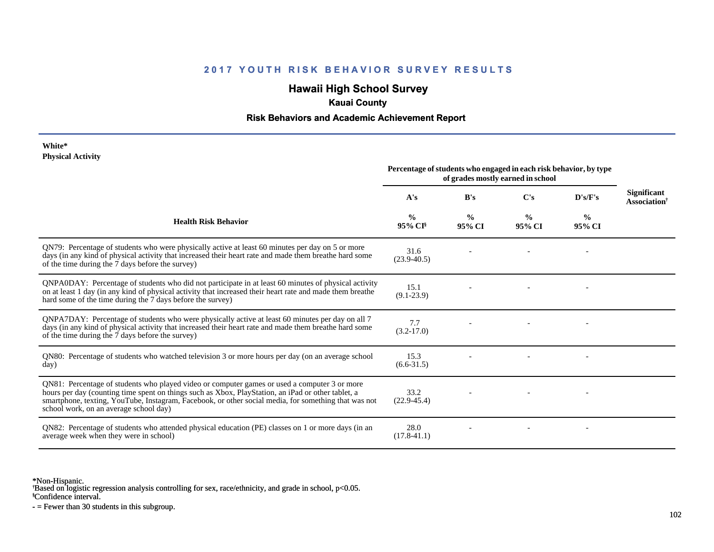## **Hawaii High School Survey**

## **Kauai County**

### **Risk Behaviors and Academic Achievement Report**

#### **White\* Physical Activity**

|                                                                                                                                                                                                                                                                                                                                                      | Percentage of students who engaged in each risk behavior, by type<br>of grades mostly earned in school |                         |                         |                         |                                                |
|------------------------------------------------------------------------------------------------------------------------------------------------------------------------------------------------------------------------------------------------------------------------------------------------------------------------------------------------------|--------------------------------------------------------------------------------------------------------|-------------------------|-------------------------|-------------------------|------------------------------------------------|
|                                                                                                                                                                                                                                                                                                                                                      | A's                                                                                                    | B's                     | C's                     | D's/F's                 | <b>Significant</b><br>Association <sup>†</sup> |
| <b>Health Risk Behavior</b>                                                                                                                                                                                                                                                                                                                          | $\frac{0}{0}$<br>$95\%$ CI <sup>§</sup>                                                                | $\frac{0}{0}$<br>95% CI | $\frac{0}{0}$<br>95% CI | $\frac{6}{6}$<br>95% CI |                                                |
| QN79: Percentage of students who were physically active at least 60 minutes per day on 5 or more<br>days (in any kind of physical activity that increased their heart rate and made them breathe hard some<br>of the time during the 7 days before the survey)                                                                                       | 31.6<br>$(23.9 - 40.5)$                                                                                |                         |                         |                         |                                                |
| QNPA0DAY: Percentage of students who did not participate in at least 60 minutes of physical activity<br>on at least 1 day (in any kind of physical activity that increased their heart rate and made them breathe<br>hard some of the time during the 7 days before the survey)                                                                      | 15.1<br>$(9.1 - 23.9)$                                                                                 |                         |                         |                         |                                                |
| QNPA7DAY: Percentage of students who were physically active at least 60 minutes per day on all 7<br>days (in any kind of physical activity that increased their heart rate and made them breathe hard some<br>of the time during the 7 days before the survey)                                                                                       | 7.7<br>$(3.2 - 17.0)$                                                                                  |                         |                         |                         |                                                |
| QN80: Percentage of students who watched television 3 or more hours per day (on an average school<br>day)                                                                                                                                                                                                                                            | 15.3<br>$(6.6 - 31.5)$                                                                                 |                         |                         |                         |                                                |
| QN81: Percentage of students who played video or computer games or used a computer 3 or more<br>hours per day (counting time spent on things such as Xbox, PlayStation, an iPad or other tablet, a<br>smartphone, texting, YouTube, Instagram, Facebook, or other social media, for something that was not<br>school work, on an average school day) | 33.2<br>$(22.9 - 45.4)$                                                                                |                         |                         |                         |                                                |
| QN82: Percentage of students who attended physical education (PE) classes on 1 or more days (in an<br>average week when they were in school)                                                                                                                                                                                                         | 28.0<br>$(17.8 - 41.1)$                                                                                |                         |                         |                         |                                                |

\*Non-Hispanic.

† Based on logistic regression analysis controlling for sex, race/ethnicity, and grade in school, p<0.05.

§Confidence interval.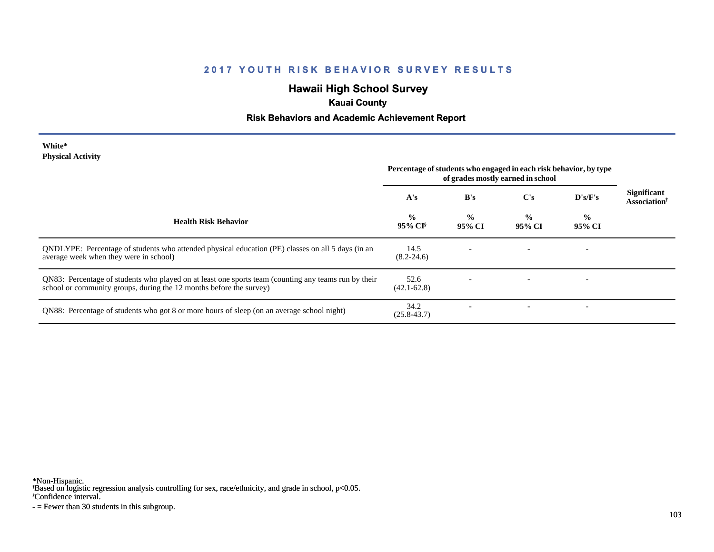# **Hawaii High School Survey**

## **Kauai County**

## **Risk Behaviors and Academic Achievement Report**

| White*                   |  |
|--------------------------|--|
| <b>Physical Activity</b> |  |

|                                                                                                                                                                             | Percentage of students who engaged in each risk behavior, by type<br>of grades mostly earned in school |                         |                         |                          |                                                       |
|-----------------------------------------------------------------------------------------------------------------------------------------------------------------------------|--------------------------------------------------------------------------------------------------------|-------------------------|-------------------------|--------------------------|-------------------------------------------------------|
|                                                                                                                                                                             | A's                                                                                                    | B's                     | $\bf C's$               | $\bf{D's/F's}$           | <b>Significant</b><br><b>Association</b> <sup>†</sup> |
| <b>Health Risk Behavior</b>                                                                                                                                                 | $\frac{0}{0}$<br>95% CI <sup>§</sup>                                                                   | $\frac{0}{0}$<br>95% CI | $\frac{0}{0}$<br>95% CI | $\frac{0}{0}$<br>95% CI  |                                                       |
| QNDLYPE: Percentage of students who attended physical education (PE) classes on all 5 days (in an<br>average week when they were in school)                                 | 14.5<br>$(8.2 - 24.6)$                                                                                 |                         |                         |                          |                                                       |
| QN83: Percentage of students who played on at least one sports team (counting any teams run by their<br>school or community groups, during the 12 months before the survey) | 52.6<br>$(42.1 - 62.8)$                                                                                |                         |                         |                          |                                                       |
| QN88: Percentage of students who got 8 or more hours of sleep (on an average school night)                                                                                  | 34.2<br>$(25.8 - 43.7)$                                                                                |                         |                         | $\overline{\phantom{a}}$ |                                                       |

\*Non-Hispanic.

† Based on logistic regression analysis controlling for sex, race/ethnicity, and grade in school, p<0.05.

§Confidence interval.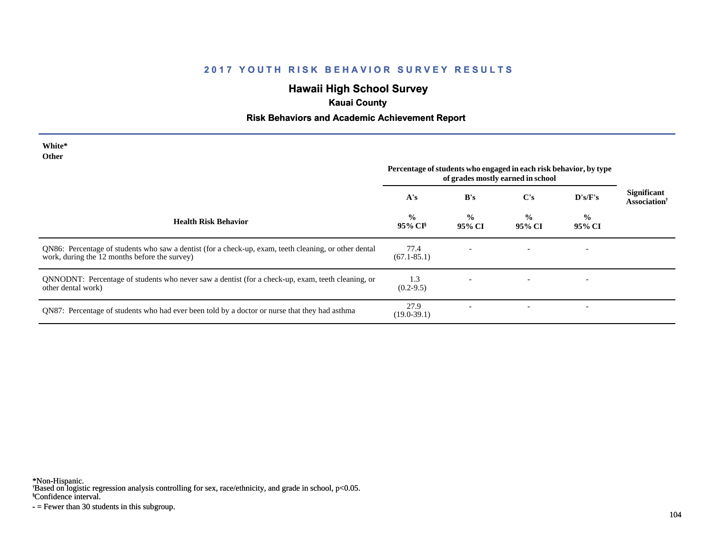## **Hawaii High School Survey**

## **Kauai County**

### **Risk Behaviors and Academic Achievement Report**

| White*<br><b>Other</b>                                                                                                                                 | Percentage of students who engaged in each risk behavior, by type<br>of grades mostly earned in school |                          |                         |                          |                                                |
|--------------------------------------------------------------------------------------------------------------------------------------------------------|--------------------------------------------------------------------------------------------------------|--------------------------|-------------------------|--------------------------|------------------------------------------------|
|                                                                                                                                                        | A's                                                                                                    | B's                      | C's                     | D's/F's                  | Significant<br><b>Association</b> <sup>†</sup> |
| <b>Health Risk Behavior</b>                                                                                                                            | $\frac{0}{0}$<br>$95\%$ CI <sup>§</sup>                                                                | $\frac{0}{0}$<br>95% CI  | $\frac{0}{0}$<br>95% CI | $\frac{0}{0}$<br>95% CI  |                                                |
| QN86: Percentage of students who saw a dentist (for a check-up, exam, teeth cleaning, or other dental<br>work, during the 12 months before the survey) | 77.4<br>$(67.1 - 85.1)$                                                                                |                          |                         | $\overline{\phantom{0}}$ |                                                |
| QNNODNT: Percentage of students who never saw a dentist (for a check-up, exam, teeth cleaning, or<br>other dental work)                                | 1.3<br>$(0.2-9.5)$                                                                                     | $\overline{\phantom{0}}$ |                         | $\overline{\phantom{0}}$ |                                                |
| QN87: Percentage of students who had ever been told by a doctor or nurse that they had asthma                                                          | 27.9<br>$(19.0-39.1)$                                                                                  |                          |                         | $\overline{\phantom{a}}$ |                                                |

\*Non-Hispanic.

† Based on logistic regression analysis controlling for sex, race/ethnicity, and grade in school, p<0.05.

§Confidence interval.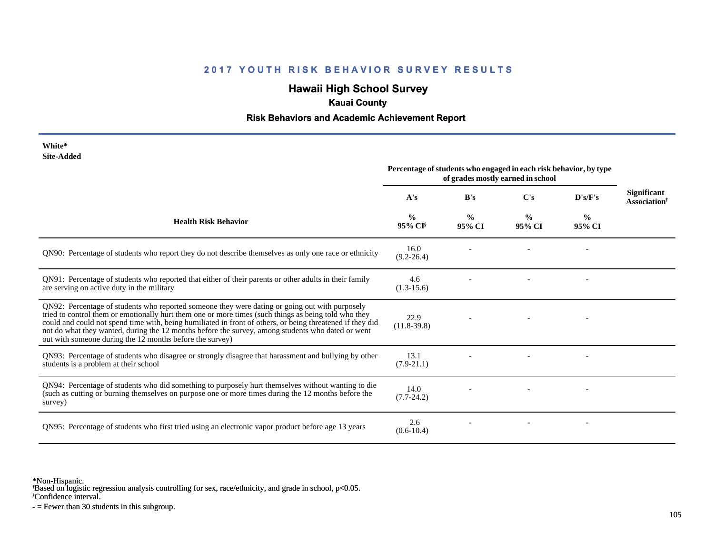## **Hawaii High School Survey**

## **Kauai County**

### **Risk Behaviors and Academic Achievement Report**

| White*<br><b>Site-Added</b>                                                                                                                                                                                                                                                                                                                                                                                                                                                          | Percentage of students who engaged in each risk behavior, by type<br>of grades mostly earned in school |                         |                         |                         |                                          |
|--------------------------------------------------------------------------------------------------------------------------------------------------------------------------------------------------------------------------------------------------------------------------------------------------------------------------------------------------------------------------------------------------------------------------------------------------------------------------------------|--------------------------------------------------------------------------------------------------------|-------------------------|-------------------------|-------------------------|------------------------------------------|
|                                                                                                                                                                                                                                                                                                                                                                                                                                                                                      | A's                                                                                                    | B's                     | C's                     | D's/F's                 | <b>Significant</b><br><b>Association</b> |
| <b>Health Risk Behavior</b>                                                                                                                                                                                                                                                                                                                                                                                                                                                          | $\frac{0}{0}$<br>95% CI <sup>§</sup>                                                                   | $\frac{0}{0}$<br>95% CI | $\frac{6}{9}$<br>95% CI | $\frac{6}{9}$<br>95% CI |                                          |
| QN90: Percentage of students who report they do not describe themselves as only one race or ethnicity                                                                                                                                                                                                                                                                                                                                                                                | 16.0<br>$(9.2 - 26.4)$                                                                                 |                         |                         |                         |                                          |
| QN91: Percentage of students who reported that either of their parents or other adults in their family<br>are serving on active duty in the military                                                                                                                                                                                                                                                                                                                                 | 4.6<br>$(1.3-15.6)$                                                                                    |                         |                         |                         |                                          |
| QN92: Percentage of students who reported someone they were dating or going out with purposely<br>tried to control them or emotionally hurt them one or more times (such things as being told who they<br>could and could not spend time with, being humiliated in front of others, or being threatened if they did<br>not do what they wanted, during the 12 months before the survey, among students who dated or went<br>out with someone during the 12 months before the survey) | 22.9<br>$(11.8-39.8)$                                                                                  |                         |                         |                         |                                          |
| QN93: Percentage of students who disagree or strongly disagree that harassment and bullying by other<br>students is a problem at their school                                                                                                                                                                                                                                                                                                                                        | 13.1<br>$(7.9-21.1)$                                                                                   |                         |                         |                         |                                          |
| QN94: Percentage of students who did something to purposely hurt themselves without wanting to die<br>(such as cutting or burning themselves on purpose one or more times during the 12 months before the<br>survey)                                                                                                                                                                                                                                                                 | 14.0<br>$(7.7-24.2)$                                                                                   |                         |                         |                         |                                          |
| QN95: Percentage of students who first tried using an electronic vapor product before age 13 years                                                                                                                                                                                                                                                                                                                                                                                   | 2.6<br>$(0.6-10.4)$                                                                                    |                         |                         |                         |                                          |

\*Non-Hispanic.

† Based on logistic regression analysis controlling for sex, race/ethnicity, and grade in school, p<0.05.

§Confidence interval.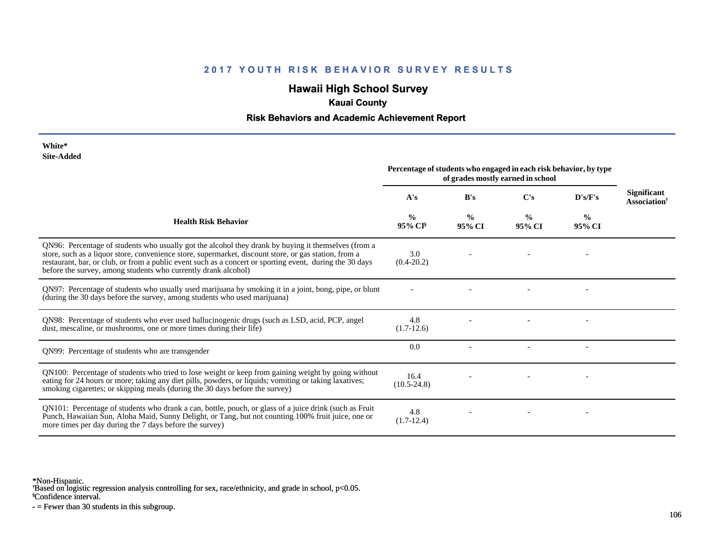# **Hawaii High School Survey**

## **Kauai County**

### **Risk Behaviors and Academic Achievement Report**

| White*     |
|------------|
| Site-Added |

| эне-дичей                                                                                                                                                                                                                                                                                                                                                                                  | Percentage of students who engaged in each risk behavior, by type<br>of grades mostly earned in school |                         |                         |                         |                                         |
|--------------------------------------------------------------------------------------------------------------------------------------------------------------------------------------------------------------------------------------------------------------------------------------------------------------------------------------------------------------------------------------------|--------------------------------------------------------------------------------------------------------|-------------------------|-------------------------|-------------------------|-----------------------------------------|
|                                                                                                                                                                                                                                                                                                                                                                                            | A's                                                                                                    | B's                     | $\bf C's$               | D's/F's                 | Significant<br>Association <sup>†</sup> |
| <b>Health Risk Behavior</b>                                                                                                                                                                                                                                                                                                                                                                | $\frac{0}{0}$<br>95% CI                                                                                | $\frac{0}{0}$<br>95% CI | $\frac{0}{0}$<br>95% CI | $\frac{0}{0}$<br>95% CI |                                         |
| QN96: Percentage of students who usually got the alcohol they drank by buying it themselves (from a<br>store, such as a liquor store, convenience store, supermarket, discount store, or gas station, from a<br>restaurant, bar, or club, or from a public event such as a concert or sporting event, during the 30 days<br>before the survey, among students who currently drank alcohol) | 3.0<br>$(0.4 - 20.2)$                                                                                  |                         |                         |                         |                                         |
| QN97: Percentage of students who usually used marijuana by smoking it in a joint, bong, pipe, or blunt<br>(during the 30 days before the survey, among students who used marijuana)                                                                                                                                                                                                        |                                                                                                        |                         |                         |                         |                                         |
| QN98: Percentage of students who ever used hallucinogenic drugs (such as LSD, acid, PCP, angel<br>dust, mescaline, or mushrooms, one or more times during their life)                                                                                                                                                                                                                      | 4.8<br>$(1.7-12.6)$                                                                                    |                         |                         |                         |                                         |
| QN99: Percentage of students who are transgender                                                                                                                                                                                                                                                                                                                                           | 0.0                                                                                                    |                         |                         |                         |                                         |
| QN100: Percentage of students who tried to lose weight or keep from gaining weight by going without<br>eating for 24 hours or more; taking any diet pills, powders, or liquids; vomiting or taking laxatives;<br>smoking cigarettes; or skipping meals (during the 30 days before the survey)                                                                                              | 16.4<br>$(10.5 - 24.8)$                                                                                |                         |                         |                         |                                         |
| QN101: Percentage of students who drank a can, bottle, pouch, or glass of a juice drink (such as Fruit<br>Punch, Hawaiian Sun, Aloha Maid, Sunny Delight, or Tang, but not counting 100% fruit juice, one or<br>more times per day during the 7 days before the survey)                                                                                                                    | 4.8<br>$(1.7-12.4)$                                                                                    |                         |                         |                         |                                         |

\*Non-Hispanic.

† Based on logistic regression analysis controlling for sex, race/ethnicity, and grade in school, p<0.05.

§Confidence interval.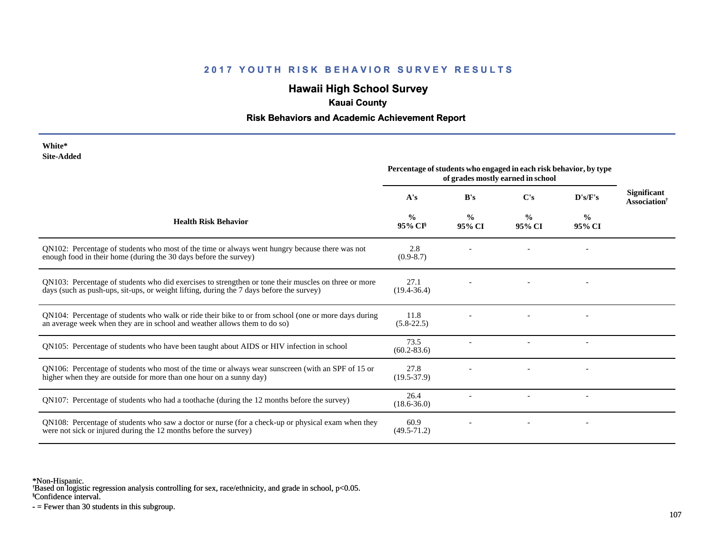## **Hawaii High School Survey**

## **Kauai County**

### **Risk Behaviors and Academic Achievement Report**

| White*     |
|------------|
| Site-Added |

|                                                                                                                                                                                                  | Percentage of students who engaged in each risk behavior, by type<br>of grades mostly earned in school |                         |                         |                         |                                                |
|--------------------------------------------------------------------------------------------------------------------------------------------------------------------------------------------------|--------------------------------------------------------------------------------------------------------|-------------------------|-------------------------|-------------------------|------------------------------------------------|
|                                                                                                                                                                                                  | A's                                                                                                    | B's                     | C's                     | D's/F's                 | <b>Significant</b><br>Association <sup>†</sup> |
| <b>Health Risk Behavior</b>                                                                                                                                                                      | %<br>95% CI <sup>§</sup>                                                                               | $\frac{0}{0}$<br>95% CI | $\frac{0}{0}$<br>95% CI | $\frac{0}{0}$<br>95% CI |                                                |
| QN102: Percentage of students who most of the time or always went hungry because there was not<br>enough food in their home (during the 30 days before the survey)                               | 2.8<br>$(0.9 - 8.7)$                                                                                   |                         |                         |                         |                                                |
| QN103: Percentage of students who did exercises to strengthen or tone their muscles on three or more<br>days (such as push-ups, sit-ups, or weight lifting, during the 7 days before the survey) | 27.1<br>$(19.4 - 36.4)$                                                                                |                         |                         |                         |                                                |
| QN104: Percentage of students who walk or ride their bike to or from school (one or more days during<br>an average week when they are in school and weather allows them to do so)                | 11.8<br>$(5.8-22.5)$                                                                                   |                         |                         |                         |                                                |
| QN105: Percentage of students who have been taught about AIDS or HIV infection in school                                                                                                         | 73.5<br>$(60.2 - 83.6)$                                                                                |                         |                         |                         |                                                |
| QN106: Percentage of students who most of the time or always wear sunscreen (with an SPF of 15 or<br>higher when they are outside for more than one hour on a sunny day)                         | 27.8<br>$(19.5 - 37.9)$                                                                                |                         |                         |                         |                                                |
| QN107: Percentage of students who had a toothache (during the 12 months before the survey)                                                                                                       | 26.4<br>$(18.6 - 36.0)$                                                                                |                         |                         |                         |                                                |
| QN108: Percentage of students who saw a doctor or nurse (for a check-up or physical exam when they<br>were not sick or injured during the 12 months before the survey)                           | 60.9<br>$(49.5 - 71.2)$                                                                                |                         |                         |                         |                                                |

\*Non-Hispanic.

† Based on logistic regression analysis controlling for sex, race/ethnicity, and grade in school, p<0.05.

§Confidence interval.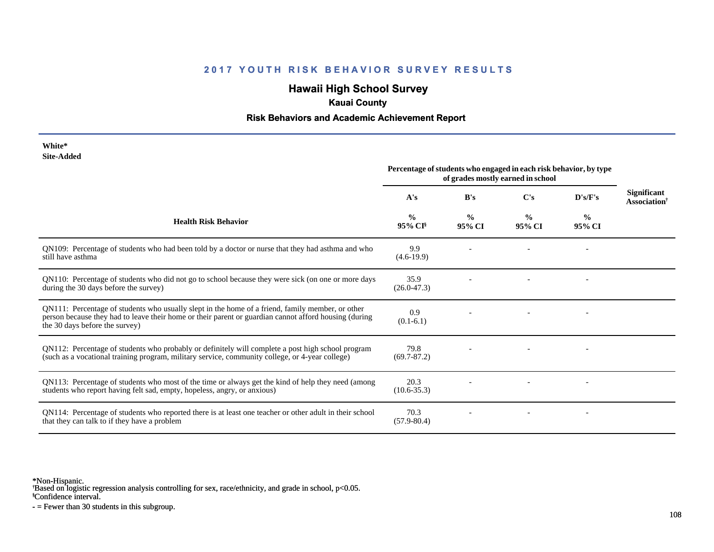# **Hawaii High School Survey**

## **Kauai County**

### **Risk Behaviors and Academic Achievement Report**

| White*     |
|------------|
| Site-Added |

| one-Auucu                                                                                                                                                                                                                                   | Percentage of students who engaged in each risk behavior, by type<br>of grades mostly earned in school |                         |                         |                |                                         |
|---------------------------------------------------------------------------------------------------------------------------------------------------------------------------------------------------------------------------------------------|--------------------------------------------------------------------------------------------------------|-------------------------|-------------------------|----------------|-----------------------------------------|
|                                                                                                                                                                                                                                             | A's                                                                                                    | B's                     | $\bf C's$               | D's/F's        | Significant<br>Association <sup>†</sup> |
| <b>Health Risk Behavior</b>                                                                                                                                                                                                                 | $\frac{0}{0}$<br>95% CI <sup>§</sup>                                                                   | $\frac{0}{0}$<br>95% CI | $\frac{0}{0}$<br>95% CI | $\%$<br>95% CI |                                         |
| QN109: Percentage of students who had been told by a doctor or nurse that they had asthma and who<br>still have asthma                                                                                                                      | 9.9<br>$(4.6-19.9)$                                                                                    |                         |                         |                |                                         |
| QN110: Percentage of students who did not go to school because they were sick (on one or more days<br>during the 30 days before the survey)                                                                                                 | 35.9<br>$(26.0 - 47.3)$                                                                                |                         |                         |                |                                         |
| QN111: Percentage of students who usually slept in the home of a friend, family member, or other<br>person because they had to leave their home or their parent or guardian cannot afford housing (during<br>the 30 days before the survey) | 0.9<br>$(0.1-6.1)$                                                                                     |                         |                         |                |                                         |
| QN112: Percentage of students who probably or definitely will complete a post high school program<br>(such as a vocational training program, military service, community college, or 4-year college)                                        | 79.8<br>$(69.7 - 87.2)$                                                                                |                         |                         |                |                                         |
| QN113: Percentage of students who most of the time or always get the kind of help they need (among<br>students who report having felt sad, empty, hopeless, angry, or anxious)                                                              | 20.3<br>$(10.6 - 35.3)$                                                                                |                         |                         |                |                                         |
| QN114: Percentage of students who reported there is at least one teacher or other adult in their school<br>that they can talk to if they have a problem                                                                                     | 70.3<br>$(57.9 - 80.4)$                                                                                |                         |                         |                |                                         |

\*Non-Hispanic.

† Based on logistic regression analysis controlling for sex, race/ethnicity, and grade in school, p<0.05.

§Confidence interval.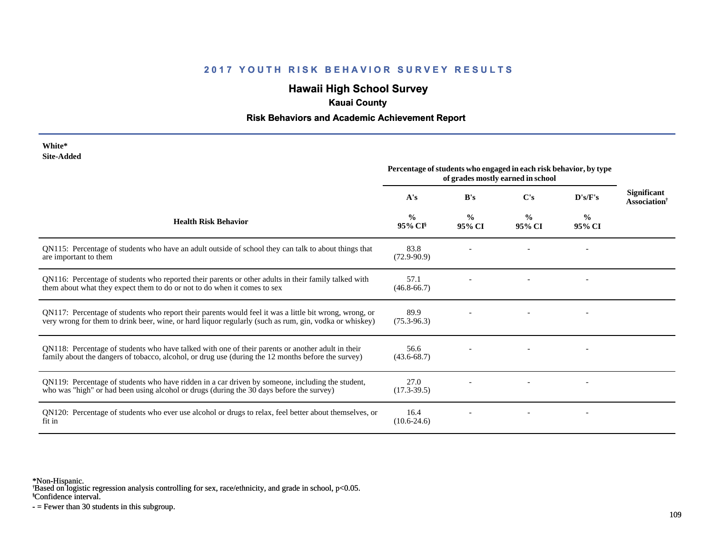### **2017 YOUTH RISK BEHAVIOR SURVEY RESULTS**

# **Hawaii High School Survey**

## **Kauai County**

#### **Risk Behaviors and Academic Achievement Report**

| White*     |
|------------|
| Site-Added |

|                                                                                                                                                                                                                  | Percentage of students who engaged in each risk behavior, by type<br>of grades mostly earned in school |                         |                         |                         |                                                |
|------------------------------------------------------------------------------------------------------------------------------------------------------------------------------------------------------------------|--------------------------------------------------------------------------------------------------------|-------------------------|-------------------------|-------------------------|------------------------------------------------|
|                                                                                                                                                                                                                  | A's                                                                                                    | B's                     | C's                     | D's/F's                 | <b>Significant</b><br>Association <sup>†</sup> |
| <b>Health Risk Behavior</b>                                                                                                                                                                                      | $\frac{0}{0}$<br>95% CI <sup>§</sup>                                                                   | $\frac{0}{0}$<br>95% CI | $\frac{0}{0}$<br>95% CI | $\frac{0}{0}$<br>95% CI |                                                |
| QN115: Percentage of students who have an adult outside of school they can talk to about things that<br>are important to them                                                                                    | 83.8<br>$(72.9-90.9)$                                                                                  |                         |                         |                         |                                                |
| QN116: Percentage of students who reported their parents or other adults in their family talked with<br>them about what they expect them to do or not to do when it comes to sex                                 | 57.1<br>$(46.8 - 66.7)$                                                                                |                         |                         |                         |                                                |
| QN117: Percentage of students who report their parents would feel it was a little bit wrong, wrong, or<br>very wrong for them to drink beer, wine, or hard liquor regularly (such as rum, gin, vodka or whiskey) | 89.9<br>$(75.3 - 96.3)$                                                                                |                         |                         |                         |                                                |
| QN118: Percentage of students who have talked with one of their parents or another adult in their<br>family about the dangers of tobacco, alcohol, or drug use (during the 12 months before the survey)          | 56.6<br>$(43.6 - 68.7)$                                                                                |                         |                         |                         |                                                |
| QN119: Percentage of students who have ridden in a car driven by someone, including the student,<br>who was "high" or had been using alcohol or drugs (during the 30 days before the survey)                     | 27.0<br>$(17.3 - 39.5)$                                                                                |                         |                         |                         |                                                |
| QN120: Percentage of students who ever use alcohol or drugs to relax, feel better about themselves, or<br>fit in                                                                                                 | 16.4<br>$(10.6-24.6)$                                                                                  |                         |                         |                         |                                                |

\*Non-Hispanic.

† Based on logistic regression analysis controlling for sex, race/ethnicity, and grade in school, p<0.05.

§Confidence interval.

- = Fewer than 30 students in this subgroup.